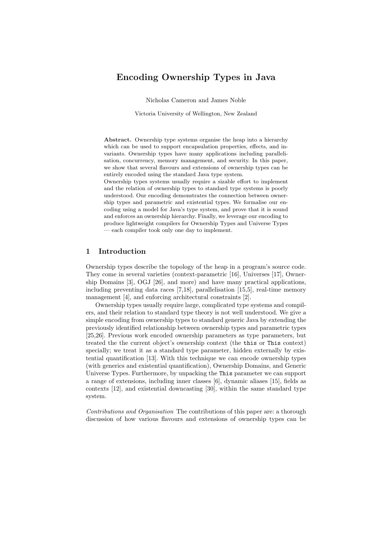# Encoding Ownership Types in Java

Nicholas Cameron and James Noble

Victoria University of Wellington, New Zealand

Abstract. Ownership type systems organise the heap into a hierarchy which can be used to support encapsulation properties, effects, and invariants. Ownership types have many applications including parallelisation, concurrency, memory management, and security. In this paper, we show that several flavours and extensions of ownership types can be entirely encoded using the standard Java type system.

Ownership types systems usually require a sizable effort to implement and the relation of ownership types to standard type systems is poorly understood. Our encoding demonstrates the connection between ownership types and parametric and existential types. We formalise our encoding using a model for Java's type system, and prove that it is sound and enforces an ownership hierarchy. Finally, we leverage our encoding to produce lightweight compilers for Ownership Types and Universe Types — each compiler took only one day to implement.

### 1 Introduction

Ownership types describe the topology of the heap in a program's source code. They come in several varieties (context-parametric [16], Universes [17], Ownership Domains [3], OGJ [26], and more) and have many practical applications, including preventing data races [7,18], parallelisation [15,5], real-time memory management [4], and enforcing architectural constraints [2].

Ownership types usually require large, complicated type systems and compilers, and their relation to standard type theory is not well understood. We give a simple encoding from ownership types to standard generic Java by extending the previously identified relationship between ownership types and parametric types [25,26]. Previous work encoded ownership parameters as type parameters, but treated the the current object's ownership context (the this or This context) specially; we treat it as a standard type parameter, hidden externally by existential quantification [13]. With this technique we can encode ownership types (with generics and existential quantification), Ownership Domains, and Generic Universe Types. Furthermore, by unpacking the This parameter we can support a range of extensions, including inner classes [6], dynamic aliases [15], fields as contexts [12], and existential downcasting [30], within the same standard type system.

Contributions and Organisation The contributions of this paper are: a thorough discussion of how various flavours and extensions of ownership types can be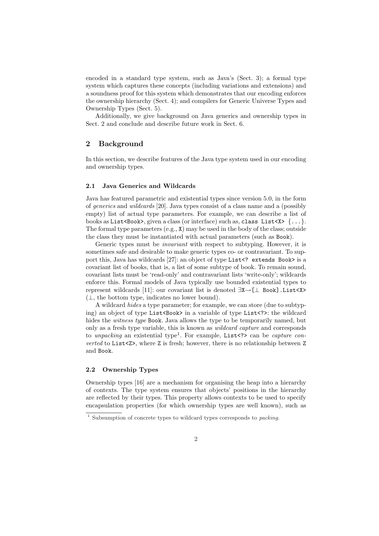encoded in a standard type system, such as Java's (Sect. 3); a formal type system which captures these concepts (including variations and extensions) and a soundness proof for this system which demonstrates that our encoding enforces the ownership hierarchy (Sect. 4); and compilers for Generic Universe Types and Ownership Types (Sect. 5).

Additionally, we give background on Java generics and ownership types in Sect. 2 and conclude and describe future work in Sect. 6.

### 2 Background

In this section, we describe features of the Java type system used in our encoding and ownership types.

### 2.1 Java Generics and Wildcards

Java has featured parametric and existential types since version 5.0, in the form of generics and wildcards [20]. Java types consist of a class name and a (possibly empty) list of actual type parameters. For example, we can describe a list of books as List <Book>, given a class (or interface) such as, class List < $X > \{ \ldots \}$ . The formal type parameters (e.g., X) may be used in the body of the class; outside the class they must be instantiated with actual parameters (such as Book).

Generic types must be invariant with respect to subtyping. However, it is sometimes safe and desirable to make generic types co- or contravariant. To support this, Java has wildcards [27]: an object of type List<? extends Book> is a covariant list of books, that is, a list of some subtype of book. To remain sound, covariant lists must be 'read-only' and contravariant lists 'write-only'; wildcards enforce this. Formal models of Java typically use bounded existential types to represent wildcards [11]: our covariant list is denoted ∃X→[⊥ Book].List<X>  $(\perp, \text{ the bottom type, indicates no lower bound}).$ 

A wildcard hides a type parameter; for example, we can store (due to subtyping) an object of type List  $\text{Sook}$  in a variable of type List  $\text{Syst}$ : the wildcard hides the *witness type* Book. Java allows the type to be temporarily named, but only as a fresh type variable, this is known as wildcard capture and corresponds to unpacking an existential type<sup>1</sup>. For example, List <?> can be capture converted to List<Z>, where Z is fresh; however, there is no relationship between Z and Book.

#### 2.2 Ownership Types

Ownership types [16] are a mechanism for organising the heap into a hierarchy of contexts. The type system ensures that objects' positions in the hierarchy are reflected by their types. This property allows contexts to be used to specify encapsulation properties (for which ownership types are well known), such as

 $1$  Subsumption of concrete types to wildcard types corresponds to *packing*.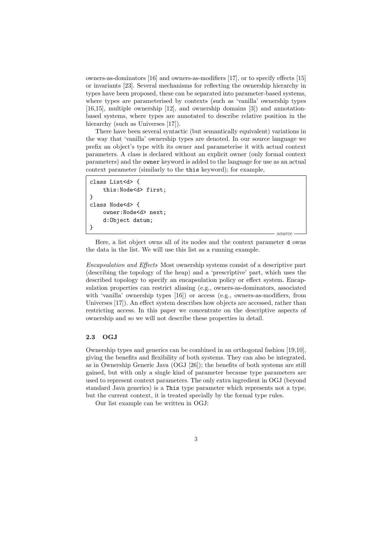owners-as-dominators [16] and owners-as-modifiers [17], or to specify effects [15] or invariants [23]. Several mechanisms for reflecting the ownership hierarchy in types have been proposed, these can be separated into parameter-based systems, where types are parameterised by contexts (such as 'vanilla' ownership types [16,15], multiple ownership [12], and ownership domains [3]) and annotationbased systems, where types are annotated to describe relative position in the hierarchy (such as Universes [17]).

There have been several syntactic (but semantically equivalent) variations in the way that 'vanilla' ownership types are denoted. In our source language we prefix an object's type with its owner and parameterise it with actual context parameters. A class is declared without an explicit owner (only formal context parameters) and the owner keyword is added to the language for use as an actual context parameter (similarly to the this keyword); for example,

```
class List<d> {
    this:Node<d> first;
}
class Node<d> {
    owner:Node<d> next;
    d:Object datum;
}
```
Here, a list object owns all of its nodes and the context parameter d owns the data in the list. We will use this list as a running example.

source

Encapsulation and Effects Most ownership systems consist of a descriptive part (describing the topology of the heap) and a 'prescriptive' part, which uses the described topology to specify an encapsulation policy or effect system. Encapsulation properties can restrict aliasing (e.g., owners-as-dominators, associated with 'vanilla' ownership types [16]) or access (e.g., owners-as-modifiers, from Universes [17]). An effect system describes how objects are accessed, rather than restricting access. In this paper we concentrate on the descriptive aspects of ownership and so we will not describe these properties in detail.

#### 2.3 OGJ

Ownership types and generics can be combined in an orthogonal fashion [19,10], giving the benefits and flexibility of both systems. They can also be integrated, as in Ownership Generic Java (OGJ [26]); the benefits of both systems are still gained, but with only a single kind of parameter because type parameters are used to represent context parameters. The only extra ingredient in OGJ (beyond standard Java generics) is a This type parameter which represents not a type, but the current context, it is treated specially by the formal type rules.

Our list example can be written in OGJ: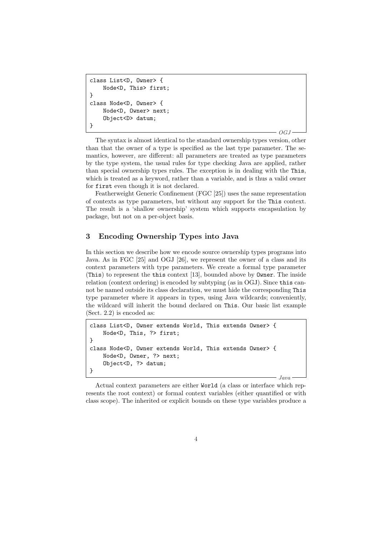```
class List<D, Owner> {
    Node<D, This> first;
}
class Node<D, Owner> {
    Node<D, Owner> next;
    Object<D> datum;
}
```
 $OGJ$ 

Java

The syntax is almost identical to the standard ownership types version, other than that the owner of a type is specified as the last type parameter. The semantics, however, are different: all parameters are treated as type parameters by the type system, the usual rules for type checking Java are applied, rather than special ownership types rules. The exception is in dealing with the This, which is treated as a keyword, rather than a variable, and is thus a valid owner for first even though it is not declared.

Featherweight Generic Confinement (FGC [25]) uses the same representation of contexts as type parameters, but without any support for the This context. The result is a 'shallow ownership' system which supports encapsulation by package, but not on a per-object basis.

# 3 Encoding Ownership Types into Java

In this section we describe how we encode source ownership types programs into Java. As in FGC [25] and OGJ [26], we represent the owner of a class and its context parameters with type parameters. We create a formal type parameter (This) to represent the this context [13], bounded above by Owner. The inside relation (context ordering) is encoded by subtyping (as in OGJ). Since this cannot be named outside its class declaration, we must hide the corresponding This type parameter where it appears in types, using Java wildcards; conveniently, the wildcard will inherit the bound declared on This. Our basic list example (Sect. 2.2) is encoded as:

```
class List<D, Owner extends World, This extends Owner> {
   Node<D, This, ?> first;
}
class Node<D, Owner extends World, This extends Owner> {
   Node<D, Owner, ?> next;
    Object<D, ?> datum;
}
```
Actual context parameters are either World (a class or interface which represents the root context) or formal context variables (either quantified or with class scope). The inherited or explicit bounds on these type variables produce a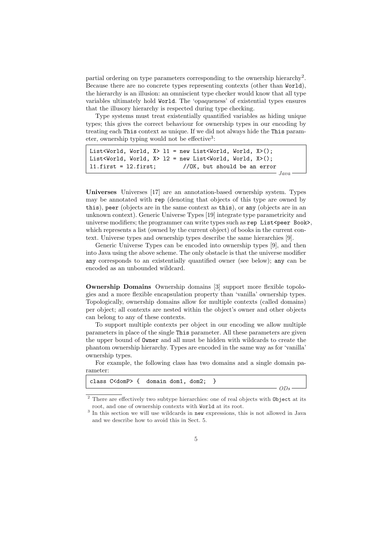partial ordering on type parameters corresponding to the ownership hierarchy<sup>2</sup>. Because there are no concrete types representing contexts (other than World), the hierarchy is an illusion: an omniscient type checker would know that all type variables ultimately hold World. The 'opaqueness' of existential types ensures that the illusory hierarchy is respected during type checking.

Type systems must treat existentially quantified variables as hiding unique types; this gives the correct behaviour for ownership types in our encoding by treating each This context as unique. If we did not always hide the This parameter, ownership typing would not be effective<sup>3</sup>:

```
List<World, World, X > 11 = new List<World, World, X > 1;
List<World, World, X> 12 = new List<World, World, X>();
l1.first = l2.first; //OK, but should be an error
                                                       Java
```
Universes Universes [17] are an annotation-based ownership system. Types may be annotated with rep (denoting that objects of this type are owned by this), peer (objects are in the same context as this), or any (objects are in an unknown context). Generic Universe Types [19] integrate type parametricity and universe modifiers; the programmer can write types such as rep List<peer Book>, which represents a list (owned by the current object) of books in the current context. Universe types and ownership types describe the same hierarchies [9].

Generic Universe Types can be encoded into ownership types [9], and then into Java using the above scheme. The only obstacle is that the universe modifier any corresponds to an existentially quantified owner (see below); any can be encoded as an unbounded wildcard.

Ownership Domains Ownership domains [3] support more flexible topologies and a more flexible encapsulation property than 'vanilla' ownership types. Topologically, ownership domains allow for multiple contexts (called domains) per object; all contexts are nested within the object's owner and other objects can belong to any of these contexts.

To support multiple contexts per object in our encoding we allow multiple parameters in place of the single This parameter. All these parameters are given the upper bound of Owner and all must be hidden with wildcards to create the phantom ownership hierarchy. Types are encoded in the same way as for 'vanilla' ownership types.

For example, the following class has two domains and a single domain parameter:

|  | class C <domp> { domain dom1, dom2; }</domp> |  |
|--|----------------------------------------------|--|
|  |                                              |  |
|  |                                              |  |

 $2$  There are effectively two subtype hierarchies: one of real objects with  $\texttt{Object}$  at its root, and one of ownership contexts with World at its root.

<sup>&</sup>lt;sup>3</sup> In this section we will use wildcards in new expressions, this is not allowed in Java and we describe how to avoid this in Sect. 5.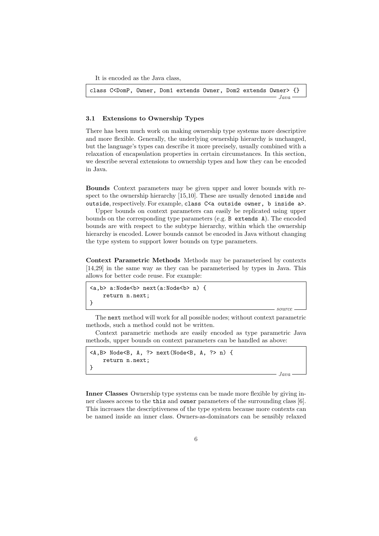It is encoded as the Java class,

class C<DomP, Owner, Dom1 extends Owner, Dom2 extends Owner> {}  $-$  Java  $-$ 

#### 3.1 Extensions to Ownership Types

There has been much work on making ownership type systems more descriptive and more flexible. Generally, the underlying ownership hierarchy is unchanged, but the language's types can describe it more precisely, usually combined with a relaxation of encapsulation properties in certain circumstances. In this section, we describe several extensions to ownership types and how they can be encoded in Java.

Bounds Context parameters may be given upper and lower bounds with respect to the ownership hierarchy [15,10]. These are usually denoted inside and outside, respectively. For example, class C<a outside owner, b inside a>.

Upper bounds on context parameters can easily be replicated using upper bounds on the corresponding type parameters (e.g. B extends A). The encoded bounds are with respect to the subtype hierarchy, within which the ownership hierarchy is encoded. Lower bounds cannot be encoded in Java without changing the type system to support lower bounds on type parameters.

Context Parametric Methods Methods may be parameterised by contexts [14,29] in the same way as they can be parameterised by types in Java. This allows for better code reuse. For example:

```
<a.b> a:Node<b> next(a:Node<b> n) {
    return n.next;
}
```
The next method will work for all possible nodes; without context parametric methods, such a method could not be written.

Context parametric methods are easily encoded as type parametric Java methods, upper bounds on context parameters can be handled as above:

```
\langle A,B\rangle Node\langle B, A, ?\rangle next(Node\langle B, A, ?\ranglen) {
      return n.next;
}
```
Java

source

Inner Classes Ownership type systems can be made more flexible by giving inner classes access to the this and owner parameters of the surrounding class [6]. This increases the descriptiveness of the type system because more contexts can be named inside an inner class. Owners-as-dominators can be sensibly relaxed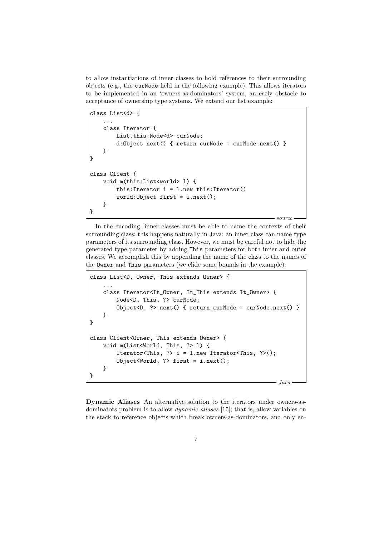to allow instantiations of inner classes to hold references to their surrounding objects (e.g., the curNode field in the following example). This allows iterators to be implemented in an 'owners-as-dominators' system, an early obstacle to acceptance of ownership type systems. We extend our list example:

```
class List<d> {
    ...
    class Iterator {
        List.this:Node<d> curNode;
        d:Object next() { return curNode = curNode.next() }
    }
}
class Client {
    void m(this:List<world> l) {
        this: Iterator i = 1. new this: Iterator()
        world:Object first = i.next();
    }
}
                                                          source.
```
In the encoding, inner classes must be able to name the contexts of their surrounding class; this happens naturally in Java: an inner class can name type parameters of its surrounding class. However, we must be careful not to hide the generated type parameter by adding This parameters for both inner and outer classes. We accomplish this by appending the name of the class to the names of the Owner and This parameters (we elide some bounds in the example):

```
class List<D, Owner, This extends Owner> {
    ...
    class Iterator<It_Owner, It_This extends It_Owner> {
        Node<D, This, ?> curNode;
        Object<D, ?> next() { return curNode = curNode.next() }
    }
}
class Client<Owner, This extends Owner> {
    void m(List<World, This, ?> l) {
        Iterator<This, ?> i = 1.new Iterator<This, ?>();
        Object<World, ?> first = i.next();
    }
}
                                                         Java
```
Dynamic Aliases An alternative solution to the iterators under owners-asdominators problem is to allow dynamic aliases [15]; that is, allow variables on the stack to reference objects which break owners-as-dominators, and only en-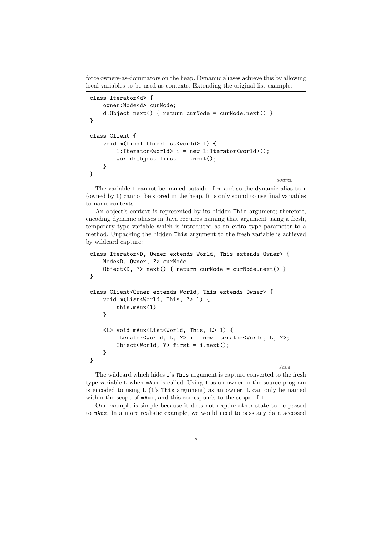force owners-as-dominators on the heap. Dynamic aliases achieve this by allowing local variables to be used as contexts. Extending the original list example:

```
class Iterator<d> {
   owner:Node<d> curNode;
   d:Object next() { return curNode = curNode.next() }
}
class Client {
   void m(final this:List<world> l) {
        l:Iterator<world> i = new l:Iterator<world>();
        world:Object first = i.next();
   }
}
                                                         source
```
The variable 1 cannot be named outside of  $m$ , and so the dynamic alias to i (owned by l) cannot be stored in the heap. It is only sound to use final variables to name contexts.

An object's context is represented by its hidden This argument; therefore, encoding dynamic aliases in Java requires naming that argument using a fresh, temporary type variable which is introduced as an extra type parameter to a method. Unpacking the hidden This argument to the fresh variable is achieved by wildcard capture:

```
class Iterator<D, Owner extends World, This extends Owner> {
   Node<D, Owner, ?> curNode;
    Object<D, ?> next() { return curNode = curNode.next() }
}
class Client<Owner extends World, This extends Owner> {
    void m(List<World, This, ?> l) {
        this.mAux(l)
   }
    <L> void mAux(List<World, This, L> l) {
        Iterator<World, L, ?> i = new Iterator<World, L, ?>;
        Object<World, ?> first = i.next();
   }
}
                                                         Java
```
The wildcard which hides l's This argument is capture converted to the fresh type variable L when mAux is called. Using l as an owner in the source program is encoded to using L (l's This argument) as an owner. L can only be named within the scope of  $mAux$ , and this corresponds to the scope of 1.

Our example is simple because it does not require other state to be passed to mAux. In a more realistic example, we would need to pass any data accessed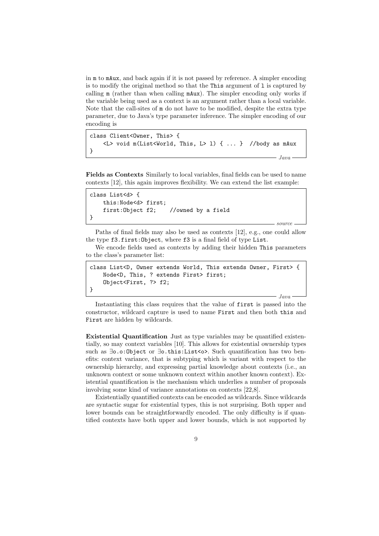in m to mAux, and back again if it is not passed by reference. A simpler encoding is to modify the original method so that the This argument of l is captured by calling m (rather than when calling mAux). The simpler encoding only works if the variable being used as a context is an argument rather than a local variable. Note that the call-sites of m do not have to be modified, despite the extra type parameter, due to Java's type parameter inference. The simpler encoding of our encoding is

```
class Client<Owner, This> {
    <L> void m(List<World, This, L> l) { ... } //body as mAux
}
                                                         Java
```
Fields as Contexts Similarly to local variables, final fields can be used to name contexts [12], this again improves flexibility. We can extend the list example:

```
class List<d> {
   this:Node<d> first;
   first:Object f2; //owned by a field
}
```
Paths of final fields may also be used as contexts [12], e.g., one could allow the type f3.first:Object, where f3 is a final field of type List.

source

We encode fields used as contexts by adding their hidden This parameters to the class's parameter list:

```
class List<D, Owner extends World, This extends Owner, First> {
    Node<D, This, ? extends First> first;
    Object<First, ?> f2;
}
                                                          Java
```
Instantiating this class requires that the value of first is passed into the constructor, wildcard capture is used to name First and then both this and First are hidden by wildcards.

Existential Quantification Just as type variables may be quantified existentially, so may context variables [10]. This allows for existential ownership types such as ∃o.o:Object or ∃o.this:List<o>. Such quantification has two benefits: context variance, that is subtyping which is variant with respect to the ownership hierarchy, and expressing partial knowledge about contexts (i.e., an unknown context or some unknown context within another known context). Existential quantification is the mechanism which underlies a number of proposals involving some kind of variance annotations on contexts [22,8].

Existentially quantified contexts can be encoded as wildcards. Since wildcards are syntactic sugar for existential types, this is not surprising. Both upper and lower bounds can be straightforwardly encoded. The only difficulty is if quantified contexts have both upper and lower bounds, which is not supported by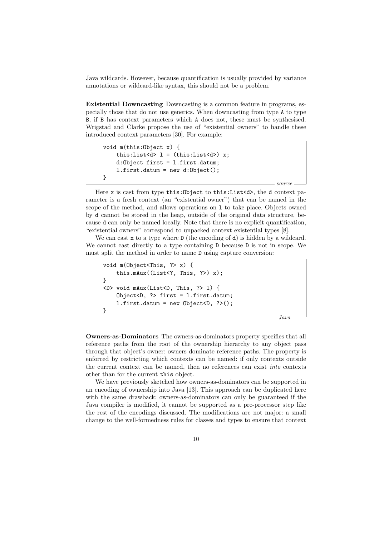Java wildcards. However, because quantification is usually provided by variance annotations or wildcard-like syntax, this should not be a problem.

Existential Downcasting Downcasting is a common feature in programs, especially those that do not use generics. When downcasting from type A to type B, if B has context parameters which A does not, these must be synthesised. Wrigstad and Clarke propose the use of "existential owners" to handle these introduced context parameters [30]. For example:

```
void m(this:Object x) {
    this:List<d> l = (this:List < d) x;d:Object first = l.first.datum;
    l.first.datum = new d:Object();
}
```
Here x is cast from type this: Object to this: List <d>>>>>>, the d context parameter is a fresh context (an "existential owner") that can be named in the scope of the method, and allows operations on l to take place. Objects owned by d cannot be stored in the heap, outside of the original data structure, because d can only be named locally. Note that there is no explicit quantification, "existential owners" correspond to unpacked context existential types [8].

We can cast x to a type where  $D$  (the encoding of d) is hidden by a wildcard. We cannot cast directly to a type containing D because D is not in scope. We must split the method in order to name D using capture conversion:

```
void m(Object<This, ?> x) {
    this.mAux((List<?, This, ?>) x);
}
<D> void mAux(List<D, This, ?> l) {
    Object<D, ?> first = l.first.datum;
    l.first.datum = new Object < D, ?>();}
```
Java

source

Owners-as-Dominators The owners-as-dominators property specifies that all reference paths from the root of the ownership hierarchy to any object pass through that object's owner: owners dominate reference paths. The property is enforced by restricting which contexts can be named: if only contexts outside the current context can be named, then no references can exist into contexts other than for the current this object.

We have previously sketched how owners-as-dominators can be supported in an encoding of ownership into Java [13]. This approach can be duplicated here with the same drawback: owners-as-dominators can only be guaranteed if the Java compiler is modified, it cannot be supported as a pre-processor step like the rest of the encodings discussed. The modifications are not major: a small change to the well-formedness rules for classes and types to ensure that context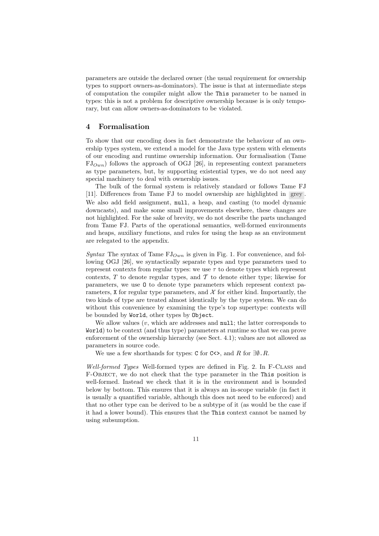parameters are outside the declared owner (the usual requirement for ownership types to support owners-as-dominators). The issue is that at intermediate steps of computation the compiler might allow the This parameter to be named in types: this is not a problem for descriptive ownership because is is only temporary, but can allow owners-as-dominators to be violated.

### 4 Formalisation

To show that our encoding does in fact demonstrate the behaviour of an ownership types system, we extend a model for the Java type system with elements of our encoding and runtime ownership information. Our formalisation (Tame  $FJ_{Own}$ ) follows the approach of OGJ [26], in representing context parameters as type parameters, but, by supporting existential types, we do not need any special machinery to deal with ownership issues.

The bulk of the formal system is relatively standard or follows Tame FJ [11]. Differences from Tame FJ to model ownership are highlighted in grey . We also add field assignment, null, a heap, and casting (to model dynamic downcasts), and make some small improvements elsewhere, these changes are not highlighted. For the sake of brevity, we do not describe the parts unchanged from Tame FJ. Parts of the operational semantics, well-formed environments and heaps, auxiliary functions, and rules for using the heap as an environment are relegated to the appendix.

Syntax The syntax of Tame  $FJ_{Own}$  is given in Fig. 1. For convenience, and following OGJ [26], we syntactically separate types and type parameters used to represent contexts from regular types: we use  $\tau$  to denote types which represent contexts,  $T$  to denote regular types, and  $T$  to denote either type; likewise for parameters, we use O to denote type parameters which represent context parameters, X for regular type parameters, and  $\mathcal X$  for either kind. Importantly, the two kinds of type are treated almost identically by the type system. We can do without this convenience by examining the type's top supertype: contexts will be bounded by World, other types by Object.

We allow values  $(v,$  which are addresses and null; the latter corresponds to World) to be context (and thus type) parameters at runtime so that we can prove enforcement of the ownership hierarchy (see Sect. 4.1); values are not allowed as parameters in source code.

We use a few shorthands for types: C for C<>, and R for  $\exists \emptyset$ . R.

Well-formed Types Well-formed types are defined in Fig. 2. In F-CLASS and F-Object, we do not check that the type parameter in the This position is well-formed. Instead we check that it is in the environment and is bounded below by bottom. This ensures that it is always an in-scope variable (in fact it is usually a quantified variable, although this does not need to be enforced) and that no other type can be derived to be a subtype of it (as would be the case if it had a lower bound). This ensures that the This context cannot be named by using subsumption.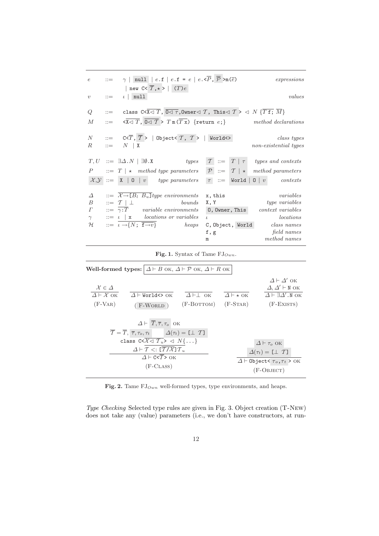| $\epsilon$       | $\mathbf{a} =$ | $\gamma$   null   e.f   e.f = e   e. $\overline{P}$ , $\overline{P}$ >m( $\overline{e}$ )<br>expressions<br>  new $C < \overline{T}, \star >   (T) e$                                                                                           |
|------------------|----------------|-------------------------------------------------------------------------------------------------------------------------------------------------------------------------------------------------------------------------------------------------|
| $\boldsymbol{v}$ | $\mathbf{m}$   | $\iota$   null<br>values                                                                                                                                                                                                                        |
| Q                |                | ::= class C< $\overline{X}$ $\triangleleft$ $\overline{T}$ , $\overline{0}$ $\triangleleft$ $\overline{\tau}$ , Owner $\triangleleft$ $T$ , This $\triangleleft$ $T$ $>$ $\triangleleft$ $N$ $\{\overline{T}$ $\overline{f}$ ; $\overline{M}\}$ |
| $\boldsymbol{M}$ | $\mathbf{r} =$ | $\langle \overline{X} \triangleleft T, \overline{0} \triangleleft T \rangle T \mathbb{m}(\overline{T} \overline{X})$ {return e; } method declarations                                                                                           |
| N                |                | $\overline{\text{C}} := \text{C} \times \overline{T}, \overline{T} >   \text{Object} \times \overline{T}, \overline{T} >   \text{World} \leq \overline{T}$<br>class types                                                                       |
| $R_{\cdot}$      |                | $\mathbb{R}^n = N \mid X$<br>non-existential types                                                                                                                                                                                              |
|                  |                | $T := T   \tau$ types and contexts<br>$T, U \ ::= \exists \Delta . N \mid \exists \emptyset . X \qquad \qquad types$                                                                                                                            |
| $\boldsymbol{P}$ |                | $\therefore$ T   $\star$ method type parameters $\mathcal{P}$ $\therefore$ T   $\star$ method parameters                                                                                                                                        |
|                  |                | $\mathcal{X,Y} ::= \mathbf{X}   \mathbf{0}   v$ type parameters $\tau ::=$ World $\mathbf{0}   v$ contexts                                                                                                                                      |
| $\Delta$         |                | $\overline{X \rightarrow [B_l \ B_u]}$ type environments<br>variables<br>x, this                                                                                                                                                                |
| $\overline{B}$   |                | $\equiv T \perp$<br>type variables<br>bounds<br>X, Y                                                                                                                                                                                            |
| $\varGamma$      |                | $\therefore = \gamma : T$ variable environments<br>0, Owner, This<br><i>context variables</i>                                                                                                                                                   |
| $\gamma$         |                | $\therefore = \iota \mid x \quad locations \text{ or variables}$<br>locations<br>$\mathcal{L}$                                                                                                                                                  |
| $\mathcal{H}$    |                | $\mathrel{::=}\iota \rightarrow \{N;\ \overline{\mathbf{f}\rightarrow v}\}\$ heaps<br>$class\ names$<br>C,Object, World                                                                                                                         |
|                  |                | field names<br>f, g                                                                                                                                                                                                                             |
|                  |                | method names                                                                                                                                                                                                                                    |
|                  |                | m                                                                                                                                                                                                                                               |

Fig. 1. Syntax of Tame  $FJ_{Own}$ .

|                                                                         | <b>Well-formed types:</b> $\Delta \vdash B$ ok, $\Delta \vdash \mathcal{P}$ ok, $\Delta \vdash R$ ok                                                                                                                                                                                                                                                                                                                             |                                        |                                     |                                                                                                                               |
|-------------------------------------------------------------------------|----------------------------------------------------------------------------------------------------------------------------------------------------------------------------------------------------------------------------------------------------------------------------------------------------------------------------------------------------------------------------------------------------------------------------------|----------------------------------------|-------------------------------------|-------------------------------------------------------------------------------------------------------------------------------|
| $\mathcal{X} \in \Delta$<br>$\Delta \vdash \mathcal{X}$ OK<br>$(F-VAR)$ | $\Delta$ $\vdash$ World $\Leftrightarrow$ OK<br>$(F-WORLD)$                                                                                                                                                                                                                                                                                                                                                                      | $\Delta \vdash \perp$ OK<br>(F-BOTTOM) | $\Delta$ + $\star$ OK<br>$(F-STAR)$ | $\Delta \vdash \Delta'$ ok<br>$\Delta, \Delta' \vdash N$ OK<br>$\Delta \vdash \exists \Delta' . N$ OK<br>$(F-EXISTS)$         |
|                                                                         | $\Delta \vdash \overline{T}, \overline{\tau}, \tau_o$ OK<br>$\overline{T} = \overline{T}, \overline{\tau}, \tau_o, \tau_t \qquad \Delta(\tau_t) = \llbracket \perp \tau \rrbracket$<br>class $C < \mathcal{X} \triangleleft \overline{\mathcal{T}_u} > \triangleleft N \{ \dots \}$<br>$\Delta \vdash \mathcal{T} \lt: [\overline{\mathcal{T}/\mathcal{X}}] \mathcal{T}_u$<br>$\Delta$ + C <t> OK<br/><math>(F-CLASS)</math></t> |                                        |                                     | $\Delta \vdash \tau_o$ OK<br>$\Delta(\tau_t) = [\perp T]$<br>$\Delta \vdash$ Object< $\tau_o$ , $\tau_t$ > OK<br>$(F-OBIECT)$ |

Fig. 2. Tame  $FJ_{Own}$  well-formed types, type environments, and heaps.

Type Checking Selected type rules are given in Fig. 3. Object creation (T-New) does not take any (value) parameters (i.e., we don't have constructors, at run-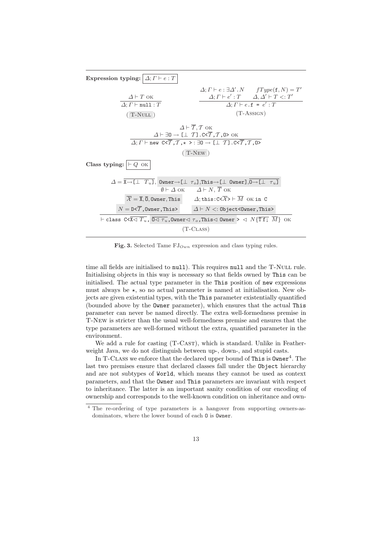| Expression typing: $\Delta; \Gamma \vdash e : T$                                                                                                                                                                                                                                                                                   |                                                       |                                                                                                     |  |  |
|------------------------------------------------------------------------------------------------------------------------------------------------------------------------------------------------------------------------------------------------------------------------------------------------------------------------------------|-------------------------------------------------------|-----------------------------------------------------------------------------------------------------|--|--|
|                                                                                                                                                                                                                                                                                                                                    |                                                       | $\Delta; \Gamma \vdash e : \exists \Delta' . N$ $fType(\mathbf{f}, N) = T'$                         |  |  |
| $\Delta$ + T ok                                                                                                                                                                                                                                                                                                                    |                                                       | $\varDelta; \varGamma \vdash e': \varUpsilon \qquad \varDelta, \varDelta' \vdash T <: \varUpsilon'$ |  |  |
| $\Delta; \Gamma \vdash \texttt{null}: T$                                                                                                                                                                                                                                                                                           |                                                       | $\Delta; \Gamma \vdash e \cdot f = e' : T$                                                          |  |  |
| $(T-NULL)$                                                                                                                                                                                                                                                                                                                         |                                                       | $(T-ASSIGN)$                                                                                        |  |  |
| $\Delta \vdash \overline{T}, T$ OK                                                                                                                                                                                                                                                                                                 |                                                       |                                                                                                     |  |  |
| $\Delta \vdash \exists 0 \rightarrow [\bot \ T] . C < \overline{T}, T, 0 > 0 K$                                                                                                                                                                                                                                                    |                                                       |                                                                                                     |  |  |
| $\Delta; \Gamma \vdash$ new $C < \overline{T}$ , $\mathcal{T}$ , $\star$ >: $\exists 0 \rightarrow \boxed{\bot \ T}$ . $C < \overline{T}$ , $\overline{T}$ , $\overline{0}$ >                                                                                                                                                      |                                                       |                                                                                                     |  |  |
| $(T-NEW)$                                                                                                                                                                                                                                                                                                                          |                                                       |                                                                                                     |  |  |
| <b>Class typing:</b> $\vdash Q$ ok                                                                                                                                                                                                                                                                                                 |                                                       |                                                                                                     |  |  |
| $\Delta = \overline{X \rightarrow [\perp T_u]}$ , Owner $\rightarrow [\perp T_o]$ , This $\rightarrow [\perp \text{ Owen}], \overline{0 \rightarrow [\perp T_u]}$                                                                                                                                                                  |                                                       |                                                                                                     |  |  |
| $\emptyset \vdash \Delta$ ok $\Delta \vdash N$ , T ok                                                                                                                                                                                                                                                                              |                                                       |                                                                                                     |  |  |
| $\mathcal{X} = \overline{\mathbf{X}}, \overline{\mathbf{0}}, \overline{\mathbf{0}}$ wher, This $\Delta$ ; this: C< $\mathcal{X}$ > $\vdash M$ OK in C                                                                                                                                                                              |                                                       |                                                                                                     |  |  |
| $N = D \leq \overline{T}$ , Owner, This>                                                                                                                                                                                                                                                                                           | $\Delta \vdash N <:$ Object <owner, this=""></owner,> |                                                                                                     |  |  |
| $\vdash$ class C< $\overline{\mathtt{x}\mathtt{x}\mathtt{x}}$ , $\overline{\mathtt{0}\mathtt{\triangleleft}\ \tau_u}$ , $\overline{\mathtt{0}$ wner $\mathtt{\triangleleft}\ \tau_o$ , This $\mathtt{\triangleleft}\ \mathtt{0}$ wner $\mathtt{>}\ \mathtt{\triangleleft}\ N\{\overline{\mathtt{T}}\mathtt{f};\ \overline{M}\}$ OK |                                                       |                                                                                                     |  |  |
| $(T-CLASS)$                                                                                                                                                                                                                                                                                                                        |                                                       |                                                                                                     |  |  |
|                                                                                                                                                                                                                                                                                                                                    |                                                       |                                                                                                     |  |  |

Fig. 3. Selected Tame  $FJ_{Own}$  expression and class typing rules.

time all fields are initialised to null). This requires null and the T-NULL rule. Initialising objects in this way is necessary so that fields owned by This can be initialised. The actual type parameter in the This position of new expressions must always be  $\star$ , so no actual parameter is named at initialisation. New objects are given existential types, with the This parameter existentially quantified (bounded above by the Owner parameter), which ensures that the actual This parameter can never be named directly. The extra well-formedness premise in T-New is stricter than the usual well-formedness premise and ensures that the type parameters are well-formed without the extra, quantified parameter in the environment.

We add a rule for casting (T-CAST), which is standard. Unlike in Featherweight Java, we do not distinguish between up-, down-, and stupid casts.

In T-CLASS we enforce that the declared upper bound of This is  $\mathtt{Owner}^4$ . The last two premises ensure that declared classes fall under the Object hierarchy and are not subtypes of World, which means they cannot be used as context parameters, and that the Owner and This parameters are invariant with respect to inheritance. The latter is an important sanity condition of our encoding of ownership and corresponds to the well-known condition on inheritance and own-

<sup>4</sup> The re-ordering of type parameters is a hangover from supporting owners-asdominators, where the lower bound of each O is Owner.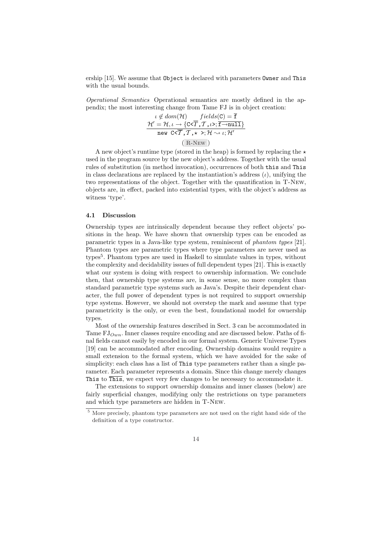ership [15]. We assume that Object is declared with parameters Owner and This with the usual bounds.

Operational Semantics Operational semantics are mostly defined in the appendix; the most interesting change from Tame FJ is in object creation:

$$
\iota \notin dom(\mathcal{H}) \quad fields(C) = \overline{f}
$$
  
\n
$$
\mathcal{H}' = \mathcal{H}, \iota \to \{C < \overline{T}, \mathcal{T}, \iota >; \overline{f \to null} \}
$$
  
\nnew  $C < \overline{T}, \mathcal{T}, \star \gt;; \mathcal{H} \sim \iota; \mathcal{H}'$   
\n(R-NEW)

A new object's runtime type (stored in the heap) is formed by replacing the  $\star$ used in the program source by the new object's address. Together with the usual rules of substitution (in method invocation), occurrences of both this and This in class declarations are replaced by the instantiation's address  $(\iota)$ , unifying the two representations of the object. Together with the quantification in T-New, objects are, in effect, packed into existential types, with the object's address as witness 'type'.

#### 4.1 Discussion

Ownership types are intrinsically dependent because they reflect objects' positions in the heap. We have shown that ownership types can be encoded as parametric types in a Java-like type system, reminiscent of phantom types [21]. Phantom types are parametric types where type parameters are never used as types<sup>5</sup>. Phantom types are used in Haskell to simulate values in types, without the complexity and decidability issues of full dependent types [21]. This is exactly what our system is doing with respect to ownership information. We conclude then, that ownership type systems are, in some sense, no more complex than standard parametric type systems such as Java's. Despite their dependent character, the full power of dependent types is not required to support ownership type systems. However, we should not overstep the mark and assume that type parametricity is the only, or even the best, foundational model for ownership types.

Most of the ownership features described in Sect. 3 can be accommodated in Tame  $FJ_{Qwn}$ . Inner classes require encoding and are discussed below. Paths of final fields cannot easily by encoded in our formal system. Generic Universe Types [19] can be accommodated after encoding. Ownership domains would require a small extension to the formal system, which we have avoided for the sake of simplicity: each class has a list of This type parameters rather than a single parameter. Each parameter represents a domain. Since this change merely changes This to  $\overline{\text{This}}$ , we expect very few changes to be necessary to accommodate it.

The extensions to support ownership domains and inner classes (below) are fairly superficial changes, modifying only the restrictions on type parameters and which type parameters are hidden in T-New.

<sup>5</sup> More precisely, phantom type parameters are not used on the right hand side of the definition of a type constructor.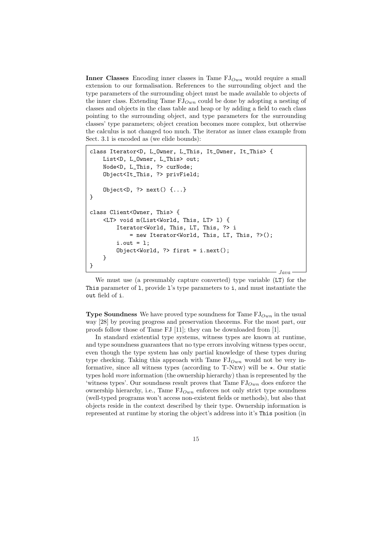**Inner Classes** Encoding inner classes in Tame  $FJ_{Own}$  would require a small extension to our formalisation. References to the surrounding object and the type parameters of the surrounding object must be made available to objects of the inner class. Extending Tame  $FJ_{Own}$  could be done by adopting a nesting of classes and objects in the class table and heap or by adding a field to each class pointing to the surrounding object, and type parameters for the surrounding classes' type parameters; object creation becomes more complex, but otherwise the calculus is not changed too much. The iterator as inner class example from Sect. 3.1 is encoded as (we elide bounds):

```
class Iterator<D, L_Owner, L_This, It_Owner, It_This> {
    List<D, L_Owner, L_This> out;
    Node<D, L_This, ?> curNode;
    Object<It_This, ?> privField;
    Object<D, ? next() \{ \ldots \}}
class Client<Owner, This> {
    <LT> void m(List<World, This, LT> l) {
        Iterator<World, This, LT, This, ?> i
            = new Iterator<World, This, LT, This, ?>();
        i.out = 1;
        Object<World, ?> first = i.next();
    }
}
                                                           Java
```
We must use (a presumably capture converted) type variable (LT) for the This parameter of l, provide l's type parameters to i, and must instantiate the out field of i.

**Type Soundness** We have proved type soundness for Tame  $FJ_{Own}$  in the usual way [28] by proving progress and preservation theorems. For the most part, our proofs follow those of Tame FJ [11]; they can be downloaded from [1].

In standard existential type systems, witness types are known at runtime, and type soundness guarantees that no type errors involving witness types occur, even though the type system has only partial knowledge of these types during type checking. Taking this approach with Tame  $FJ_{Qwn}$  would not be very informative, since all witness types (according to  $T\text{-}New$ ) will be  $\star$ . Our static types hold more information (the ownership hierarchy) than is represented by the 'witness types'. Our soundness result proves that Tame  $FJ_{Own}$  does enforce the ownership hierarchy, i.e., Tame  $FJ_{Our}$  enforces not only strict type soundness (well-typed programs won't access non-existent fields or methods), but also that objects reside in the context described by their type. Ownership information is represented at runtime by storing the object's address into it's This position (in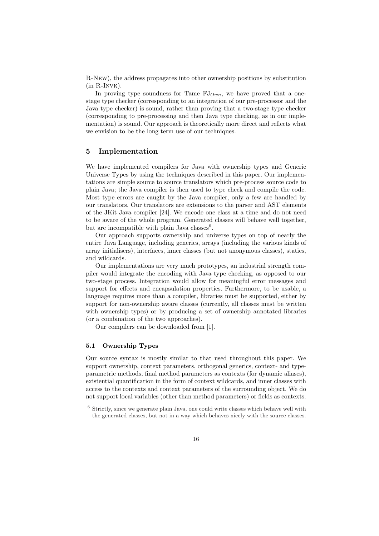R-New), the address propagates into other ownership positions by substitution  $(in R-INVK).$ 

In proving type soundness for Tame  $FJ_{Our}$ , we have proved that a onestage type checker (corresponding to an integration of our pre-processor and the Java type checker) is sound, rather than proving that a two-stage type checker (corresponding to pre-processing and then Java type checking, as in our implementation) is sound. Our approach is theoretically more direct and reflects what we envision to be the long term use of our techniques.

#### 5 Implementation

We have implemented compilers for Java with ownership types and Generic Universe Types by using the techniques described in this paper. Our implementations are simple source to source translators which pre-process source code to plain Java; the Java compiler is then used to type check and compile the code. Most type errors are caught by the Java compiler, only a few are handled by our translators. Our translators are extensions to the parser and AST elements of the JKit Java compiler [24]. We encode one class at a time and do not need to be aware of the whole program. Generated classes will behave well together, but are incompatible with plain Java classes<sup>6</sup>.

Our approach supports ownership and universe types on top of nearly the entire Java Language, including generics, arrays (including the various kinds of array initialisers), interfaces, inner classes (but not anonymous classes), statics, and wildcards.

Our implementations are very much prototypes, an industrial strength compiler would integrate the encoding with Java type checking, as opposed to our two-stage process. Integration would allow for meaningful error messages and support for effects and encapsulation properties. Furthermore, to be usable, a language requires more than a compiler, libraries must be supported, either by support for non-ownership aware classes (currently, all classes must be written with ownership types) or by producing a set of ownership annotated libraries (or a combination of the two approaches).

Our compilers can be downloaded from [1].

#### 5.1 Ownership Types

Our source syntax is mostly similar to that used throughout this paper. We support ownership, context parameters, orthogonal generics, context- and typeparametric methods, final method parameters as contexts (for dynamic aliases), existential quantification in the form of context wildcards, and inner classes with access to the contexts and context parameters of the surrounding object. We do not support local variables (other than method parameters) or fields as contexts.

 $^6$  Strictly, since we generate plain Java, one could write classes which behave well with the generated classes, but not in a way which behaves nicely with the source classes.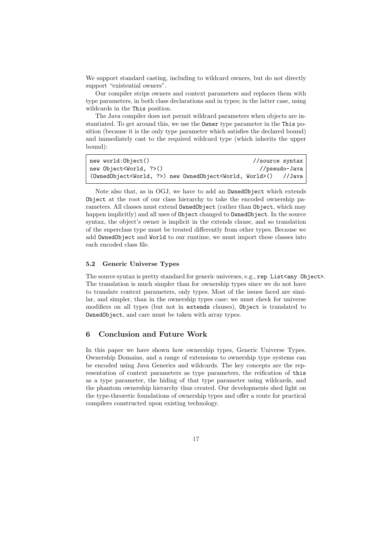We support standard casting, including to wildcard owners, but do not directly support "existential owners".

Our compiler strips owners and context parameters and replaces them with type parameters, in both class declarations and in types; in the latter case, using wildcards in the This position.

The Java compiler does not permit wildcard parameters when objects are instantiated. To get around this, we use the Owner type parameter in the This position (because it is the only type parameter which satisfies the declared bound) and immediately cast to the required wildcard type (which inherits the upper bound):

| new world:Object()                                                                      | //source syntax |               |
|-----------------------------------------------------------------------------------------|-----------------|---------------|
| new Object <world, ?="">()</world,>                                                     |                 | //pseudo-Java |
| (OwnedObject <world, ?="">) new OwnedObject<world, world="">() //Java</world,></world,> |                 |               |

Note also that, as in OGJ, we have to add an OwnedObject which extends Object at the root of our class hierarchy to take the encoded ownership parameters. All classes must extend OwnedObject (rather than Object, which may happen implicitly) and all uses of Object changed to OwnedObject. In the source syntax, the object's owner is implicit in the extends clause, and so translation of the superclass type must be treated differently from other types. Because we add OwnedObject and World to our runtime, we must import these classes into each encoded class file.

#### 5.2 Generic Universe Types

The source syntax is pretty standard for generic universes, e.g., rep List $\langle$ any Object $\rangle$ . The translation is much simpler than for ownership types since we do not have to translate context parameters, only types. Most of the issues faced are similar, and simpler, than in the ownership types case: we must check for universe modifiers on all types (but not in extends clauses), Object is translated to OwnedObject, and care must be taken with array types.

# 6 Conclusion and Future Work

In this paper we have shown how ownership types, Generic Universe Types, Ownership Domains, and a range of extensions to ownership type systems can be encoded using Java Generics and wildcards. The key concepts are the representation of context parameters as type parameters, the reification of this as a type parameter, the hiding of that type parameter using wildcards, and the phantom ownership hierarchy thus created. Our developments shed light on the type-theoretic foundations of ownership types and offer a route for practical compilers constructed upon existing technology.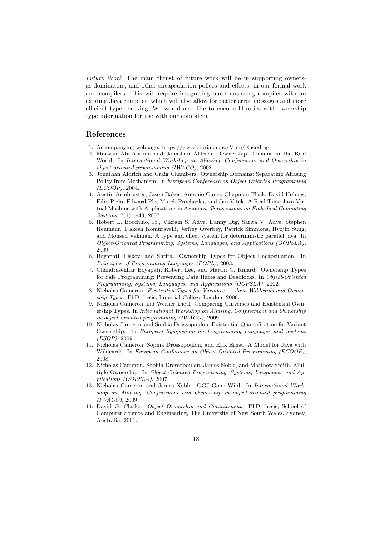Future Work The main thrust of future work will be in supporting ownersas-dominators, and other encapsulation polices and effects, in our formal work and compilers. This will require integrating our translating compiler with an existing Java compiler, which will also allow for better error messages and more efficient type checking. We would also like to encode libraries with ownership type information for use with our compilers.

## References

- 1. Accompanying webpage. https://ecs.victoria.ac.nz/Main/Encoding.
- 2. Marwan Abi-Antoun and Jonathan Aldrich. Ownership Domains in the Real World. In International Workshop on Aliasing, Confinement and Ownership in object-oriented programming (IWACO), 2008.
- 3. Jonathan Aldrich and Craig Chambers. Ownership Domains: Separating Aliasing Policy from Mechanism. In European Conference on Object Oriented Programming (ECOOP), 2004.
- 4. Austin Armbruster, Jason Baker, Antonio Cunei, Chapman Flack, David Holmes, Filip Pizlo, Edward Pla, Marek Prochazka, and Jan Vitek. A Real-Time Java Virtual Machine with Applications in Avionics. Transactions on Embedded Computing Systems, 7(1):1–49, 2007.
- 5. Robert L. Bocchino, Jr., Vikram S. Adve, Danny Dig, Sarita V. Adve, Stephen Heumann, Rakesh Komuravelli, Jeffrey Overbey, Patrick Simmons, Hyojin Sung, and Mohsen Vakilian. A type and effect system for deterministic parallel java. In Object-Oriented Programming, Systems, Languages, and Applications (OOPSLA), 2009.
- 6. Boyapati, Liskov, and Shrira. Ownership Types for Object Encapsulation. In Principles of Programming Languages (POPL), 2003.
- 7. Chandrasekhar Boyapati, Robert Lee, and Martin C. Rinard. Ownership Types for Safe Programming: Preventing Data Races and Deadlocks. In Object-Oriented Programming, Systems, Languages, and Applications (OOPSLA), 2002.
- 8. Nicholas Cameron. Existential Types for Variance Java Wildcards and Ownership Types. PhD thesis, Imperial College London, 2009.
- 9. Nicholas Cameron and Werner Dietl. Comparing Universes and Existential Ownership Types. In International Workshop on Aliasing, Confinement and Ownership in object-oriented programming (IWACO), 2009.
- 10. Nicholas Cameron and Sophia Drossopoulou. Existential Quantification for Variant Ownership. In European Symposium on Programming Languages and Systems (ESOP), 2009.
- 11. Nicholas Cameron, Sophia Drossopoulou, and Erik Ernst. A Model for Java with Wildcards. In European Conference on Object Oriented Programming (ECOOP), 2008.
- 12. Nicholas Cameron, Sophia Drossopoulou, James Noble, and Matthew Smith. Multiple Ownership. In Object-Oriented Programming, Systems, Languages, and Applications (OOPSLA), 2007.
- 13. Nicholas Cameron and James Noble. OGJ Gone Wild. In International Workshop on Aliasing, Confinement and Ownership in object-oriented programming (IWACO), 2009.
- 14. David G. Clarke. Object Ownership and Containment. PhD thesis, School of Computer Science and Engineering, The University of New South Wales, Sydney, Australia, 2001.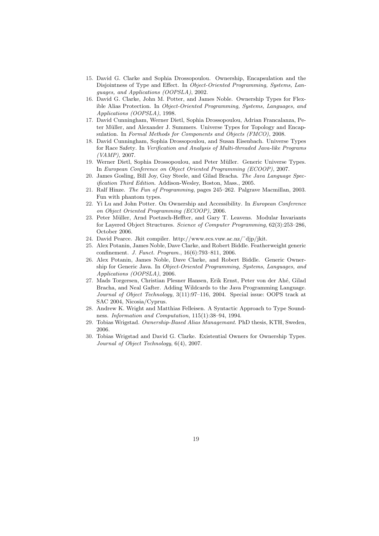- 15. David G. Clarke and Sophia Drossopoulou. Ownership, Encapsulation and the Disjointness of Type and Effect. In Object-Oriented Programming, Systems, Languages, and Applications (OOPSLA), 2002.
- 16. David G. Clarke, John M. Potter, and James Noble. Ownership Types for Flexible Alias Protection. In Object-Oriented Programming, Systems, Languages, and Applications (OOPSLA), 1998.
- 17. David Cunningham, Werner Dietl, Sophia Drossopoulou, Adrian Francalanza, Peter Müller, and Alexander J. Summers. Universe Types for Topology and Encapsulation. In Formal Methods for Components and Objects (FMCO), 2008.
- 18. David Cunningham, Sophia Drossopoulou, and Susan Eisenbach. Universe Types for Race Safety. In Verification and Analysis of Multi-threaded Java-like Programs (VAMP), 2007.
- 19. Werner Dietl, Sophia Drossopoulou, and Peter M¨uller. Generic Universe Types. In European Conference on Object Oriented Programming (ECOOP), 2007.
- 20. James Gosling, Bill Joy, Guy Steele, and Gilad Bracha. The Java Language Specification Third Edition. Addison-Wesley, Boston, Mass., 2005.
- 21. Ralf Hinze. The Fun of Programming, pages 245–262. Palgrave Macmillan, 2003. Fun with phantom types.
- 22. Yi Lu and John Potter. On Ownership and Accessibility. In European Conference on Object Oriented Programming (ECOOP), 2006.
- 23. Peter M¨uller, Arnd Poetzsch-Heffter, and Gary T. Leavens. Modular Invariants for Layered Object Structures. Science of Computer Programming, 62(3):253–286, October 2006.
- 24. David Pearce. Jkit compiler. http://www.ecs.vuw.ac.nz/˜djp/jkit.
- 25. Alex Potanin, James Noble, Dave Clarke, and Robert Biddle. Featherweight generic confinement. J. Funct. Program., 16(6):793–811, 2006.
- 26. Alex Potanin, James Noble, Dave Clarke, and Robert Biddle. Generic Ownership for Generic Java. In Object-Oriented Programming, Systems, Languages, and Applications (OOPSLA), 2006.
- 27. Mads Torgersen, Christian Plesner Hansen, Erik Ernst, Peter von der Ah´e, Gilad Bracha, and Neal Gafter. Adding Wildcards to the Java Programming Language. Journal of Object Technology, 3(11):97–116, 2004. Special issue: OOPS track at SAC 2004, Nicosia/Cyprus.
- 28. Andrew K. Wright and Matthias Felleisen. A Syntactic Approach to Type Soundness. Information and Computation, 115(1):38–94, 1994.
- 29. Tobias Wrigstad. Ownership-Based Alias Managemant. PhD thesis, KTH, Sweden, 2006.
- 30. Tobias Wrigstad and David G. Clarke. Existential Owners for Ownership Types. Journal of Object Technology, 6(4), 2007.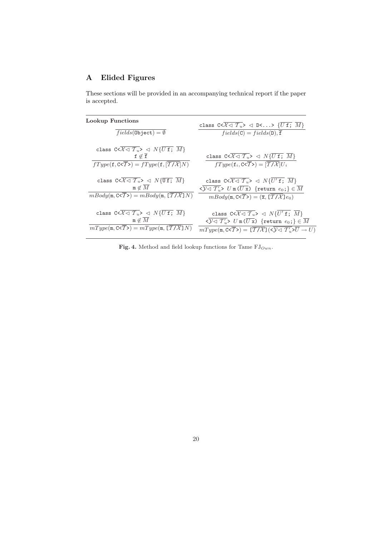# A Elided Figures

These sections will be provided in an accompanying technical report if the paper is accepted.

| Lookup Functions                                                                                                                                                                                                                                                               | class $C < \overline{\mathcal{X} \triangleleft T_u} > \triangleleft D < \dots > \{ \overline{U \text{ f}}; \overline{M} \}$                                                                            |
|--------------------------------------------------------------------------------------------------------------------------------------------------------------------------------------------------------------------------------------------------------------------------------|--------------------------------------------------------------------------------------------------------------------------------------------------------------------------------------------------------|
| $fields(\texttt{Object}) = \emptyset$                                                                                                                                                                                                                                          | $fields(C) = fields(D), \overline{f}$                                                                                                                                                                  |
| class $C < \overline{\mathcal{X} \triangleleft \mathcal{X}_u} > \overline{\triangleleft N}$ $\{ \overline{U} \mathbf{f}; \overline{M} \}$<br>$f \not\in \overline{f}$<br>$fType(\mathbf{f}, \mathbf{C} \leq \overline{T}) = fType(\mathbf{f}, \overline{T / \mathcal{X}}   N)$ | class $C < \overline{\mathcal{X} \lhd \mathcal{T}_u} > \lhd N \{\overline{U \, \mathbf{f}}; \ \overline{M}\}$<br>$fType(\mathbf{f}_i, \mathbf{C} \leq \overline{T}) = [\overline{T / \mathcal{X}}]U_i$ |
| class $C < \overline{\mathcal{X}} \lhd \overline{\mathcal{T}_u} > \lhd N \{\overline{\mathtt{Uf}};\ \overline{M}\}$                                                                                                                                                            | class $C < \overline{\mathcal{X} \triangleleft \mathcal{T}_u} > \overline{\triangleleft} N \{U' \text{ f}; \overline{M}\}\$                                                                            |
| $m \notin M$                                                                                                                                                                                                                                                                   |                                                                                                                                                                                                        |
| $mBody(\mathfrak{m}, \mathbb{C} \leq \overline{T}) = mBody(\mathfrak{m}, \overline{T/X} \leq N)$                                                                                                                                                                               | $mBody(m, C \le T) = (\overline{x}, [\overline{T/X}]e_0)$                                                                                                                                              |
| class $C < \overline{\mathcal{X} \triangleleft \mathcal{T}_u} > \triangleleft N \{ \overline{U \mathbf{f}}; \overline{M} \}$                                                                                                                                                   | class $C < \overline{\mathcal{X}} \triangleleft \overline{\mathcal{T}_u} > \overline{\triangleleft} N \{U' \text{ f}; \overline{M}\}\$                                                                 |
| $m \notin M$                                                                                                                                                                                                                                                                   | $\sqrt{3\sqrt{1-x}}$ $U \text{ m}(\overline{U \text{ x}})$ {return $e_0$ ;} $\in \overline{M}$                                                                                                         |
| $mType(\mathfrak{m}, \mathbb{C} \leq \overline{T}) = mType(\mathfrak{m}, \overline{T/X} \leq N)$                                                                                                                                                                               | $mType(\mathfrak{m}, \mathbb{C} \leq \overline{T}) = [\overline{T/X}](\leq \mathcal{Y} \leq T'_u \geq \overline{U} \rightarrow U)$                                                                     |

Fig. 4. Method and field lookup functions for Tame  $\mathrm{FJ}_{Own}$ .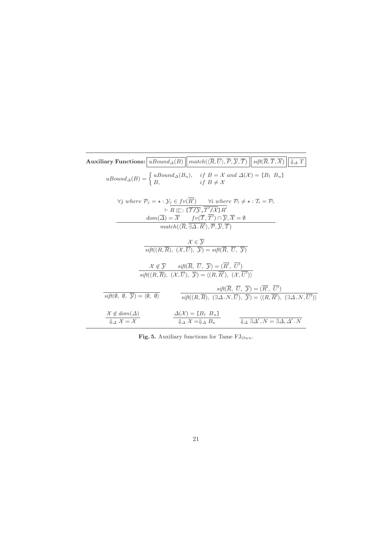| $\textbf{Auxiliary\ Functions:}\big \,uBound_\Delta(B)\,\big\ \,match(\langle\overline{R},\overline{U}\rangle,\overline{P},\overline{\mathcal{Y}},\overline{T})\,\big\ \,sift(\overline{R},\overline{T},\overline{\mathcal{X}})\,\big\ $<br>$\downarrow$ $\Delta$ T                                                                                                                                                                                                                                                                                                                  |  |  |  |  |
|--------------------------------------------------------------------------------------------------------------------------------------------------------------------------------------------------------------------------------------------------------------------------------------------------------------------------------------------------------------------------------------------------------------------------------------------------------------------------------------------------------------------------------------------------------------------------------------|--|--|--|--|
| $uBound_{\Delta}(B) = \begin{cases} uBound_{\Delta}(B_u), & \text{if } B = \mathcal{X} \text{ and } \Delta(\mathcal{X}) = [B_l \ B_u] \\ B, & \text{if } B \neq \mathcal{X} \end{cases}$                                                                                                                                                                                                                                                                                                                                                                                             |  |  |  |  |
| $\forall j$ where $\mathcal{P}_j = \star : \mathcal{Y}_j \in fv(R')$ $\forall i$ where $\mathcal{P}_i \neq \star : \mathcal{T}_i = \mathcal{P}_i$<br>$\vdash R \sqsubset : [\overline{T}/\overline{\mathcal{Y}}, \mathcal{T}'/\mathcal{X}]\overline{R}'$<br>$dom(\overline{\Delta}) = \overline{\mathcal{X}}$ $fv(\overline{\mathcal{T}}, \overline{\mathcal{T}'}) \cap \overline{\mathcal{Y}}, \overline{\mathcal{X}} = \emptyset$<br>$match(\langle \overline{R}, \overline{\exists \Delta . R'} \rangle, \overline{\mathcal{P}}, \overline{\mathcal{Y}}, \overline{\mathcal{T}})$ |  |  |  |  |
| $\mathcal{X} \in \overline{\mathcal{V}}$<br>$sift((R,\overline{R}), (\mathcal{X},\overline{U}), \overline{\mathcal{Y}}) = sift(\overline{R}, \overline{U}, \overline{\mathcal{Y}})$                                                                                                                                                                                                                                                                                                                                                                                                  |  |  |  |  |
| $\mathcal{X} \notin \overline{\mathcal{Y}}$ sift( $\overline{R}$ , $\overline{U}$ , $\overline{\mathcal{Y}}$ ) = ( $\overline{R'}$ , $\overline{U'}$ )<br>$sift((R,\overline{R}), (\mathcal{X},\overline{U}), \overline{\mathcal{Y}}) = \langle (R,\overline{R}'), (\mathcal{X},\overline{U}') \rangle$                                                                                                                                                                                                                                                                              |  |  |  |  |
| $sift(\overline{R}, \ \overline{U}, \ \overline{\mathcal{Y}}) = (\overline{R'}, \ \overline{U'})$<br>$sift(\emptyset, \emptyset, \overline{\mathcal{Y}}) = \langle \emptyset, \emptyset \rangle$<br>$\overline{\textit{sift}((R,\overline{R}), \ (\exists \Delta.N, \overline{U}), \ \overline{Y})} = \langle (R, \overline{R}'), \ (\exists \Delta.N, \overline{U}') \rangle$                                                                                                                                                                                                       |  |  |  |  |
| $\frac{\mathcal{X} \not\in dom(\Delta)}{\downarrow\downarrow_{\Lambda} \mathcal{X} = \mathcal{X}}$<br>$\frac{\Delta(\mathcal{X}) = [B_l \ B_u]}{\Downarrow_{\Delta} \mathcal{X}} = \Downarrow_{\Delta} B_u$<br>$\downarrow_A \exists \Delta' . N = \exists \Delta, \Delta' . N$                                                                                                                                                                                                                                                                                                      |  |  |  |  |

Fig. 5. Auxiliary functions for Tame  $\mathrm{FJ}_{Own}.$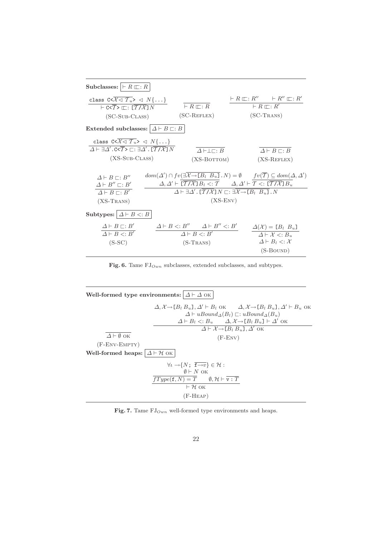| Subclasses: $\mid \vdash R \sqsubset R$                                                                                                                                                                                 |                                                                                                    |                                                                                                                                                                                                                                                                                                                                                                                                                                                                         |                                                |                                                                                                                                      |
|-------------------------------------------------------------------------------------------------------------------------------------------------------------------------------------------------------------------------|----------------------------------------------------------------------------------------------------|-------------------------------------------------------------------------------------------------------------------------------------------------------------------------------------------------------------------------------------------------------------------------------------------------------------------------------------------------------------------------------------------------------------------------------------------------------------------------|------------------------------------------------|--------------------------------------------------------------------------------------------------------------------------------------|
| class $C < \overline{\mathcal{X} \triangleleft \mathcal{T}_u} > \overline{\triangleleft} N \}$ }<br>$\vdash$ C< $\overline{T}$ > $\sqsubset$ : $\lceil \overline{T/X} \rceil N$<br>$(SC-SUB-CLASS)$                     | $\vdash R \sqsubseteq: R$<br>$(SC-REFLEX)$                                                         |                                                                                                                                                                                                                                                                                                                                                                                                                                                                         | $\vdash R \sqsubset \vdots R'$<br>$(SC-Trans)$ | $\vdash R \sqsubseteq : R'' \qquad \vdash R'' \sqsubseteq : R'$                                                                      |
| Extended subclasses: $\Delta \vdash B \sqsubset B$                                                                                                                                                                      |                                                                                                    |                                                                                                                                                                                                                                                                                                                                                                                                                                                                         |                                                |                                                                                                                                      |
| class $C < \overline{\mathcal{X}} \triangleleft \mathcal{T}_u > \overline{\triangleleft} N \{ \dots \}$<br>$\Delta \vdash \exists \Delta'.$ C< $\overline{T}$ > $\square$ : $\exists \Delta'.$ [ $\overline{T/X}$ ] $N$ | $\Delta \vdash \perp \sqcap : B$                                                                   |                                                                                                                                                                                                                                                                                                                                                                                                                                                                         |                                                | $\Delta \vdash B \sqsubset : B$                                                                                                      |
| $(XS-SUB-CLASS)$                                                                                                                                                                                                        | $(XS-BOTTOM)$                                                                                      |                                                                                                                                                                                                                                                                                                                                                                                                                                                                         |                                                | $(XS-REFLEX)$                                                                                                                        |
| $\Delta \vdash B \sqsubset : B''$<br>$\Delta \vdash B'' \sqsubset B'$<br>$\overline{\Delta \vdash B \sqsubset : B'}$<br>$(XS-Trans)$                                                                                    |                                                                                                    | $dom(\Delta') \cap fv(\exists \overline{\mathcal{X}} \rightarrow [B_l \ B_u], N) = \emptyset$ $fv(\overline{\mathcal{T}}) \subseteq dom(\Delta, \Delta')$<br>$\Delta, \Delta' \vdash [\overline{\mathcal{T}/\mathcal{X}}] B_l <: \mathcal{T} \qquad \Delta, \Delta' \vdash \mathcal{T} <: [\overline{\mathcal{T}/\mathcal{X}}] B_u$<br>$\Delta \vdash \exists \Delta'$ . $[\overline{T/X}]N \sqsubset : \exists \overline{X \rightarrow [B_l \ B_u]}$ . N<br>$(XS-env)$ |                                                |                                                                                                                                      |
| Subtypes: $\Delta \vdash B \lt: B$<br>$\Delta \vdash B \sqsubset : B'$                                                                                                                                                  |                                                                                                    |                                                                                                                                                                                                                                                                                                                                                                                                                                                                         |                                                |                                                                                                                                      |
| $\overline{\Delta \vdash B \lt: B'}$<br>$(S-SC)$                                                                                                                                                                        | $\Delta \vdash B \lt: B''$ $\Delta \vdash B'' \lt: B'$<br>$\Delta \vdash B \lt: B'$<br>$(S-Trans)$ |                                                                                                                                                                                                                                                                                                                                                                                                                                                                         |                                                | $\Delta(\mathcal{X}) = [B_l \ B_u]$<br>$\Delta \vdash \mathcal{X} \lt: B_u$<br>$\Delta \vdash B_l \lt: : \mathcal{X}$<br>$(S-BOUND)$ |
|                                                                                                                                                                                                                         |                                                                                                    |                                                                                                                                                                                                                                                                                                                                                                                                                                                                         |                                                |                                                                                                                                      |

Fig. 6. Tame  $\mathrm{FJ}_{Own}$  subclasses, extended subclasses, and subtypes.

| Well-formed type environments: $\Delta \vdash \Delta$ OK                                  |                                                                                                                                                                                                                                                                                                                 |  |  |  |  |
|-------------------------------------------------------------------------------------------|-----------------------------------------------------------------------------------------------------------------------------------------------------------------------------------------------------------------------------------------------------------------------------------------------------------------|--|--|--|--|
|                                                                                           | $\Delta, \mathcal{X} \rightarrow [B_1 B_u], \Delta' \vdash B_1$ ok $\Delta, \mathcal{X} \rightarrow [B_1 B_u], \Delta' \vdash B_u$ ok<br>$\Delta \vdash uBound_{\Delta}(B_l) \sqsubset: uBound_{\Delta}(B_u)$<br>$\Delta \vdash B_l \lt: B_u \quad \Delta, \mathcal{X} \rightarrow [B_l B_u] \vdash \Delta'$ OK |  |  |  |  |
|                                                                                           | $\Delta \vdash \mathcal{X} \rightarrow [B_1 B_u]$ , $\Delta'$ OK                                                                                                                                                                                                                                                |  |  |  |  |
| $\Delta \vdash \emptyset$ OK                                                              | $(F-ENV)$                                                                                                                                                                                                                                                                                                       |  |  |  |  |
| $(F$ -ENV-EMPTY $)$                                                                       |                                                                                                                                                                                                                                                                                                                 |  |  |  |  |
| Well-formed heaps: $\Delta \vdash \mathcal{H}$ OK                                         |                                                                                                                                                                                                                                                                                                                 |  |  |  |  |
| $\forall \iota \rightarrow \{N; \overline{\mathbf{f} \rightarrow v} \} \in \mathcal{H}$ : |                                                                                                                                                                                                                                                                                                                 |  |  |  |  |
| $\emptyset \vdash N$ OK                                                                   |                                                                                                                                                                                                                                                                                                                 |  |  |  |  |
| $fType(f, N) = T$ $\emptyset, H \vdash \overline{v : T}$<br>$\vdash$ H OK                 |                                                                                                                                                                                                                                                                                                                 |  |  |  |  |
| $(F-HEAP)$                                                                                |                                                                                                                                                                                                                                                                                                                 |  |  |  |  |
|                                                                                           |                                                                                                                                                                                                                                                                                                                 |  |  |  |  |

Fig. 7. Tame  $\mathrm{FJ}_{Own}$  well-formed type environments and heaps.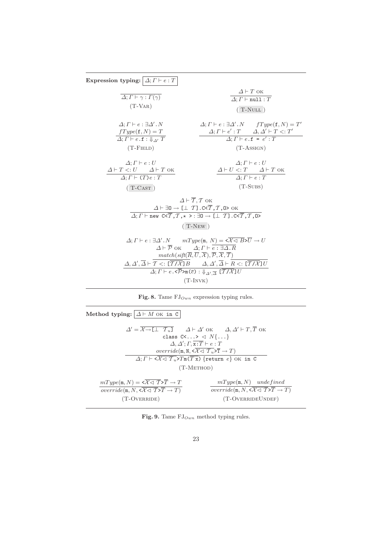| Expression typing: $\Delta; \Gamma \vdash e : T$                                                                                                                                                                                                                                                                                                                                                                                                                                                                                                                                                                                                                                                                                                                                                                                         |                                                                                                                                                                                                                                  |  |  |
|------------------------------------------------------------------------------------------------------------------------------------------------------------------------------------------------------------------------------------------------------------------------------------------------------------------------------------------------------------------------------------------------------------------------------------------------------------------------------------------------------------------------------------------------------------------------------------------------------------------------------------------------------------------------------------------------------------------------------------------------------------------------------------------------------------------------------------------|----------------------------------------------------------------------------------------------------------------------------------------------------------------------------------------------------------------------------------|--|--|
| $\Delta; \Gamma \vdash \gamma : \Gamma(\gamma)$<br>$(T-VAR)$                                                                                                                                                                                                                                                                                                                                                                                                                                                                                                                                                                                                                                                                                                                                                                             | $\Delta \vdash T$ ok<br>$\overline{\Delta; \Gamma \vdash \texttt{null} : T}$<br>$(T-NULL)$                                                                                                                                       |  |  |
| $\Delta: \Gamma \vdash e : \exists \Delta' . N$<br>$fType(f, N) = T$<br>$\overline{\Delta: \Gamma \vdash e.f : \Downarrow_{\Lambda'} T}$<br>$(T$ -FIELD)                                                                                                                                                                                                                                                                                                                                                                                                                                                                                                                                                                                                                                                                                 | $\Delta; \Gamma \vdash e : \exists \Delta' . N$ $fType(\mathbf{f}, N) = T'$<br>$\Delta; \Gamma \vdash e': T \qquad \Delta, \Delta' \vdash T <: T'$<br>$\overline{\Delta; \Gamma \vdash e . \mathbf{f} = e' : T}$<br>$(T-ASSIGN)$ |  |  |
| $\Delta: \Gamma \vdash e: U$<br>$\varDelta \vdash T <: U \qquad \varDelta \vdash T$ ok<br>$\Delta: \Gamma \vdash (T) e : T$<br>$(T-CAST)$                                                                                                                                                                                                                                                                                                                                                                                                                                                                                                                                                                                                                                                                                                | $\Delta; \Gamma \vdash e : U$<br>$\frac{\varDelta\vdash U\mathrel{<:}\mathrel{T}\qquad\varDelta\vdash\mathrel{T}\mathrel{\mathrel{\mathsf{OK}}}}{\varDelta; \mathrel{\mathrel{T}\vdash e}:\mathrel{T}}$<br>$(T-SUBS)$            |  |  |
| $\Delta \vdash \overline{\mathcal{T}}, \mathcal{T}$ OK<br>$\Delta \vdash \exists 0 \rightarrow [\bot \ T]$ . C< $\overline{T}, \overline{T}, 0$ > OK<br>$\Delta; \Gamma \vdash \text{new } C \triangleleft \overline{T}, T, \star \gt : \exists 0 \rightarrow [\bot \ T] . C \triangleleft \overline{T}, T, 0 \gt$<br>$(T-NEW)$                                                                                                                                                                                                                                                                                                                                                                                                                                                                                                          |                                                                                                                                                                                                                                  |  |  |
| $\Delta; \Gamma \vdash e : \exists \Delta' . N$ $mType(\mathfrak{m}, N) = \langle \overline{X \triangleleft B} \rangle \overline{U} \rightarrow U$<br>$\Delta \vdash \overline{\mathcal{P}}$ OK $\Delta; \Gamma \vdash \overline{e : \exists \Delta . R}$<br>$match(sift(\overline{R},\overline{U},\overline{\mathcal{X}}), \overline{\mathcal{P}}, \overline{\mathcal{X}}, \overline{\mathcal{T}})$<br>$\Delta, \Delta', \overline{\Delta} \vdash \mathcal{T} \lt \colon [\overline{\mathcal{T}/\mathcal{X}}] B$ $\Delta, \Delta', \overline{\Delta} \vdash \overline{R} \lt \colon [\overline{\mathcal{T}/\mathcal{X}}] U$<br>$\Delta; \Gamma \vdash e \cdot \langle \overline{\mathcal{P}} \rangle \mathbb{m}(\overline{e}) : \Downarrow_{\Delta', \overline{\Delta}} \overline{[\overline{\mathcal{T}}/\mathcal{X}}]U$<br>$(T-INVK)$ |                                                                                                                                                                                                                                  |  |  |

|  |  |  | Fig. 8. Tame $\mathrm{FJ}_{Own}$ expression typing rules. |  |  |
|--|--|--|-----------------------------------------------------------|--|--|
|--|--|--|-----------------------------------------------------------|--|--|

| Method typing: $\Delta \vdash M$ OK in C                                                                                                                                                                                                                                                                                                                                                                                                                                                                      |                                                                                                                                                       |  |  |  |
|---------------------------------------------------------------------------------------------------------------------------------------------------------------------------------------------------------------------------------------------------------------------------------------------------------------------------------------------------------------------------------------------------------------------------------------------------------------------------------------------------------------|-------------------------------------------------------------------------------------------------------------------------------------------------------|--|--|--|
| $\Delta' = \overline{\mathcal{X} \rightarrow \llbracket \perp \top \top_u \rrbracket}$ $\Delta \vdash \Delta'$ OK $\Delta, \Delta' \vdash T, \overline{T}$ OK<br>class $C<\ldots>\langle N\{\ldots\}$<br>$\Delta, \Delta'; \Gamma, \overline{x:T} \vdash e : T$<br>override(m, N, $\langle \overline{\mathcal{X}} \triangleleft \mathcal{T}_u \rangle \overline{T} \to T \rangle$<br>$\Delta; \Gamma \vdash \langle \overline{X} \triangleleft \overline{T_u} \rangle T_m(\overline{T_x})$ {return e} OK in C |                                                                                                                                                       |  |  |  |
| $(T-METHOD)$                                                                                                                                                                                                                                                                                                                                                                                                                                                                                                  |                                                                                                                                                       |  |  |  |
| $mType(m, N) = \langle \overline{X} \langle \overline{T} \rangle \overline{T} \to T$<br>override $(m, N, \langle \overline{\mathcal{X}} \triangleleft \overline{\mathcal{T}} \rangle \overline{T} \to T)$                                                                                                                                                                                                                                                                                                     | $mType(m, N)$ undefined<br><i>override</i> ( $\mathfrak{m}, N, \langle \overline{\mathcal{X} \triangleleft \mathcal{T}} \rangle \overline{T} \to T$ ) |  |  |  |
| (T-OVERRIDE)                                                                                                                                                                                                                                                                                                                                                                                                                                                                                                  | (T-OVERRIDEUNDEF)                                                                                                                                     |  |  |  |

Fig. 9. Tame  $\mathrm{FJ}_{Own}$  method typing rules.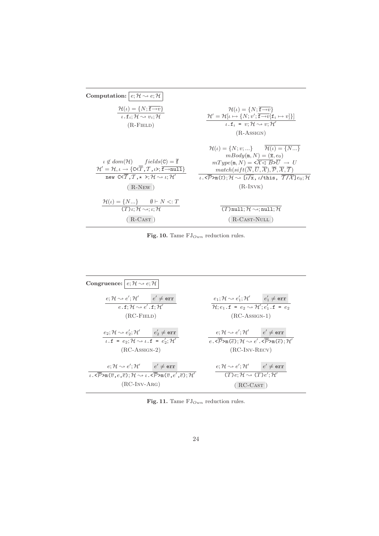





Fig. 11. Tame  $FJ_{Own}$  reduction rules.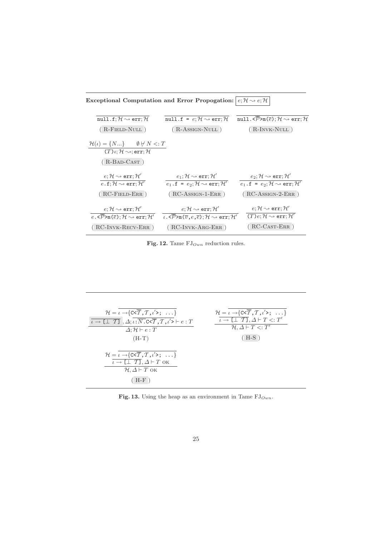Exceptional Computation and Error Propogation:  $|e; \mathcal{H} \sim e; \mathcal{H}|$ null.f;  $\mathcal{H} \rightsquigarrow$ err;  $\mathcal{H}$ ( R-Field-Null ) null.f =  $e$ ;  $\mathcal{H} \rightsquigarrow$  err;  $\mathcal{H}$ ( R-Assign-Null ) null. $\langle \overline{\mathcal{P}} \rangle$ m $(\overline{e}); \mathcal{H} \sim \text{err}; \mathcal{H}$ ( R-Invk-Null )  $\mathcal{H}(\iota) = \{N...\}$   $\emptyset \neq N \lt: T$  $(T)$ *ι*;  $H \rightsquigarrow$ ; err;  $H$ ( R-Bad-Cast )  $e; \mathcal{H} \rightsquigarrow \texttt{err}; \mathcal{H}^\prime$  $\overline{e.\texttt{f}; \mathcal{H} \!\rightsquigarrow \texttt{err}; \mathcal{H}'}$ ( RC-Field-Err )  $e_1; {\cal H} \leadsto$  err;  ${\cal H}^\prime$  $\overline{e_1}.\texttt{f = } e_2;\mathcal{H} \rightsquigarrow \texttt{err};\mathcal{H}^\prime$ ( RC-Assign-1-Err )  $e_2; {\cal H} \leadsto$  err;  ${\cal H}'$  $\overline{e_1}.\texttt{f = } e_2;\mathcal{H} \rightsquigarrow \texttt{err};\mathcal{H}^\prime$ ( RC-Assign-2-Err )  $e; \mathcal{H} \leadsto \texttt{err}; \mathcal{H}'$  $\overline{e\, {\boldsymbol{\cdot}}\, \overline{\mathcal{P}}\mathsf{>m}(\overline{e}\,);\mathcal{H}\sim\mathsf{err};\mathcal{H}'}$ ( RC-Invk-Recv-Err )  $e; \mathcal{H} \leadsto \texttt{err}; \mathcal{H}'$  $\overline{\iota}$ .< $\overline{\mathcal{P}}$ >m( $\overline{\overline{v}}$ , $e$ , $\overline{e}$ );  $\mathcal{H} \rightsquigarrow$  err;  $\mathcal{H}'$ ( RC-Invk-Arg-Err )  $e; \mathcal{H} \rightsquigarrow \texttt{err}; \mathcal{H}'$  $(\overline{T})e; \mathcal{H} \rightsquigarrow \texttt{err}; \mathcal{H}'$ ( RC-Cast-Err )

Fig. 12. Tame  $FJ_{Own}$  reduction rules.

| $\mathcal{H} = \iota \rightarrow \{C < \overline{T}, T, \iota' >; \ldots\}$                                                                                         | $\mathcal{H} = \iota \rightarrow \{C < \overline{T}, T, \iota' >; \ldots\}$    |
|---------------------------------------------------------------------------------------------------------------------------------------------------------------------|--------------------------------------------------------------------------------|
| $\overline{\iota \to \llbracket \perp T \rrbracket}$ , $\Delta; \overline{\iota : N \cdot \text{c} \times T}, T, \iota' \succ \vdash e : T$                         | $\overline{\iota \to \llbracket \perp T \rrbracket}, \Delta \vdash T \lt;: T'$ |
| $\Delta; \mathcal{H} \vdash e : T$                                                                                                                                  | $\mathcal{H}, \Delta \vdash T \lt: T'$                                         |
| $(H-T)$                                                                                                                                                             | $(H-S)$                                                                        |
| $\mathcal{H} = \iota \rightarrow \{ C \leq \overline{T}, T, \iota' >; \dots \}$<br>$\iota \to [\bot \ T], \Delta \vdash T$ ok<br>$H, \Delta \vdash T$ OK<br>$(H-F)$ |                                                                                |

Fig. 13. Using the heap as an environment in Tame  $FJ_{Own}$ .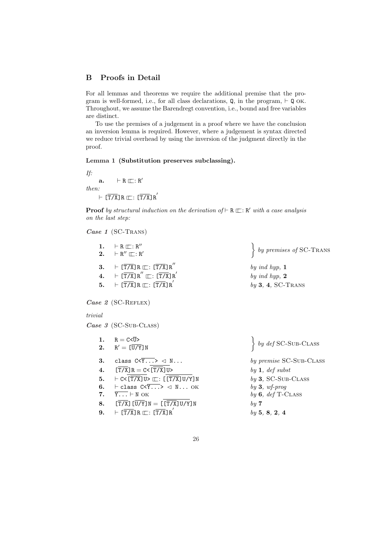# B Proofs in Detail

For all lemmas and theorems we require the additional premise that the program is well-formed, i.e., for all class declarations,  $Q$ , in the program,  $\vdash Q$  OK. Throughout, we assume the Barendregt convention, i.e., bound and free variables are distinct.

To use the premises of a judgement in a proof where we have the conclusion an inversion lemma is required. However, where a judgement is syntax directed we reduce trivial overhead by using the inversion of the judgment directly in the proof.

### Lemma 1 (Substitution preserves subclassing).

If:  $a. \qquad \vdash R \sqsubseteq : R'$ then:  $\vdash [\overline{T/X}]R \sqsubset : [\overline{T/X}]R^{'}$ 

**Proof** by structural induction on the derivation of  $\vdash R \sqsubseteq: R'$  with a case analysis on the last step:

#### Case 1 (SC-TRANS)

| 1.      | $\vdash R \sqsubseteq : R''$<br>2. $\vdash R'' \sqcap : R'$                                                                                           |                    |
|---------|-------------------------------------------------------------------------------------------------------------------------------------------------------|--------------------|
|         | 3. $\vdash [\overline{T/X}]R \sqsubset : [\overline{T/X}]R''$<br>4. $\vdash [\overline{T/X}] \, \text{R}'' \sqsubset : [\overline{T/X}] \, \text{R}'$ | $by$ in<br>$by$ is |
|         | 5. $\vdash [\overline{T/X}]R \sqsubset : [\overline{T/X}]R'$                                                                                          | by 3               |
|         | Case $2$ (SC-REFLEX)                                                                                                                                  |                    |
| trivial |                                                                                                                                                       |                    |
|         | Case $\beta$ (SC-SUB-CLASS)                                                                                                                           |                    |
|         | 1. $R = C < \overline{U} >$                                                                                                                           |                    |
|         | 2. $R' = [U/Y]N$                                                                                                                                      |                    |
|         | 3. class $C \times Y$ > $\triangleleft N$                                                                                                             | $by\ p$            |
| 4.      | $[T/X]R = C < [T/X]U$                                                                                                                                 | by 1               |
|         | 5. $\vdash C < [\overline{T/X}] \cup \sqsubset : [[\overline{T/X}] \cup Y] \cup Y$                                                                    | by 3               |
| 6.      | $\vdash$ class $C<Y\ldots>\lhd N\ldots$ OK                                                                                                            | by 3               |
|         | 7. $\overline{Y}$ . $\overline{Y}$ . $\vdash N$ OK                                                                                                    | $by\ 6$            |
|         | 8. $[\overline{T/X}]\overline{[U/Y]}N = [[\overline{T/X}]U/Y]N$                                                                                       | by 7               |
| 9.      | $\vdash [\overline{T/X}]R \sqsubseteq : [\overline{T/X}]R'$                                                                                           | by 5               |
|         |                                                                                                                                                       |                    |

by premises of SC-TRANS

 $ind hyp, 1$ ind hyp,  $2$  $3, 4, SC-Trans$ 

by def SC-SUB-CLASS

premise SC-Sub-CLASS  $1, def$  subst 3, SC-SUB-CLASS  $3, wf$ -prog  $6.$  def T-CLASS by 5, 8, 2, 4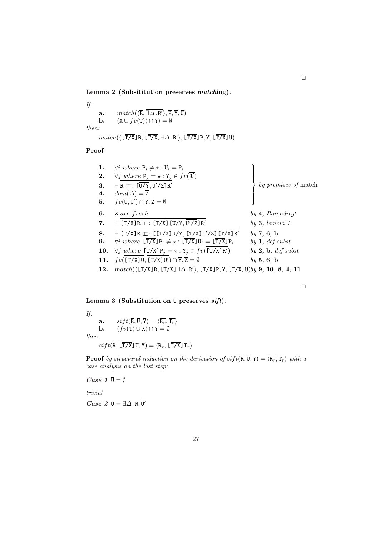Lemma 2 (Subsititution preserves matching).

If: a.  $match(\langle \overline{\mathsf{R}}, \overline{\exists \Delta . \mathsf{R}' } \rangle, \overline{\mathsf{P}}, \overline{\mathsf{Y}}, \overline{\mathsf{U}})$ **b.**  $(\overline{X} \cup fv(\overline{T})) \cap \overline{Y}) = \emptyset$ then:  $match(\langle [T/X]R, [\overline{T/X}] \exists \Delta.R' \rangle, [\overline{T/X}]P, \overline{Y}, [\overline{T/X}]U)$ 

Proof

1. 
$$
\forall i \text{ where } P_i \neq \star : U_i = P_i
$$
  
\n2.  $\forall j \text{ where } P_j = \star : Y_j \in fv(\overline{R'})$   
\n3.  $\vdash R \sqsubseteq : [\overline{U/Y}, \overline{U'/Z}]R'$   
\n4.  $dom(\overline{\Delta}) = \overline{Z}$   
\n5.  $fv(\overline{U}, \overline{U'}) \cap \overline{Y}, \overline{Z} = \emptyset$   
\n6.  $\overline{Z}$  are fresh  
\n7.  $\vdash [\overline{T/X}]R \sqsubseteq : [\overline{T/X}]\overline{U/Y}, \overline{U'/Z}]\overline{R'}$   
\n8.  $\vdash [\overline{T/X}]R \sqsubseteq : [\overline{T/X}]\overline{U/Y}, \overline{U'/Z}]\overline{R'}$   
\n9.  $\forall i \text{ where } [\overline{T/X}]P_i \neq \star : [\overline{T/X}]U_i = [\overline{T/X}]P_i$   
\n10.  $\forall j \text{ where } [\overline{T/X}]P_j = \star : Y_j \in fv(\overline{T/X}]R')$   
\n11.  $fv(\overline{[T/X}]U, [\overline{T/X}]U') \cap \overline{Y}, \overline{Z} = \emptyset$   
\n12. match( $(\overline{[T/X}]R, [\overline{T/X}] \exists \Delta, R'), [\overline{T/X}]D, \overline{Y}, [\overline{T/X}]U) \emptyset$   
\n9. 9, 10, 8, 4, 11

 $\Box$ 

# Lemma 3 (Substitution on  $\overline{U}$  preserves sift).

If: **a.**  $sift(\overline{\mathbf{R}}, \overline{\mathbf{U}}, \overline{\mathbf{Y}}) = \langle \overline{\mathbf{R}_r}, \overline{\mathbf{T}_r} \rangle$ **b.**  $(fv(\overline{T}) \cup \overline{X}) \cap \overline{Y} = \emptyset$ then: sif t(R, [T/X]U, Y) = hRr, [T/X]Tri

**Proof** by structural induction on the derivation of  $sift(\overline{R}, \overline{U}, \overline{Y}) = \langle \overline{R_r}, \overline{T_r} \rangle$  with a case analysis on the last step:

Case 1  $\overline{U} = \emptyset$ 

trivial

*Case*  $2 \bar{U} = \exists \Delta . N, \overline{U'}$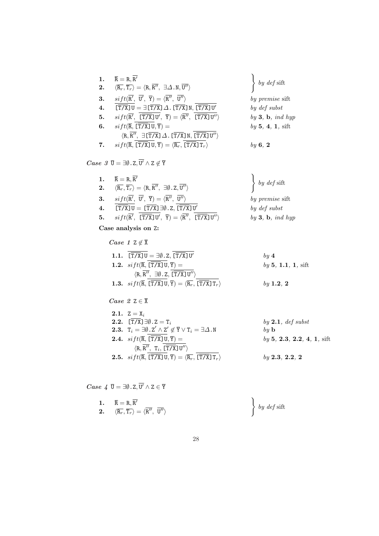| 1. | $\overline{\texttt{R}} = \texttt{R}, \overline{\texttt{R}'}$                                                                                                                       | $\Big\}$ by def sift |
|----|------------------------------------------------------------------------------------------------------------------------------------------------------------------------------------|----------------------|
| 2. | $\langle \overline{\mathsf{R}_r}, \overline{\mathsf{T}_r} \rangle = \langle \mathsf{R}, \overline{\mathsf{R}''}, \exists \Delta \cdot \mathsf{N}, \overline{\mathsf{U}''} \rangle$ |                      |
| 3. | $sift(\overline{R'}, \ \overline{U'}, \ \overline{Y}) = \langle \overline{R''}, \ \overline{U''}\rangle$                                                                           | by premise sift      |
| 4. | $\boxed{\overline{\text{T/X}}\text{U}} = \exists \boxed{\overline{\text{T/X}}} \Delta$ . $\boxed{\overline{\text{T/X}}}\text{N}, \boxed{\overline{\text{T/X}}\text{U'}}$           | by def subst         |
| 5. | $sift(\overline{R'}, \ \ [\overline{T/X}]U', \ \overline{Y}) = \langle \overline{R''}, \ \ [\overline{T/X}]U'' \rangle$                                                            | by 3, b, ind hyp     |
| 6. | $sift(\overline{R}, [\overline{T/X}]U, \overline{Y}) =$                                                                                                                            | by 5, 4, 1, sift     |
|    | $\langle R, \overline{R''}, \exists [\overline{T/X}] \, \Delta. [\overline{T/X}] N, [\overline{T/X}] U'' \rangle$                                                                  |                      |
| 7. | $sift(\overline{R}, \lfloor \overline{T/X} \rfloor U, \overline{Y}) = \langle \overline{R_r}, \lfloor \overline{T/X} \rfloor T_r \rangle$                                          | by $6, 2$            |

 $Case 3 \overline{U} = \exists \emptyset \ldotp Z, \overline{U'} \wedge Z \not\in \overline{Y}$ 

| 1. $\overline{R} = R, \overline{R'}$                                                                                                                                                                                   | $\left\{\begin{array}{c} by\ def\ sift\end{array}\right.$ |
|------------------------------------------------------------------------------------------------------------------------------------------------------------------------------------------------------------------------|-----------------------------------------------------------|
| <b>2.</b> $\langle \overline{\mathsf{R}_r}, \overline{\mathsf{T}_r} \rangle = \langle \overline{\mathsf{R}}, \overline{\mathsf{R}''}, \exists \emptyset \ldotp \overline{\mathsf{Z}}, \overline{\mathsf{U}''} \rangle$ |                                                           |
| <b>3.</b> $sift(\overline{R'}, \overline{U'}, \overline{Y}) = \langle \overline{R''}, \overline{U''}\rangle$                                                                                                           | by premise sift                                           |
| 4. $[\overline{T/X}]U = [\overline{T/X}] \exists \emptyset. Z, \overline{[\overline{T/X}]U'}$                                                                                                                          | by def subst                                              |
| 5. $sift(\overline{R'}, \ \overline{[T/X]}U', \ \overline{Y}) = \langle \overline{R''}, \ \overline{[T/X]}U'' \rangle$                                                                                                 | $by 3$ , b, ind hyp                                       |
| Case analysis on Z:                                                                                                                                                                                                    |                                                           |
| <i>Case</i> $1 \text{ } Z \notin \overline{X}$                                                                                                                                                                         |                                                           |

| 1.1. $[\overline{T/X}]U = \exists \emptyset . Z, [\overline{T/X}]U'$                                                                                  | $\boldsymbol{b} \boldsymbol{u}$ 4 |
|-------------------------------------------------------------------------------------------------------------------------------------------------------|-----------------------------------|
| 1.2. $sift(\overline{R}, \overline{[T/X]} \cup, \overline{Y}) =$                                                                                      | by 5, 1.1, 1, sift                |
| $\langle R, \overline{R''}, \exists \emptyset. Z, [\overline{T/X}] U'' \rangle$                                                                       |                                   |
| <b>1.3.</b> $sift(\overline{R}, \lfloor \overline{T/X} \rfloor U, \overline{Y}) = \langle \overline{R_r}, \lfloor \overline{T/X} \rfloor T_r \rangle$ | $\frac{b \cdot y}{1 \cdot 2}$ , 2 |

# $\textit{Case 2 } Z \in \overline{X}$

| 2.1. $Z = X_i$                                                                                                          |                            |
|-------------------------------------------------------------------------------------------------------------------------|----------------------------|
| 2.2. $[\overline{T/X}] \exists \emptyset . Z = T_i$                                                                     | $by 2.1, def$ subst        |
| <b>2.3.</b> $T_i = \exists \emptyset$ . $Z' \wedge Z' \notin \overline{Y} \vee T_i = \exists \Delta \cdot N$            | $\mathbf{b}\mathbf{u}$ b   |
| <b>2.4.</b> $sift(\overline{R}, [\overline{T/X}]U, \overline{Y}) =$                                                     | by 5, 2.3, 2.2, 4, 1, sift |
| $\langle R, \overline{R''}, T_i, [\overline{T/X}] \overline{U''} \rangle$                                               |                            |
| <b>2.5.</b> $sift(\overline{R}, [\overline{T/X}]U, \overline{Y}) = \langle \overline{R_r}, [\overline{T/X}]T_r \rangle$ | by 2.3, 2.2, 2             |
|                                                                                                                         |                            |

 $Case~4$   $\overline{U} = \exists \emptyset$ .  $Z, \overline{U'} \wedge Z \in \overline{Y}$ 

1. 
$$
\overline{R} = R, \overline{R'}
$$
  
2.  $\langle \overline{R_r}, \overline{T_r} \rangle = \langle \overline{R''}, \overline{U''} \rangle$    
  $\left\}$  by def sift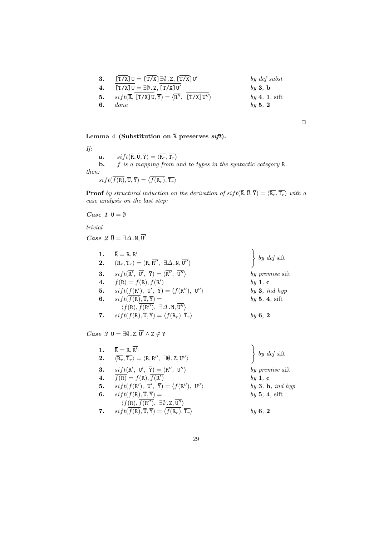| 3. | $\overline{[T/X]}$ $U = \overline{[T/X]}$ $\exists \emptyset$ . Z, $\overline{[T/X]}$ $U'$                                     | by def subst                           |
|----|--------------------------------------------------------------------------------------------------------------------------------|----------------------------------------|
| 4. | $\left[\overline{T/X}\right]U = \exists \emptyset. Z, \left[\overline{T/X}\right]U'$                                           | $\mathbf{b}\mathbf{u}$ 3. $\mathbf{b}$ |
| 5. | $sift(\overline{R}, \lfloor \overline{T/X} \rfloor U, \overline{Y}) = \langle R'', \lfloor \overline{T/X} \rfloor U'' \rangle$ | $by \, 4, \, 1, \, \text{sift}$        |
| 6. | <i>done</i>                                                                                                                    | $\mathfrak{b}\mathfrak{u}$ 5. 2        |

 $\Box$ 

# Lemma 4 (Substitution on  $\overline{R}$  preserves sift).

If:

 $\mathbf{a.} \qquad sift(\overline{\mathtt{R}},\overline{\mathtt{U}},\overline{\mathtt{Y}}) = \langle \overline{\mathtt{R}_r}, \overline{\mathtt{T}_r} \rangle$ **b.**  $f$  is a mapping from and to types in the syntactic category  $R$ . then:

 $\label{eq:stft} \operatorname{sift}(\overline{f(\mathtt{R})},\overline{\mathtt{U}},\overline{\mathtt{Y}}) = \langle \overline{f(\mathtt{R}_r)},\overline{\mathtt{T}_r}\rangle$ 

**Proof** by structural induction on the derivation of  $sift(\overline{R}, \overline{U}, \overline{Y}) = \langle \overline{R_r}, \overline{T_r} \rangle$  with a case analysis on the last step:

Case 1  $\overline{U} = \emptyset$ 

trivial

*Case*  $2 \bar{U} = \exists \Delta . N, \overline{U'}$ 

| 1.<br>2. | $\overline{\texttt{R}} = \texttt{R}, \overline{\texttt{R}'}$<br>$(\overline{\mathsf{R}_r}, \overline{\mathsf{T}_r}) = (\mathsf{R}, \overline{\mathsf{R}''}, \exists \Delta \cdot \mathsf{N}, \overline{\mathsf{U}''})$ | $\left\{\begin{array}{c} by\,\,def\,\,sift\end{array}\right.$ |
|----------|------------------------------------------------------------------------------------------------------------------------------------------------------------------------------------------------------------------------|---------------------------------------------------------------|
| 3.       | $sift(\overline{R'}, \ \overline{U'}, \ \overline{Y}) = \langle \overline{R''}, \ \overline{U''}\rangle$                                                                                                               | by premise sift                                               |
| 4.       | $\overline{f(R)} = f(R), \overline{f(R')}$                                                                                                                                                                             | by 1, c                                                       |
| 5.       | $sift(\overline{f(R')}, \ \overline{U'}, \ \overline{Y}) = \langle \overline{f(R'')}, \ \overline{U''}\rangle$                                                                                                         | by $3$ , ind hyp                                              |
| 6.       | $sift(f(\mathbf{R}),\overline{\mathbf{U}},\overline{\mathbf{Y}}) =$                                                                                                                                                    | by 5, 4, sift                                                 |
|          | $\langle f(R), f(R''), \exists \Delta . N, U'' \rangle$                                                                                                                                                                |                                                               |
| 7.       | $sift(f(\mathbf{R}), \overline{\mathbf{U}}, \overline{\mathbf{Y}}) = \langle f(\mathbf{R}_r), \overline{\mathbf{T}_r} \rangle$                                                                                         | by $6, 2$                                                     |

 $Case 3 \overline{U} = \exists \emptyset \ldotp Z, \overline{U'} \wedge Z \not\in \overline{Y}$ 

| 1. | $\overline{\texttt{R}} = \texttt{R}, \texttt{R}'$                                                                                                                                 | $\left\{\begin{array}{c} by\ def\ sift\end{array}\right.$ |
|----|-----------------------------------------------------------------------------------------------------------------------------------------------------------------------------------|-----------------------------------------------------------|
|    | <b>2.</b> $\langle \overline{\mathsf{R}_r}, \overline{\mathsf{T}_r} \rangle = \langle \mathsf{R}, \overline{\mathsf{R}''}, \exists \emptyset. Z, \overline{\mathsf{U}''} \rangle$ |                                                           |
| 3. | $sift(\overline{\mathrm{R}'}, \; \overline{\mathrm{U}'}, \; \overline{\mathrm{Y}}) = \langle \overline{\mathrm{R}''}, \; \overline{\mathrm{U}''} \rangle$                         | by premise sift                                           |
| 4. | $\overline{f(R)} = f(R), \overline{f(R')}$                                                                                                                                        | by 1, c                                                   |
| 5. | $sift(f(\mathbb{R}'), \overline{\mathbf{U}'}, \overline{\mathbf{Y}}) = \langle \overline{f(\mathbb{R}''), \overline{\mathbf{U}''}} \rangle$                                       | by 3, b, ind hyp                                          |
| 6. | $sift(f(\texttt{R}),\overline{\mathtt{U}},\overline{\mathtt{Y}}) =$                                                                                                               | by 5, 4, sift                                             |
|    | $\langle f(R), f(R'') , \exists \emptyset \ldotp Z, \overline{U''}\rangle$                                                                                                        |                                                           |
| 7. | $sift(f(\text{R}), \overline{\text{U}}, \overline{\text{Y}}) = \langle \overline{f(\text{R}_r)}, \overline{\text{T}_r} \rangle$                                                   | $\boldsymbol{b}$ u 6.2                                    |
|    |                                                                                                                                                                                   |                                                           |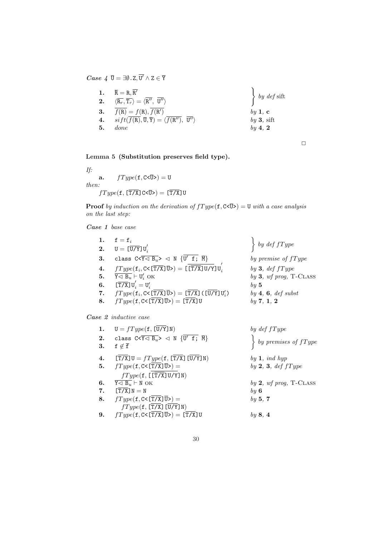$Case~4$   $\overline{U} = \exists \emptyset$ .  $Z, \overline{U'} \wedge Z \in \overline{Y}$ 

|    | 1. $\overline{R} = R, \overline{R'}$<br><b>2.</b> $\langle \overline{\mathsf{R}_r}, \overline{\mathsf{T}_r} \rangle = \langle \overline{\mathsf{R}''}, \overline{\mathsf{U}''} \rangle$ | $\Big\}$ by def sift |
|----|-----------------------------------------------------------------------------------------------------------------------------------------------------------------------------------------|----------------------|
|    | 3. $f(R) = f(R), f(R')$                                                                                                                                                                 | by 1, c              |
|    | 4. $sift(\overline{f(R)}, \overline{U}, \overline{Y}) = \langle \overline{f(R'')}, \overline{U''}\rangle$                                                                               | $by 3$ , sift        |
| 5. | done                                                                                                                                                                                    | $by \, 4, \, 2$      |

 $\Box$ 

Lemma 5 (Substitution preserves field type).

If: a.  $fType(\textbf{f}, \textbf{C} < \overline{U}) = U$ 

then:

$$
fType(\texttt{f}, \texttt{[T/X]} C < \overline{U} \texttt{)} = \texttt{[T/X]} U
$$

**Proof** by induction on the derivation of  $fType(f, C \le \overline{U}>) = U$  with a case analysis on the last step:

 $\ddot{\phantom{0}}$ 

 $by 5$ 

by  $def$   $fType$ 

by premise of  $fType$ 

 $by$  3,  $wf$  prog, T-CLASS

by  $3, def fType$ 

 $by$  4, 6, def subst

 $by 7, 1, 2$ 

Case 1 base case

| 1. | $f = f_i$                                                                                                                                                                                          |
|----|----------------------------------------------------------------------------------------------------------------------------------------------------------------------------------------------------|
|    | 2. $U = [\overline{U/Y}]U'_i$                                                                                                                                                                      |
| 3. | class $C < \overline{Y \lhd B_u} > \lhd N \{U' \text{ f}; \overline{M}\}\$                                                                                                                         |
| 4. | $fType(\texttt{f}_i, \texttt{C} \leq \boxed{\texttt{T} / \texttt{X}} \ \overline{\texttt{U}}) = \texttt{L} \left[ \overline{\texttt{T} / \texttt{X}} \texttt{U} / \texttt{Y} \right] \texttt{U}_i$ |
|    | 5. $\overline{Y \triangleleft B_u} \vdash U'_i$ OK                                                                                                                                                 |
| 6. | $\overline{\Gamma(X)}$ $U'_i = U'_i$                                                                                                                                                               |
| 7. | $fType(\mathbf{f}_i, C\leq \overline{T/X} \overline{U} \geq) = \overline{T/X} \cup (\overline{U/Y} \overline{U'_i})$                                                                               |
| 8. | $fType(f, C \leq [\overline{T/X}]\overline{U}) = [\overline{T/X}]U$                                                                                                                                |

Case 2 inductive case

| 1. | $U = fType(f, [\overline{U/Y}]\N)$                                                                                | by def fType              |
|----|-------------------------------------------------------------------------------------------------------------------|---------------------------|
| 3. | 2. class $C < \overline{Y} \lhd B_u > \lhd N$ {U' f; $\overline{M}$ }<br>$\mathtt{f}\not\in\overline{\mathtt{f}}$ | by premises of $fType$    |
|    |                                                                                                                   |                           |
| 4. | $[T/X]U = fType(f, [T/X] [U/Y]N)$                                                                                 | by 1, ind hyp             |
|    | 5. $fType(f, C < \sqrt{TX} \overline{U} >)$ =                                                                     | by $2, 3, def fType$      |
|    | $fType(f, [\lfloor T/X \rfloor U/Y]N)$                                                                            |                           |
|    | 6. $\overline{Y \triangleleft B_u}$ $\vdash N$ OK                                                                 | by 2, wf prog, $T$ -CLASS |
|    | 7. $[T/X]$ $N = N$                                                                                                | $by\ 6$                   |
| 8. | $fType(f, C\leq [T/X]\overline{U}) =$                                                                             | by 5, 7                   |
|    | fType(f, [T/X] [U/Y] N)                                                                                           |                           |
| 9. | $fType(\texttt{f}, \texttt{C} \leq [\overline{T/X}]\overline{U}) = [\overline{T/X}]\overline{U}$                  | by 8, 4                   |
|    |                                                                                                                   |                           |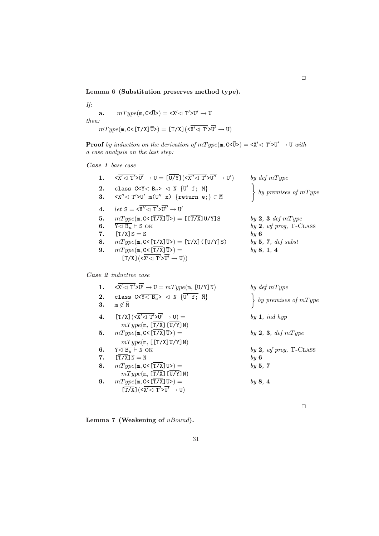Lemma 6 (Substitution preserves method type).

If:  $\textbf{a.} \qquad mType(\texttt{m}, \texttt{C}<\!\!\overline{\texttt{U}}\!\!>) = \texttt{<}\overline{\texttt{X}'\!\triangleleft\texttt{T}'\texttt{>} \overline{\texttt{U}'}} \rightarrow \texttt{U}$ then:  $mType(\text{m}, \text{C} < [\overline{T/X}]\overline{U} \geqslant) = [\overline{T/X}] \left( \langle \overline{X' \lhd T'} \rangle \overline{U'} \rightarrow U \right)$ 

**Proof** by induction on the derivation of  $mType(\mathbf{m}, \mathbf{C}\leq\overline{\mathbf{U}}) = \langle \overline{\mathbf{X}}' \prec \overline{\mathbf{T}}' \rangle \overline{\mathbf{U}}' \to \mathbf{U}$  with a case analysis on the last step:

Case 1 base case

| 1.       | $\overline{<\!\overline{X}'\!\triangleleft\,T'\!\!>\!\overline{U}'\to U} = \hbox{\small$\overline{[U/Y]}$} (\overline{<\!\overline{X}''\!\!>\!\overline{1}'\!\!>\!\overline{U}''\to U')$}$ | by $def mType$                                    |
|----------|--------------------------------------------------------------------------------------------------------------------------------------------------------------------------------------------|---------------------------------------------------|
| 2.<br>3. | class $C < \overline{Y \lhd B_u} > \lhd N$ {U' f; $\overline{M}$ }<br>$\langle x'' \langle T' \rangle U'$ m( $\overline{U'' \times}$ ) {return e; } $\in \overline{M}$                     | $\Big\}$ by premises of mType                     |
| 4.       | <i>let</i> $S = \langle X'' \langle T' \rangle \overline{U''} \rightarrow U'$                                                                                                              |                                                   |
| 5.       | $mType(\text{m}, \text{C} \leq [\overline{T/X}]\overline{U}) = [[\overline{T/X}]U/Y]S$                                                                                                     | by 2, 3 def mType                                 |
| 6.<br>7. | $\overline{Y\lhd B_u}$ $\vdash$ S OK<br>$[T/X]$ $S = S$                                                                                                                                    | by $2$ , wf prog, T-CLASS<br>$\boldsymbol{b}$ u 6 |
| 8.       | $mType(\text{m}, \text{C} < [\overline{T/X}]\overline{U}) = [\overline{T/X}] (\overline{U/Y}]S)$                                                                                           | by $5, 7, def$ subst                              |
| 9.       | $mType(m, C < [\overline{T/X}] \overline{U}$ ) =<br>$\left[\overline{T/X}\right](\langle\overline{X'\triangleleft T'}\rangle\overline{U'}\to U))$                                          | by 8, 1, 4                                        |
|          |                                                                                                                                                                                            |                                                   |

Case 2 inductive case

| 1. | $\langle X' \langle T' \rangle U' \to U = mType(\mathfrak{m}, \overline{[U/Y]} N)$                                                             | by $def mType$            |
|----|------------------------------------------------------------------------------------------------------------------------------------------------|---------------------------|
| 2. | class $C<\overline{Y\lhd B_u} > \lhd N$ $\{U' \text{ f}; \overline{M}\}$                                                                       | by premises of $mType$    |
| 3. | $m \not\in \overline{M}$                                                                                                                       |                           |
| 4. | $\left[\overline{\mathrm{T/X}}\right](\overline{\mathrm{x}'}\triangleleft \overline{\mathrm{T'}}\overline{\mathrm{y}'}\rightarrow\mathrm{U})=$ | by 1, ind hyp             |
|    | $mType(m, [\overline{T/X}] [\overline{U}/Y] N)$                                                                                                |                           |
| 5. | $mType(m, C\leq [T/X]\overline{U}) =$                                                                                                          | by 2, 3, def $mType$      |
|    | mType(m, [T/X]U/Y]N)                                                                                                                           |                           |
| 6. | $\overline{Y} \triangleleft B_n \vdash N$ OK                                                                                                   | by $2$ , wf prog, T-CLASS |
| 7. | $[T/X]$ $N = N$                                                                                                                                | $\boldsymbol{b}$ u 6      |
| 8. | $mType(m, C < [T/X]\overline{U}$ ) =                                                                                                           | by 5, 7                   |
|    | mType(m, [T/X] [U/Y] N)                                                                                                                        |                           |
| 9. | $mType(m, C\leq [T/X]\overline{U}) =$                                                                                                          | by $8, 4$                 |
|    | $\left[\overline{T/X}\right](\langle\overline{X'\triangleleft T'}\rangle\overline{U'}\to U)$                                                   |                           |
|    |                                                                                                                                                |                           |

Lemma 7 (Weakening of uBound).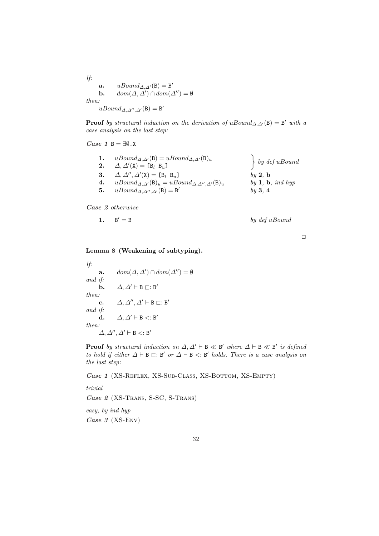If: a.  $uBound_{\Delta, \Delta'}(\mathsf{B}) = \mathsf{B}'$ **b.**  $dom(\Delta, \Delta') \cap dom(\Delta'') = \emptyset$ then:  $uBound_{\Delta,\Delta'',\Delta'}(\mathsf{B}) = \mathsf{B}'$ 

**Proof** by structural induction on the derivation of uBound<sub> $\Delta, \Delta'$ </sub> $(B) = B'$  with a case analysis on the last step:

Case 1 B = 
$$
\exists \emptyset
$$
. X

| $uBound_{\Delta,\Delta'}(\mathsf{B}) = uBound_{\Delta,\Delta'}(\mathsf{B})_u$<br>2. $\Delta, \Delta'(\mathbf{X}) = [\mathbf{B}_l \ \mathbf{B}_u]$<br><b>3.</b> $\Delta, \Delta'', \Delta'(\mathbf{X}) = [\mathbf{B}_l \; \mathbf{B}_u]$<br>$uBound_{\Delta,\Delta'}(\mathsf{B})_u = uBound_{\Delta,\Delta'',\Delta'}(\mathsf{B})_u$<br>4.<br>$uBound_{\Delta,\Delta'',\Delta'}(\mathsf{B})=\mathsf{B}'$<br>5. | $\Big\}$ by def uBound<br>$\mathbf{b}\mathbf{u}$ 2. $\mathbf{b}$<br>by 1, b, ind hyp<br>by 3, 4 |
|---------------------------------------------------------------------------------------------------------------------------------------------------------------------------------------------------------------------------------------------------------------------------------------------------------------------------------------------------------------------------------------------------------------|-------------------------------------------------------------------------------------------------|
|---------------------------------------------------------------------------------------------------------------------------------------------------------------------------------------------------------------------------------------------------------------------------------------------------------------------------------------------------------------------------------------------------------------|-------------------------------------------------------------------------------------------------|

Case 2 otherwise

1. 
$$
B' = B
$$
 by *def* uBound

 $\Box$ 

### Lemma 8 (Weakening of subtyping).

If:  
\n**a.** 
$$
dom(\Delta, \Delta') \cap dom(\Delta'') = \emptyset
$$
  
\nand if:  
\n**b.**  $\Delta, \Delta' \vdash B \sqsubset : B'$   
\nthen:  
\n**c.**  $\Delta, \Delta'', \Delta' \vdash B \sqsubset : B'$   
\nand if:  
\n**d.**  $\Delta, \Delta' \vdash B \lt : B'$   
\nthen:  
\n $\Delta, \Delta'', \Delta' \vdash B \lt : B'$ 

**Proof** by structural induction on  $\Delta, \Delta' \vdash B \ll B'$  where  $\Delta \vdash B \ll B'$  is defined to hold if either  $\Delta \vdash B \sqsubset : B'$  or  $\Delta \vdash B \prec : B'$  holds. There is a case analysis on the last step:

Case 1 (XS-Reflex, XS-Sub-Class, XS-Bottom, XS-Empty)

trivial

Case 2 (XS-Trans, S-SC, S-Trans)

easy, by ind hyp Case 3 (XS-Env)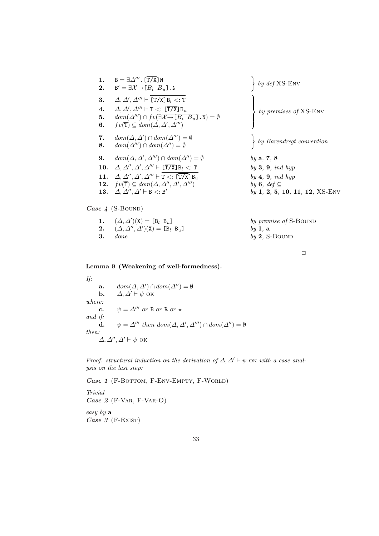1. 
$$
B = \exists \Delta''' \cdot [\overline{T/X}]N
$$
  
\n2.  $B' = \exists \overline{X \rightarrow [B_l B_u]}.N$   
\n3.  $\Delta, \Delta', \Delta''' \vdash \overline{T/X}]B_l \leq :T$   
\n4.  $\Delta, \Delta', \Delta''' \vdash T \leq : [\overline{T/X}]B_u$   
\n5.  $dom(\Delta''') \cap fv(\exists \overline{X \rightarrow [B_l B_u]}.N) = \emptyset$   
\n6.  $fv(\overline{T}) \subseteq dom(\Delta, \Delta', \Delta''')$   
\n7.  $dom(\Delta, \Delta') \cap dom(\Delta''') = \emptyset$   
\n8.  $dom(\Delta''') \cap dom(\Delta'') = \emptyset$   
\n9.  $dom(\Delta, \Delta', \Delta''') \cap dom(\Delta'') = \emptyset$   
\n10.  $\Delta, \Delta'', \Delta', \Delta''' \vdash [\overline{T/X}]B_l \leq :T$   
\n11.  $\Delta, \Delta'', \Delta', \Delta''' \vdash [\overline{T/X}]B_u$   
\n12.  $fv(\overline{T}) \subseteq dom(\Delta, \Delta'', \Delta', \Delta''')$   
\n13.  $\Delta, \Delta'', \Delta' \vdash B \leq :B'$   
\n14.  $\Delta, \Delta'', \Delta, \Delta'' \vdash T \leq : [\overline{T/X}]B_u$   
\n15.  $\Delta, \Delta'', \Delta' \vdash B \leq :B'$   
\n16.  $\Delta, \Delta'', \Delta' \vdash B \leq :B'$   
\n17.  $\Delta, \Delta'', \Delta' \vdash B \leq :T$   
\n18.  $\Delta, \Delta'', \Delta' \vdash B \leq :B'$   
\n19.  $\Delta, \Delta, \Delta'', \Delta' \vdash B \leq :B'$   
\n10.  $\Delta, \Delta'', \Delta' \vdash B \leq :B'$   
\n11.  $\Delta, \Delta'', \Delta' \vdash B \leq :B'$   
\n12.  $fv(\overline{T}) \subseteq dom(\Delta, \Delta'', \Delta'', \Delta''')$   
\n13.  $\Delta, \Delta, \Delta'', \Delta' \vdash B \leq :B'$   
\n14.  $\Delta, \Delta, \Delta'' \vdash B \leq :B'$   
\n15. 

Case 4 (S-BOUND)

| 1. $(\Delta, \Delta')(\mathbf{X}) = [\mathbf{B}_l \ \mathbf{B}_u]$                  | by premise of S- |
|-------------------------------------------------------------------------------------|------------------|
| <b>2.</b> $(\Delta, \Delta'', \Delta')(\mathbf{X}) = [\mathbf{B}_l \ \mathbf{B}_u]$ | $bv$ 1. a        |
| $3.$ done                                                                           | $by 2$ , S-BOUND |

by premise of  $S$ -Bound  $by$  1, a

 $\Box$ 

# Lemma 9 (Weakening of well-formedness).

If: a.  $dom(\Delta, \Delta') \cap dom(\Delta'') = \emptyset$ **b.**  $\Delta, \Delta' \vdash \psi$  ok where: c.  $\psi = \Delta^{\prime\prime\prime}$  or B or R or  $\star$ and if: **d.**  $\psi = \Delta^{\prime\prime\prime}$  then  $dom(\Delta, \Delta', \Delta^{\prime\prime\prime}) \cap dom(\Delta^{\prime\prime}) = \emptyset$ then:  $\Delta, \Delta'', \Delta' \vdash \psi$  ok

Proof. structural induction on the derivation of  $\Delta$ ,  $\Delta' \vdash \psi$  OK with a case analysis on the last step:

Case 1 (F-BOTTOM, F-ENV-EMPTY, F-WORLD)

Trivial  $Case 2$  (F-VAR, F-VAR-O) easy by a Case 3 (F-EXIST)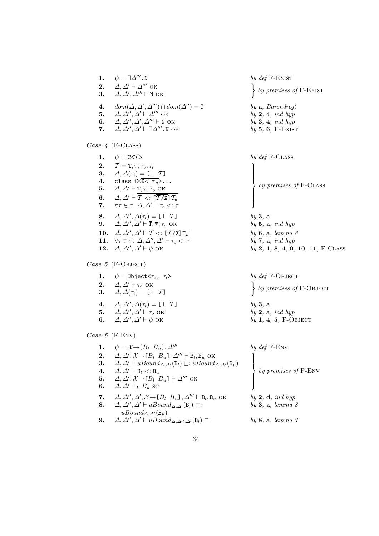| 1.<br>2.<br>3.                             | $\psi = \exists \varDelta'''.$ N<br>$\varDelta,\varDelta'\vdash\varDelta''''$ ok<br>$\Delta, \Delta', \Delta''' \vdash N$ OK                                                                                                                                                                                                                                                                                                                                                                                                                                                                                                                                                                                                                                                                                                                                            | by $def$ F-EXIST<br>by premises of $F$ -EXIST                                                                                                                                                     |
|--------------------------------------------|-------------------------------------------------------------------------------------------------------------------------------------------------------------------------------------------------------------------------------------------------------------------------------------------------------------------------------------------------------------------------------------------------------------------------------------------------------------------------------------------------------------------------------------------------------------------------------------------------------------------------------------------------------------------------------------------------------------------------------------------------------------------------------------------------------------------------------------------------------------------------|---------------------------------------------------------------------------------------------------------------------------------------------------------------------------------------------------|
| $\boldsymbol{4}$ .<br>5.<br>6.<br>7.       | $dom(\Delta, \Delta', \Delta''') \cap dom(\Delta'') = \emptyset$<br>$\Delta, \Delta'', \Delta' \vdash \Delta'''$ OK<br>$\varDelta,\varDelta'',\varDelta',\varDelta''' \vdash \texttt{N}$ ok<br>$\Delta, \Delta'', \Delta' \vdash \exists \Delta'''$ . N OK                                                                                                                                                                                                                                                                                                                                                                                                                                                                                                                                                                                                              | by $a$ , Barendregt<br>by 2, 4, ind hyp<br>by $3, 4, ind \; hyp$<br>$by 5, 6, F-EXIST$                                                                                                            |
|                                            | Case $4$ (F-CLASS)                                                                                                                                                                                                                                                                                                                                                                                                                                                                                                                                                                                                                                                                                                                                                                                                                                                      |                                                                                                                                                                                                   |
| 5.<br>6.<br>8.<br>12.                      | 1. $\psi = C \langle \overline{T} \rangle$<br>2. $\overline{T} = \overline{T}, \overline{\tau}, \tau_o, \tau_t$<br>3. $\Delta, \Delta(\tau_t) = [\bot \ T]$<br>4. class $C < \overline{X} \lhd \tau_u$ ,<br>$\Delta, \Delta' \vdash \overline{T}, \overline{\tau}, \tau_o$ OK<br>$\Delta, \Delta' \vdash \mathcal{T} <: [\overline{\mathcal{T} / X}] \mathcal{T}_u$<br>7. $\forall \tau \in \overline{\tau}$ . $\Delta, \Delta' \vdash \tau_o \lt: \tau$<br>$\Delta, \Delta'', \Delta(\tau_t) = [\bot \ T]$<br>9. $\Delta, \Delta'', \Delta' \vdash \overline{T}, \overline{\tau}, \tau_o$ OK<br>10. $\Delta, \Delta'', \Delta' \vdash \mathcal{T} \lt: \lfloor \overline{\mathcal{T}/X} \rfloor \overline{\mathrm{T}_{w}}$<br>11. $\forall \tau \in \overline{\tau}$ . $\Delta, \Delta'', \Delta' \vdash \tau_o <: \tau$<br>$\Delta, \Delta'', \Delta' \vdash \psi$ OK | by $def$ $F$ -CLASS<br>by premises of $F$ -CLASS<br>by 3, a<br>by 5, $a$ , ind hyp<br>by $6, a, lemma 8$<br>by $7$ , $a$ , ind hyp<br>$by 2, 1, 8, 4, 9, 10, 11, F-CLASS$                         |
|                                            | Case 5 (F-OBJECT)                                                                                                                                                                                                                                                                                                                                                                                                                                                                                                                                                                                                                                                                                                                                                                                                                                                       |                                                                                                                                                                                                   |
|                                            | 1. $\psi = 0$ bject $\langle \tau_o, \tau_t \rangle$<br>2. $\Delta, \Delta' \vdash \tau_o$ OK<br>3. $\Delta, \Delta(\tau_t) = [\bot \ T]$<br>4. $\Delta, \Delta'', \Delta(\tau_t) = [\bot \ T]$<br>5. $\Delta, \Delta'', \Delta' \vdash \tau_o$ OK<br>6. $\Delta, \Delta'', \Delta' \vdash \psi$ OK                                                                                                                                                                                                                                                                                                                                                                                                                                                                                                                                                                     | by def F-OBJECT<br>$\left\{ \begin{array}{c} by \text{ }premises \text{ } of \text{ } F\text{-}\text{OBIECT} \end{array} \right.$<br>by 3, a<br>by $2$ , $a$ , ind hyp<br>by $1, 4, 5, F$ -OBJECT |
| Case 6 (F-ENV)                             |                                                                                                                                                                                                                                                                                                                                                                                                                                                                                                                                                                                                                                                                                                                                                                                                                                                                         |                                                                                                                                                                                                   |
| 1.<br>3.<br>$\boldsymbol{4}$ .<br>5.<br>6. | $\psi = \mathcal{X} \rightarrow [B_l \ B_u], \Delta^{\prime\prime\prime}$<br>2. $\Delta, \Delta', \mathcal{X} \rightarrow [B_l \ B_u], \Delta''' \vdash B_l, B_u \text{ OK}$<br>$\Delta, \Delta' \vdash uBound_{\Delta, \Delta'}(\mathsf{B}_l) \sqsubset: uBound_{\Delta, \Delta'}(\mathsf{B}_u)$<br>$\Delta, \Delta' \vdash B_l < B_u$<br>$\Delta, \Delta', \mathcal{X} \rightarrow [B_l \ B_u] \vdash \Delta'''$ OK<br>$\Delta, \Delta' \vdash_{\mathcal{X}} B_u$ sc                                                                                                                                                                                                                                                                                                                                                                                                  | by $def$ F-ENV<br>by premises of F-ENV                                                                                                                                                            |
| 7.<br>8.                                   | $\Delta, \Delta'', \Delta', \mathcal{X} \rightarrow [B_l \ B_u], \Delta''' \vdash B_l, B_u \text{ OK}$<br>$\Delta, \Delta'', \Delta' \vdash uBound_{\Delta, \Delta'}(B_l) \sqsubset$ :                                                                                                                                                                                                                                                                                                                                                                                                                                                                                                                                                                                                                                                                                  | by $2, d, ind hyp$<br>by $3, a, lemma 8$                                                                                                                                                          |

- 7.  $\Delta, \Delta'', \Delta', \mathcal{X} \rightarrow [B_l \ B_u], \Delta''' \vdash B_l$
- **8.**  $\Delta, \Delta'', \Delta' \vdash uBound_{\Delta, \Delta'}(B_l) \sqsubset:$  by 3, a, lemma 8  $uBound_{\Delta,\Delta'}(\mathsf{B}_u)$
- **9.**  $\Delta, \Delta'', \Delta' \vdash uBound_{\Delta, \Delta'', \Delta'}(B_l) \sqsubset:$  by 8, a, lemma 7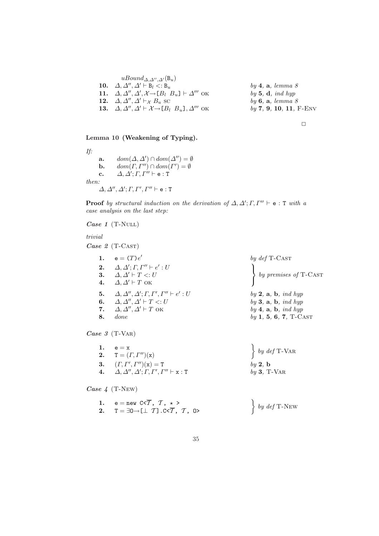| $uBound_{\Delta,\Delta'',\Delta'}(\mathsf{B}_u)$                                            |                                |
|---------------------------------------------------------------------------------------------|--------------------------------|
| 10. $\Delta, \Delta'', \Delta' \vdash B_l \lt: B_u$                                         | $by \, 4, \, a, \, lemma \, 8$ |
| 11. $\Delta, \Delta'', \Delta', \mathcal{X} \rightarrow [B_l \ B_u] \vdash \Delta'''$ OK    | by 5, $d$ , ind hyp            |
| 12. $\Delta, \Delta'', \Delta' \vdash_{\mathcal{X}} B_u$ sc                                 | by $6, a, lemma 8$             |
| 13. $\Delta, \Delta'', \Delta' \vdash \mathcal{X} \rightarrow [B_l \ B_u]$ , $\Delta'''$ OK | $by 7, 9, 10, 11, F-ENV$       |
|                                                                                             |                                |



# Lemma 10 (Weakening of Typing).

If: a.  $dom(\Delta, \Delta') \cap dom(\Delta'') = \emptyset$ **b.**  $dom(\Gamma, \Gamma'') \cap dom(\Gamma') = \emptyset$ c.  $\Delta, \Delta'; \Gamma, \Gamma'' \vdash e : T$ then:  $\varDelta,\varDelta'',\varDelta';\varGamma,\varGamma',\varGamma'' \vdash {\tt e} : {\tt T}$ 

**Proof** by structural induction on the derivation of  $\Delta, \Delta'; \Gamma, \Gamma'' \vdash e : T$  with a case analysis on the last step:

Case  $1$  (T-NULL)

trivial

Case 2 (T-CAST)

|    | $e = (T)e'$                                                             | by $def$ T-CAST                      |
|----|-------------------------------------------------------------------------|--------------------------------------|
|    | 2. $\Delta, \Delta'; \Gamma, \Gamma'' \vdash e' : U$                    |                                      |
|    | 3. $\Delta, \Delta' \vdash T \lt: U$                                    | by premises of $T$ -CAST             |
| 4. | $\Delta, \Delta' \vdash T$ OK                                           |                                      |
|    | 5. $\Delta, \Delta'', \Delta'; \Gamma, \Gamma', \Gamma'' \vdash e' : U$ | $by 2$ , a, b, ind hyp               |
| 6. | $\Delta, \Delta'', \Delta' \vdash T \lt: U$                             | by $3, a, b, ind hyp$                |
| 7. | $\Delta, \Delta'', \Delta' \vdash T$ ok                                 | $by \, 4, \, a, \, b, \, ind \, hyp$ |
| 8. | <i>done</i>                                                             | $by 1, 5, 6, 7, T-CAST$              |
|    |                                                                         |                                      |
|    | $- - 0$ (T U <sub>r</sub> )                                             |                                      |

Case 3 (T-VAR)

| 1. $e = x$<br><b>2.</b> $T = (\Gamma, \Gamma'')({\bf x})$              | $\left\{\begin{array}{c} by\ def\ T\text{-}{\rm{VAR}}\end{array}\right.$ |
|------------------------------------------------------------------------|--------------------------------------------------------------------------|
| 3. $(\Gamma, \Gamma', \Gamma'')(\mathbf{x}) = \mathbf{T}$              | by 2, b                                                                  |
| 4. $\Delta, \Delta'', \Delta'; \Gamma, \Gamma', \Gamma'' \vdash x : T$ | $by 3, T-VAR$                                                            |

4 Case 4 (T-New)

| 1. $e = new C < \overline{T}, T, \star >$                             |                                              |
|-----------------------------------------------------------------------|----------------------------------------------|
| 2. $T = \exists 0 \rightarrow [\bot T]$ .C< $\overline{T}$ , $T$ , O> | $\begin{cases} by \ def \ T-NEW \end{cases}$ |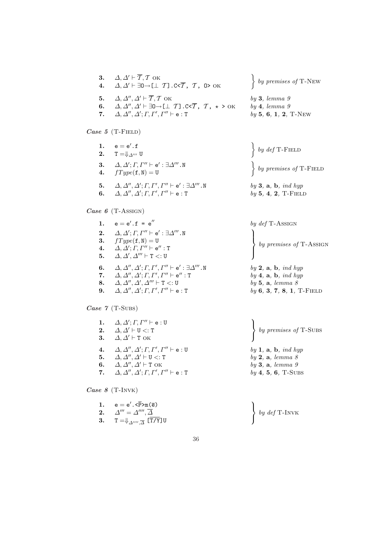| 3. $\Delta, \Delta' \vdash \overline{T}, T$ OK<br>4. $\Delta, \Delta' \vdash \exists 0 \rightarrow [\bot \ T]$ . C< $\overline{T}$ , $T$ , 0> OK                                                                                                       | $\left\{ \begin{array}{c} by \text{ } premises \text{ } of \text{ } T\text{-}New \end{array} \right\}$ |
|--------------------------------------------------------------------------------------------------------------------------------------------------------------------------------------------------------------------------------------------------------|--------------------------------------------------------------------------------------------------------|
| 5. $\Delta, \Delta'', \Delta' \vdash \overline{T}, T$ OK<br>6. $\Delta, \Delta'', \Delta' \vdash \exists 0 \rightarrow [\bot \ T]$ . C< $\overline{T}$ , $T$ , $\star > 0$ K<br>7. $\Delta, \Delta'', \Delta'; \Gamma, \Gamma', \Gamma'' \vdash e : T$ | by 3, lemma 9<br>$by \, 4, \, lemma \, 9$<br>$by 5, 6, 1, 2, T-NEW$                                    |
| Case 5 $(T$ -FIELD)                                                                                                                                                                                                                                    |                                                                                                        |

| 1. $e = e'.f$<br><b>2.</b> $T = \oint_{\Delta'''} U$                                                                                                                           | $\left\{ \begin{array}{c} by\ def \textrm{T-FIELD} \end{array} \right.$                                                         |
|--------------------------------------------------------------------------------------------------------------------------------------------------------------------------------|---------------------------------------------------------------------------------------------------------------------------------|
| 3. $\Delta, \Delta'; \Gamma, \Gamma'' \vdash e' : \exists \Delta''' . \mathbb{N}$<br>4. $fType(\textbf{f}, \text{N}) = \text{U}$                                               | $\left\{ \begin{array}{c} by \text{ } premises \text{ } of \text{ } T\text{-F}\text{ }I\text{ }E\text{-}D \end{array} \right\}$ |
| 5. $\Delta, \Delta'', \Delta'; \Gamma, \Gamma', \Gamma'' \vdash e' : \exists \Delta''' . \mathbb{N}$<br>6. $\Delta, \Delta'', \Delta'; \Gamma, \Gamma', \Gamma'' \vdash$ e : T | $by 3$ , a, b, ind hyp<br>$by 5, 4, 2, T-FIED$                                                                                  |

Case 6 (T-Assign)

|    | 1. $e = e'.f = e''$                                                                     | by $def$ T-ASSIGN                                                                                        |
|----|-----------------------------------------------------------------------------------------|----------------------------------------------------------------------------------------------------------|
| 2. | $\Delta, \Delta'; \Gamma, \Gamma'' \vdash e': \exists \Delta''' . \mathbb{N}$           |                                                                                                          |
|    | 3. $fType(f, N) = U$                                                                    |                                                                                                          |
| 4. | $\Delta, \Delta'; \varGamma, \varGamma'' \vdash \mathsf{e}'' : \mathtt{T}$              | $\left\{ \begin{array}{c} by \text{ } premises \text{ } of \text{ } T\text{-}ASSIGN \end{array} \right.$ |
|    | 5. $\Delta, \Delta', \Delta''' \vdash T \lt: U$                                         |                                                                                                          |
| 6. | $\Delta, \Delta'', \Delta'; \Gamma, \Gamma', \Gamma'' \vdash e': \exists \Delta'''$ . N | $by 2$ , a, b, ind hyp                                                                                   |
|    | 7. $\Delta, \Delta'', \Delta'; \Gamma, \Gamma', \Gamma'' \vdash e'' : T$                | $by \, 4, \, a, \, b, \, ind \, hyp$                                                                     |
| 8. | $\Delta, \Delta'', \Delta', \Delta''' \vdash T <: U$                                    | by 5, a, lemma 8                                                                                         |
| 9. | $\Delta, \Delta'', \Delta'; \Gamma, \Gamma', \Gamma'' \vdash$ e : T                     | $by 6, 3, 7, 8, 1, T\text{-Field}$                                                                       |

Case 7 (T-Subs)

 $3. \hspace{1.5em} \mathsf{T=}\Downarrow_{\varDelta'''',\overline{\varDelta}}\overline{\mathsf{[T/Y]}}$ U

|    | 1. $\Delta, \Delta'; \Gamma, \Gamma'' \vdash e : U$<br>2. $\Delta, \Delta' \vdash U \lt: T$<br>3. $\Delta, \Delta' \vdash T$ OK                                                                                                                            | by premises of T-SUBS                                                                 |
|----|------------------------------------------------------------------------------------------------------------------------------------------------------------------------------------------------------------------------------------------------------------|---------------------------------------------------------------------------------------|
| 4. | $\varDelta,\varDelta'',\varDelta';\varGamma,\varGamma',\varGamma'' \vdash$ e : U<br>5. $\Delta, \Delta'', \Delta' \vdash U \lt: T$<br>6. $\Delta, \Delta'', \Delta' \vdash T$ OK<br>7. $\Delta, \Delta'', \Delta'; \Gamma, \Gamma', \Gamma'' \vdash e : T$ | by $1, a, b, ind hyp$<br>by 2, a, lemma 8<br>by 3, a, lemma 9<br>$by 4, 5, 6, T-SUBS$ |
|    | Case 8 $(T-INVK)$                                                                                                                                                                                                                                          |                                                                                       |
|    | 1. $e = e'.\overline{P} > m(\overline{e})$<br>2. $\Delta''' = \Delta''''$ , $\overline{\Delta}$                                                                                                                                                            | $\frac{1}{2}$ by def T-INVK                                                           |

 $\left\{ \begin{array}{c} by\ def \text{T-INVK} \end{array} \right.$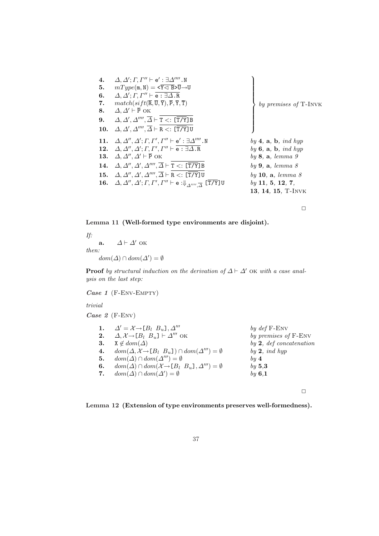| 4.  | $\Delta, \Delta'; \Gamma, \Gamma'' \vdash e' : \exists \Delta'''''. N$                                                     |                                                |
|-----|----------------------------------------------------------------------------------------------------------------------------|------------------------------------------------|
| 5.  | $mType(m, N) = \langle \overline{Y} \triangleleft \overline{B} \rangle \overline{U} \rightarrow U$                         |                                                |
| 6.  | $\Delta, \Delta'; \Gamma, \Gamma'' \vdash \overline{e : \exists \Delta . R}$                                               |                                                |
| 7.  | $match(sift(\overline{R},\overline{U},\overline{Y}),\overline{P},\overline{Y},\overline{T})$                               | by premises of T-INVK                          |
| 8.  | $\Delta, \Delta' \vdash \overline{P}$ OK                                                                                   |                                                |
| 9.  | $\Delta, \Delta', \Delta''''$ , $\overline{\Delta} \vdash T \lt: \Xi$ [T/Y] B                                              |                                                |
| 10. | $\Delta, \Delta', \Delta'''' , \overline{\Delta} \vdash R < : [\overline{T/Y}]$ U                                          |                                                |
| 11. | $\Delta, \Delta'', \Delta'; \Gamma, \Gamma', \Gamma'' \vdash e' : \exists \Delta'''''. N$                                  | by 4, $\mathbf{a}, \mathbf{b}, \text{ind hyp}$ |
| 12. | $\Delta, \Delta'', \Delta'; \Gamma, \Gamma', \Gamma'' \vdash \overline{\mathsf{e} : \exists \Delta . \mathsf{R}}$          | by $6, a, b, ind hyp$                          |
| 13. | $\Delta, \Delta'', \Delta' \vdash \overline{P}$ ok                                                                         | by 8, a, lemma 9                               |
|     | 14. $\Delta, \Delta'', \Delta', \Delta''''', \overline{\Delta} \vdash T \lt: \Xi$ [T/Y] B                                  | by 9, a, lemma 8                               |
|     | 15. $\Delta, \Delta'', \Delta', \Delta''''', \overline{\Delta} \vdash R <: [\overline{T/Y}]$ U                             | by 10, $a,$ lemma $8$                          |
|     | 16. $\Delta, \Delta'', \Delta'; \Gamma, \Gamma', \Gamma'' \vdash$ e : $\Downarrow_{\Delta''''', \overline{\Delta}}$ [T/Y]U | by 11, 5, 12, 7,                               |
|     |                                                                                                                            | 13, 14, 15, T-INVK                             |
|     |                                                                                                                            |                                                |

Lemma 11 (Well-formed type environments are disjoint).

If: a.  $\Delta \vdash \Delta'$  ok then:  $dom(\Delta) \cap dom(\Delta') = \emptyset$ 

**Proof** by structural induction on the derivation of  $\Delta \vdash \Delta'$  OK with a case analysis on the last step:

Case 1 (F-Env-Empty)

trivial

Case 2 (F-Env)

|    | 1. $\Delta' = \mathcal{X} \rightarrow [B_l \ B_u], \Delta'''$                      | by $def$ F-ENV                    |
|----|------------------------------------------------------------------------------------|-----------------------------------|
| 2. | $\Delta, \mathcal{X} \rightarrow [B_1 \ B_u] \vdash \Delta'''$ OK                  | by premises of F-ENV              |
| 3. | $X \notin dom(\Delta)$                                                             | by 2, def concatenation           |
| 4. | $dom(\Delta, \mathcal{X} \rightarrow [B_l \ B_u]) \cap dom(\Delta''') = \emptyset$ | by $2$ , ind hyp                  |
| 5. | $dom(\Delta) \cap dom(\Delta^{\prime\prime\prime}) = \emptyset$                    | $\boldsymbol{b} \boldsymbol{u}$ 4 |
| 6. | $dom(\Delta) \cap dom(\mathcal{X} \rightarrow [B_l \ B_u], \Delta''') = \emptyset$ | by 5.3                            |
| 7. | $dom(\Delta) \cap dom(\Delta') = \emptyset$                                        | by $6,1$                          |
|    |                                                                                    |                                   |

 $\Box$ 

Lemma 12 (Extension of type environments preserves well-formedness).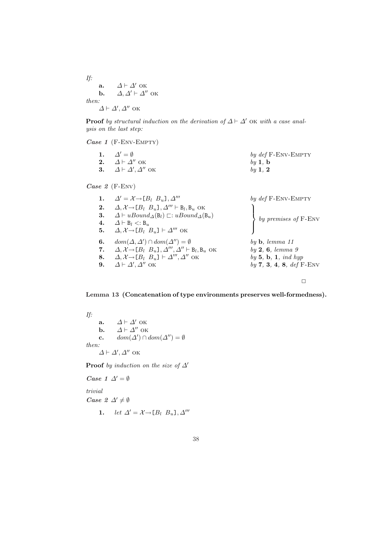If: a.  $\Delta \vdash \Delta'$  ok **b.**  $\Delta, \Delta' \vdash \Delta''$  ok then:  $\Delta \vdash \Delta', \Delta''$  ok

**Proof** by structural induction on the derivation of  $\Delta \vdash \Delta'$  OK with a case analysis on the last step:

Case 1 (F-Env-Empty)

| 1. $\Delta' = \emptyset$                | by $def$ F-ENV-EMPTY |
|-----------------------------------------|----------------------|
| 2. $\Delta \vdash \Delta''$ OK          | $bv$ 1, b            |
| 3. $\Delta \vdash \Delta', \Delta''$ OK | by $1, 2$            |

Case 2 (F-ENV)

|    | 1. $\Delta' = \mathcal{X} \rightarrow [B_l \ B_u], \Delta'''$                                 | by $def$ F-ENV-EMPTY            |
|----|-----------------------------------------------------------------------------------------------|---------------------------------|
| 2. | $\Delta, \mathcal{X} \rightarrow [B_l \ B_u], \Delta''' \vdash B_l, B_u \text{ OK}$           |                                 |
| 3. | $\Delta \vdash uBound_{\Delta}(\mathbf{B}_l) \sqsubset: uBound_{\Delta}(\mathbf{B}_u)$        | by premises of F-ENV            |
| 4. | $\Delta \vdash B_l \lt: B_u$                                                                  |                                 |
|    | 5. $\Delta, \mathcal{X} \rightarrow [B_l \ B_u] \vdash \Delta'''$ OK                          |                                 |
| 6. | $dom(\Delta, \Delta') \cap dom(\Delta'') = \emptyset$                                         | $by \mathbf{b}, \; lemma \; 11$ |
| 7. | $\Delta, \mathcal{X} \rightarrow [B_l \ B_u], \Delta''', \Delta'' \vdash B_l, B_u \text{ OK}$ | by 2, 6, lemma 9                |
| 8. | $\Delta, \mathcal{X} \rightarrow [B_l \ B_u] \vdash \Delta''', \Delta''$ OK                   | by $5, b, 1, ind hyp$           |
| 9. | $\Delta \vdash \Delta', \Delta''$ ok                                                          | by $7, 3, 4, 8, def F-env$      |
|    |                                                                                               |                                 |

 $\Box$ 

### Lemma 13 (Concatenation of type environments preserves well-formedness).

If: a.  $\Delta \vdash \Delta'$  ok **b.**  $\Delta \vdash \Delta''$  ok c.  $dom(\Delta') \cap dom(\Delta'') = \emptyset$ then:  $\Delta \vdash \Delta', \Delta''$  ok

**Proof** by induction on the size of  $\Delta'$ 

Case 1  $\Delta' = \emptyset$ trivial Case  $2 \Delta' \neq \emptyset$ 1. let  $\Delta' = \mathcal{X} \rightarrow [B_l \ B_u], \Delta'''$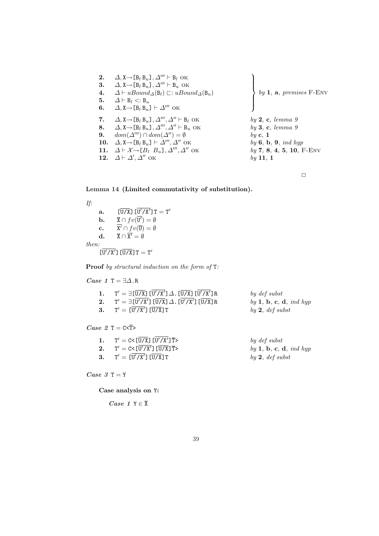| 2.  | $\Delta$ , $X \rightarrow [B_l B_u]$ , $\Delta''' \vdash B_l$ OK                                            |                            |
|-----|-------------------------------------------------------------------------------------------------------------|----------------------------|
| 3.  | $\Delta$ , $X \rightarrow [B_l B_u]$ , $\Delta''' \vdash B_u$ OK                                            |                            |
| 4.  | $\Delta \vdash uBound_{\Delta}(\mathsf{B}_{l}) \sqsubset: uBound_{\Delta}(\mathsf{B}_{u})$                  | by 1, a, premises $F$ -ENV |
| 5.  | $\Delta \vdash B_l \lt: B_u$                                                                                |                            |
| 6.  | $\Delta$ , $X \rightarrow [B_l B_u] \vdash \Delta'''$ OK                                                    |                            |
| 7.  | $\Delta$ , $X \rightarrow [B_l B_u]$ , $\Delta''', \Delta'' \vdash B_l$ OK                                  | by 2, c, lemma 9           |
| 8.  | $\Delta$ , X $\rightarrow$ [B <sub>l</sub> B <sub>u</sub> ], $\Delta''', \Delta'' \vdash$ B <sub>u</sub> OK | by 3, c, lemma 9           |
| 9.  | $dom(\Delta^{\prime\prime\prime}) \cap dom(\Delta^{\prime\prime}) = \emptyset$                              | $by$ c, 1                  |
| 10. | $\Delta$ , $X \rightarrow [B_l B_u] \vdash \Delta''', \Delta''$ OK                                          | by $6, b, 9, ind hyp$      |
| 11. | $\Delta \vdash \mathcal{X} \rightarrow [B_1 \ B_u], \Delta''' , \Delta''$ OK                                | $by 7, 8, 4, 5, 10, F-env$ |
|     | 12. $\Delta \vdash \Delta', \Delta''$ OK                                                                    | $by$ 11, 1                 |
|     |                                                                                                             |                            |

#### Lemma 14 (Limited commutativity of substitution).

If: a.  $\left[\overline{U/X}\right]\left[\overline{U'/X'}\right]T=T'$ **b.**  $\overline{X} \cap fv(\overline{U'}) = \emptyset$  $c.$  $\overline{Q} \cap fv(\overline{U}) = \emptyset$  $\mathbf{d.} \qquad \overline{\mathbf{X}} \cap \overline{\mathbf{X}'} = \emptyset$ then:  $\overline{U'/X'}$ ]  $\overline{U/X}$ ]  $T = T'$ 

Proof by structural induction on the form of T:

 $Case~1~\texttt{T} = \exists \Delta \ldotp \texttt{R}$ 1.  $\mathcal{O}' = \exists \, [ \overline{\text{U/X}} \,] \, [ \overline{\text{U/X'}} \,] \, \varDelta$  . [ $\overline{\text{U/X}} \,]$  [ $\overline{\text{U}}$ by  $def$  subst  $2.$  $\theta' = \exists \, \overline{[ {\tt U}' / {\tt X}' ]} \, \overline{[ {\tt U} / {\tt X} }] \, \varDelta$  .  $\overline{[ {\tt U} ]}$  $by$  1, b, c, d, ind hyp Case 2  $T = C \leq T$  $3.$  $T' = [\overline{U'/X'}] [\overline{U/X}]T$ by  $2, def$  subst 1. T

| 1. $T' = C < \overline{U/X}$ $\overline{U'/X'/X'/T}$  | by def subst           |
|-------------------------------------------------------|------------------------|
| 2. $T' = C < [U'/X'] [\overline{U/X}] \overline{T} >$ | by 1, b, c, d, ind hyp |
| 3. $T' = [U'/X'] [U/X]T$                              | by 2, def subst        |

 $Case 3 T = Y$ 

Case analysis on Y:

Case 1  $Y \in \overline{X}$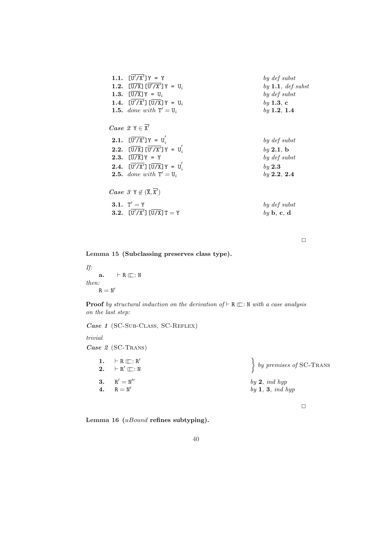| 1.1. $[U'/X']Y = Y$<br>1.2. $[\overline{U/X}] [\overline{U'/X'}]Y = U_i$<br>1.3. $[U/X]Y = U_i$<br>1.4. $[U'/X'] [\overline{U/X}]Y = U_i$<br><b>1.5.</b> done with $T' = U_i$                  | by def subst<br>by $1.1, def$ subst<br>by def subst<br>by 1.3, c<br>by $1.2, 1.4$ |
|------------------------------------------------------------------------------------------------------------------------------------------------------------------------------------------------|-----------------------------------------------------------------------------------|
| <i>Case</i> $2 Y \in \overline{X'}$<br><b>2.1.</b> $[\overline{U'/X'}]Y = U'_i$<br><b>2.2.</b> $[\overline{U/X}] [\overline{U'/X'}]Y = U'_i$<br><b>2.3.</b> $[\overline{U/X}]Y = Y$            | by def subst<br>by 2.1, b<br>by def subst                                         |
| <b>2.4.</b> $[\overline{U'/X'}] [\overline{U/X}]Y = U'_i$<br><b>2.5.</b> done with $T' = U_i$<br><i>Case</i> $3 \text{ Y} \notin (\overline{\text{X}}, \overline{\text{X'}})$<br>3.1. $T' = Y$ | by 2.3<br>by 2.2, 2.4<br>by def subst                                             |
| <b>3.2.</b> $[U'/X']$ $[U/X]$ $T = Y$                                                                                                                                                          | $by \mathbf{b}, \mathbf{c}, \mathbf{d}$                                           |

Lemma 15 (Subclassing preserves class type).

If: a.  $\vdash R \sqsubseteq : N$ then:  $\mathtt{R}=\mathtt{N}'$ 

**Proof** by structural induction on the derivation of  $\vdash R \sqsubseteq : N$  with a case analysis on the last step:

Case 1 (SC-SUB-CLASS, SC-REFLEX)

trivial

Case 2 (SC-TRANS)

| 1. $\vdash R \sqsubseteq : R'$<br>2. $\vdash R' \sqsubset : N$ | $\left\{ \begin{array}{c} by \text{ } premises \text{ } of \text{ } \text{SC-Trans} \end{array} \right\}$ |
|----------------------------------------------------------------|-----------------------------------------------------------------------------------------------------------|
| 3. $R' = N''$<br>4. $R = N'$                                   | by $2$ , ind hyp<br>by $1, 3, ind$ hyp                                                                    |

 $\Box$ 

Lemma 16 (*uBound* refines subtyping).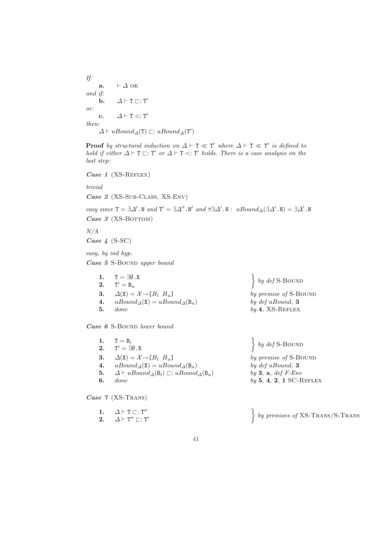If: a.  $\vdash \Delta$  OK and if: **b.**  $\Delta \vdash T \sqsubset : T'$ or: c.  $\Delta \vdash T \lt: T'$ then:  $\Delta \vdash uBound_{\Delta}(\mathbf{T}) \sqsubset : uBound_{\Delta}(\mathbf{T}')$ 

**Proof** by structural induction on  $\Delta \vdash T \ll T'$  where  $\Delta \vdash T \ll T'$  is defined to hold if either  $\Delta \vdash T \sqsubset : T'$  or  $\Delta \vdash T \prec : T'$  holds. There is a case analysis on the last step:

Case 1 
$$
(XS\text{-}REFLEX)
$$

trivial

Case 2 (XS-SUB-CLASS, XS-ENV)

easy since  $T = \exists \Delta'$ . N and  $T' = \exists \Delta''$ . N' and  $\forall \exists \Delta'$ . N:  $uBound_{\Delta}(\exists \Delta'$ . N) =  $\exists \Delta'$ . N Case  $3$  (XS-BOTTOM)

N/A

Case 4 (S-SC)

easy, by ind hyp.

Case 5 S-Bound upper bound

|    | 1. $T = \exists \emptyset$ .X                                    | $\left\{\begin{array}{c} by\ def S-BOUND\end{array}\right\}$ |
|----|------------------------------------------------------------------|--------------------------------------------------------------|
|    | <b>2.</b> $T' = B_u$                                             |                                                              |
|    | 3. $\Delta(\mathbf{X}) = \mathcal{X} \rightarrow [B_l \ B_u]$    | by premise of S-BOUND                                        |
|    | 4. $uBound_{\Delta}(\mathbf{X}) = uBound_{\Delta}(\mathbf{B}_u)$ | by $def uBound, 3$                                           |
| 5. | done                                                             | $by 4$ , XS-REFLEX                                           |
|    |                                                                  |                                                              |

Case 6 S-BOUND lower bound

1.  $\Delta \vdash T \sqsubset : T''$ 2.  $\Delta \vdash T'' \sqsubset : T'$ 

| 1.                  | $T = B_l$<br>2. $T' = \exists \emptyset$ .X                                                                                                                                                                                      | $\left\{ \begin{array}{c} by\ def S-{\rm BOUND}\end{array}\right.$                                        |
|---------------------|----------------------------------------------------------------------------------------------------------------------------------------------------------------------------------------------------------------------------------|-----------------------------------------------------------------------------------------------------------|
| 4.<br>5.<br>6.      | 3. $\Delta(\mathbf{X}) = \mathcal{X} \rightarrow [B_l \ B_u]$<br>$uBound_{\Delta}(\mathbf{X}) = uBound_{\Delta}(\mathbf{B}_u)$<br>$\Delta \vdash uBound_{\Delta}(\mathsf{B}_l) \sqsubset: uBound_{\Delta}(\mathsf{B}_u)$<br>done | by premise of S-BOUND<br>by $def uBound, 3$<br>by $3$ , $a, def$ $F$ - $Env$<br>$by 5, 4, 2, 1 SC-REFLEX$ |
| Case $7$ (XS-TRANS) |                                                                                                                                                                                                                                  |                                                                                                           |

 $\ddot{\phantom{0}}$  $\left\{ \begin{array}{c} by \text{ premises of } \text{XS-Trans/S-Trans} \end{array} \right\}$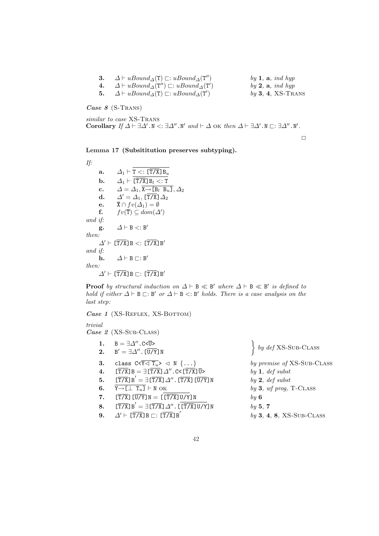| $\Delta \vdash uBound_{\Delta}(\mathbf{T}) \sqsubset: uBound_{\Delta}(\mathbf{T}'')$   | by $1$ , $a$ , ind hyp |
|----------------------------------------------------------------------------------------|------------------------|
| 4. $\Delta \vdash uBound_{\Delta}(T'') \sqsubset: uBound_{\Delta}(T')$                 | by $2$ , $a$ , ind hyp |
| 5. $\Delta \vdash uBound_{\Delta}(\mathbf{T}) \sqsubset: uBound_{\Delta}(\mathbf{T}')$ | $by 3, 4, XS-Trans$    |

Case 8 (S-TRANS)

similar to case XS-TRANS Corollary If  $\Delta \vdash \exists \Delta'$ .N <:  $\exists \Delta''$ .N' and  $\vdash \Delta$  ok then  $\Delta \vdash \exists \Delta'$ .N  $\sqsubset : \exists \Delta''$ .N'.

 $\Box$ 

Lemma 17 (Subsititution preserves subtyping).

If: a.  $\Delta_1 \vdash \mathtt{T} <: [\overline{\mathtt{T/X}}] \mathtt{B}_u$ **b.**  $\Delta_1 \vdash [\overline{T/X}] B_l < T$ c.  $\Delta = \Delta_1, \overline{X \rightarrow [B_l \ B_u]}, \Delta_2$ d.  $\Delta' = \Delta_1$ ,  $[\overline{T/X}] \Delta_2$ e.  $\overline{\mathbf{X}} \cap f v(\Delta_1) = \emptyset$ f.  $fv(\overline{T}) \subseteq dom(\Delta')$ and if: g.  $\Delta \vdash B \lt: B'$ then:  $\Delta$ '  $\vdash$  [T/X]B <: [T/X]B' and if: h.  $\Delta \vdash B \sqsubset : B'$ then:  $\Delta$ '  $\vdash$  [T/X]B  $\sqsubset$ : [T/X]B'

**Proof** by structural induction on  $\Delta \vdash B \ll B'$  where  $\Delta \vdash B \ll B'$  is defined to hold if either  $\Delta \vdash B \sqsubset : B'$  or  $\Delta \vdash B \prec : B'$  holds. There is a case analysis on the last step:

Case 1 (XS-REFLEX, XS-BOTTOM)

## trivial

Case 2 (XS-Sub-CLASS)

1. B =  $\exists \Delta''$ .C< $\overline{U}$ >  $2.$  $B' = \exists \Delta''$ . [ $\overline{U/Y}$ ] N  $\left\{ \begin{array}{c} by\ def$  XS-Sub-CLASS 3. class  $C \times \overline{Y \triangleleft T_u} > \triangleleft N \{ \dots \}$  by premise of XS-Sub-CLASS 4.  $[\overline{T/X}]B = \exists [\overline{T/X}] \Delta''$ . C< $[\overline{T/X}] \overline{U}$ > by 1, def subst **5.**  $[\overline{T/X}]B' = \exists [\overline{T/X}]\Delta''$ .  $[\overline{T/X}]\overline{[U/Y]}N$  by 2, def subst 6.  $\overline{Y \rightarrow \Box \bot T_u J} \vdash N$  OK by 3, wf prog, T-CLASS 7.  $[T/X][\overline{U/Y}]N = [\overline{[T/X]}U/Y]N$  by 6 **8.**  $[\overline{T/X}]B' = \exists [\overline{T/X}]\Delta''$ .  $[\overline{[\overline{T/X}]\mathsf{U/Y}}]N$  by 5, 7 9.  $\Delta' \vdash [\overline{T/X}] \, B \sqsubset : [\overline{T/X}] \, B'$  $by 3, 4, 8, XS-SUB-CLASS$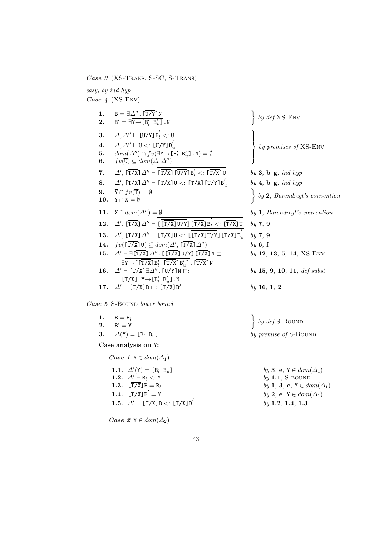Case 3 (XS-Trans, S-SC, S-Trans)

easy, by ind hyp Case 4 (XS-Env) 1.  $B = \exists \Delta'' . [ \overline{U/Y} ] N$  $2.$  $\boldsymbol{\beta}' = \exists \overline{\boldsymbol{\mathrm{Y}}{\rightarrow}\boldsymbol{\mathrm{[B'_l\; B'_u}}}$  $\left\{\frac{N}{u}\right\}$ . N by def XS-Env 3.  $\Delta, \Delta'' \vdash \overline{[U/Y]} B_i' <: U$  $4. \hspace{0.5cm} \Delta, \Delta'' \vdash \overline{\mathtt{U} <: [\overline{\mathtt{U} / \mathtt{Y}} ] \mathtt{B}_u'}$ 5.  $dom(\Delta'') \cap fv(\exists Y \rightarrow [B'_l \ B'_u]$ .N) = Ø 6.  $fv(\overline{\mathbf{U}}) \subseteq dom(\Delta, \Delta'')$  $\tilde{\mathcal{L}}$  $\vert$  $\left\lceil \right\rceil$ by premises of XS-Env 7.  $\Delta'$ ,  $[\overline{T/X}] \Delta'' \vdash \overline{[\overline{T/X}]\,[\overline{U/Y}]\,B'_l}$ by 3,  $\mathbf{b}-\mathbf{g}$ , ind hyp  $8. \qquad \Delta',\, [\overline{ \texttt{T} / \texttt{X} }]\, \varDelta'' \vdash \, \overline{ [ \overline{ \texttt{T} / \texttt{X} } ] \, \texttt{U} <: \, [\overline{ \texttt{T} / \texttt{X} } ] \, [\overline{ \texttt{U} / \texttt{Y} } ] \, \texttt{B}_u' }$ by  $4, b-g$ , ind hyp 9.  $\overline{Y} \cap fv(\overline{T}) = \emptyset$ 10.  $\overline{Y} \cap \overline{X} = \emptyset$ by 2, Barendregt's convention 11.  $\overline{X} \cap dom(\Delta'') = \emptyset$  by 1, Barendregt's convention 12.  $\Delta'$ ,  $[\overline{T/X}] \Delta'' \vdash \overline{[\overline{[\overline{T/X}]\overline{U/Y}]} \, [\overline{T/X}] \, B'_l \lt: : \overline{[\overline{T/X}]\overline{U}} \quad by \, 7, 9$ 13.  $\Delta'$ ,  $[\overline{T/X}] \Delta'' \vdash \overline{[\overline{T/X}]\cup <: [\overline{[\overline{T/X}]\cup Y}]\ [\overline{T/X}] \, B_s'}$ u by 7, 9 **14.**  $fv([\overline{T/X}] \cup \subseteq dom(\Delta', [\overline{T/X}] \Delta'')$  by 6, f 15.  $\Delta' \vdash \exists [\overline{T/X}] \Delta''$ . [[ $\overline{T/X}$ ]U/Y][ $\overline{T/X}$ ]N  $\sqsubset$ : by 12, 13, 5, 14, XS-ENV  $\exists Y \rightarrow \left[\right. [\overline{T/X}] B'_{l} \left.\right. [\overline{T/X}] B'_{u} \right]. [\overline{T/X}] N$ **16.**  $\Delta'$   $\vdash$   $[\overline{T/X}]$   $\exists \Delta''$ .  $[\overline{U/Y}]$  N  $\sqsubset$ : *by* **15**, **9**, **10**, **11**, *def subst*  $\overline{\Gamma/X}$ ]  $\exists \overline{Y} \rightarrow \overline{[B'_l \ B'_u]}$ . N 17.  $\Delta' \vdash [\overline{T/X}] B \sqsubset : [\overline{T/X}] B'$ by 16, 1, 2

Case 5 S-BOUND lower bound

| 1. | $B = B_i$                    |
|----|------------------------------|
| 2. | $B' = Y$                     |
|    | 3. $\Delta(Y) = [B_l \ B_u]$ |
|    | Case analysis on Y:          |

Case 1 Y ∈  $dom(\Delta_1)$ 1.1.  $\Delta'(\Upsilon) = [B_l \ B_u]$ 1.2.  $\Delta' \vdash B_l <: Y$  by 1.1, S-BOUND 1.3.  $[\overline{T/X}]B = B_l$  by 1, 3, e, Y ∈ dom( $\Delta_1$ ) 1.4.  $[T/X]B' = Y$ 1.5.  $\Delta' \vdash [\overline{T/X}]B <: [\overline{T/X}]B'$ 

Case 2 Y ∈ dom $(\Delta_2)$ 

 $\ddot{\phantom{0}}$  $\{ by \ def S-BOUND \}$ by premise of S-BOUND

> by 3, e, Y  $\in dom(\Delta_1)$ by 2, e, Y  $\in dom(\Delta_1)$ by 1.2, 1.4, 1.3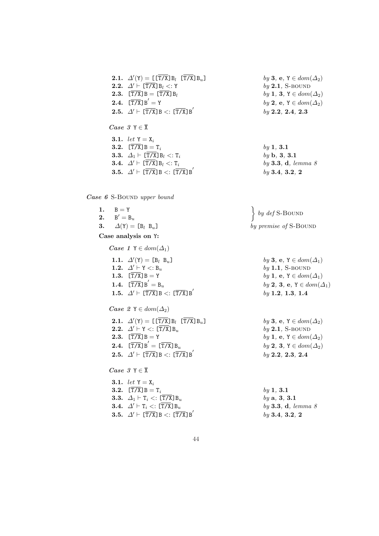**2.1.**  $\Delta'(\mathbf{Y}) = [\mathbf{[T/X]}B_l \quad [\mathbf{[T/X]}B_u]$  by 3, e,  $\mathbf{Y} \in dom(\Delta_2)$ **2.2.**  $\Delta' \vdash [\overline{T/X}]B_l <: Y$ <br> **2.3.**  $[\overline{T/X}]B = [\overline{T/X}]B_l$ <br> *by* **2.1**, S-BOUND<br> *by* **1**, **3**,  $Y \in dom(\Delta_2)$ 2.3.  $[\overline{T/X}]B = [\overline{T/X}]B_l$ 2.4.  $\left[\overline{T/X}\right]B' = Y$ **2.5.**  $\Delta' \vdash [\overline{T/X}]B < : [\overline{T/X}]B'$ 

Case 3 Y  $\in \overline{X}$ 

3.1. let  $Y = X_i$ 3.2.  $[\overline{T/X}]B = T_i$ **3.3.**  $\Delta_1 \vdash [\overline{T/X}] B_l <: T_i$ 3.4.  $\Delta' \vdash [\overline{T/X}] B_l <: T_i$ **3.5.**  $\Delta' \vdash [\overline{T/X}]B \leq : [\overline{T/X}]B'$ 

Case 6 S-Bound upper bound

| 1. $B = Y$                                                                | $\left\{ \begin{array}{c} by\ def S-{\rm BOUND}\end{array}\right.$ |
|---------------------------------------------------------------------------|--------------------------------------------------------------------|
| <b>2.</b> $B' = B_u$                                                      |                                                                    |
| 3. $\Delta(Y) = [B_l \ B_u]$                                              | by premise of S-BOUND                                              |
| Case analysis on Y:                                                       |                                                                    |
| <i>Case 1</i> $Y \in dom(\Delta_1)$                                       |                                                                    |
| 1.1. $\Delta'(\Upsilon) = [B_l \ B_u]$                                    | by 3, e, $Y \in dom(\Delta_1)$                                     |
| 1.2. $\Delta' \vdash \Upsilon \lt: \mathsf{B}_u$                          | $by 1.1, S-BOUND$                                                  |
| 1.3. $[T/X]B = Y$                                                         | by 1, e, $Y \in dom(\Delta_1)$                                     |
| 1.4. $[\overline{T/X}]B' = B_u$                                           | by 2, 3, e, $Y \in dom(\angle$                                     |
| 1.5. $\Delta' \vdash [\overline{T/X}]B <: [\overline{T/X}]B'$             | $by$ 1.2, 1.3, 1.4                                                 |
| Case 2 $Y \in dom(\Delta_2)$                                              |                                                                    |
| <b>2.1.</b> $\Delta'(\text{Y}) = [[T/\text{X}]B_l \quad [T/\text{X}]B_u]$ | by 3, e, $Y \in dom(\Delta_2)$                                     |
| 2.2. $\Delta' \vdash Y \leq : [\overline{T/X}] B_u$                       | $by 2.1, S-BOUND$                                                  |
| 2.3. $[\overline{T/X}]B = Y$                                              | by 1, e, $Y \in dom(\Delta_2)$                                     |
| $9.4 \frac{1}{2}$ $\sqrt{\pi / v}$ $\frac{1}{2}$ $\sqrt{\pi / v}$         | $l_{\cdot}$ . O $\Omega$ $V =$ $l_{\cdot}$ $\ldots$ $($ $A$ $)$    |

**2.5.**  $\Delta' \vdash [\overline{T/X}]B < :[\overline{T/X}]B'$ 

 $Case 3 Y \in \overline{X}$ 

3.1. let  $Y = X_i$ **3.2.**  $[\overline{T/X}]B = T_i$  by 1, 3.1 **3.3.**  $\Delta_1 \vdash T_i \leq : [\overline{T/X}] B_u$  by a, 3, 3.1 **3.4.**  $\Delta' \vdash T_i \leq: [\overline{T/X}]B_u$  by 3.3, d, lemma 8 **3.5.**  $\Delta' \vdash [\overline{T/X}]B < :[\overline{T/X}]B'$ 

by 2, e, Y  $\in dom(\Delta_2)$ by 2.2, 2.4, 2.3

$$
\begin{array}{l} by \textbf{ 1, 3.1} \\ by \textbf{ b, 3, 3.1} \\ by \textbf{ 3.3, d, lemma } \textit{8} \\ by \textbf{ 3.4, 3.2, 2} \end{array}
$$

$$
\begin{cases} by \text{ def S-Bound} \\ by \text{ premise of S-Bound} \end{cases}
$$

by 3, e, Y  $\in dom(\Delta_1)$  $by$  1.1, S-BOUND by 1, e,  $Y \in dom(\Delta_1)$ by 2, 3, e,  $Y \in dom(\Delta_1)$ by 1.2, 1.3, 1.4

| $\Delta'(Y) = \begin{bmatrix} [T/X]B_l & [T/X]B_u \end{bmatrix}$                    | by 3, e, $Y \in dom(\Delta_2)$ |
|-------------------------------------------------------------------------------------|--------------------------------|
| $2.2. \Delta' \vdash Y <: [T/X]B_u$                                                 | by 2.1, S-BOUND                |
| $2.3. \begin{bmatrix} T/X \end{bmatrix} B = Y$                                      | by 1, e, $Y \in dom(\Delta_2)$ |
| $2.4. \begin{bmatrix} T/X \end{bmatrix} B' = \begin{bmatrix} T/X \end{bmatrix} B_u$ | by 2, 3, $Y \in dom(\Delta_2)$ |
| $2.5. \Delta' \vdash [\overline{T/X}] B <: [\overline{T/X}] B'$                     | by 2.2, 2.3, 2.4               |

by 3.4, 3.2, 2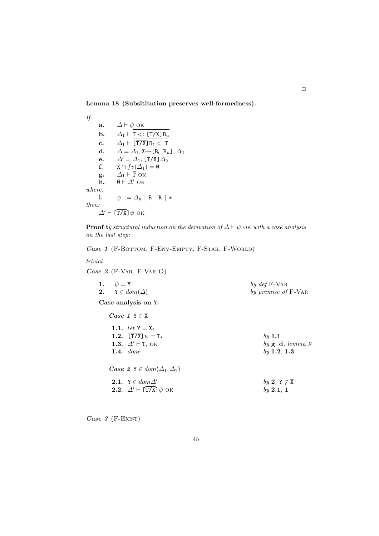Lemma 18 (Subsititution preserves well-formedness).

If: a.  $\Delta \vdash \psi$  ok **b.**  $\Delta_1 \vdash \overline{\mathtt{T} \ltimes: [\overline{\mathtt{T} / \mathtt{X}}] \mathtt{B}_u}$ c.  $\Delta_1 \vdash \overline{\overline{\text{T/X}}} \text{B}_l \lt: \text{T}$ d.  $\Delta = \Delta_1, \overline{X \rightarrow [B_l \ B_u]}, \Delta_2$ e.  $\Delta' = \Delta_1$ ,  $[\overline{T/X}] \Delta_2$ <br>f.  $\overline{X} \cap fv(\Delta_1) = \emptyset$  $\overline{\mathbf{X}} \cap f v(\overline{\Delta}_1) = \emptyset$ g.  $\Delta_1 \vdash \overline{T}$  ok h.  $\emptyset \vdash \Delta'$  ok where: i.  $\psi ::= \Delta_p | B | R | \star$ then:  $\varDelta' \vdash \bar{[\texttt{T/X}]} \, \psi$ ок

**Proof** by structural induction on the derivation of  $\Delta \vdash \psi$  ok with a case analysis on the last step:

Case 1 (F-BOTTOM, F-ENV-EMPTY, F-STAR, F-WORLD)

#### trivial

Case 2 (F-VAR, F-VAR-O)

| 1. $\psi = Y$<br>2. $Y \in dom(\Delta)$                                                           | by def F-VAR<br>by premise of F-VAR                               |
|---------------------------------------------------------------------------------------------------|-------------------------------------------------------------------|
| Case analysis on Y:                                                                               |                                                                   |
| <i>Case 1</i> $Y \in \overline{X}$                                                                |                                                                   |
| 1.1. <i>let</i> $Y = X_i$<br>1.2. $[T/X] \psi = T_i$<br>1.3. $\Delta' \vdash T_i$ OK<br>1.4. done | $by$ 1.1<br>by $\mathbf{g}, \mathbf{d},$ lemma $9$<br>by 1.2, 1.3 |
| Case 2 $Y \in dom(\Delta_1, \Delta_2)$                                                            |                                                                   |
| 2.1. $Y \in dom \Delta'$<br>2.2. $\Delta' \vdash [\overline{T/X}] \psi$ OK                        | by 2, $Y \notin \overline{X}$<br>by 2.1, 1                        |

Case  $3$  (F-EXIST)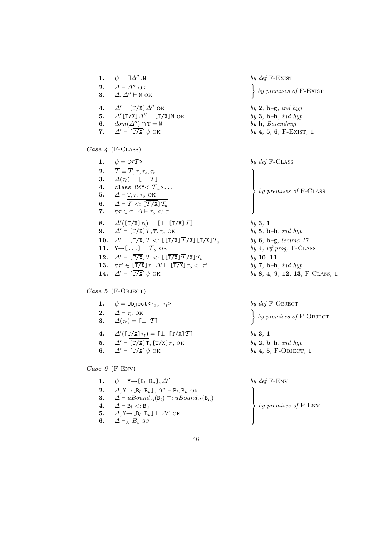1.  $\psi = \exists \Delta''$ .N by def F-Exist 2.  $\Delta \vdash \Delta''$  ok 3.  $\Delta, \Delta'' \vdash N$  OK 4.  $\Delta' \vdash [\overline{T/X}] \Delta''$  OK by 2, b–g, ind hyp 5.  $\Delta'[\overline{T/X}]\Delta'' \vdash [\overline{T/X}]N$  OK by 3, b–h, ind hyp 6.  $dom(\Delta'') \cap \overline{T} = \emptyset$  by h, Barendregt  $\overline{a}$ 7.  $\Delta' \vdash [\overline{T/X}] \psi$  ok by 4, 5, 6, F-Exist, 1 Case  $4$  (F-CLASS) 1.  $\psi = C \langle \overline{T} \rangle$  by def F-CLASS 2.  $\overline{T} = \overline{T}, \overline{\tau}, \tau_o, \tau_t$ 3.  $\Delta(\tau_t) = [\perp T]$ 4. class  $C < \overline{Y \lhd T_u} > ...$ 5.  $\Delta \vdash \overline{T}, \overline{\tau}, \tau_o$  ok 6.  $\Delta \vdash \overline{T} \leq : [\overline{T / \text{X}}] \mathcal{T}_u$ 7.  $\forall \tau \in \overline{\tau}$ .  $\Delta \vdash \tau_o <: \tau$ **8.**  $\Delta'(\overline{[\text{T/X}]} \tau_t) = [\perp \overline{[\text{T/X}]} \mathcal{T}]$  by 3, 1 9.  $\Delta' \vdash [\overline{T/X}] \overline{T}, \overline{\tau}, \tau_o \text{ OK}$  by 5, b–h, ind hyp 10.  $\Delta' \vdash \overline{[\overline{T/X}]\mathcal{T}} \leq [[\overline{T/X}]\overline{\mathcal{T}}/\overline{X}]\overline{[\overline{T/X}]\mathcal{T}_u}$  by 6, b–g, lemma 17 11.  $\overline{Y \rightarrow [\dots]} \vdash \overline{\mathcal{T}_u}$  OK by 4, wf prog, T-CLASS 12.  $\Delta' \vdash \boxed{\overline{T/X} \mathcal{T}} \leq \boxed{\left[\overline{T/X}\right] \overline{\mathcal{T}} / \overline{X} \mathcal{T}_u}$  by 10, 11

13.  $\forall \tau' \in [\overline{T/X}] \overline{\tau}$ .  $\Delta' \vdash [\overline{T/X}] \tau_o <: \tau'$ 

14 Case  $5$  (F-Object)

- 1.  $\psi = 0$ bject< $\tau_o$ ,  $\tau_t$ >
- 2.  $\Delta \vdash \tau_o$  OK
- 3.  $\Delta(\tau_t) = [\perp T]$
- 4.  $\Delta'(\overline{[\text{T/X}]} \tau_t) = [\perp \overline{[\text{T/X}]} \mathcal{T}]$  by 3, 1
- 
- 

Case 6 (F-ENV)

- 1.  $\psi = Y \rightarrow [B_l \ B_u], \Delta^{\prime\prime}$ **2.**  $\Delta, Y \rightarrow [B_l \ B_u], \Delta'' \vdash B_l, B_u \text{ OK}$ 3.  $\Delta \vdash uBound_{\Delta}(\mathsf{B}_l) \sqsubset: uBound_{\Delta}(\mathsf{B}_u)$ 4.  $\Delta \vdash B_l < B_u$ 5.  $\Delta$ , Y  $\rightarrow$  [B<sub>l</sub> B<sub>u</sub>]  $\vdash \Delta''$  OK
- 6.  $\Delta \vdash_{\mathcal{X}} B_u$  sc

by premises of F-EXIST

 $\begin{matrix} \phantom{-} \end{matrix}$  $\Bigg\}$ by premises of F-CLASS

by  $7, b-h, ind hyp$ **14.**  $\Delta' \vdash [\overline{T/X}] \psi$  ok by 8, 4, 9, 12, 13, F-CLASS, 1

$$
by\ \textit{def} \ \text{F-OBIECT} \ \textcolor{red}{}\Biggr\} \ by\ \textit{premises \ of} \ \text{F-OBIECT} \\
$$

5.  $\Delta' \vdash [\overline{T/X}] \, T, [\overline{T/X}] \, \tau_o$  ok by 2, b–h, ind hyp 6.  $\Delta' \vdash [\overline{T/X}] \psi$  ok by 4, 5, F-Object, 1

$$
by\ \textit{def} \ \text{F-env}
$$
\n
$$
by\ \textit{premises}\ \textit{of} \ \text{F-env}
$$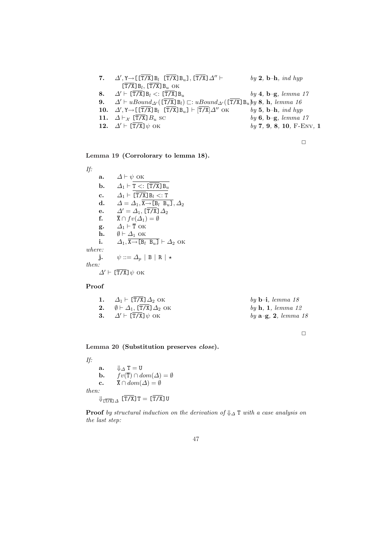| 7. $\Delta'$ , $Y \rightarrow \left[\left[\overline{T/X}\right]B_l \left[\overline{T/X}\right]B_u\right]$ , $\left[\overline{T/X}\right] \Delta''$ $\vdash$ | by 2, b-h, ind hyp                         |
|-------------------------------------------------------------------------------------------------------------------------------------------------------------|--------------------------------------------|
| $\left[\overline{T/X}\right]B_l$ , $\left[\overline{T/X}\right]B_u$ OK                                                                                      |                                            |
| 8. $\Delta' \vdash [\overline{T/X}] B_l <: [\overline{T/X}] B_u$                                                                                            | by 4, $\mathbf{b} - \mathbf{g}$ , lemma 17 |
| <b>9.</b> $\Delta' \vdash uBound_{\Delta'}(\overline{T/X}]B_l) \sqsubset: uBound_{\Delta'}(\overline{T/X}]B_u$ by 8, h, lemma 16                            |                                            |
| 10. $\Delta'$ , $Y \rightarrow [T/X] B_l$ $[T/X] B_u]$ + $[T/X] \Delta''$ OK                                                                                | by 5, b-h, ind hyp                         |
| 11. $\Delta \vdash_{\mathcal{X}} [\mathsf{T/X}] B_u$ sc                                                                                                     | by $6, b-g, lemma 17$                      |
| 12. $\Delta' \vdash [\overline{T/X}] \psi$ OK                                                                                                               | $by 7, 9, 8, 10, F-Env, 1$                 |
|                                                                                                                                                             |                                            |

Lemma 19 (Corrolorary to lemma 18).

If:

a.  $\Delta \vdash \psi$  ok **b.**  $\Delta_1 \vdash \overline{\mathtt{T} \ltimes: [\overline{\mathtt{T} / \mathtt{X}}] \mathtt{B}_u}$ c.  $\Delta_1 \vdash \overline{[\overline{T/X}]\,B_l} \lt;:\overline{T}$ d.  $\Delta = \Delta_1, \overline{\mathbf{x} \rightarrow \mathbf{[B_l \ B_u]}}, \Delta_2$ e.  $\Delta' = \Delta_1$ , [T/X]  $\Delta_2$ f.  $\overline{X} \cap fv(\Delta_1) = \emptyset$ g.  $\Delta_1 \vdash \overline{T}$  ok **h.**  $\emptyset \vdash \Delta_1$  ok i.  $\Delta_1$ ,  $\overline{X} \rightarrow [\overline{B_l} \ \overline{B_u}] \vdash \Delta_2$  ok where: j.  $\psi ::= \Delta_p | B | R | \star$ then:  $\Delta$ '  $\vdash$  [T/X] $\psi$  ok

#### Proof

| 1. $\Delta_1 \vdash [\overline{T/X}] \Delta_2$ OK    | by $\mathbf{b}$ -i, lemma 18               |
|------------------------------------------------------|--------------------------------------------|
| 2. $\emptyset \vdash \Delta_1$ , [T/X] $\Delta_2$ OK | by $\mathbf{h}, \mathbf{1}, \,$ lemma 12   |
| 3. $\Delta' \vdash [T/X] \psi$ OK                    | by $\mathbf{a} - \mathbf{g}$ , 2, lemma 18 |

 $\Box$ 

Lemma 20 (Substitution preserves close).

If:

a.  $\Downarrow_{\Delta} T = U$ **b.**  $fv(\overline{T}) \cap dom(\Delta) = \emptyset$ c.  $\overline{X} \cap dom(\Delta) = \emptyset$ then:  $\Downarrow$ <sub>[T/X]</sub> $\Delta$  [T/X]T = [T/X]U

**Proof** by structural induction on the derivation of  $\Downarrow_{\Delta}$  T with a case analysis on the last step: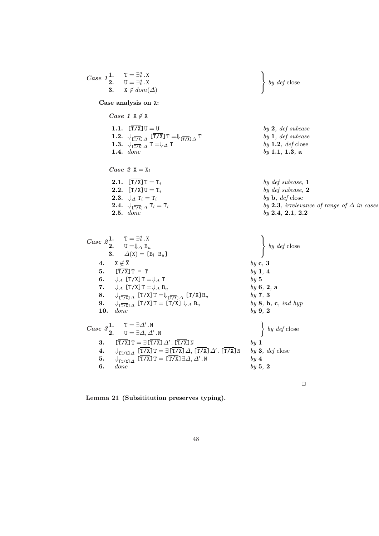Case 11. 
$$
T = \exists \emptyset
$$
. X  
\n3.  $X \notin dom(\Delta)$   
\nCase analysis on X:  
\nCase analysis on X:  
\nCase 1  $X \notin \overline{X}$   
\n1.1.  $[T\overline{X}]U = U$   
\n1.2.  $\Downarrow [T\overline{X}] \Delta T = \Downarrow [T\overline{X}] \Delta T$   
\n1.3.  $\Downarrow [T\overline{X}] \Delta T = \Downarrow \Delta T$   
\n1.4.  $dome$   
\nCase 2  $X = X_1$   
\n2.1.  $[T\overline{X}]U = T_i$   
\n2.2.  $[T\overline{X}]U = T_i$   
\n2.3.  $\Downarrow T = T_i$   
\n2.4.  $\Downarrow [T\overline{X}] \Delta T_i = T_i$   
\n2.5.  $dome$   
\n1.6.  $QA \times \overline{Z} = X_1$   
\n2.7.  $[\overline{Y} \overline{X}] \Delta T_i = T_i$   
\n2.8.  $\Downarrow T = T_i$   
\n2.9.  $\Downarrow T = T_i$   
\n2.1.  $\Downarrow \overline{X} \Box T = T_i$   
\n2.2.  $\Downarrow \overline{X} \Box T$   
\n2.3.  $dome$   
\n3.  $\triangle(X) = [B_i B_u]$   
\n4.  $X \notin \overline{X}$   
\n5.  $\Upsilon[T\overline{X}] \Box T = \bot \Box B_u$   
\n6.  $\Downarrow T \Box T = \Downarrow \overline{X} B_u$   
\n7.  $\Downarrow \Delta T \overline{TX} \Box T = \Downarrow \overline{X} B_u$   
\n8.  $\Downarrow \overline{T} \Box X \Box T \overline{X} \Box T = [T\overline{X}] \Box A_u$   
\n9.  $\bigdownarrow \neg B = \Box A \Box Y$   
\n10.  $dome$   
\n11.  $dome$   
\n12.  $U = \Box A \Box Y$   
\n13.  $\frac{1}{(T\overline{X} \Box Y \Box Y \Box \Box Y \Box Y \Box Y \Box$ 

Lemma 21 (Subsititution preserves typing).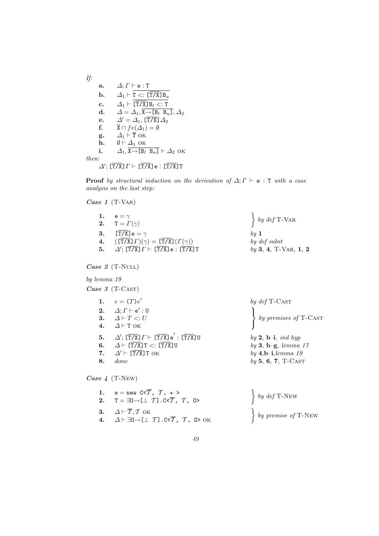If:  
\na. 
$$
\Delta; \Gamma \vdash e : T
$$
  
\nb.  $\Delta_1 \vdash \overline{T} \leq : [\overline{T/X}] B_u$   
\nc.  $\Delta_1 \vdash [\overline{T/X}] B_l \leq : T$   
\nd.  $\Delta = \Delta_1, \overline{X \rightarrow [B_l B_u]}, \Delta_2$   
\ne.  $\Delta' = \Delta_1, [\overline{T/X}] \Delta_2$   
\nf.  $\overline{X} \cap f v(\Delta_1) = \emptyset$   
\ng.  $\Delta_1 \vdash \overline{T} \text{ OK}$   
\nh.  $\emptyset \vdash \Delta_1 \text{ OK}$   
\ni.  $\Delta_1, \overline{X \rightarrow [B_l B_u]} \vdash \Delta_2 \text{ OK}$   
\nthen:  
\n $\Delta'; [\overline{T/X}] \Gamma \vdash [\overline{T/X}] e : [\overline{T/X}] T$ 

**Proof** by structural induction on the derivation of  $\Delta; \Gamma \vdash e : T$  with a case analysis on the last step:

Case 1 (T-VAR)

| 1. $e = \gamma$                                                                                     | $\left\{\begin{array}{c} by\ def\ T\text{-}{\rm{VAR}}\end{array}\right.$ |
|-----------------------------------------------------------------------------------------------------|--------------------------------------------------------------------------|
| 2. $T = \Gamma(\gamma)$                                                                             |                                                                          |
| 3. $[T/X]$ e = $\gamma$                                                                             | $\boldsymbol{b}$ $\boldsymbol{u}$ $\boldsymbol{1}$                       |
| 4. $(\overline{\text{T/X}}\text{ } \Gamma)(\gamma) = \overline{\text{T/X}}\text{ } \Gamma(\gamma))$ | by def subst                                                             |
| 5. $\Delta'$ ; $[\overline{T/X}]$ $\Gamma$ $\vdash$ $[\overline{T/X}]$ e : $[\overline{T/X}]$ $T$   | $by 3, 4, T-VAR, 1, 2$                                                   |

Case 2 (T-NULL)

by lemma 19

Case  $3$  (T-CAST)

|    | 1. $e = (T)e'$                                                                                                                                                                                     | by $def$ T-CAST                                                                                                  |
|----|----------------------------------------------------------------------------------------------------------------------------------------------------------------------------------------------------|------------------------------------------------------------------------------------------------------------------|
|    | 2. $\Delta; \Gamma \vdash e' : U$<br>3. $\Delta \vdash T \lt: U$<br>4. $\Delta$ + T OK                                                                                                             | $\begin{cases} by \textit{premises of T-CAST} \end{cases}$                                                       |
| 8. | 5. $\Delta'$ ; $[\overline{T/X}]T \vdash [\overline{T/X}]e' : [\overline{T/X}]U$<br>6. $\Delta \vdash [\overline{T/X}]T <: [\overline{T/X}]U$<br>7. $\Delta' \vdash [\overline{T/X}]$ T OK<br>done | by 2, $\mathbf{b}-\mathbf{i}$ , ind hyp<br>by 3, b-g, lemma $17$<br>by $4,b-i, lemma$ 19<br>$by 5, 6, 7, T-CAST$ |

Case 4 (T-New)

| 1. $e = new C < \overline{T}, T, * >$<br>2. $T = \exists 0 \rightarrow [\bot \ T]$ . C< $\overline{T}$ , $T$ , O>             | $\left\{\begin{array}{c} by\ def\ T\text{-}\N\text{-}\N\end{array}\right\}$                           |
|-------------------------------------------------------------------------------------------------------------------------------|-------------------------------------------------------------------------------------------------------|
| 3. $\Delta \vdash \overline{T}, T$ OK<br>4. $\Delta \vdash \exists 0 \rightarrow [\bot \ T]$ .C< $\overline{T}$ , $T$ , O> OK | $\left\{ \begin{array}{c} by \text{ } premise \text{ } of \text{ } T\text{-}New \end{array} \right\}$ |

49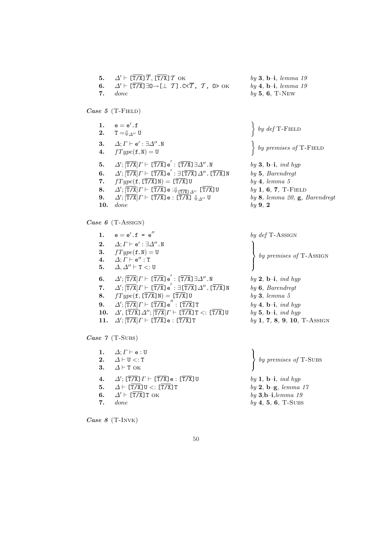| 5.       | $\Delta' \vdash [\overline{T/X}] \overline{T}, [\overline{T/X}] \overline{T}$ OK                                                                                     | $by 3, b-i, lemma 19$                                                                                                                                                                                                   |
|----------|----------------------------------------------------------------------------------------------------------------------------------------------------------------------|-------------------------------------------------------------------------------------------------------------------------------------------------------------------------------------------------------------------------|
| 6.       | $\Delta' \vdash [\overline{T/X}] \exists 0 \rightarrow [\perp T]$ . C< $\overline{T}$ , $T$ , 0> OK                                                                  | $by \, 4, \, b-i, \, lemma \, 19$                                                                                                                                                                                       |
| 7.       | done                                                                                                                                                                 | $by 5, 6, T-NEW$                                                                                                                                                                                                        |
|          | Case 5 (T-FIELD)                                                                                                                                                     |                                                                                                                                                                                                                         |
| 1.<br>4. | $\mathsf{e} = \mathsf{e}'$ . $\mathsf{f}$<br>2. $T = \oint_{\Lambda''} U$<br>3. $\Delta; \Gamma \vdash e' : \exists \Delta''. N$<br>$fType(f, N) = U$                | $\left\{\begin{array}{c} by\ def\ T\text{-F}\text{IELD}\end{array}\right\}$<br>$\left\{ \begin{array}{c} by \text{ } premises \text{ } of \text{ } T\text{-F}\text{ }I\text{ }E\text{ }L\text{ }D \end{array} \right\}$ |
| 5.       | $\varDelta';[\overline{\texttt{T/X}}] \varGamma \vdash [\overline{\texttt{T/X}}] \, \texttt{e}': [\overline{\texttt{T/X}}] \, \exists \varDelta''$ . N               | by 3, $\mathbf{b}-\mathbf{i}$ , ind hyp                                                                                                                                                                                 |
| 6.       | $\Delta';[\overline{\text{T/X}}] \varGamma \vdash [\overline{\text{T/X}}] \, \text{e}': \exists [\overline{\text{T/X}}] \, \Delta''$ . [ $\overline{\text{T/X}}$ ] N | $by 5$ , Barendregt                                                                                                                                                                                                     |
| 7.       | $fType(f, [T/X]N) = [T/X]U$                                                                                                                                          | by 4, lemma 5                                                                                                                                                                                                           |
| 8.       | $\Delta'; \overline{[T/X]} \Gamma \vdash \overline{[T/X]} \cdot : \Downarrow \overline{[T/X]} \Delta'' \overline{[T/X]} \cup$                                        | $by 1, 6, 7, T-$ FIELD                                                                                                                                                                                                  |
| 9.       | $\Delta'$ ; $\overline{[T/X]} \Gamma \vdash [\overline{T/X}]$ e : $\overline{[T/X]} \Downarrow_{\Delta''} U$                                                         | by 8, lemma 20, $\mathbf{g}$ , Barendregt                                                                                                                                                                               |
| 10.      | done                                                                                                                                                                 | by 9, 2                                                                                                                                                                                                                 |

Case 6 (T-Assign)

| 1.  | $\mathsf{e} = \mathsf{e}'$ . $\mathsf{f}$ = $\mathsf{e}''$                                                                                         | by def T-ASSIGN                         |
|-----|----------------------------------------------------------------------------------------------------------------------------------------------------|-----------------------------------------|
| 2.  | $\Delta; \Gamma \vdash e' : \exists \Delta'' . \mathbb{N}$                                                                                         |                                         |
| 3.  | $fType(f, N) = U$                                                                                                                                  |                                         |
| 4.  | $\Delta; \Gamma \vdash e'' : T$                                                                                                                    | $by \textit{ premises of T-ASSIGN}$     |
| 5.  | $\Delta, \Delta'' \vdash T <: U$                                                                                                                   |                                         |
| 6.  | $\Delta';[\overline{\text{T/X}}] \varGamma \vdash [\overline{\text{T/X}}] \, \text{e}': [\overline{\text{T/X}}] \, \exists \varDelta''.\,\text{N}$ | by 2, $\mathbf{b}-\mathbf{i}$ , ind hyp |
|     | 7. $\Delta'$ ; $\overline{T/X}$ ] $\Gamma$ $\vdash$ $\overline{(T/X)}$ $e'$ : $\exists [\overline{T/X}]$ $\Delta''$ . $\overline{(T/X)}$ N         | $by 6$ , Barendregt                     |
| 8.  | $fType(f, [\overline{T/X}]N) = [\overline{T/X}]U$                                                                                                  | by 3, lemma 5                           |
| 9.  | $\Delta'$ ; $\overline{T/X}$ $\Gamma$ $\vdash$ $\overline{(T/X)}$ $\overline{e}$ " : $\overline{(T/X)}$ $\overline{T}$                             | by 4, $\mathbf{b}-\mathbf{i}$ , ind hyp |
| 10. | $\Delta'$ , $[\overline{T/X}] \Delta''$ ; $[\overline{T/X}] \Gamma \vdash [\overline{T/X}] \top \lt: [\overline{T/X}] \mathbb{U}$                  | by 5, $\mathbf{b}-\mathbf{i}$ , ind hyp |
| 11. | $\Delta';[\overline{\texttt{T/X}}] \varGamma \vdash [\overline{\texttt{T/X}}] \, \texttt{e} : [\overline{\texttt{T/X}}] \, \texttt{T}$             | $by 1, 7, 8, 9, 10, T-ASSIGN$           |
|     |                                                                                                                                                    |                                         |

Case 7 (T-Subs)

1.  $\Delta; \Gamma \vdash e : U$ 2.  $\Delta \vdash U \lt: T$ 3.  $\Delta \vdash T$  OK  $\mathbf{r}$  $\mathcal{L}$  $\sqrt{ }$ by premises of T-Subs 4.  $\Delta'$ ;  $[\overline{T/X}] \Gamma \vdash [\overline{T/X}] \cdot \cdot [\overline{T/X}] \cup$  by 1, b-i, ind hyp 5.  $\Delta \vdash [\overline{T/X}] \cup \langle : [\overline{T/X}] \, \text{T}$  by 2, b–g, lemma 17 6.  $\Delta' \vdash [\overline{T/X}] \text{ T OK}$  by 3,b-i,lemma 19 **7.** done by  $4, 5, 6, T-SUBS$ 

 $\overline{a}$ Case  $8$  (T-INVK)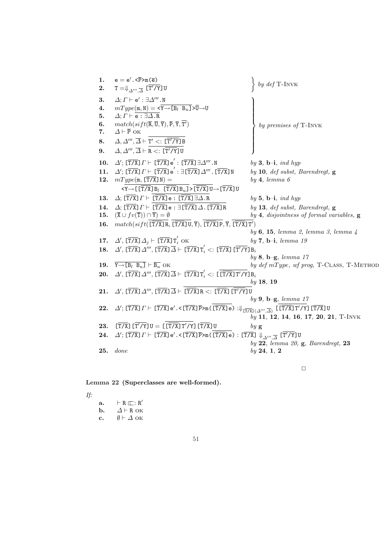| 1.                 | $e = e'.\langle \overline{P} \rangle m(\overline{e})$                                                                                                                                                                                                                                                                                                                                                                                  | by def T-INVK                                                |
|--------------------|----------------------------------------------------------------------------------------------------------------------------------------------------------------------------------------------------------------------------------------------------------------------------------------------------------------------------------------------------------------------------------------------------------------------------------------|--------------------------------------------------------------|
| 2.                 | $T=\oint_{\Delta'''\, \cdot \, \overline{\Delta}}$ [T'/Y]U                                                                                                                                                                                                                                                                                                                                                                             |                                                              |
| 3.                 | $\Delta; \Gamma \vdash e' : \exists \Delta''' . \mathbb{N}$                                                                                                                                                                                                                                                                                                                                                                            |                                                              |
| $\boldsymbol{4}$ . | $mType(\texttt{m},\texttt{N}) = \texttt{<}\overline{\texttt{Y} \texttt{~}\!\!\rightarrow \texttt{[B}_l \ \ \texttt{B}_u \texttt{~}]}} \texttt{~}\!\!\neg \texttt{U} \texttt{~}\!\!\!-\texttt{V}$                                                                                                                                                                                                                                       |                                                              |
| 5.                 | $\Delta; \Gamma \vdash \overline{e : \exists \Delta . R}$                                                                                                                                                                                                                                                                                                                                                                              |                                                              |
| 6.                 | $match(sift(\overline{R},\overline{U},\overline{Y}),\overline{P},\overline{Y},\overline{T'})$                                                                                                                                                                                                                                                                                                                                          | by premises of T-INVK                                        |
| 7.                 | $\Delta \vdash \overline{P}$ OK                                                                                                                                                                                                                                                                                                                                                                                                        |                                                              |
| 8.                 | $\Delta, \Delta''', \overline{\Delta} \vdash T' \lt: \Xi \top'/Y \exists B$                                                                                                                                                                                                                                                                                                                                                            |                                                              |
| 9.                 | $\Delta, \Delta''', \overline{\Delta} \vdash R <: [\overline{T'/Y}]$ U                                                                                                                                                                                                                                                                                                                                                                 |                                                              |
| 10.                | $\Delta'$ ; [ $\overline{T/X}$ ] $\Gamma \vdash [\overline{T/X}]$ e' : [ $\overline{T/X}$ ] $\exists \Delta'''.N$                                                                                                                                                                                                                                                                                                                      | by 3, $\mathbf{b}-\mathbf{i}$ , ind hyp                      |
| 11.                | $\Delta'$ ; $[\overline{T/X}]$ $\Gamma$ $\vdash$ $[\overline{T/X}]$ $e'$ : $\exists [\overline{T/X}]$ $\Delta'''$ . $[\overline{T/X}]$ N                                                                                                                                                                                                                                                                                               | by 10, def subst, Barendregt, $g$                            |
| 12.                | $mType(m, [T/X]N) =$                                                                                                                                                                                                                                                                                                                                                                                                                   | by 4, lemma 6                                                |
|                    | $\langle Y \rightarrow [\overline{T/X}] B_l \ \overline{T/X}] B_u] > [\overline{T/X}] U \rightarrow [\overline{T/X}] U$                                                                                                                                                                                                                                                                                                                |                                                              |
| 13.                | $\Delta$ ; [T/X] $\Gamma \vdash$ [T/X] e : [T/X] $\exists \Delta .$ R                                                                                                                                                                                                                                                                                                                                                                  | by 5, $\mathbf{b} - \mathbf{i}$ , ind hyp                    |
| 14.                | $\Delta$ ; [T/X] $\Gamma \vdash$ [T/X] e : $\exists$ [T/X] $\Delta$ . [T/X] R                                                                                                                                                                                                                                                                                                                                                          | by 13, def subst, Barendregt, $g$                            |
| 15.                | $(\overline{X} \cup fv(\overline{T})) \cap \overline{Y}) = \emptyset$                                                                                                                                                                                                                                                                                                                                                                  | by 4, disjointness of formal variables, $g$                  |
| 16.                | $match(sift([\overline{T/X}]R, [\overline{T/X}]U, \overline{Y}), [\overline{T/X}]P, \overline{Y}, [\overline{T/X}]T')$                                                                                                                                                                                                                                                                                                                 |                                                              |
|                    |                                                                                                                                                                                                                                                                                                                                                                                                                                        | by 6, 15, lemma 2, lemma 3, lemma 4                          |
|                    | 17. $\Delta'$ , $[\overline{T/X}] \Delta_i \vdash [\overline{T/X}] T_i$ OK                                                                                                                                                                                                                                                                                                                                                             | $by 7, b-i, lemma 19$                                        |
| 18.                | $\Delta'$ , $[\overline{T/X}] \Delta'''$ , $[\overline{T/X}] \overline{\Delta}$ $\vdash$ $[\overline{T/X}] T_i'$ $\lt:$ : $[\overline{T/X}] [\overline{T'/Y}] B_i$                                                                                                                                                                                                                                                                     |                                                              |
|                    |                                                                                                                                                                                                                                                                                                                                                                                                                                        | by $8, b-g, lemma 17$                                        |
|                    | 19. $\overline{Y \rightarrow [B_l \ B_u]} \vdash \overline{B_u}$ OK                                                                                                                                                                                                                                                                                                                                                                    | by $def mType$ , $wf prog$ , T-CLASS, T-METHOD               |
| 20.                | $\Delta'$ , $[\overline{T/X}] \Delta'''$ , $[\overline{T/X}] \overline{\Delta}$ $\vdash [\overline{T/X}] T_i' <: [[\overline{T/X}] T'/Y] B_i$                                                                                                                                                                                                                                                                                          |                                                              |
|                    |                                                                                                                                                                                                                                                                                                                                                                                                                                        | by 18, 19                                                    |
| 21.                | $\Delta'$ , $[\overline{T/X}]$ $\Delta'''$ , $[\overline{T/X}]$ $\overline{\Delta}$ $\vdash$ $[\overline{T/X}]$ $R$ $\lt:$ $[\overline{T/X}]$ $[\overline{T'/X}]$ $U$                                                                                                                                                                                                                                                                  | by 9, b-g, lemma $17$                                        |
|                    |                                                                                                                                                                                                                                                                                                                                                                                                                                        |                                                              |
| 22.                | $\varDelta';\ [\overline{\mathtt{T}/\mathtt{X}}]\varGamma\vdash [\overline{\mathtt{T}/\mathtt{X}}]\,\mathtt{e'}.<[\overline{\mathtt{T}/\mathtt{X}}]\,\overline{\mathtt{P}}\mathtt{>m}\,(\ [\overline{\mathtt{T}/\mathtt{X}}]\,\mathtt{e):\Downarrow}_{[\overline{\mathtt{T}/\mathtt{X}}](\varDelta''',\overline{\varDelta})}\,\ [\ [\overline{\mathtt{T}/\mathtt{X}}\]\,\mathtt{T'}/\mathtt{Y}]\, [\mathtt{T}/\mathtt{X}]\,\mathtt{U}$ | by 11, 12, 14, 16, 17, 20, 21, T-INVK                        |
|                    |                                                                                                                                                                                                                                                                                                                                                                                                                                        |                                                              |
| 23.                | $\left[\overline{T/X}\right]\left[\overline{T'/X}\right]U = \left[\left[\overline{T/X}\right]\overline{T'/Y}\right]\left[\overline{T/X}\right]U$                                                                                                                                                                                                                                                                                       | byg                                                          |
| 24.                | $\Delta'$ ; [T/X] $\Gamma$ $\vdash$ [T/X] $e'$ . < [T/X] $\bar{P}$ >m([T/X] $e$ ) : [T/X] $\Downarrow_{\Delta'''\sqsupseteq}$ [T'/Y] U                                                                                                                                                                                                                                                                                                 |                                                              |
| 25.                | done                                                                                                                                                                                                                                                                                                                                                                                                                                   | by $22$ , lemma $20$ , $g$ , Barendregt, $23$<br>by 24, 1, 2 |
|                    |                                                                                                                                                                                                                                                                                                                                                                                                                                        |                                                              |

# Lemma 22 (Superclasses are well-formed).

If:

- $a. \qquad \vdash R \sqsubseteq : R'$ **b.**  $\Delta \vdash R$  ok
- c.  $\overline{\emptyset} \vdash \Delta$  ok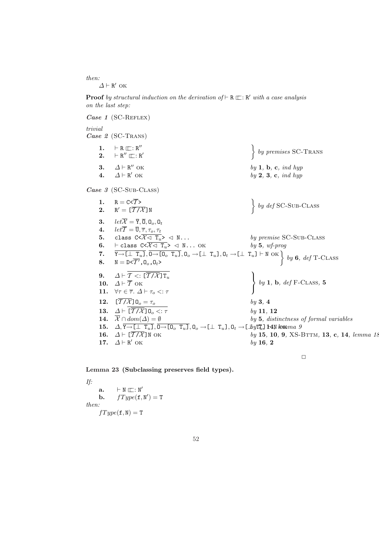then:  $\Delta \vdash R'$  ok

**Proof** by structural induction on the derivation of  $\vdash R \sqsubseteq R'$  with a case analysis on the last step:

Case 1 (SC-REFLEX) trivial Case  $2$  (SC-TRANS) 1.  $\vdash R \sqsubseteq : R''$ 2.  $\vdash R'' \sqsubseteq : R'$  $\ddot{\phantom{0}}$ by premises SC-TRANS 3.  $\Delta \vdash R''$  OK  $by 1, b, c, ind hyp$ Case 3 (SC-Sub-CLASS) 4.  $\Delta \vdash R'$  OK  $by 2, 3, c, ind hyp$ 1.  $R = C \langle \overline{T} \rangle$ 2.  $R' = [\overline{T/\mathcal{X}}]N$ =  $C < \overline{T} >$ <br>  $\left\{ \begin{array}{c} \overline{T} > \\ \overline{T} / \overline{X} \end{array} \right\}$  $\left\{\begin{array}{c} by\ def \text{SC-SUB-CLASS}\end{array}\right.$ **3.**  $let\overline{X} = \overline{Y}, \overline{0}, 0_o, 0_t$ **4.**  $let\overline{\mathcal{T}} = \overline{\mathbf{U}}, \overline{\tau}, \tau_o, \tau_t$ 5. class  $C < \overline{X} < T_u > \overline{X}$ ... by premise SC-Sub-CLASS 6.  $\vdash$  class  $C< \overline{\mathcal{X} \lhd T_u} > \lhd N \ldots$  OK by 5, wf-prog 7.  $Y \rightarrow \begin{bmatrix} \bot & T_u \end{bmatrix}$ ,  $0 \rightarrow \begin{bmatrix} 0 & T_u \end{bmatrix}$ ,  $0_o \rightarrow \begin{bmatrix} \bot & T_u \end{bmatrix}$ ,  $0_t \rightarrow \begin{bmatrix} \bot & T_u \end{bmatrix}$   $\vdash N$  ok  $8. \qquad \mathtt{N}=\mathtt{D}\!\!\times\!\! \overline{\mathcal{T}'}, \mathtt{0}_o, \mathtt{0}_t$ >  $\ddot{\phantom{a}}$ by  $6, def$  T-CLASS 9.  $\Delta \vdash \overline{\mathcal{T} \ltimes : [\overline{\mathcal{T} / \mathcal{X}}] \mathsf{T}_u}$ 10.  $\Delta \vdash \overline{\mathcal{T}}$  ok 11.  $\forall \tau \in \overline{\tau}$ .  $\Delta \vdash \tau_o <: \tau$  $\mathbf{r}$  $\mathcal{L}$  $\left\{ \begin{array}{c} by \textbf{1, b}, \text{ def } \text{F-CLASS, 5} \end{array} \right.$ **12.**  $[\overline{T/X}]0_o = \tau_o$  by 3, 4 **13.**  $\Delta \vdash \overline{[T/\mathcal{X}]} \mathbb{O}_o <: \tau$  by 11, 12<br> **14.**  $\overline{\mathcal{X}} \cap dom(\Delta) = \emptyset$  by 5, distri  $by 5$ , distinctness of formal variables 15.  $\Delta, \overline{Y \rightarrow [\perp \ T_u]}$ ,  $\overline{0 \rightarrow [0_o \ T_u]}$ ,  $0_o \rightarrow [\perp T_u]$ ,  $0_t \rightarrow [\perp \frac{b}{yT_u}]$  14N, lemma 9 **16.**  $\Delta \vdash [\overline{T/X}]N$  OK by 15, 10, 9, XS-BTTM, 13, c, 14, lemma 18 17.  $\Delta \vdash R'$  OK  $by$  16, 2

 $\Box$ 



If:  $a. \qquad \vdash N \sqsubseteq : N'$ **b.**  $fType(\textbf{f}, \text{N}') = \text{T}$ then:  $fType(f, N) = T$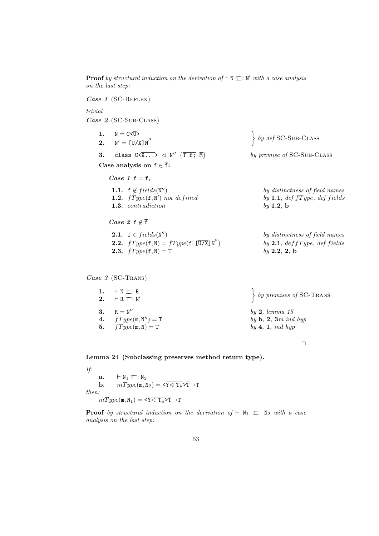on the last step: Case 1 (SC-REFLEX) trivial Case 2 (SC-SUB-CLASS) 1.  $N = C < \overline{U} >$  $2.$  $N' = \left[\overline{U/X}\right] N''$  $\Big\}$  by def SC-SUB-CLASS 3. class  $C \times \overline{X...} > \text{or} \sqrt{T f; M}$ by premise of SC-Sub-CLASS Case analysis on  $f \in \overline{f}$ : Case 1  $f = f_i$ 1.1.  $f \notin fields(N'')$ by distinctness of field names 1.2.  $fType(f, N')$ by 1.1, def  $fType$ , def fields 1.3. contradiction by 1.2, b  $Case 2 f \notin \overline{f}$ 2.1.  $f \in fields(N'')$ by distinctness of field names **2.2.**  $fType(f, N) = fType(f, \overline{U/X}N'')$  by **2.1**, def f ype, def fields **2.3.**  $fType(f, N) = T$  by 2.2, 2, b Case 3 (SC-TRANS) 1.  $\vdash N \sqsubset \vdots R$ 2.  $\vdash R \sqsubseteq : N'$  $\ddot{\phantom{0}}$  $\left\{ \begin{array}{c} by \text{ }premises \text{ } of \text{ } SC-Trans \end{array} \right\}$ 3.  $R = N''$  $by 2, lemma 15$ 

**Proof** by structural induction on the derivation of  $\vdash N \sqsubset \vdots N'$  with a case analysis

4.  $fType(m, N'') = T$ by  $\mathbf{b}, 2, 3m$  ind hyp **5.**  $fType(m, N) = T$  by 4, 1, ind hyp

 $\Box$ 

Lemma 24 (Subclassing preserves method return type).

If:  $\mathbf{a.} \qquad \vdash \mathbb{N}_1 \sqsubseteq : \mathbb{N}_2$ **b.**  $mType(\mathbf{m}, \mathbf{N}_2) = \langle \overline{\mathbf{Y}} \langle \overline{\mathbf{T}}_u \rangle \overline{\mathbf{T}} \rightarrow \mathbf{T}$ then:  $mType(\mathfrak{m}, \mathbb{N}_1) = \langle \overline{Y \triangleleft T_u} \rangle \overline{T} \rightarrow T$ 

**Proof** by structural induction on the derivation of  $\vdash N_1 \sqsubset \vdots N_2$  with a case analysis on the last step: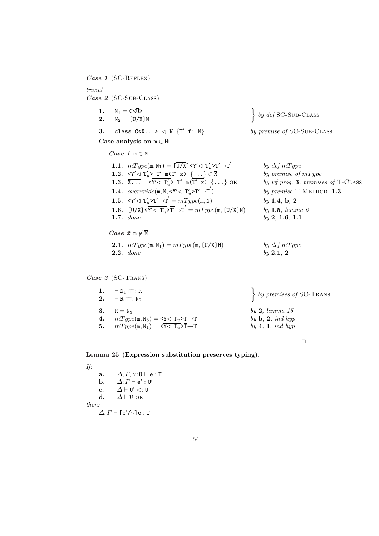Case 1 (SC-REFLEX)

# trivial Case 2 (SC-Sub-CLASS)

- 1.  $N_1 = C < \overline{U} >$ <br>2.  $N_2 = [\overline{U/X}] N$ 1.  $N_1 = C < \overline{U} >$ <br>2.  $N_2 = [\overline{U/X}]N$   $\left.\right\}$
- 3. class  $C \times \overline{X \ldots} > \text{and } \{ \overline{T' f}; \overline{M} \}$
- Case analysis on  $m \in \overline{M}$ :

 $Case 1 m \in M$ 

- **1.1.**  $mType(\mathbf{m}, \mathbf{N}_1) = [\overline{\mathbf{U}/\mathbf{X}}] \times \overline{\mathbf{Y}'} \triangleleft \overline{\mathbf{T}'_{u}} \times \overline{\mathbf{T}'} \rightarrow \overline{\mathbf{T}}'$ **1.2.**  $\langle \overline{Y'} \triangleleft T'_u \rangle \overline{T'} \mathbb{m}(\overline{T' \mathbb{m}}) \{ \ldots \} \in \overline{\mathbb{N}}$  by premise of  $mType$ 1.3.  $\overline{X \ldots} \vdash \langle \overline{Y'} \triangleleft T'_u \rangle T'$  m( $\overline{T}$ **1.4.** overrride $(m, N, \overline{\mathbf{x}' \leq T'_n} > \overline{T'} \rightarrow T')$ 1.5.  $\langle \overline{Y'} \langle \overline{T'_w} \rangle \overline{T'} \rightarrow T' = mType(m, N)$  by 1.4, b, 2 **1.6.**  $[\overline{U/X}] \times \overline{Y' \lhd T'_u} \times \overline{T'} \rightarrow T' = mType(m, [\overline{U/X}]N)$  by 1.5, lemma 6 **1.7.** done by 2, 1.6, 1.1
- $Case 2 m \notin \overline{M}$
- **2.1.**  $mType(\mathfrak{m}, \mathbb{N}_1) = mType(\mathfrak{m}, \overline{[U/X]} \mathbb{N})$  by def  $mType$ **2.2.** done by 2.1, 2

```
\left\{ by \text{ def SC-SUB-CLASS} \right\}
```
by premise of SC-Sub-CLASS

by  $def mType$ by  $wf$  prog,  $3$ , premises of T-CLASS by premise T-METHOD,  $1.3$ 

#### Case 3 (SC-TRANS)

| $\left\{ \begin{array}{c} by \text{ } premises \text{ } of \text{ } \text{SC-Trans} \end{array} \right.$ |
|----------------------------------------------------------------------------------------------------------|
| by 2, lemma 15<br>by $\mathbf{b}, \mathbf{2}, \text{ind hyp}$<br>by $4, 1, ind$ hyp                      |
|                                                                                                          |

 $\Box$ 

#### Lemma 25 (Expression substitution preserves typing).

If: a.  $\Delta; \Gamma, \gamma : \mathbf{U} \vdash \mathbf{e} : \mathbf{T}$ b.  $\Delta; \Gamma \vdash e' : U'$ c.  $\Delta \vdash U' <: U$ d.  $\Delta \vdash U$  OK then:  $\Delta; \Gamma \vdash [\mathrm{e}'/\gamma] \mathrm{e} : \mathrm{T}$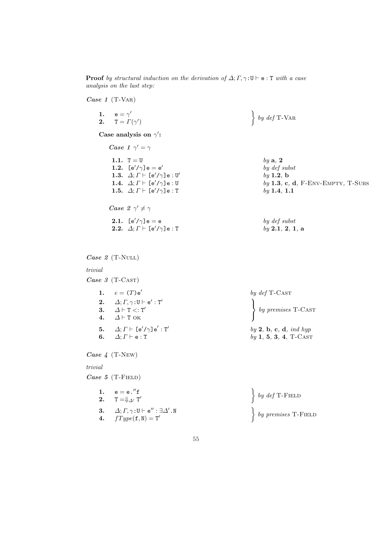**Proof** by structural induction on the derivation of  $\Delta; \Gamma, \gamma : U \vdash e : T$  with a case analysis on the last step:

Case 1 (T-VAR)

1.  $e = \gamma'$ 2.  $T = \Gamma(\gamma')$ 

Case analysis on  $\gamma'$ :

Case 1  $\gamma' = \gamma$ **1.1.**  $T = U$  by a, 2 1.2.  $[e'/\gamma]e = e'$ 1.3.  $\Delta; \Gamma \vdash \llbracket e'/\gamma \rrbracket e : \mathbb{U}'$ 1.5.  $\Delta; \Gamma \vdash [e'/\gamma]e : T$  by 1.4, 1.1 Case  $2 \gamma' \neq \gamma$ 2.1.  $[e'/\gamma]e = e$  by def subst

**2.2.**  $\Delta; \Gamma \vdash [\mathrm{e}'/\gamma] \mathrm{e} : \mathrm{T}$  by 2.1, 2, 1, a

 $Case 2 (T-NULL)$ 

#### trivial

Case 3 (T-CAST)

1.  $e = (T) e^{t}$ by def T-Cast 2.  $\Delta; \Gamma, \gamma : \mathsf{U} \vdash \mathsf{e}': \mathsf{T}'$ 3.  $\Delta \vdash T \lt: T'$ 4.  $\Delta \vdash T$  OK  $\mathcal{L}$ by premises T-CAST  $5. \qquad \varDelta; \varGamma \vdash \mathsf{[e'/\gamma]e'} : \mathtt{T'}$  $by 2, b, c, d, ind hyp$ 6.  $\Delta; \Gamma \vdash e : T$  by 1, 5, 3, 4, T-CAST

Case 4 (T-New)

# trivial

Case  $5$  (T-FIELD)

| 1. $e = e.'f$<br>2. $T = \oint_{\Delta'} T'$                                                                        | $\left\{\begin{array}{c} by\ def\ T\text{-FieLD}\end{array}\right.$                                                    |
|---------------------------------------------------------------------------------------------------------------------|------------------------------------------------------------------------------------------------------------------------|
| 3. $\Delta; \Gamma, \gamma : \mathtt{U} \vdash \mathtt{e}'': \exists \Delta' . \mathtt{N}$<br>4. $fType(f, N) = T'$ | $\left\{ \begin{array}{c} by \text{ } premises \text{ } T\text{-F}\text{ }I\!\!\in\!\!\!\!\perp D \end{array} \right.$ |

 $\ddot{\phantom{0}}$ by  $def$  T-VAR

by def subst  $by$  1.2, b **1.4.**  $\Delta; \Gamma \vdash [\mathrm{e}'/\gamma] \mathrm{e} : \mathbb{U}$  by 1.3, c, d, F-ENV-EMPTY, T-SUBS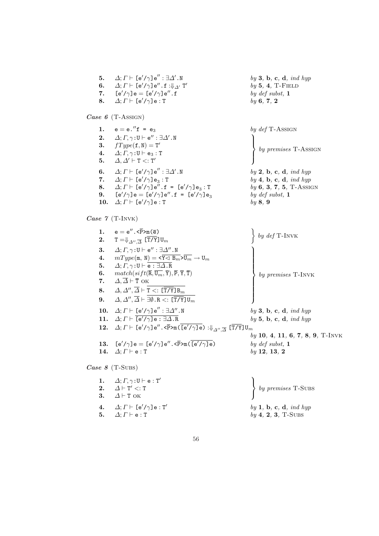5.  $\Delta; \Gamma \vdash [e'/\gamma]e'': \exists \Delta'.N$  $by 3, b, c, d, ind hyp$ 6.  $\Delta; \Gamma \vdash$  [e'/ $\gamma$ ]e" .f : $\Downarrow_{\Delta'}$  T'  $by 5, 4, T-$ FIELD 7.  $[e'/\gamma]e = [e'/\gamma]e''$ . f by def subst, 1 Case 6 (T-Assign) 8.  $\Delta; \Gamma \vdash [e'/\gamma]e : T$  by 6, 7, 2 1.  $e = e''f = e_3$  by def T-Assign 2.  $\Delta; \Gamma, \gamma : U \vdash e'' : \exists \Delta' . N$ 3.  $fType(f, N) = T'$ 4.  $\Delta; \Gamma, \gamma : \mathbf{U} \vdash \mathbf{e}_3 : \mathbf{T}$ 5.  $\Delta, \Delta' \vdash T \lt: T'$  $\vert$  $\left($ by premises T-Assign 6.  $\Delta; \Gamma \vdash$  [e'/ $\gamma$ ]e" :  $\exists \Delta' .$  N  $by 2$ , b, c, d, ind hyp 7.  $\Delta; \Gamma \vdash [\mathsf{e}'/\gamma] \mathsf{e}_3 : \mathsf{T}$ <br>8.  $\Delta; \Gamma \vdash [\mathsf{e}'/\gamma] \mathsf{e}''$ .f  $by \, 4, \, b, \, c, \, d, \, ind \, hyp$ **8.**  $\Delta; \Gamma \vdash [e'/\gamma]e'', f = [e'/\gamma]e_3 : T$ <br>**9.**  $[e'/\gamma]e = [e'/\gamma]e'', f = [e'/\gamma]e_3$  $by 6, 3, 7, 5, T-ASSIGN$  $[e'/\gamma]e = [e'/\gamma]e''.f = [e'/\gamma]e_3$ by def subst, 1 10.  $\Delta; \Gamma \vdash [e'/\gamma]e : T$  by 8, 9

Case 7 (T-INVK)

1.  $e = e'' \cdot \langle \overline{P} \rangle m(\overline{e})$  ${\mathbf 2}. \quad \quad {\mathbb T} = \Downarrow_{\varDelta'',\overline{\varDelta}} \ [{\mathbb T}/{\mathbb Y}] \, {\mathbb U}_m$  $\ddot{\phantom{0}}$ by def T-Invk 3.  $\Delta; \Gamma, \gamma : U \vdash e'' : \exists \Delta'' . N$ 4.  $mType(m, N) = \langle \overline{Y \triangleleft B_m} \rangle \overline{U_m} \rightarrow U_m$ 5.  $\Delta; \Gamma, \gamma : U \vdash \overline{e : \exists \Delta . R}$ 6.  $match(sift(\overline{\mathbf{R}}, \overline{\mathbf{U}_m}, \overline{\mathbf{Y}}), \overline{\mathbf{P}}, \overline{\mathbf{Y}}, \overline{\mathbf{T}})$ 7.  $\Delta, \overline{\Delta} \vdash \overline{\text{T}}$  OK 8.  $\Delta, \Delta'', \overline{\Delta} \vdash \texttt{T} <: [\overline{\texttt{T} / \texttt{Y}}]\texttt{B}_{m}$  ${\bf 9.} \qquad \varDelta,\varDelta'',\overline{\varDelta}\vdash \exists\emptyset.$  R  $<:\,$  [T/Y]  ${\tt U}_m$  $\frac{1}{2}$  $\begin{matrix} \phantom{-} \end{matrix}$  $\begin{bmatrix} \phantom{-} \end{bmatrix}$ by premises T-INVK 10.  $\Delta; \Gamma \vdash [\mathsf{e}'/\gamma] \mathsf{e}'' : \exists \Delta''. N$  $by 3, b, c, d, ind hyp$ 11.  $\Delta; \Gamma \vdash \overline{[e'/\gamma]e : \exists \Delta \cdot R}$  by 5, b, c, d, ind hyp  ${\bf 12.} \quad \varDelta; \varGamma \vdash \mathsf{[e'/\gamma]}\,\mathsf{e''}$  . < $\overline{\mathsf{P}}\mathsf{>m}(\, \overline{\mathsf{[e'/\gamma]}\,\mathsf{e}}) : \Downarrow_{\varDelta'', \, \overline{\varDelta}} \, \mathsf{[T/Y]} \, \mathtt{U}_m$ by 10, 4, 11, 6, 7, 8, 9, T-INVK 13.  $[e'/\gamma]e = [e'/\gamma]e'', \langle \overline{P} \rangle_{m}(\overline{[e'/\gamma]e})$  by def subst, 1 Case 8 (T-Subs) 14.  $\Delta; \Gamma \vdash e : T$  by 12, 13, 2 1.  $\Delta; \Gamma, \gamma : \mathsf{U} \vdash \mathsf{e} : \mathsf{T}'$ 2.  $\Delta \vdash T' \lt: T$ 3.  $\Delta \vdash T$  OK  $\mathbf{r}$  $\mathcal{L}$  $\sqrt{ }$ by premises T-SUBS 4.  $\Delta; \Gamma \vdash [\mathrm{e}'/\gamma] \mathrm{e} : \mathrm{T}'$  $by \, 1, \, b, \, c, \, d, \, ind \, hyp$ 5.  $\Delta; \Gamma \vdash e : T$  by 4, 2, 3, T-SUBS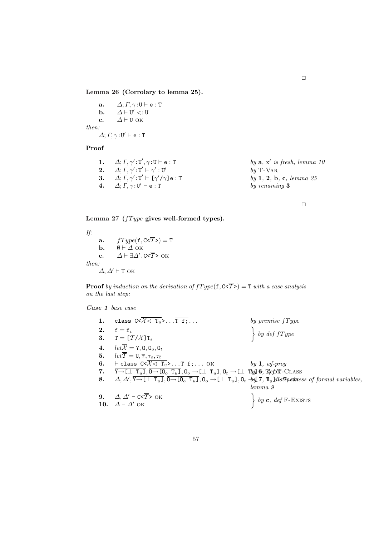Lemma 26 (Corrolary to lemma 25).

a.  $\Delta; \Gamma, \gamma : \mathbf{U} \vdash \mathbf{e} : \mathbf{T}$ b.  $\Delta \vdash U' <: U$ c.  $\Delta \vdash U$  OK then:  $\Delta; \varGamma, \gamma \colon U' \vdash e : T$ 

#### Proof

1.  $\Delta; \Gamma, \gamma': U', \gamma: U \vdash e: T$  by a, x 0 is fresh, lemma 10 2.  $\Delta; \Gamma, \gamma': U' \vdash \gamma': U'$  $by$  T-VAR 3.  $\Delta; \Gamma, \gamma': U' \vdash [\gamma]$  $by$  1, 2, b, c, lemma 25 **4.**  $\Delta; \Gamma, \gamma : U' \vdash e : T$  by renaming 3

 $\Box$ 

Lemma 27 ( $fType$  gives well-formed types).

If: a.  $fType(\textbf{f}, \textbf{C} \leq \overline{T}) = T$ **b.**  $\emptyset \vdash \Delta$  ok c.  $\Delta \vdash \exists \Delta'.$ C< $\overline{T}$ > ok then:  $\Delta, \Delta' \vdash T$  ок

**Proof** by induction on the derivation of  $fType(f, C \leq T) = T$  with a case analysis on the last step:

Case 1 base case

|    | class $C < \overline{\mathcal{X}} \lhd \overline{\mathrm{T}_u}$ , $\overline{\mathrm{T} f}$ ;                                                                                                                     | by premise $fType$                                                                         |
|----|-------------------------------------------------------------------------------------------------------------------------------------------------------------------------------------------------------------------|--------------------------------------------------------------------------------------------|
| 2. | $f = f_i$                                                                                                                                                                                                         |                                                                                            |
|    | 3. $T = [\overline{T}/\overline{X}]T_i$                                                                                                                                                                           | $\begin{cases} by \text{ def } fType \end{cases}$                                          |
|    | 4. $let\overline{X} = \overline{Y}, \overline{0}, 0_o, 0_t$                                                                                                                                                       |                                                                                            |
|    | 5. $let\overline{\mathcal{T}} = \overline{\mathbf{U}}, \overline{\tau}, \tau_o, \tau_t$                                                                                                                           |                                                                                            |
| 6. | $\vdash$ class $C < \overline{\mathcal{X}} \lhd \overline{T_u} >  \overline{T_{\cdot}} \overline{T_{\cdot}} $ OK                                                                                                  | by $1, wf$ -prog                                                                           |
| 7. | $\overline{Y \rightarrow [\perp T_u]}$ , $\overline{0 \rightarrow [0_o T_u]}$ , $0_o \rightarrow [\perp T_u]$ , $0_t \rightarrow [\perp T_u]$ 6, $\overline{\psi}$ 6, $\overline{\psi}$ 6. CLASS                  |                                                                                            |
| 8. | $\Delta, \Delta', \overline{Y \rightarrow [\perp T_u]}, \overline{0 \rightarrow [0_o T_u]}, 0_o \rightarrow [\perp T_u], 0_t \rightarrow \text{or} \mathcal{I}, \mathbf{T}_u]$ distributions of formal variables, |                                                                                            |
|    |                                                                                                                                                                                                                   | lemma 9                                                                                    |
|    | 9. $\Delta, \Delta' \vdash c \leq \overline{T}$ > OK                                                                                                                                                              |                                                                                            |
|    | 10. $\Delta \vdash \Delta'$ OK                                                                                                                                                                                    | $\left\{ \begin{array}{c} by \textbf{c}, \text{ def } \text{F-EXISTS} \end{array} \right.$ |
|    |                                                                                                                                                                                                                   |                                                                                            |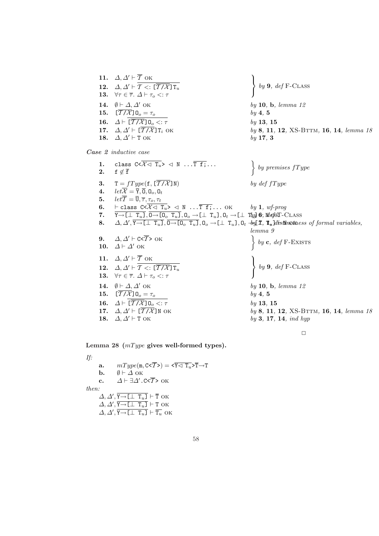12.  $\Delta, \Delta' \vdash \overline{T} \lt: \lfloor \overline{T / \mathcal{X}} \rfloor \mathsf{T}_u$ 13.  $\forall \tau \in \overline{\tau}$ .  $\Delta \vdash \tau_o <: \tau$  $\mathcal{L}$  $\left\{ \begin{array}{c} by 9, \text{ def } \text{F-CLASS} \end{array} \right.$ 14.  $\emptyset \vdash \Delta, \Delta'$  OK by 10, b, lemma 12 **15.**  $[\overline{T/X}]$   $0_o = \tau_o$  by 4, 5 **16.**  $\Delta \vdash \overline{[T/\mathcal{X}]} \mathbb{O}_o < \tau$  by 13, 15<br> **17.**  $\Delta, \Delta' \vdash [\overline{T/\mathcal{X}}] \mathbb{T}_i$  ok by 8, 11,  $by 8, 11, 12, XS-BTTM, 16, 14, lemma 18$ Case 2 inductive case 18.  $\Delta, \Delta' \vdash T$  OK  $by$  17, 3 1. class  $C < \overline{\mathcal{X} \lhd T_u} > \lhd N \ldots \overline{T} \bar{f}$ ... 2. f  $\notin \overline{f}$  $\ddot{\phantom{0}}$ by premises  $fType$ **3.**  $T = fType(f, [\overline{T/X}]N)$  by def fType 4.  $let\overline{X} = \overline{Y}, \overline{0}, 0_o, 0_t$ 5.  $let\overline{\mathcal{T}} = \overline{\mathbf{U}}, \overline{\tau}, \tau_o, \tau_t$ 6.  $\vdash$  class  $C< \overline{\mathcal{X} \lhd \mathcal{T}_u} > \lhd N \ldots \overline{T} \overline{f}$ ;... OK by 1, wf-prog 7.  $\overline{Y \rightarrow [\perp \ T_u]}, \overline{0 \rightarrow [0_o \ T_u]}, 0_o \rightarrow [\perp \ T_u], 0_t \rightarrow [\perp \ T_u], \overline{0}_t \rightarrow \overline{[0, \pm \sqrt{2}]}$ 8.  $\Delta, \Delta', \overline{Y \rightarrow [\bot \ T_u]}, \overline{0 \rightarrow [0_a T_u]}, 0_a \rightarrow [\bot \ T_u], 0_t \rightarrow \text{if } \mathcal{I}, \mathbf{T}_u]$  distinctness of formal variables, lemma 9 9.  $\Delta, \Delta' \vdash C \le \overline{T} > OK$ <br>10.  $\Delta \vdash \Delta'$  ok  $\begin{cases} le \end{cases}$  $\Big\}$  by c, def F-Exists 11.  $\Delta, \Delta' \vdash \overline{T}$  ok 12.  $\Delta, \Delta' \vdash \overline{\mathcal{T} \ltimes : [\overline{\mathcal{T} / \mathcal{X}}] \mathsf{T}_u}$ 13.  $\forall \tau \in \overline{\tau}$ .  $\Delta \vdash \tau_o <: \tau$  $\ddot{\phantom{a}}$  $\mathcal{L}$  $\left\{ \begin{array}{c} by 9, \text{ def } \text{F-CLASS} \end{array} \right.$ **14.**  $\emptyset \vdash \Delta, \Delta'$  OK by 10, b, lemma 12 15.  $[\overline{T/X}]0_o = \tau_o$  by 4, 5 **16.**  $\Delta \vdash [\overline{T/X}] \mathbb{O}_o < \tau$  by 13, 15<br> **17.**  $\Delta, \Delta' \vdash [\overline{T/X}] \mathbb{N}$  ok by 8, 11,  $by 8, 11, 12, XS-BTTM, 16, 14, lemma 18$ **18.**  $\Delta, \Delta' \vdash T$  OK by 3, 17, 14, ind hyp

 $\mathbf{r}$ 

 $\Box$ 

Lemma 28  $(mType$  gives well-formed types).

11.  $\Delta, \Delta' \vdash \overline{T}$  ok

If:

a.  $mType(\text{m}, \text{C} \leq \overline{T}) = \sqrt{Y} \leq T_u \geq \overline{T} \rightarrow T$ **b.**  $\emptyset \vdash \Delta$  ok c.  $\Delta \vdash \exists \Delta'.$ C< $\overline{T}$ > OK then:  $\Delta, \Delta', \overline{Y \rightarrow [\bot \ T_u]} \vdash \overline{T}$  ok  $\Delta, \Delta', \overline{Y \rightarrow [\bot \ T_u]} \vdash T$  ok  $\Delta, \Delta', \overline{Y \rightarrow L \perp T_u} \vdash \overline{T_u}$  ok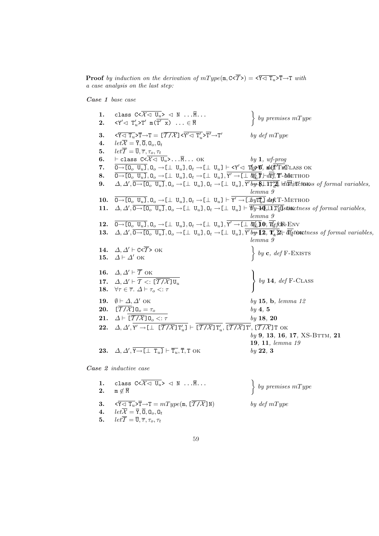**Proof** by induction on the derivation of  $mType(\mathfrak{m}, \mathbb{C} \leq \overline{T}) = \langle \overline{Y \triangleleft T_u} \rangle \overline{T} \rightarrow T$  with a case analysis on the last step:

Case 1 base case

1. class  $C < \overline{\mathcal{X} \lhd U_u} > \lhd N \ldots \overline{M} \ldots$ **2.**  $\langle Y' \triangleleft T'_u \rangle T' \mod T' \times \rangle \dots \in \overline{M}$  $\ddot{\phantom{0}}$  $\bigg\}$  by premises mType  ${\bf 3.} \qquad \overline{{\bf \zeta \zeta \,} T_u} > \overline{T} \rightarrow T = [\overline{\cal T / X}] \, \overline{{\bf \zeta \gamma' \zeta \,} T_u'} > \overline{T'} \rightarrow T'$ by  $def mType$ 4.  $let\overline{X} = \overline{Y}, \overline{0}, 0_o, 0_t$ 5.  $let\overline{\mathcal{T}} = \overline{\mathbf{U}}, \overline{\tau}, \tau_o, \tau_t$ 6.  $\vdash$  class  $C \leq \overline{\mathcal{X} \lhd \mathbf{U}_u} > \dots \overline{\mathbf{M}} \dots$  OK by 1, wf-prog 7.  $\overline{0\rightarrow[0_o \ U_u]}$ ,  $0_o \rightarrow[\perp \ U_u]$ ,  $0_t \rightarrow[\perp \ U_u] \vdash \prec Y' \lhd \text{TQ} \mathcal{H}$  , where  $\text{W}$ 8.  $\overline{0\rightarrow[0_\text{o} U_u]}$ ,  $0_\text{o}\rightarrow[\bot \ U_u]$ ,  $0_t\rightarrow[\bot \ U_u]$ ,  $\overline{Y'}\rightarrow[\bot \ W_u']\overline{Y}$   $\rightarrow[\bot \ W_u']\overline{Y}$ **9.**  $\Delta, \Delta', \overline{0 \rightarrow [0_o \ U_u]}, 0_o \rightarrow [ \bot \ U_u], 0_t \rightarrow [ \bot \ U_u], \overline{Y' b_{\mathcal{V}}} \overline{\mathcal{L}} \bot \overline{17''_{u}}$ ,  $\overline{dl} \overline{m} \overline{l} \overline{n} \overline{t}$  to uses of formal variables, lemma 9 10.  $\overline{0\rightarrow[0_o\ U_u]}$ ,  $0_o \rightarrow[\bot\ U_u]$ ,  $0_t \rightarrow[\bot\ U_u] \vdash \overline{Y' \rightarrow[\bot}$ byt $\overline{Y_u'}$ j dok T-Method 11.  $\Delta, \Delta', \overline{0 \rightarrow [0_0 \ U_u]}, 0_0 \rightarrow [ \bot \ U_u], 0_t \rightarrow [ \bot \ U_u ] \vdash \overline{\mathcal{W}} \rightarrow \overline{0} \rightarrow \overline{1} \overline{1} \overline{4} \overline{4}$ stinctness of formal variables, lemma 9 **12.**  $\overline{0\rightarrow[0_o\ U_u]}$ ,  $0_o \rightarrow[\bot\ U_u]$ ,  $0_t \rightarrow[\bot\ U_u]$ ,  $\overline{Y'}\rightarrow[\bot\ \hbar\psi_u]$ **0**,  $\overline{\psi'_t}$ for Env 13.  $\Delta, \Delta', \overline{0 \rightarrow [\mathbb{0}_o \ \mathbb{U}_u]}, 0_o \rightarrow [\bot \ \mathbb{U}_u], 0_t \rightarrow [\bot \ \mathbb{U}_u], \overline{Y' b y} \overline{12}, \overline{1'_a} \overline{2} \overline{5} \overline{d'_b}$  to the set of formal variables, lemma 9 14.  $\Delta, \Delta' \vdash C \le \overline{T} > 0K$ <br>
15.  $\Delta \vdash \Delta'$  ok  $\begin{Bmatrix} \Delta \vdash \Delta' \end{Bmatrix}$  $\left\{ \begin{array}{c} by \textbf{c}, \textbf{def} \text{F-Exists} \end{array} \right\}$ 16.  $\Delta, \Delta' \vdash \overline{\mathcal{T}}$  OK 17.  $\Delta, \Delta' \vdash \overline{\mathcal{T} \ltimes: [\overline{\mathcal{T} / \mathcal{X}}]}\mathbb{U}_u$ 18.  $\forall \tau \in \overline{\tau}$ .  $\Delta \vdash \tau_o <: \tau$  $\ddot{\phantom{a}}$  $\mathcal{L}$  $\left\{ \begin{array}{c} by \textbf{14}, \textbf{def} \textbf{F-CLASS} \end{array} \right.$ 19.  $\emptyset \vdash \Delta, \Delta'$  OK by 15, b, lemma 12 **20.**  $[\overline{T/X}]0_o = \tau_o$  by 4, 5 21.  $\Delta \vdash \overline{[T/X]} \mathbb{O}_o \lt : \tau$  by 18, 20 22.  $\Delta, \Delta', Y' \to [\bot \top \overline{T/X}] \top_u' ] \vdash [\overline{T/X}] \top_u', [\overline{T/X}] \top', [\overline{T/X}] \top$  ok  $by 9, 13, 16, 17, XS-BTTM, 21$ 19, 11, lemma 19 Case 2 inductive case **23.**  $\Delta, \Delta', \overline{Y \rightarrow \Box \bot T_u} \vdash \overline{T_u}, \overline{T}, T \text{ OK}$  by 22, 3

| 1. class $C < \overline{\mathcal{X}} \lhd \overline{U_u} > \lhd N \ldots \overline{M} \ldots$<br>2. $m \notin \overline{M}$            | $\left\{ \begin{array}{c} by \text{ } premises \text{ } mType \end{array} \right.$ |
|----------------------------------------------------------------------------------------------------------------------------------------|------------------------------------------------------------------------------------|
| 3. $\langle \overline{Y} \langle \overline{T_u} \rangle \overline{T} \rightarrow T = mType(\mathfrak{m}, \overline{T/\mathcal{X}}] N)$ | by $def mType$                                                                     |
| 4. $let\overline{\mathcal{X}} = \overline{Y}, \overline{0}, 0_o, 0_t$                                                                  |                                                                                    |
| 5. $let\overline{\mathcal{T}} = \overline{\mathbf{U}}, \overline{\tau}, \tau_o, \tau_t$                                                |                                                                                    |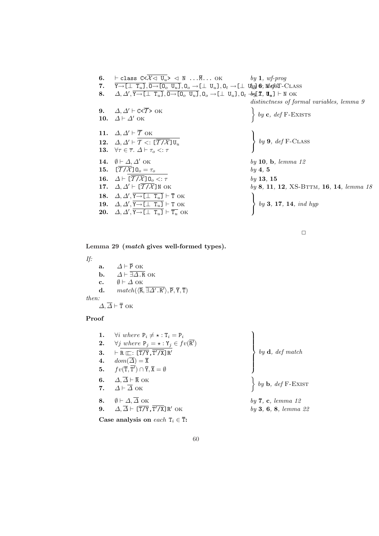| 6. | $\vdash$ class $C < \overline{\mathcal{X}} \triangleleft \overline{U_u} > \triangleleft N \dots \overline{M} \dots \text{OK}$ by 1, wf-prog             |                                                                        |
|----|---------------------------------------------------------------------------------------------------------------------------------------------------------|------------------------------------------------------------------------|
| 7. | $Y \rightarrow [\perp T_u], 0 \rightarrow [0, U_u], 0, \rightarrow [\perp U_u], 0, \rightarrow [\perp U_u], 0$ 6, $\mathbb{W}$ of KT-CLASS              |                                                                        |
| 8. | $\Delta, \Delta', Y \rightarrow [\perp T_u], 0 \rightarrow [0, U_u], 0, \rightarrow [\perp U_u], 0, +\partial_x[\mathcal{I}, \mathbf{U}_u] \vdash N$ OK |                                                                        |
|    |                                                                                                                                                         | distinctness of formal variables, lemma 9                              |
| 9. | $\Delta, \Delta' \vdash c \ltimes \overline{T} > \text{OK}$                                                                                             |                                                                        |
|    | 10. $\Delta \vdash \Delta'$ OK                                                                                                                          | $\Big\} by c, def F-EXISTS$                                            |
|    |                                                                                                                                                         |                                                                        |
|    | 11. $\Delta, \Delta' \vdash \overline{T}$ OK                                                                                                            |                                                                        |
|    | 12. $\Delta, \Delta' \vdash \mathcal{T} <: [\overline{\mathcal{T}/\mathcal{X}}] \mathbb{U}_n$                                                           | $\begin{cases} by 9, \text{ def } F\text{-}\mathrm{CLASS} \end{cases}$ |
|    | 13. $\forall \tau \in \overline{\tau}$ . $\Delta \vdash \tau_o \lt: \tau$                                                                               |                                                                        |
|    | 14. $\emptyset \vdash \Delta, \Delta'$ OK                                                                                                               | by 10, b, lemma $12$                                                   |
|    | 15. $[\overline{T}/\mathcal{X}]$ $0_o = \tau_o$                                                                                                         | $by \, 4, \, 5$                                                        |
|    | 16. $\Delta \vdash [\overline{T/X}] \mathbf{0}_o <: \tau$                                                                                               | by 13, 15                                                              |
|    | 17. $\Delta, \Delta' \vdash [\overline{T/X}]$ N OK                                                                                                      | by 8, 11, 12, XS-BTTM, 16, 14, lemma 18                                |
|    | 18. $\Delta, \Delta', \overline{Y \rightarrow [\perp \ T_u]} \vdash \overline{T}$ OK                                                                    |                                                                        |
|    | 19. $\Delta, \Delta', \overline{Y \rightarrow [\perp T_u]} \vdash T$ OK                                                                                 | by 3, 17, 14, $ind\ hyp$                                               |
|    | <b>20.</b> $\Delta, \Delta', \overline{Y \rightarrow [\perp \ T_u]} \vdash \overline{T_u}$ OK                                                           |                                                                        |

Lemma 29 (match gives well-formed types).

If:

a.  $\Delta \vdash \overline{P}$  ok **b.**  $\Delta \vdash \overline{\exists \Delta . \mathbf{R}}$  ok c.  $\emptyset \vdash \Delta$  ok d.  $match(\langle \overline{\mathbf{R}}, \overline{\exists \Delta' \cdot \mathbf{R'}} \rangle, \overline{\mathbf{P}}, \overline{\mathbf{Y}}, \overline{\mathbf{T}})$ then:  $\overline{\Delta}$ ,  $\overline{\Delta}$   $\vdash$   $\overline{\text{T}}$  ок

# Proof

| 1. | $\forall i \ where \ P_i \neq \star : T_i = P_i$                                 |                                                                                           |
|----|----------------------------------------------------------------------------------|-------------------------------------------------------------------------------------------|
|    | <b>2.</b> $\forall j$ where $P_j = \star : Y_j \in fv(\overline{R'})$            |                                                                                           |
| 3. | $\vdash R \sqsubset : [\overline{T/Y}, \overline{T'/X}]R'$                       | by $\mathbf{d}$ , def match                                                               |
| 4. | $dom(\overline{\Delta})=\overline{\mathbf{X}}$                                   |                                                                                           |
|    | 5. $fv(\overline{T}, \overline{T'}) \cap \overline{Y}, \overline{X} = \emptyset$ |                                                                                           |
|    | 6. $\Delta, \overline{\Delta} \vdash \overline{\mathsf{R}}$ OK                   |                                                                                           |
|    | 7. $\Delta \vdash \overline{\Delta}$ OK                                          | $\left\{ \begin{array}{c} by \textbf{b}, \text{ def } \text{F-EXIST} \end{array} \right.$ |
|    | 8. $\emptyset \vdash \Delta, \overline{\Delta}$ OK                               | by $7, c, lemma 12$                                                                       |
|    | 9. $\Delta, \overline{\Delta} \vdash [\overline{T/Y}, \overline{T'/X}] R'$ OK    | by 3, 6, 8, lemma 22                                                                      |
|    | Case analysis on each $T_i \in \overline{T}$ :                                   |                                                                                           |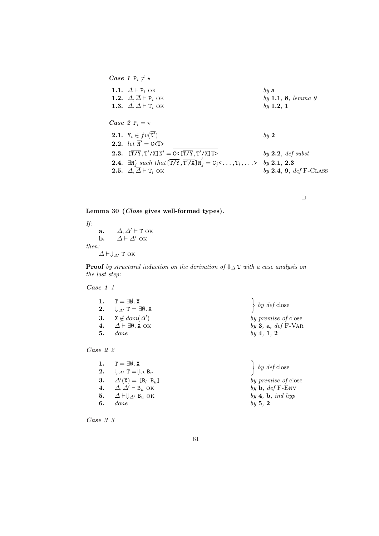Case 1 P<sub>i</sub> 
$$
\neq
$$
 ×  
\n1.1.  $\Delta \vdash P_i$  OK by a  
\n1.2.  $\Delta, \overline{\Delta} \vdash P_i$  OK by 1.1, 8, lemma 9  
\n1.3.  $\Delta, \overline{\Delta} \vdash T_i$  OK by 1.2, 1  
\nCase 2 P<sub>i</sub> =  $\star$   
\n2.1.  $Y_i \in fv(\overline{N'})$  by 2  
\n2.2. let  $\overline{N'} = \overline{c} < \overline{U}$  by 2  
\n2.3.  $[\overline{T/Y}, \overline{T'/X}]N' = \overline{c} < [\overline{T/Y}, \overline{T'/X}] \overline{U} > \qquad \qquad \qquad by 2.2, def subst\n2.4.  $\exists N'_j$  such that  $[\overline{T/Y}, \overline{T'/X}]N'_j = C_j < \ldots, T_i, \ldots > \qquad \qquad by 2.1, 2.3\n2.5.  $\Delta, \overline{\Delta} \vdash T_i$  OK by 2.4, 9, def F-CLASS$$ 

### Lemma 30 (Close gives well-formed types).

If: a.  $\Delta, \Delta' \vdash T$  ok **b.**  $\Delta \vdash \Delta'$  ok then:  $\varDelta\vdash\Downarrow_{\varDelta'}$ Т ок

**Proof** by structural induction on the derivation of  $\Downarrow_{\Delta}$  T with a case analysis on the last step:

Case 1 1

| 1. $T = \exists \emptyset$ .X                       | $\left\{\begin{array}{c} by\ def\ close\end{array}\right.$ |
|-----------------------------------------------------|------------------------------------------------------------|
| 2. $\Downarrow_{\Lambda'} T = \exists \emptyset$ .X |                                                            |
| 3. $X \notin dom(\Delta')$                          | by premise of close                                        |
| 4. $\Delta \vdash \exists \emptyset$ . X OK         | by 3, a, def $F\text{-}VAR$                                |
| $5.$ done                                           | by 4, 1, 2                                                 |
|                                                     |                                                            |

5 Case 2 2

|    | 1. $T = \exists \emptyset$ .X                                   | $\left\{\begin{array}{c} by\,\,def\,close\end{array}\right.$ |
|----|-----------------------------------------------------------------|--------------------------------------------------------------|
|    | 2. $\Downarrow_{\Delta'} T = \Downarrow_{\Delta} B_u$           |                                                              |
|    | <b>3.</b> $\Delta'(\mathbf{X}) = [\mathbf{B}_l \ \mathbf{B}_u]$ | by premise of clo                                            |
|    | 4. $\Delta, \Delta' \vdash B_u$ OK                              | by $\mathbf b$ , def F-ENV                                   |
|    | 5. $\Delta \vdash \Downarrow_{\Delta'} B_u$ OK                  | $by \, 4, \, b, \, ind \, hyp$                               |
| 6. | done                                                            | by 5, $2$                                                    |

 $\ddot{\phantom{0}}$ by def close  $(X) = [B_l \ B_u]$  by premise of close  $by \, 4, \, b, \, ind \, hyp$  $by \overline{5}$ , 2

6 Case 3 3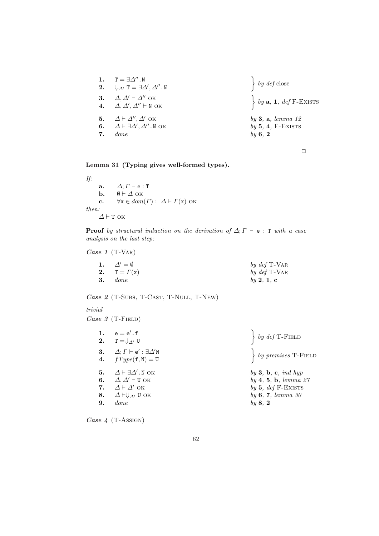| 1. | $\texttt{T} = \exists \varDelta''$ . N<br>2. $\Downarrow_{\Delta'} T = \exists \Delta', \Delta''$ . N<br>3. $\Delta, \Delta' \vdash \Delta''$ OK<br>4. $\Delta, \Delta', \Delta'' \vdash N$ OK | $\left\{\begin{array}{c} by\,\,def\,close\end{array}\right.$<br>$\left\{ by \mathbf{a}, \mathbf{1}, \text{def } F\text{-}\text{EXISTS} \right\}$ |
|----|------------------------------------------------------------------------------------------------------------------------------------------------------------------------------------------------|--------------------------------------------------------------------------------------------------------------------------------------------------|
| 7. | 5. $\Delta \vdash \Delta'', \Delta'$ OK<br>6. $\Delta \vdash \exists \Delta', \Delta''.$ N OK<br>done                                                                                          | by $3, a, lemma 12$<br>$by 5, 4, F-EXISTS$<br>by 6, 2                                                                                            |

Lemma 31 (Typing gives well-formed types).

If: a.  $\Delta; \Gamma \vdash e : T$ **b.**  $\emptyset \vdash \Delta$  ok c.  $\forall x \in dom(\Gamma): \Delta \vdash \Gamma(x)$  ok then:  $\varDelta \vdash \texttt{T}$ ок

**Proof** by structural induction on the derivation of  $\Delta; \Gamma \vdash e : T$  with a case analysis on the last step:

Case 1 (T-Var)

| 1. $\Delta' = \emptyset$ | by $def$ T-VAR |
|--------------------------|----------------|
| 2. $T = \Gamma(x)$       | by $def$ T-VAR |
| $3.$ done                | by 2, 1, c     |

Case 2 (T-Subs, T-Cast, T-Null, T-New)

### trivial

Case  $3$  (T-FIELD)

| 1. | $\mathsf{e} = \mathsf{e}'$ . $\mathsf{f}$<br>2. $T = \oint_{\Delta'} U$ | $\left\{\begin{array}{c} by\ def\ T\text{-FIELD}\end{array}\right.$                              |
|----|-------------------------------------------------------------------------|--------------------------------------------------------------------------------------------------|
|    | 3. $\Delta; \Gamma \vdash e' : \exists \Delta' N$                       |                                                                                                  |
|    | 4. $fType(f, N) = U$                                                    | $\left\{ \begin{array}{c} by \text{ } premises \text{ } T\text{-F}\text{}} \end{array} \right\}$ |
| 5. | $\Delta \vdash \exists \Delta' . \mathbb{N}$ ok                         | $by 3$ , b, c, ind hyp                                                                           |
|    | 6. $\Delta, \Delta' \vdash \text{U OK}$                                 | by 4, 5, b, lemma 27                                                                             |
|    | 7. $\Delta \vdash \Delta'$ OK                                           | by 5, $def$ F-EXISTS                                                                             |
| 8. | $\Delta \vdash \Downarrow_{\Delta'} U$ OK                               | by 6, 7, lemma 30                                                                                |
| 9. | done                                                                    | by $8, 2$                                                                                        |
|    |                                                                         |                                                                                                  |

Case 4 (T-Assign)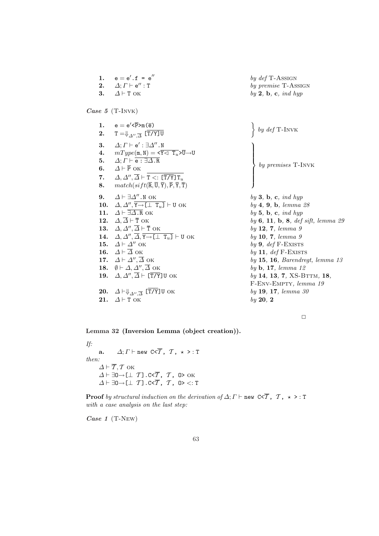|     | 1. $e = e'.f = e''$<br>2. $\Delta; \Gamma \vdash e'' : T$                                                                                                                                        | by $def$ T-ASSIGN<br>by premise T-ASSIGN |
|-----|--------------------------------------------------------------------------------------------------------------------------------------------------------------------------------------------------|------------------------------------------|
| 3.  | $\Delta$ + T ok                                                                                                                                                                                  | by $2$ , b, c, ind hyp                   |
|     | Case 5 (T-INVK)                                                                                                                                                                                  |                                          |
|     | 1. $e = e^{\prime} \langle \overline{P} \rangle_{m}(\overline{e})$                                                                                                                               |                                          |
| 2.  | $T = \oint_{\Delta''} \frac{1}{\Delta} [\overline{T/Y}]\overline{U}$                                                                                                                             | $\Big\}$ by def T-INVK                   |
| 3.  | $\Delta; \varGamma \vdash \mathsf{e}' : \exists \varDelta''$ . N                                                                                                                                 |                                          |
|     | 4. $mType(\mathfrak{m}, \mathbb{N}) = \langle \overline{Y} \langle \overline{Y} \overline{X} \rangle \overline{U} \rightarrow U$<br>5. $\Delta; \Gamma \vdash \overline{e : \exists \Delta . R}$ |                                          |
|     | 6. $\Delta \vdash \overline{P}$ OK                                                                                                                                                               | by premises $T$ -INVK                    |
|     | 7. $\Delta, \Delta'', \overline{\Delta} \vdash \overline{\mathtt{T} <: [\overline{\mathtt{T/Y}}] \mathtt{T}_{\mathit{ii}}}$                                                                      |                                          |
|     | 8. $match(sift(\overline{R},\overline{U},\overline{Y}),\overline{P},\overline{Y},\overline{T})$                                                                                                  |                                          |
| 9.  | $\Delta \vdash \exists \Delta''$ . N OK                                                                                                                                                          | by $3, b, c, ind hyp$                    |
|     | 10. $\Delta, \Delta'', \overline{Y \rightarrow [\perp \ T_u]} \vdash U$ OK                                                                                                                       | by 4, 9, b, lemma 28                     |
|     | 11. $\Delta \vdash \overline{\exists \Delta . \mathbf{R}}$ OK                                                                                                                                    | by $5, b, c, ind hyp$                    |
|     | 12. $\Delta, \overline{\Delta} \vdash \overline{\text{T}}$ OK                                                                                                                                    | by 6, 11, b, 8, def sift, lemma 29       |
|     | 13. $\Delta, \Delta'', \overline{\Delta} \vdash \overline{\text{T}}$ OK<br>14. $\Delta, \Delta'', \overline{\Delta}, \overline{Y \rightarrow [\perp \ T_u]} \vdash U$ OK                         | by 12, 7, lemma 9<br>by 10, 7, lemma 9   |
|     | 15. $\Delta \vdash \Delta''$ OK                                                                                                                                                                  | by $9, def$ F-EXISTS                     |
|     | 16. $\Delta \vdash \overline{\Delta}$ OK                                                                                                                                                         | by 11, $def$ F-EXISTS                    |
|     | 17. $\Delta \vdash \Delta'', \overline{\Delta}$ ok                                                                                                                                               | $by$ 15, 16, Barendregt, lemma 13        |
|     | 18. $\emptyset \vdash \Delta, \Delta'', \overline{\Delta}$ ok                                                                                                                                    | by $\mathbf b$ , 17, lemma 12            |
|     | 19. $\Delta, \Delta'', \overline{\Delta} \vdash [\overline{T/Y}]$ U OK                                                                                                                           | by 14, 13, 7, XS-BTTM, 18,               |
|     |                                                                                                                                                                                                  | F-ENV-EMPTY, lemma 19                    |
|     | 20. $\Delta \vdash \Downarrow_{\Delta'', \overline{\Delta}} [\overline{T/Y}]$ U OK                                                                                                               | by 19, 17, lemma 30                      |
| 21. | $\Delta$ + T OK                                                                                                                                                                                  | by 20, 2                                 |
|     |                                                                                                                                                                                                  |                                          |

Lemma 32 (Inversion Lemma (object creation)).

If: a.  $\Delta; \Gamma \vdash$  new C< $\overline{\mathcal{T}}$ ,  $\mathcal{T}$ ,  $\star$  >: T then:  $\varDelta \vdash \overline{\mathcal{T}}, \mathcal{T}$  ок  $\varDelta \vdash \exists 0 \!\!\rightarrow\! [\bot \ \mathcal{T}]$  . C< $\overline{\mathcal{T}}$  ,  $\ \mathcal{T}$  ,  $\ 0$ > ok  $\varDelta \vdash \exists 0 \negthinspace \rightarrow \negthinspace (\bot \!\!\! \bot \!\!\! \bot \top)$  , C< $\overline{\mathcal{T}}$  ,  $\top$  , O>  $<: \top$ 

**Proof** by structural induction on the derivation of  $\Delta; \Gamma \vdash$  new C< $\overline{\mathcal{T}}$ ,  $\mathcal{T}$ ,  $\star$  > : T with a case analysis on the last step:

Case 1 (T-New)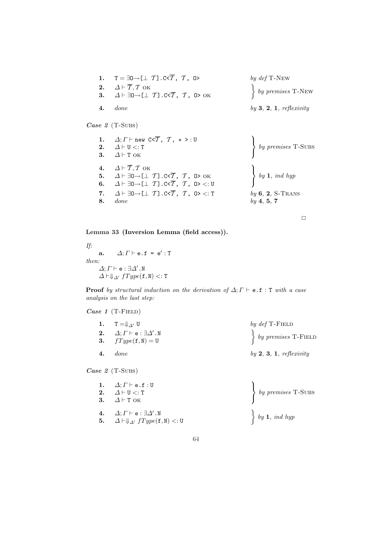|    | 1. $T = \exists 0 \rightarrow [\bot T]$ . C< $\overline{T}$ , $T$ , 0>                                                         | by $def$ T-New                                                                      |
|----|--------------------------------------------------------------------------------------------------------------------------------|-------------------------------------------------------------------------------------|
|    | 2. $\Delta \vdash \overline{T}, T$ OK<br>3. $\Delta \vdash \exists 0 \rightarrow [\bot \ T]$ . C< $\overline{T}$ , $T$ , 0> OK | $\left\{ \begin{array}{c} by \text{ } premises \text{ } T-NEW \end{array} \right\}$ |
| 4. | done                                                                                                                           | $by 3, 2, 1,$ reflexivity                                                           |
|    |                                                                                                                                |                                                                                     |

Case 2 (T-Subs)

|    | 1. $\Delta; \Gamma \vdash \text{new } C < \overline{T}$ , $\tau$ , $\star$ > : U<br>2. $\Delta \vdash U \lt: T$<br>3. $\Delta \vdash T$ OK                                                                                                                                                                                                                      | by premises $T$ -SUBS                                                               |
|----|-----------------------------------------------------------------------------------------------------------------------------------------------------------------------------------------------------------------------------------------------------------------------------------------------------------------------------------------------------------------|-------------------------------------------------------------------------------------|
| 8. | 4. $\Delta \vdash \overline{T}, T$ OK<br>5. $\Delta \vdash \exists 0 \rightarrow [\bot \ T]$ . C< $\overline{T}$ , $T$ , 0> OK<br>6. $\Delta \vdash \exists 0 \rightarrow [\bot \ T] . c < \overline{T}$ , $T$ , $0 > \langle : U \rangle$<br>7. $\Delta \vdash \exists 0 \rightarrow [\bot \ T]$ . C< $\overline{T}$ , $T$ , $0 > \langle : T \rangle$<br>done | $\begin{cases} by \ 1, \ ind \ hyp \end{cases}$<br>$by 6, 2, S-Trans$<br>by 4, 5, 7 |

 $\Box$ 

Lemma 33 (Inversion Lemma (field access)).

If: a.  $\Delta; \Gamma \vdash e.f = e': T$ then:  $\varDelta; \varGamma \vdash \mathtt{e} : \exists \varDelta' . \mathtt{N}$  $\Delta \vdash \Downarrow_{\Delta'} fType({\tt f},{\tt N}) <: {\tt T}$ 

**Proof** by structural induction on the derivation of  $\Delta$ ;  $\Gamma \vdash e.f : T$  with a case analysis on the last step:

Case  $1$  (T-FIELD)

| 1. T = $\Downarrow_{\Delta'}$ U                                                     | by $def$ T-FIELD                                                                                                              |
|-------------------------------------------------------------------------------------|-------------------------------------------------------------------------------------------------------------------------------|
| 2. $\Delta; \Gamma \vdash e : \exists \Delta' . \mathbb{N}$<br>3. $fType(f, N) = U$ | $\left\{ \begin{array}{c} by \text{ } premises \text{ } T\text{-F}\text{ }I\!\!\in\!\!\text{ }L\text{ }D \end{array} \right.$ |
| $4.$ done                                                                           | $by 2, 3, 1,$ reflexivity                                                                                                     |

Case 2 (T-Subs)

| 1. $\Delta; \Gamma \vdash$ e.f: U<br>2. $\Delta \vdash U \lt: : T$<br>3. $\Delta \vdash T$ OK                   | $\left\{ \begin{array}{c} by \text{ } premises \text{ } T\text{-}SUBS \end{array} \right.$ |
|-----------------------------------------------------------------------------------------------------------------|--------------------------------------------------------------------------------------------|
| 4. $\Delta; \Gamma \vdash$ e : $\exists \Delta'$ .N<br>5. $\Delta \vdash \Downarrow_{\Delta'} fType(f, N) <: U$ | $\begin{cases} by \ 1, \ ind \ hyp \end{cases}$                                            |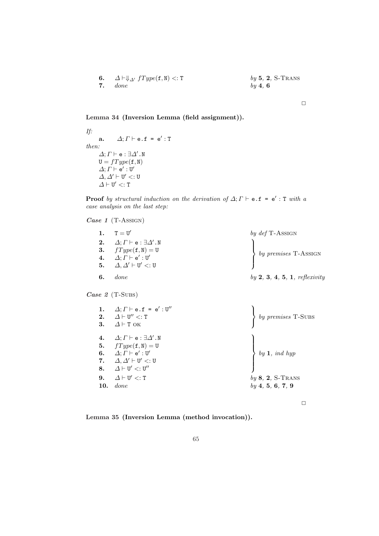**6.** 
$$
\Delta \vdash \Downarrow_{\Delta'}
$$
 fType(f, N)  $\prec$ : T  
**7.** done by 4, 6  
**8.** 2, S-Trans

Lemma 34 (Inversion Lemma (field assignment)).

If: a.  $\Delta; \Gamma \vdash e.f = e': T$ then:  $\Delta; \varGamma \vdash$  e :  $\exists \varDelta'$ .N  $\mathtt{U} = fType(\mathtt{f}, \mathtt{N})$  $\varDelta; \varGamma \vdash \mathsf{e}' : \mathtt{U}'$  $\Delta, \Delta' \vdash U' <: U$  $\Delta \vdash U' <: T$ 

**Proof** by structural induction on the derivation of  $\Delta; \Gamma \vdash e.f = e' : T$  with a case analysis on the last step:

Case  $1$  (T-Assign)

|     | 1. $T = U'$                                                 | by $def$ T-ASSIGN                                                                            |
|-----|-------------------------------------------------------------|----------------------------------------------------------------------------------------------|
|     | 2. $\Delta; \Gamma \vdash e : \exists \Delta' . \mathbb{N}$ |                                                                                              |
|     | 3. $fType(f, N) = U$                                        | $\left\{ \begin{array}{c} by \text{ } premises \text{ } T\text{-}ASSIGN \end{array} \right.$ |
|     | 4. $\Delta; \Gamma \vdash e' : U'$                          |                                                                                              |
|     | 5. $\Delta, \Delta' \vdash U' \lt: U$                       |                                                                                              |
| -6. | done                                                        | $by 2, 3, 4, 5, 1,$ reflexivity                                                              |

Case 2 (T-Subs)

| $\Delta; \Gamma \vdash e.f = e' : U''$<br>1.<br>$\varDelta \vdash$ U $''$ $<:$ T<br>2.<br>$\Delta$ + T ok<br>3.                                                                                                                                        | by premises $T$ -SUBS                                                                  |
|--------------------------------------------------------------------------------------------------------------------------------------------------------------------------------------------------------------------------------------------------------|----------------------------------------------------------------------------------------|
| $\varDelta;$ $\varGamma \vdash$ e : $\exists \varDelta'$ . N<br>4.<br>5. $fType(f, N) = U$<br>6. $\Delta; \Gamma \vdash e' : U'$<br>7. $\Delta, \Delta' \vdash U' <: U$<br>8. $\Delta \vdash U' <: U''$<br>9. $\Delta \vdash U' \lt: T$<br>done<br>10. | $\begin{cases} by 1, ind \; hyp \end{cases}$<br>$by 8, 2, S-Trans$<br>by 4, 5, 6, 7, 9 |

 $\Box$ 

 $\Box$ 

Lemma 35 (Inversion Lemma (method invocation)).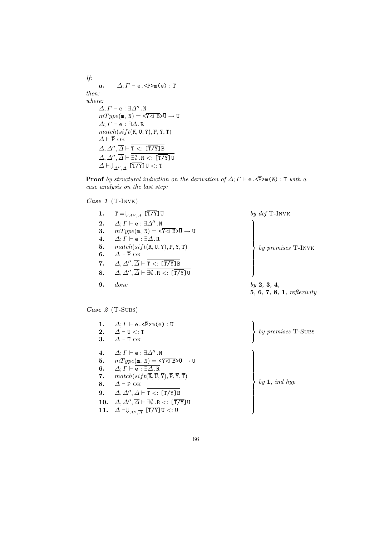If: a.  $\Delta; \Gamma \vdash e. \le \overline{P} > m(\overline{e}) : T$ then: where:  $\Delta; \Gamma \vdash$  e :  $\exists \Delta''$ .N  $mType(\texttt{m},\ \texttt{N}) = \texttt{<}\overline{\texttt{Y}\lhd\ \texttt{B}} \texttt{>} \overline{\texttt{U}} \rightarrow \texttt{U}$  $\Delta; \Gamma \vdash \overline{\mathtt{e}:\exists\Delta.\mathtt{R}}$  $match(sift(\overline{R}, \overline{U}, \overline{Y}), \overline{P}, \overline{Y}, \overline{T})$  $\Delta \vdash \overline{P}$  OK  $\varDelta,\varDelta'',\overline{\varDelta}\vdash \mathtt{T} <:\boldsymbol{[}\overline{\mathtt{T/Y}}\boldsymbol{]}$  B  $\varDelta,\varDelta'',\overline{\varDelta}\vdash \exists\emptyset$  . R  $<:\,[\overline{\mathtt{T/Y}}]$  U  $\varDelta\!\vdash\!\Downarrow_{\varDelta'',\overline{\varDelta}}\;$  [T/Y] U  $<:$  T

**Proof** by structural induction on the derivation of  $\Delta; \Gamma \vdash e \cdot \langle \overline{P} \rangle_{m}(\overline{e}) : T$  with a case analysis on the last step:

Case 1 (T-INVK)

| 1. | $T=\Downarrow_{\varDelta''\varDelta}$ [T/Y]U                                                                  | by $def$ T-INVK                   |
|----|---------------------------------------------------------------------------------------------------------------|-----------------------------------|
| 2. | $\Delta; \Gamma \vdash$ e : $\exists \Delta''$ . N                                                            |                                   |
| 3. | $mType(\mathfrak{m},\mathbb{N}) = \langle \overline{Y} \triangleleft \overline{B} \rangle \overline{U} \to U$ |                                   |
| 4. | $\Delta; \Gamma \vdash \overline{e : \exists \Delta . R}$                                                     |                                   |
| 5. | $match(sift(\overline{R},\overline{U},\overline{Y}),\overline{P},\overline{Y},\overline{T})$                  | $by\;premises$ T-INVK             |
| 6. | $\Delta \vdash \overline{P}$ OK                                                                               |                                   |
| 7. | $\Delta, \Delta'', \overline{\Delta} \vdash T <: [\overline{T/Y}]B$                                           |                                   |
| 8. | $\Delta, \Delta'', \overline{\Delta} \vdash \exists \emptyset .$ R $\lt: \lfloor \overline{T/Y} \rfloor$ U    |                                   |
| 9. | done                                                                                                          | by 2, 3, 4,                       |
|    |                                                                                                               | <b>5, 6, 7, 8, 1, reflexivity</b> |
|    |                                                                                                               |                                   |

Case 2 (T-Subs)

| 1.  | $\Delta; \Gamma \vdash e. \le \overline{P} > m(\overline{e}) : U$                                             |                          |
|-----|---------------------------------------------------------------------------------------------------------------|--------------------------|
| 2.  | $\Delta$ $\vdash$ U $\lt$ : T                                                                                 | by premises T-SUBS       |
| 3.  | $\Delta$ + T OK                                                                                               |                          |
|     |                                                                                                               |                          |
| 4.  | $\Delta; \Gamma \vdash e : \exists \Delta'' . \mathbb{N}$                                                     |                          |
| 5.  | $mType(\mathfrak{m},\mathbb{N}) = \langle \overline{Y} \triangleleft \overline{B} \rangle \overline{U} \to U$ |                          |
| 6.  | $\Delta; \Gamma \vdash \overline{e : \exists \Delta . R}$                                                     |                          |
| 7.  | $match(sift(\overline{R},\overline{U},\overline{Y}),\overline{P},\overline{Y},\overline{T})$                  |                          |
| 8.  | $\Lambda \vdash \overline{P}$ OK                                                                              | $by$ 1, $\emph{ind hyp}$ |
| 9.  | $\Delta, \Delta'', \overline{\Delta} \vdash T <: [\overline{T/Y}]B$                                           |                          |
|     | 10. $\Delta, \Delta'', \overline{\Delta} \vdash \exists \emptyset . \mathbb{R} <: [\overline{T/Y}]$ U         |                          |
| 11. | $\Delta \vdash \Downarrow_{\Delta'' \cdot \overline{\Delta}}$ [T/Y]U <: U                                     |                          |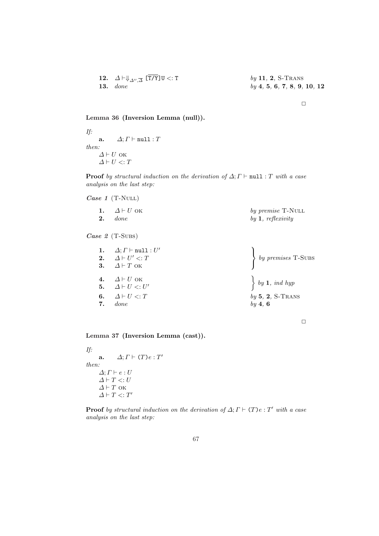| 12. $\Delta \vdash \Downarrow_{\Delta'', \overline{\Delta}} [\overline{T/Y}] \mathbb{U} <: \mathbb{T}$ | by 11, 2, S-Trans           |
|--------------------------------------------------------------------------------------------------------|-----------------------------|
| 13. done                                                                                               | by 4, 5, 6, 7, 8, 9, 10, 12 |

### Lemma 36 (Inversion Lemma (null)).

If: a.  $\Delta; \Gamma \vdash \text{null}: T$ then:  $\varDelta \vdash U$ ок  $\varDelta \vdash U <: T$ 

**Proof** by structural induction on the derivation of  $\Delta; \Gamma \vdash \text{null} : T$  with a case analysis on the last step:

Case  $1$  (T-NULL)

| 1. $\Delta \vdash U$ ok | by premise T-NULL   |
|-------------------------|---------------------|
| $2.$ done               | by $1,$ reflexivity |

Case 2 (T-Subs)

|    | 1. $\Delta; \Gamma \vdash \text{null}: U'$<br>2. $\Delta \vdash U' \lt: T$<br>3. $\Delta \vdash T$ OK         | $\left\{ \begin{array}{c} by \text{ } premises \text{ } T\text{-}SUBS \end{array} \right.$ |
|----|---------------------------------------------------------------------------------------------------------------|--------------------------------------------------------------------------------------------|
| 7. | <b>4.</b> $\Delta \vdash U$ OK<br><b>5.</b> $\Delta \vdash U \lt;: U'$<br>6. $\Delta \vdash U \lt: T$<br>done | $\begin{cases} by \ 1, \ ind \ hyp \end{cases}$<br>$by 5, 2, S-Trans$<br>$by \, 4, \, 6$   |

 $\Box$ 

Lemma 37 (Inversion Lemma (cast)).

If: a.  $\Delta; \Gamma \vdash (T) e : T'$ then:  $\Delta; \Gamma \vdash e : U$  $\Delta \vdash T <: U$  $\varDelta \vdash T$ ок  $\Delta \vdash T <: T'$ 

**Proof** by structural induction on the derivation of  $\Delta; \Gamma \vdash (\Gamma) e : T'$  with a case analysis on the last step: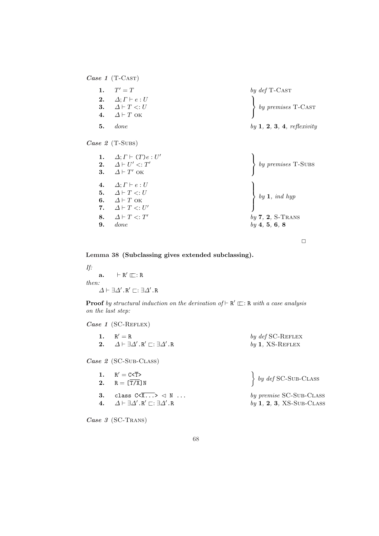Case 1 (T-CAST)

1.  $T' = T$  $0 = T$  by def T-Cast 2.  $\Delta; \Gamma \vdash e : U$ 3.  $\Delta \vdash T \lt: U$ 4.  $\Delta \vdash T$  ok  $\mathcal{L}$  by premises T-Cast **5.** done by 1, 2, 3, 4, reflexivity

Case 2 (T-Subs)

| 1.<br>3. | $\Delta; \Gamma \vdash (T) e : U'$<br>2. $\Delta \vdash U' \lt: T'$<br>$\Delta \vdash T'$ ok                                                                      | $\left\{ \begin{array}{c} by \text{ } premises \text{ } T\text{-}SUBS \end{array} \right.$ |
|----------|-------------------------------------------------------------------------------------------------------------------------------------------------------------------|--------------------------------------------------------------------------------------------|
| 6.<br>9. | 4. $\Delta; \Gamma \vdash e : U$<br>5. $\Delta \vdash T \lt: U$<br>$\Delta \vdash T$ ok<br>7. $\Delta \vdash T \lt: : U'$<br>8. $\Delta \vdash T \lt: T'$<br>done | $\begin{cases} by \ 1, \ ind \ hyp \end{cases}$<br>$by 7, 2, S-Trans$<br>by 4, 5, 6, 8     |

 $\Box$ 

Lemma 38 (Subclassing gives extended subclassing).

If:  $a. \qquad \vdash R' \sqsubseteq : R$ then:  $\Delta \vdash \exists \Delta' .\mathtt{R}' \sqsubset : \exists \Delta' .\mathtt{R}$ 

**Proof** by structural induction on the derivation of  $\vdash R' \rightrightarrows$ . R with a case analysis on the last step:

 $Case 1 (SC-REFLEX)$ 

| 1. $R' = R$                                                                                         | by $def$ SC-REFLEX |
|-----------------------------------------------------------------------------------------------------|--------------------|
| $2. \quad \Delta \vdash \exists \Delta' .\, \texttt{R}' \sqsubset : \exists \Delta' .\, \texttt{R}$ | by 1, $XS$ -REFLEX |

Case 2 (SC-Sub-CLASS)

1. R  $R' = C < \overline{T}$ 1.  $R' = C < \overline{T} >$ <br>2.  $R = [\overline{T/X}]N$   $\Big\}$ 3. class  $C \times \overline{X...} > \text{N} ...$  by premise SC-Sub-CLASS

Case 3 (SC-TRANS)

$$
f_{\rm{max}}
$$

$$
by\;def\;SC-SUB-CLASS
$$

4.  $\Delta \vdash \exists \Delta' . R' \sqsubset : \exists \Delta' . R$  by 1, 2, 3, XS-Sub-CLASS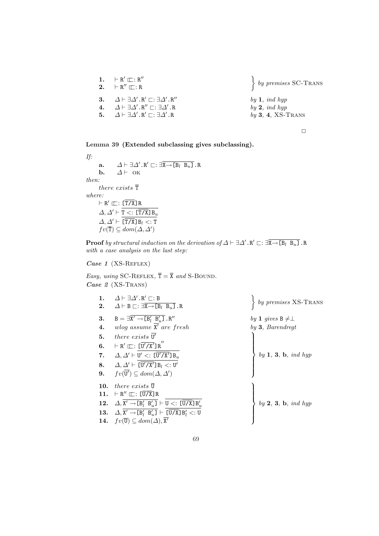| 1. $\vdash R' \sqsubset : R''$<br>2. $\vdash R'' \sqsubseteq : R$                                                                                                                                                                                  | $\left\{ \begin{array}{c} by \textit{ premises SC-Trans} \end{array} \right.$ |
|----------------------------------------------------------------------------------------------------------------------------------------------------------------------------------------------------------------------------------------------------|-------------------------------------------------------------------------------|
| 3. $\Delta \vdash \exists \Delta' . R' \sqsubset : \exists \Delta' . R''$<br>4. $\Delta \vdash \exists \Delta' . R'' \sqsubset : \exists \Delta' . R$<br>5. $\Delta \vdash \exists \Delta' . \mathbb{R}' \sqsubset : \exists \Delta' . \mathbb{R}$ | by $1$ , ind hyp<br>by 2, ind hyp<br>$by 3, 4, XS-Trans$                      |
|                                                                                                                                                                                                                                                    |                                                                               |

Lemma 39 (Extended subclassing gives subclassing).

If: a.  $\Delta \vdash \exists \Delta' \ldotp R' \sqsubset : \exists \overline{X \rightarrow [B_l \ B_u]} \ldotp R$ **b.**  $\Delta \vdash$  OK then: there exists  $\overline{\mathtt{T}}$ where:  $\vdash$  R'  $\sqsubseteq$ : [T/X]R  $\Delta, \Delta' \vdash \overline{\mathtt{T} <: [\overline{\mathtt{T} / \mathtt{X}}]\mathtt{B}_u}$  $\Delta, \Delta' \vdash \overline{\overline{\text{T/X}}\text{JB}_l \lt: : \text{T}}$  $fv(\overline{\mathsf{T}}) \subseteq dom(\Delta, \Delta')$ 

**Proof** by structural induction on the derivation of  $\Delta \vdash \exists \Delta'$ .R'  $\sqsubset: \exists \overline{X} \rightarrow [B_l \ B_u]$ .R with a case analysis on the last step:

### Case 1 (XS-REFLEX)

Easy, using SC-REFLEX,  $\overline{T} = \overline{X}$  and S-BOUND. Case 2 (XS-TRANS)

| 1.                 | $\Delta \vdash \exists \Delta' . \mathsf{R}' \sqsubset : \mathsf{B}$                    | $\left\{ \begin{array}{c} by \text{ } premises \text{ } \text{XS-Trans} \end{array} \right.$ |
|--------------------|-----------------------------------------------------------------------------------------|----------------------------------------------------------------------------------------------|
| 2.                 | $\Delta \vdash B \sqsubset : \exists X \rightarrow [B_l \ B_u]$ .R                      |                                                                                              |
| 3.                 | $B = \exists X' \rightarrow [B'_l \ B'_u]$ . R''                                        | by 1 gives $B \neq \perp$                                                                    |
| $\boldsymbol{4}$ . | wlog assume $\overline{X}'$ are fresh                                                   | $by 3$ , Barendregt                                                                          |
| 5.                 | there exists $\overline{U'}$                                                            |                                                                                              |
| 6.                 | $\vdash R' \sqsubseteq : [\overline{U' / X'}] R''$                                      |                                                                                              |
|                    | 7. $\Delta, \Delta' \vdash U' \lt: [U'/X']B_u$                                          | by 1, 3, b, ind hyp                                                                          |
|                    | 8. $\Delta, \Delta' \vdash [\overline{U'}/X']B_l \lt: U'$                               |                                                                                              |
|                    | 9. $fv(\mathbf{U}') \subseteq dom(\Delta, \Delta')$                                     |                                                                                              |
| 10.                | <i>there exists</i> U                                                                   |                                                                                              |
| 11.                | $\vdash R'' \sqsubset : [U/X]R$                                                         |                                                                                              |
| 12.                | $\Delta, X' \rightarrow [B'_l \ B'_u] \vdash U \lt: [U/X] B'_u$                         | by $2, 3, b, ind hyp$                                                                        |
|                    | 13. $\Delta, \overline{X' \rightarrow [B'_l \ B'_u]} \vdash [\overline{U/X}] B'_l <: U$ |                                                                                              |
|                    | 14. $fv(\overline{\mathbf{U}}) \subseteq dom(\Delta), \overline{\mathbf{X'}}$           |                                                                                              |
|                    |                                                                                         |                                                                                              |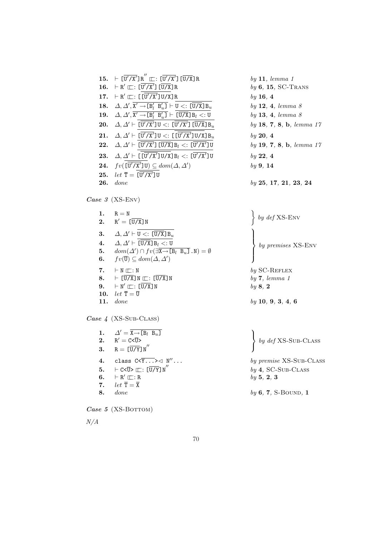|     | 15. $\vdash [\overline{U'/X'}]R'' \sqsubset : [\overline{U'/X'}] [\overline{U/X}]R$                                                                              | by 11, le    |
|-----|------------------------------------------------------------------------------------------------------------------------------------------------------------------|--------------|
|     | 16. $\vdash R' \sqsubset : [U'/X'] [U/X] R$                                                                                                                      | $by\ 6,\ 15$ |
|     | 17. $\vdash R' \sqsubseteq : [[U'/X']U/X]R$                                                                                                                      | by 16, 4     |
|     | 18. $\Delta, \Delta', \mathbf{X}' \rightarrow [\mathbf{B}'_l \ \mathbf{B}'_u] \vdash \mathbf{U} \lt: [\overline{\mathbf{U}/\mathbf{X}}] \mathbf{B}_u$            | $by$ 12, 4   |
|     | 19. $\Delta, \Delta', X' \rightarrow [B'_l \ B'_u] \vdash [\overline{U/X}] B_l <: U$                                                                             | $by$ 13, 4   |
|     | <b>20.</b> $\Delta, \Delta' \vdash [\mathbf{U'}/\mathbf{X'}] \mathbf{U} <: [\overline{\mathbf{U'}/\mathbf{X'}}] [\overline{\mathbf{U}/\mathbf{X}}] \mathbf{B}_u$ | $by$ 18, 7   |
|     | 21. $\Delta, \Delta' \vdash [\overline{U'/X'}]U <: [[\overline{U'/X'}]U/X]B_u$                                                                                   | by 20, 4     |
|     | 22. $\Delta, \Delta' \vdash [\overline{U'/X'}] [\overline{U/X}] B_l <: [\overline{U'/X'}] U$                                                                     | $by$ 19, 7   |
|     | 23. $\Delta, \Delta' \vdash [[U'/X']U/X]B_l <: [\overline{U'/X'}]U$                                                                                              | by 22, 4     |
|     | <b>24.</b> $fv(\overline{U'/X'}\overline{U}) \subseteq dom(\Delta, \Delta')$                                                                                     | by 9, 14     |
|     | 25. $let \overline{T} = [U'/X']U$                                                                                                                                |              |
| 26. | done                                                                                                                                                             | by 25, 1     |

Case 3 (XS-ENV)

1.  $R = N$ 2.  $R' = \overline{[U/X]}N$  $\begin{aligned} \mathcal{O} &= \mathbb{N} \\ \mathcal{O} &= \left[ \overline{\mathbf{U} / \mathbf{X}} \right] \mathbb{N} \end{aligned}$ by def XS-Env 3.  $\Delta, \Delta' \vdash U \lt: \lfloor \overline{U/X} \rfloor B_u$ 4.  $\Delta, \Delta' \vdash \overline{[U/X]} B_l <: U$ 5.  $dom(\Delta') \cap fv(\exists \overline{X \rightarrow [B_l \ B_u]} \cdot N) = \emptyset$ 6.  $fv(\overline{\mathbf{U}}) \subseteq dom(\Delta, \Delta')$  $\frac{2}{\sqrt{2}}$  $\vert$  $\left\lceil \right\rceil$ by premises XS-Env 7.  $\vdash N \sqsubset \vdots N$  by SC-REFLEX 8.  $\vdash [\overline{U/X}]N \sqsubset : [\overline{U/X}]N$  by 7, lemma 1 **9.**  $\vdash N' \sqsubset : [\overline{U/X}]N$  by 8, 2 10.  $let \ \overline{T} = \overline{U}$ Case 4 (XS-Sub-CLASS) 11. *done* by 10, 9, 3, 4, 6  $\ddot{\phantom{a}}$ 

|    | 1. $\Delta' = \overline{X \rightarrow [B_l \ B_u]}$                            |                              |
|----|--------------------------------------------------------------------------------|------------------------------|
|    | 2. $R' = C < \overline{U} >$                                                   | $\emph{by def}$ XS-Sub-CLASS |
|    | 3. $R = [\overline{U/Y}]N''$                                                   |                              |
| 4. | class $C<\overline{Y\ldots}>\lhd N''\ldots$                                    | by premise XS-SUB-CLASS      |
|    | 5. $\vdash$ C< $\overline{U}$ > $\sqsubset$ : $\left[\overline{U/Y}\right]N''$ | $by 4$ , SC-SUB-CLASS        |
| 6. | $\vdash R' \sqcap : R$                                                         | by 5, 2, 3                   |
| 7. | $let \overline{T} = \overline{X}$                                              |                              |
| 8. | <i>done</i>                                                                    | $by 6, 7, S-BOUND, 1$        |
|    | Case 5 (XS-BOTTOM)                                                             |                              |

N/A

| $J/X]B_u$       | by 18, 7, 8, b, lemma 17 |
|-----------------|--------------------------|
| $J/X]B_u$       | by 20, 4                 |
| $\sqrt{X'}$ ] U | by 19, 7, 8, b, lemma 17 |
| $\sqrt{X'}$ ]U  | by 22, 4                 |
|                 | by 9, 14                 |

 $by$  11, lemma 1

 $by$  16, 4

 $by 6, 15, SC-Trans$ 

by  $12, 4,$  lemma  $8$ 

by 13, 4, lemma  $8$ 

 $by 25, 17, 21, 23, 24$ 

70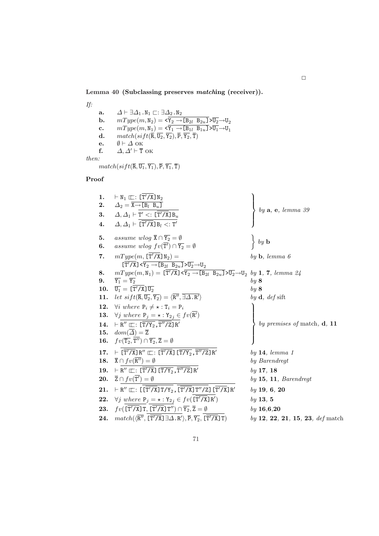Lemma 40 (Subclassing preserves matching (receiver)).

If: a.  $\Delta \vdash \exists \Delta_1 \ldotp \mathtt{N}_1 \sqsubset : \exists \Delta_2 \ldotp \mathtt{N}_2$ **b.**  $mType(m, N_2) = \langle Y_2 \rightarrow [B_{2l} \ B_{2u}] \times \overline{U_2} \rightarrow U_2$ c.  $mType(m, N_1) = \langle \overline{Y_1} \rightarrow [B_{1l} \ B_{1u}] \rightarrow \overline{U_1} \rightarrow U_1$ d.  $match(sift(\overline{\mathsf{R}},\overline{\mathsf{U}_2},\overline{\mathsf{Y}_2}), \overline{\mathsf{P}}, \overline{\mathsf{Y}_2}, \overline{\mathsf{T}})$ e.  $\emptyset \vdash \Delta$  ok<br>f.  $\Delta, \Delta' \vdash \overline{T}$  $\Delta, \Delta' \vdash \overline{T}$  ok then:

 $match(sift(\overline{R}, \overline{U_1}, \overline{Y_1}), \overline{P}, \overline{Y_1}, \overline{T})$ 

### Proof

| 1.<br>2.<br>3.<br>4. | $\vdash N_1 \sqsubset : [T'/X]N_2$<br>$\varDelta_2 = X \rightarrow [B_l \ B_u]$<br>$\Delta, \Delta_1 \vdash T' \lt: \vdash$ [T'/X] $B_u$<br>$\Delta, \Delta_1 \vdash [\overline{T'/X}] B_l <: T'$ | by $a, e, lemma 39$                     |
|----------------------|---------------------------------------------------------------------------------------------------------------------------------------------------------------------------------------------------|-----------------------------------------|
| 5.                   | assume wlog $\overline{X} \cap \overline{Y_2} = \emptyset$                                                                                                                                        | $by\;{\bf b}$                           |
| 6.                   | assume wlog $fv(\overline{T'}) \cap \overline{Y_2} = \emptyset$                                                                                                                                   |                                         |
| 7.                   | $mType(m, [\Upsilon'/X]\N_2) =$<br>$[T'/X] \times Y_2 \rightarrow [B_{2l} \ B_{2u}] \times \overline{U_2} \rightarrow U_2$                                                                        | $by \, \mathbf{b}, \, lemma \, 6$       |
|                      |                                                                                                                                                                                                   |                                         |
| 8.                   | $mType(m, N_1) = [\mathbf{T}'/\mathbf{X}] \times Y_2 \rightarrow [B_{2l} \ B_{2u}] \times \overline{U_2} \rightarrow U_2 \ by \ 1, 7, lemma \ 24$                                                 |                                         |
| 9.                   | $\overline{Y_1} = \overline{Y_2}$                                                                                                                                                                 | by 8                                    |
| 10.                  | $\overline{U_1} = [\overline{T'}/X]\overline{U_2}$                                                                                                                                                | by 8                                    |
| 11.                  | $let\; sift(\overline{\mathsf{R}}, \overline{\mathsf{U}_2}, \overline{\mathsf{Y}_2}) = \langle \overline{\mathsf{R}'}, \overline{\exists \Delta . \mathsf{R}'}\rangle$                            | by $\mathbf d$ , def sift               |
| 12.                  | $\forall i$ where $P_i \neq \star : T_i = P_i$                                                                                                                                                    |                                         |
| 13.                  | $\forall j$ where $P_j = \star : Y_{2j} \in fv(R')$                                                                                                                                               |                                         |
| 14.                  | $\vdash R'' \sqsubset : [\overline{T/Y_2}, T''/Z]R'$                                                                                                                                              | $by \textit{ premises of match, d, 11}$ |
| 15.                  | $dom(\overline{\Delta}) = \overline{\mathsf{Z}}$                                                                                                                                                  |                                         |
| 16.                  | $fv(\overline{T_2}, \overline{T''}) \cap \overline{Y_2}, \overline{Z} = \emptyset$                                                                                                                |                                         |
| 17.                  | $\vdash [\overline{T'/X}]R'' \sqsubset : [\overline{T'/X}] [\overline{T/Y_2}, \overline{T''/Z}]R'$                                                                                                | by 14, lemma 1                          |
| 18.                  | $\overline{\mathbf{X}} \cap f v(\mathbf{R}^{\prime\prime}) = \emptyset$                                                                                                                           | by Barendregt                           |
| 19.                  | $\vdash R'' \sqsubseteq : [\overline{T'/X}] [\overline{T/Y_2}, \overline{T''/Z}] R'$                                                                                                              | by 17, 18                               |
| 20.                  | $\overline{Z} \cap f v(T') = \emptyset$                                                                                                                                                           | by 15, 11, Barendregt                   |
| 21.                  | $\vdash R'' \sqsubseteq : [[T'/X]T/Y_2, [T'/X]T''/Z][T''/X]R'$                                                                                                                                    | by 19, 6, 20                            |
| 22.                  | $\forall j \ where \ P_j = \star : Y_{2j} \in fv(\llbracket T'/X \rrbracket R')$                                                                                                                  | by 13, 5                                |
| 23.                  | $fv(\overline{[\overline{T'}/X]}\overline{T}, \overline{[\overline{T'}/X]}\overline{T''}) \cap \overline{Y_2}, \overline{Z} = \emptyset$                                                          | by 16, 6, 20                            |
| 24.                  | $match(\langle \overline{R''}, \overline{[\overline{T'}/X]} \exists \Delta . R' \rangle, \overline{P}, \overline{Y_2}, \overline{[\overline{T'}/X]} \top)$                                        | $by 12, 22, 21, 15, 23, def$ match      |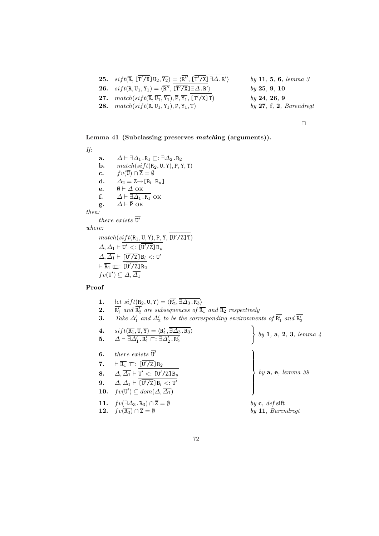| <b>25.</b> $sift(\overline{R}, \overline{T'/X}]U_2, \overline{Y_2}) = \langle \overline{R''}, \overline{T'/X} \rangle \exists \Delta . R' \rangle$ | by 11, 5, 6, lemma 3    |
|----------------------------------------------------------------------------------------------------------------------------------------------------|-------------------------|
| <b>26.</b> $sift(\overline{R}, \overline{U_1}, \overline{Y_1}) = \langle R'', \lfloor T'/X \rfloor \exists \Delta . R' \rangle$                    | by 25, 9, 10            |
| 27. $match(sift(\overline{R}, \overline{U_1}, \overline{Y_1}), \overline{P}, \overline{Y_1}, [\mathbf{T'/X}] \mathbf{T})$                          | by 24, 26, 9            |
| <b>28.</b> $match(sift(\overline{R}, \overline{U_1}, \overline{Y_1}), \overline{P}, \overline{Y_1}, \overline{T})$                                 | by 27, f, 2, Barendregt |
|                                                                                                                                                    |                         |

Lemma 41 (Subclassing preserves matching (arguments)).

If: a.  $\Delta \vdash \exists \Delta_1 \ldotp \mathtt{R}_1 \sqsubset : \exists \Delta_2 \ldotp \mathtt{R}_2$ **b.**  $match(sift(\overline{R_2}, \overline{U}, \overline{Y}), \overline{P}, \overline{Y}, \overline{T})$ c.  $fv(\overline{U}) \cap \overline{Z} = \emptyset$ d.  $\overline{\Delta_2} = \overline{{\tt Z} \rightarrow} [{\tt B}_l \hspace{1mm} {\tt B}_u]$ e.  $\emptyset \vdash \Delta$  ok f.  $\Delta \vdash \overline{\exists \Delta_1 . \mathbf{R}_1}$  ok g.  $\Delta \vdash \overline{P}$  OK then: there exists  $\overline{\mathtt{U}'}$ where:  $match(sift(\overline{{\mathtt{R}}_1},\overline{{\mathtt{U}}},\overline{{\mathtt{Y}}}), \overline{{\mathtt{P}}}, \overline{{\mathtt{Y}}},$   $[\overline{{\mathtt{U}}'/{\mathtt{Z}}}]$  T)  $\varDelta,\overline{\varDelta_1} \vdash \mathtt{U}$  $^{\prime}$   $<:$  [U  $\sqrt{7}Z$ ] B $_u$ 

$$
\Delta, \Delta_1 \vdash \underline{\mathbf{U'} < : [\underline{\mathbf{U'}} / \underline{\mathbf{Z}}] \underline{\mathbf{B}}_u \\
\Delta, \overline{\Delta_1} \vdash \frac{\overline{[\underline{\mathbf{U'}} / \underline{\mathbf{Z}}] \underline{\mathbf{B}}_l < : \underline{\mathbf{U'}}}{\overline{[\underline{\mathbf{U'}} / \underline{\mathbf{Z}}] \underline{\mathbf{R}}_2} \leq : \underline{\mathbf{U'}} \\
f \circ (\overline{\mathbf{U'}}) \subseteq \Delta, \overline{\Delta_1}
$$

#### Proof

| 1. | let $sift(\overline{R_2}, \overline{U}, \overline{Y}) = \langle R'_2, \overline{\exists \Delta_3 \cdot R_3} \rangle$                                        |                                                                         |
|----|-------------------------------------------------------------------------------------------------------------------------------------------------------------|-------------------------------------------------------------------------|
| 2. | $\overline{R'_1}$ and $\overline{R'_2}$ are subsequences of $\overline{R_1}$ and $\overline{R_2}$ respectively                                              |                                                                         |
| 3. | Take $\Delta'_1$ and $\Delta'_2$ to be the corresponding environments of $\overline{R'_1}$ and $\overline{R'_2}$                                            |                                                                         |
|    | 4. $sift(\overline{\text{R}_1}, \overline{\text{U}}, \overline{\text{Y}}) = \langle \overline{\text{R}'_1}, \overline{\exists \Delta_3.\text{R}_3} \rangle$ |                                                                         |
|    | 5. $\Delta \vdash \overline{\exists \Delta'_1 \cdot R'_1 \sqsubset : \exists \Delta'_2 \cdot R'_2}$                                                         | $\begin{cases} by \ 1, \ a, \ 2, \ 3, \ lemma \end{cases}$              |
| 6. | there exists $\overline{U'}$                                                                                                                                |                                                                         |
|    | 7. $\vdash \overline{R_1} \sqsubset : [\overline{U'}/Z]R_2$                                                                                                 |                                                                         |
|    | 8. $\Delta, \overline{\Delta_1} \vdash U' \lt: \lfloor \overline{U'/Z} \rfloor B_u$                                                                         | $\begin{cases} by \mathbf{a}, \mathbf{e}, \text{ lemma 39} \end{cases}$ |
|    | <b>9.</b> $\Delta, \overline{\Delta_1} \vdash \overline{[\overline{U'}/\overline{Z}]\,B_l} \lt::\overline{U'}$                                              |                                                                         |
|    | 10. $fv(\overline{U'}) \subseteq dom(\Delta, \overline{\Delta_1})$                                                                                          |                                                                         |
|    | 11. $fv(\overline{\exists \Delta_3.\mathbb{R}_3}) \cap \overline{\mathbb{Z}} = \emptyset$                                                                   | by $c, def$ sift                                                        |
|    | <b>12.</b> $fv(\overline{R_3}) \cap \overline{Z} = \emptyset$                                                                                               | by 11, Barendregt                                                       |
|    |                                                                                                                                                             |                                                                         |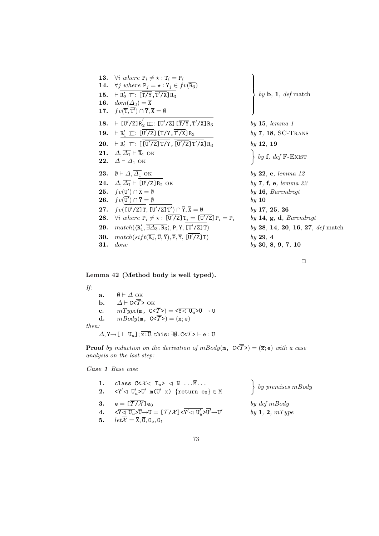13.  $\forall i$  where  $P_i \neq \star : T_i = P_i$ **14.**  $\forall j$  where  $P_j = \star : Y_j \in fv(\overline{R_3})$ 15.  $\vdash R'_2 \sqsubseteq : [\overline{T/Y}, \overline{T'/X}]R_3$ 16.  $dom(\overline{\Delta_3}) = \overline{\mathsf{X}}$ 17.  $fv(\overline{T}, \overline{T'}) \cap \overline{Y}, \overline{X} = \emptyset$  $\begin{matrix} \phantom{-} \end{matrix}$  $\Bigg\}$ 18.  $\overline{U'/Z}$ ] $R'_2 \equiv : \overline{U'/Z}$ ]  $\overline{T/Y}, \overline{T}$ 19.  $\vdash R'_1 \sqsubseteq : [\overline{U'/Z}] [\overline{T/Y}, \overline{T}]$ 20.  $\vdash R'_1 \rightharpoonup : [[\overline{U'/Z}]\overline{T}/Y, [\overline{U'/Z}]\overline{T'/X}]\overline{R}_3$  by 12, 19<br>
21.  $\Delta, \overline{\Delta_1} \vdash \overline{R}_1$  ok <br>
22.  $\Delta \vdash \overline{\Delta_1}$  ok  $\}$  by f, de **21.**  $\Delta, \overline{\Delta_1} \vdash \overline{R}_1$  ok<br>**22.**  $\Delta \vdash \overline{\Delta_1}$  ok **23.**  $\emptyset \vdash \Delta, \overline{\Delta_1}$  OK by 22, e, lemma 12 24.  $\Delta, \overline{\Delta_1} \vdash \overline{[\overline{U'}/\overline{Z}]\R_2}$  OK 25.  $fv(\overline{U'})$ **26.**  $fv(\overline{U'}) \cap \overline{Y} = \emptyset$  by 10 27.  $fv([\overline{U'/Z}]\texttt{T}, [\overline{U'/Z}]\texttt{T}'$ **28.**  $\forall i$  where  $P_i \neq \star : [\overline{U'/Z}]$   $T_i = [\overline{U}$  ${\bf 29.} \quad match(\langle \overline{{\rm R}_1'}, \overline{\exists \varDelta_3 . {\rm R}_3} \rangle , \overline{{\rm P}}, \overline{{\rm Y}},$  [ $\overline{{\rm U}}$ **30.**  $match(sift(\overline{R_1}, \overline{U}, \overline{Y}), \overline{P}, \overline{Y}, \overline{[U'/Z]T})$ **31.** done by 30, 8, 9, 7, 10

by  $\mathbf{b}$ ,  $\mathbf{1}$ , def match  $by$  15, lemma 1  $by$  7, 18, SC-TRANS  $\left\{ \begin{array}{c} by \textbf{f}, \text{ def } \text{F-ExIST} \end{array} \right\}$  $by 7, f, e, lemma 22$  $by 16$ , Barendregt  $by$  17, 25, 26 by  $14, g, d, Barendregt$  $by 28, 14, 20, 16, 27, def \text{match}$  $bv$  29, 4

 $\ddot{\phantom{a}}$ 

 $\Box$ 

## Lemma 42 (Method body is well typed).

If:

| a.                                                                                                                          | $\emptyset \vdash \Delta$ ok                                                                                                                    |  |
|-----------------------------------------------------------------------------------------------------------------------------|-------------------------------------------------------------------------------------------------------------------------------------------------|--|
| b.                                                                                                                          | $\Delta$ + C< $\overline{T}$ > OK                                                                                                               |  |
| $\mathbf{c}$ .                                                                                                              | $mType(\mathfrak{m}, \ \mathbb{C} \leq \overline{T} ) = \sqrt{\mathbb{Y} \triangleleft \mathbb{U}_u} \geq \overline{\mathbb{U}} \to \mathbb{U}$ |  |
| d.                                                                                                                          | $mBody(\mathfrak{m}, \ \ C \le \overline{T} \ge) = (\overline{x}; e)$                                                                           |  |
| then:                                                                                                                       |                                                                                                                                                 |  |
| $\Delta, \overline{Y \rightarrow [\perp \ U_u]}, \overline{x:U},$ this: $\exists \emptyset$ . C< $\overline{T>} \vdash e:U$ |                                                                                                                                                 |  |

**Proof** by induction on the derivation of  $mBody(m, C\langle \overline{T}\rangle) = (\overline{x}; e)$  with a case analysis on the last step:

Case 1 Base case

| 1. class $C < \overline{\mathcal{X}} \lhd T_u > \lhd N \ldots \overline{M} \ldots$<br>2. $\langle Y' \langle J \mid U'_n \rangle U' \mid m(\overline{U' \mid x}) \rangle$ {return $e_0$ } $\in \overline{M}$                                                                                                    | $\left\{ \begin{array}{c} by \text{ } premises \text{ } mBody \end{array} \right.$ |
|-----------------------------------------------------------------------------------------------------------------------------------------------------------------------------------------------------------------------------------------------------------------------------------------------------------------|------------------------------------------------------------------------------------|
| 3. $e = [\overline{T}/\overline{X}]e_0$<br>4. $\langle \overline{Y} \triangleleft \overline{U_u} \rangle \overline{U} \rightarrow U = [\overline{T}/\overline{X}] \langle \overline{Y}' \triangleleft U_u' \rangle \overline{U'} \rightarrow U'$<br>5. $let\overline{X} = \overline{X}, \overline{0}, 0_o, 0_t$ | by def mBody<br>by 1, 2, $mType$                                                   |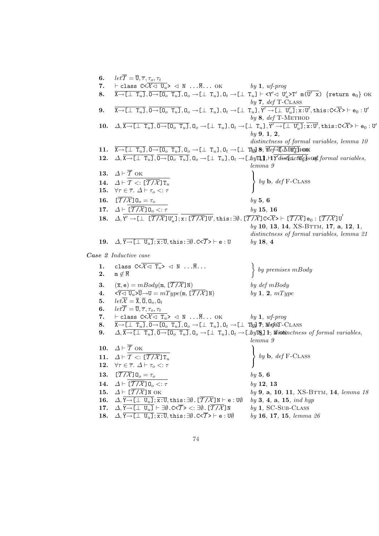| 6.                 | $let\overline{\mathcal{T}} = \overline{\mathbf{U}}, \overline{\tau}, \tau_o, \tau_t$                                                                                                                                                                                                                                                                                                                                                                                                      |                                                                                           |
|--------------------|-------------------------------------------------------------------------------------------------------------------------------------------------------------------------------------------------------------------------------------------------------------------------------------------------------------------------------------------------------------------------------------------------------------------------------------------------------------------------------------------|-------------------------------------------------------------------------------------------|
| 7.                 | $\vdash$ class $C \leq X \leq U_u$ $\geq$ $\leq N$ $\overline{M}$ OK by 1, wf-prog                                                                                                                                                                                                                                                                                                                                                                                                        |                                                                                           |
| 8.                 | $\overline{\mathbf{X} \rightarrow \llbracket \perp \mathbf{T}_u \rrbracket}, \overline{\mathbf{0} \rightarrow \llbracket \mathbf{0}_o \mathbf{T}_u \rrbracket}, \mathbf{0}_o \rightarrow \llbracket \perp \mathbf{T}_u \rrbracket, \mathbf{0}_t \rightarrow \llbracket \perp \mathbf{T}_u \rrbracket + \langle \mathbf{Y}' \lhd \mathbf{U}'_u \rangle \mathbf{T}' \mathbf{m}(\overline{\mathbf{U}' \mathbf{x}}) \text{ {return } } \mathbf{e}_0 \}$ OK                                    |                                                                                           |
| 9.                 | $\overline{\texttt{X}\rightarrow\texttt{[}\perp\texttt{T}_u\texttt{]},\texttt{0}\rightarrow\texttt{[0_\textit{o}~T_u}\texttt{]},\texttt{0}_\textit{o}\rightarrow\texttt{[}\perp\texttt{T}_u\texttt{]},\texttt{0}_t\rightarrow\texttt{[}\perp\texttt{T}_u\texttt{]},\overline{\texttt{Y}'\rightarrow\texttt{[}\perp\texttt{U}'_u\texttt{]}};\overline{\texttt{x}:U}', \texttt{this}:C<\!\overline{\mathcal{X}}\!\!>\,\vdash\texttt{e}_0:U'$                                                | by $7, def$ T-CLASS                                                                       |
|                    |                                                                                                                                                                                                                                                                                                                                                                                                                                                                                           | by $8, def$ T-METHOD                                                                      |
| 10.                | $\varDelta,\overline{\mathtt{X}\rightarrow\texttt{[}\bot\ \mathtt{T}_u\mathtt{]}},\overline{\mathtt{0}\rightarrow\texttt{[0_\textit{o}~T_u}\mathtt{]}},\mathtt{0_\textit{o}}\rightarrow\texttt{[}\bot\ \mathtt{T}_u\mathtt{]},\mathtt{0_t}\rightarrow\texttt{[}\bot\ \mathtt{T}_u\mathtt{]},\overline{\mathtt{Y}'\rightarrow\texttt{[}\bot\ \mathtt{U}_u'\mathtt{]}}};\overline{\mathtt{x}:\mathtt{U}'},\mathtt{this}:\mathtt{C}<\overline{\mathcal{X}}> \vdash \mathtt{e_0}:\mathtt{U}'$ |                                                                                           |
|                    |                                                                                                                                                                                                                                                                                                                                                                                                                                                                                           | by 9, 1, 2,                                                                               |
|                    |                                                                                                                                                                                                                                                                                                                                                                                                                                                                                           | distinctness of formal variables, lemma 10                                                |
| 11.<br>12.         | $\overline{X \rightarrow [\perp T_u]}$ , $\overline{0 \rightarrow [0_o T_u]}$ , $0_o \rightarrow [\perp T_u]$ , $0_t \rightarrow [\perp T_u]$ &, $\overline{Y}$ ef-II-MB' <sub>II</sub> HODK<br>$\Delta, \overline{X \rightarrow [\perp T_u]}, \overline{0 \rightarrow [0_o T_u]}, 0_o \rightarrow [\perp T_u], 0_t \rightarrow [\perp by T_u], H \overline{Y'dist}t \overline{u} dt \overline{y'_d s}$ of formal variables,                                                              |                                                                                           |
|                    |                                                                                                                                                                                                                                                                                                                                                                                                                                                                                           | lemma 9                                                                                   |
| 13.                | $\Delta \vdash \overline{\mathcal{T}}$ ok                                                                                                                                                                                                                                                                                                                                                                                                                                                 |                                                                                           |
|                    | 14. $\Delta \vdash \mathcal{T} \lt: [\overline{\mathcal{T}/\mathcal{X}}] \mathbb{T}_u$                                                                                                                                                                                                                                                                                                                                                                                                    | $\left\{ \begin{array}{c} by \textbf{b}, \text{ def } \text{F-CLASS} \end{array} \right.$ |
| 15.                | $\forall \tau \in \overline{\tau}$ . $\Delta \vdash \tau_o \lt: \tau$                                                                                                                                                                                                                                                                                                                                                                                                                     |                                                                                           |
| 16.                | $\overline{\mathcal{I}/\mathcal{X}}$ ] $0_o = \tau_o$                                                                                                                                                                                                                                                                                                                                                                                                                                     | by 5, 6                                                                                   |
| 17.                | $\Delta$ + $[\overline{T/X}]$ $0_o$ <: $\tau$                                                                                                                                                                                                                                                                                                                                                                                                                                             | by 15, 16                                                                                 |
| 18.                | $\Delta, Y' \to [\perp \overline{T/X}] U'_n]; x: [\overline{T/X}] U', \text{this}: \exists \emptyset. [\overline{T/X}] C \leq X \geq \top [\overline{T/X}] e_0: [\overline{T/X}] U'$                                                                                                                                                                                                                                                                                                      |                                                                                           |
|                    |                                                                                                                                                                                                                                                                                                                                                                                                                                                                                           | by 10, 13, 14, XS-BTTM, 17, a, 12, 1,                                                     |
|                    |                                                                                                                                                                                                                                                                                                                                                                                                                                                                                           | distinctness of formal variables, lemma 21                                                |
| 19.                | $\Delta, \overline{Y \rightarrow [\perp \ U_u]}; \overline{x:U}, \text{this}: \exists \emptyset. C \leq \overline{T} \geq \vdash e:U$                                                                                                                                                                                                                                                                                                                                                     | $by$ 18, 4                                                                                |
|                    | Case 2 Inductive case                                                                                                                                                                                                                                                                                                                                                                                                                                                                     |                                                                                           |
| 1.                 | class $C < \overline{\mathcal{X} \lhd T_u} > \lhd N \ldots \overline{M} \ldots$                                                                                                                                                                                                                                                                                                                                                                                                           |                                                                                           |
| 2.                 | $m \not\in \overline{M}$                                                                                                                                                                                                                                                                                                                                                                                                                                                                  |                                                                                           |
| 3.                 | $(\overline{x}, e) = mBody(m, [T/X]N)$                                                                                                                                                                                                                                                                                                                                                                                                                                                    | by def mBody                                                                              |
| $\boldsymbol{4}$ . | $\langle \overline{Y} \langle \overline{U_u} \rangle \overline{U} \rightarrow U = mType(\mathfrak{m}, \overline{T/X} \overline{J} \overline{N})$                                                                                                                                                                                                                                                                                                                                          | by $1, 2, mType$                                                                          |
| 5.                 | $let\overline{X} = \overline{X}, \overline{0}, 0_o, 0_t$                                                                                                                                                                                                                                                                                                                                                                                                                                  |                                                                                           |
| 6.                 | $let\overline{\mathcal{T}} = \overline{\mathbf{U}}, \overline{\tau}, \tau_o, \tau_t$                                                                                                                                                                                                                                                                                                                                                                                                      |                                                                                           |
| 7.                 | $\vdash$ class $C < \overline{\mathcal{X}} \lhd T_u$ $>$ $\lhd$ N $\overline{M}$ OK                                                                                                                                                                                                                                                                                                                                                                                                       | by $1, wf$ -prog                                                                          |
| 8.                 | $\overline{X \rightarrow \Box \bot T_u J}$ , $\overline{0 \rightarrow \Box 0_o T_u J}$ , $0_o \rightarrow \Box \bot T_u J$ , $0_t \rightarrow \Box \bot T_u J$ , $\overline{v}$ , $\overline{w}$ $\overline{v}$ , $\overline{w}$ $\overline{w}$ . Class                                                                                                                                                                                                                                   |                                                                                           |
| 9.                 | $\Delta, \overline{X \rightarrow [\perp T_u]}, \overline{0 \rightarrow [0_o T_u]}, 0_o \rightarrow [\perp T_u], 0_t \rightarrow [\perp by \overline{R}] \rightarrow$ Mistinctness of formal variables,                                                                                                                                                                                                                                                                                    |                                                                                           |
|                    | 10. $\Delta \vdash \overline{\mathcal{T}}$ OK                                                                                                                                                                                                                                                                                                                                                                                                                                             | lemma 9                                                                                   |
|                    |                                                                                                                                                                                                                                                                                                                                                                                                                                                                                           | by $\mathbf{b}$ , def F-CLASS                                                             |
| 12.                | 11. $\Delta \vdash \overline{T} \lt: \lfloor \overline{\overline{T} / \overline{\mathcal{X}}} \rfloor \mathbb{T}_u$<br>$\forall \tau \in \overline{\tau}$ . $\Delta \vdash \tau_o \lt: \tau$                                                                                                                                                                                                                                                                                              |                                                                                           |
|                    |                                                                                                                                                                                                                                                                                                                                                                                                                                                                                           |                                                                                           |
| 13.                | $\overline{[T/\mathcal{X}}]$ 0 <sub>0</sub> = $\tau_o$                                                                                                                                                                                                                                                                                                                                                                                                                                    | by 5, 6                                                                                   |
| 14.                | $\Delta \vdash [\overline{T/X}] \mathbb{O}_o <: \tau$                                                                                                                                                                                                                                                                                                                                                                                                                                     | by 12, 13                                                                                 |
| 15.                | $\Delta \vdash [\overline{T/X}]$ N OK                                                                                                                                                                                                                                                                                                                                                                                                                                                     | by 9, a, 10, 11, XS-BTTM, 14, lemma 18                                                    |
| 16.                | $\Delta, \overline{Y\rightarrow [\perp \ \mathtt{U}_u]}; \overline{x:U}, \mathtt{this}:\exists \emptyset.$ $[\overline{\mathcal{T}/\mathcal{X}}]$ $\mathbb{N} \vdash \mathtt{e}:\mathbb{U}\emptyset$                                                                                                                                                                                                                                                                                      | by 3, 4, a, 15, ind hyp                                                                   |
| 17.                | $\Delta, \overline{Y \rightarrow L\perp\, \mathrm{U}_u \mathrm{I}} \vdash \exists \emptyset.$ C< $\overline{T} \triangleright <: \exists \emptyset.$ $[\overline{\mathcal{T} / \mathcal{X}}]$ N                                                                                                                                                                                                                                                                                           | $by 1$ , SC-SUB-CLASS                                                                     |
| 18.                | $\Delta, \overline{Y \rightarrow L\perp U_u \rrbracket}; \overline{x\!:\!U}, \mathtt{this}:\exists \emptyset. \mathtt{C}\!\!\times\!\! \overline{T}\!\!>\,\vdash\mathsf{e}:\mathtt{U}\emptyset$                                                                                                                                                                                                                                                                                           | by 16, 17, 15, lemma 26                                                                   |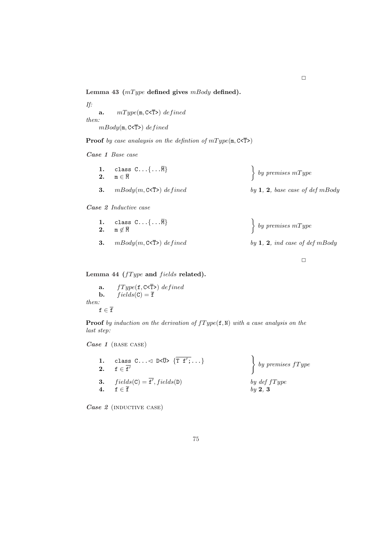Lemma 43  $(mType$  defined gives  $mBody$  defined).

If: a.  $mType(m, C \leq T>)$  defined then:  $mBody(\texttt{m}, \texttt{C}\texttt{<}\overline{\texttt{T}})$  defined

**Proof** by case analaysis on the definition of  $mType(\mathbf{m}, \mathbf{C}\leq\overline{T})$ 

Case 1 Base case

| 1. class $C \dots \{ \dots \overline{M} \}$<br>2. $m \in \overline{M}$ | $\left\{ \begin{array}{c} by \text{ } premises \text{ } mType \end{array} \right.$ |
|------------------------------------------------------------------------|------------------------------------------------------------------------------------|
| <b>3.</b> $mBody(m, C \leq T) defined$                                 | by 1, 2, base case of def $m$ Body                                                 |

Case 2 Inductive case

|    | 1. class $C \dots \{ \dots \overline{M} \}$<br>2. $m \notin \overline{M}$ | $\left\{ \begin{array}{c} by \text{ } premises \text{ } mType \end{array} \right.$ |
|----|---------------------------------------------------------------------------|------------------------------------------------------------------------------------|
| 3. | $mBody(m, C < \overline{T})$ defined                                      | by 1, 2, ind case of def $m$ Body                                                  |

 $\Box$ 

Lemma 44 ( $fType$  and  $fields$  related).

a.  $fType(f, C \leq \overline{T}) defined$ **b.**  $fields(C) = \overline{f}$ then:  $\mathtt{f}\in\overline{\mathtt{f}}$ 

**Proof** by induction on the derivation of  $fType(f, N)$  with a case analysis on the last step:

Case 1 (BASE CASE)

| 1. class $C \ldots \vartriangleleft D \le \overline{U} > \{\overline{T} f'; \ldots\}$<br>$2. \quad \mathbf{f} \in \overline{\mathbf{f}'}$ | $\left\{ \begin{array}{c} by \text{ } premises \text{ } fType \end{array} \right.$ |
|-------------------------------------------------------------------------------------------------------------------------------------------|------------------------------------------------------------------------------------|
| 3. $fields(C) = \overline{f'}, fields(D)$<br>4. $f \in \overline{f}$                                                                      | by $def\{Type$<br>by 2, 3                                                          |

 $\overline{a}$ Case 2 (INDUCTIVE CASE)  $\Box$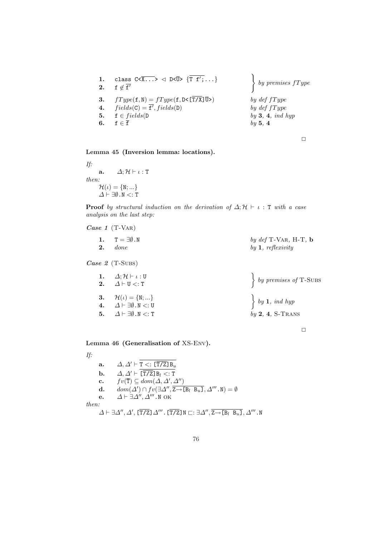|                | 1. class $C \times \overline{X \ldots} > \sqrt{D} \times \overline{U} > \{\overline{T} f'; \ldots\}$<br>2. $f \notin \overline{f'}$                                                          | $\bigg\}$ by premises $fType$                                        |
|----------------|----------------------------------------------------------------------------------------------------------------------------------------------------------------------------------------------|----------------------------------------------------------------------|
| 4.<br>5.<br>6. | 3. $fType(\mathbf{f}, \mathbf{N}) = fType(\mathbf{f}, \mathbf{D} \leq [\overline{T/X}]\overline{U}>)$<br>$fields(C) = \overline{f}$ , fields(D)<br>$f \in fields(D)$<br>$f \in \overline{f}$ | by $def\{Type$<br>by $def\{Type$<br>by $3, 4, ind \; hyp$<br>by 5, 4 |

 $\Box$ 

Lemma 45 (Inversion lemma: locations).

If: a.  $\Delta; \mathcal{H} \vdash \iota : T$ then:  $\mathcal{H}(\iota) = \{N; ...\}$  $\Delta \vdash \exists \emptyset \, . \, \mathbb{N} <: \mathtt{T}$ 

**Proof** by structural induction on the derivation of  $\Delta; H \vdash \iota : T$  with a case analysis on the last step:

Case 1 (T-VAR)

| 1. $T = \exists \emptyset$ . N | by $def T-VAR$ , H-T, b |
|--------------------------------|-------------------------|
| $2.$ done                      | by $1,$ reflexivity     |

Case 2 (T-Subs)

| 1. $\Delta; \mathcal{H} \vdash \iota : \mathbf{U}$<br>2. $\Delta \vdash U \lt: T$                                                                                                | $\left\{ \begin{array}{c} by \text{ } premises \text{ } of \text{ } T\text{-}SUBS \end{array} \right.$ |
|----------------------------------------------------------------------------------------------------------------------------------------------------------------------------------|--------------------------------------------------------------------------------------------------------|
| <b>3.</b> $\mathcal{H}(\iota) = \{N; \}$<br><b>4.</b> $\Delta \vdash \exists \emptyset \, N \lt: : U$<br>5. $\Delta \vdash \exists \emptyset \cdot \mathbb{N} \lt: : \mathbb{T}$ | $\Big\}$ by 1, ind hyp<br>$by 2, 4, S-Trans$                                                           |

 $\Box$ 

Lemma 46 (Generalisation of XS-Env).

If:

a.  $\Delta, \Delta' \vdash T <: [\overline{T/Z}]B_u$ **b.**  $\Delta, \Delta' \vdash \overline{[\overline{T/Z}]B_l \lt: : T}$ c.  $fv(\overline{T}) \subseteq dom(\Delta, \Delta', \Delta'')$ **d.**  $dom(\Delta') \cap fv(\exists \Delta'', \overline{z \rightarrow [B_l \ B_u]}, \Delta''', N) = \emptyset$ e.  $\Delta \vdash \exists \Delta'', \Delta'''$ . N OK then:  $\varDelta \vdash \exists \varDelta'', \varDelta', \bar{[\mathrm{T}/\mathrm{Z}} \, \varDelta'''. \, \bar{[\mathrm{T}/\mathrm{Z}} \, \texttt{N} \sqsubset : \exists \varDelta'', \overline{\mathrm{Z} \rightarrow \texttt{[B}}_l \, \, \overline{\mathrm{B}}_u \, \overline{\mathrm{I}} \, , \varDelta''' \, . \, \texttt{N}$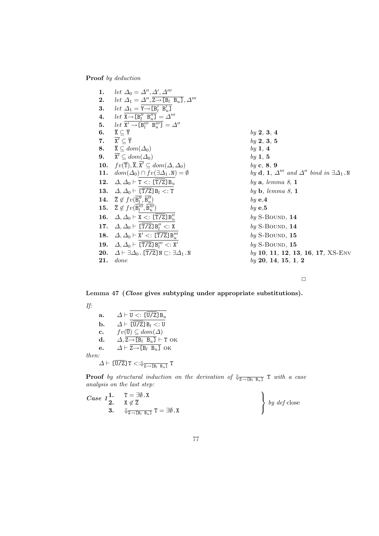Proof by deduction

|     | 1. let $\Delta_0 = \Delta'', \Delta', \Delta'''$                               |                                                                                              |
|-----|--------------------------------------------------------------------------------|----------------------------------------------------------------------------------------------|
|     | 2. let $\Delta_1 = \Delta'', \overline{z \rightarrow [B_l \ B_u]}, \Delta'''$  |                                                                                              |
| 3.  | $let \Delta_1 = Y \rightarrow [B'_l \ B'_u]$                                   |                                                                                              |
|     | 4. let $X \rightarrow [B''_1 \ B''_2] = \Delta'''$                             |                                                                                              |
| 5.  | let $X' \rightarrow [B''_l B''_u] = \Delta''$                                  |                                                                                              |
| 6.  | $\overline{{\tt X}} \subseteq \overline{{\tt Y}}$                              | by 2, 3, 4                                                                                   |
|     | 7. $\overline{X'} \subset \overline{Y}$                                        | by 2, 3, 5                                                                                   |
|     | 8. $\overline{\mathbf{X}} \subseteq dom(\Delta_0)$                             | by $1, 4$                                                                                    |
|     | 9. $\mathbf{X}' \subseteq dom(\Delta_0)$                                       | by 1, 5                                                                                      |
|     | 10. $fv(\overline{T}), \overline{X}, X' \subseteq dom(\Delta, \Delta_0)$       | by c, 8, 9                                                                                   |
|     | 11. $dom(\Delta_0) \cap fv(\exists \Delta_1 . \mathbb{N}) = \emptyset$         | by <b>d</b> , <b>1</b> , $\Delta''''$ and $\Delta''$ bind in $\exists \Delta_1 . \mathbb{N}$ |
|     | 12. $\Delta, \Delta_0 \vdash T \lt: [T/Z] B_u$                                 | by $a,$ lemma $8, 1$                                                                         |
|     | 13. $\Delta, \Delta_0 \vdash [\overline{T/Z}] B_l <: T$                        | by $\mathbf b$ , lemma 8, 1                                                                  |
|     | 14. $\overline{Z} \notin fv(B''_l, B''_u)$                                     | by $e, 4$                                                                                    |
|     | 15. $\overline{Z} \notin f v(B''_l, B'''_u)$                                   | by $e, 5$                                                                                    |
|     | 16. $\Delta, \Delta_0 \vdash X \lt: [\overline{T/Z}] B''_n$                    | $by$ S-BOUND, $14$                                                                           |
|     | 17. $\Delta, \Delta_0 \vdash [\overline{T/Z}] B''_1 <: X$                      | $by$ S-BOUND, $14$                                                                           |
|     | 18. $\Delta, \Delta_0 \vdash X' \lt: [\overline{T/Z}] B'''_u$                  | $by$ S-BOUND, $15$                                                                           |
|     | 19. $\Delta, \Delta_0 \vdash [\overline{T/Z}] B''_1 \lt: X'$                   | $by$ S-BOUND, 15                                                                             |
|     | 20. $\Delta \vdash \exists \Delta_0$ . [T/Z]N $\sqsubset: \exists \Delta_1$ .N | by 10, 11, 12, 13, 16, 17, $XS-ENV$                                                          |
| 21. | done                                                                           | by 20, 14, 15, 1, 2                                                                          |

 $\Box$ 

Lemma 47 (Close gives subtyping under appropriate substitutions).

If:

| a.             | $\Delta \vdash U \lt: [U/Z] B_u$                                                          |
|----------------|-------------------------------------------------------------------------------------------|
| b.             | $\Delta \vdash [\mathtt{U/Z}] \mathtt{B}_l <: \mathtt{U}$                                 |
| $\mathbf{c}$ . | $fv(\overline{\mathbf{U}}) \subseteq dom(\Delta)$                                         |
| d.             | $\Delta$ , Z $\rightarrow$ [B <sub>l</sub> B <sub>u</sub> ] $\vdash$ T OK                 |
| е.             | $\Delta \vdash \overline{Z \rightarrow [B_l \ B_u]}$ OK                                   |
| then.          |                                                                                           |
|                | $\Delta \vdash \overline{[U/Z]}$ T <: $\Downarrow_{\overline{Z \rightarrow [B_l B_u]}}$ T |

**Proof** by structural induction on the derivation of  $\psi_{\overline{Z \rightarrow [B_l B_u]}}$  T with a case analysis on the last step:  $\ddot{\phantom{a}}$ 

Case 11. 
$$
T = \exists \emptyset
$$
. X  
\n3.  $\Downarrow \overline{z} \rightarrow \overline{z}$   
\n $\Downarrow \overline{z} \rightarrow \overline{z}$   
\n5.  $\Downarrow \overline{z} \rightarrow \overline{z}$   
\n6.  $\uparrow \overline{z}$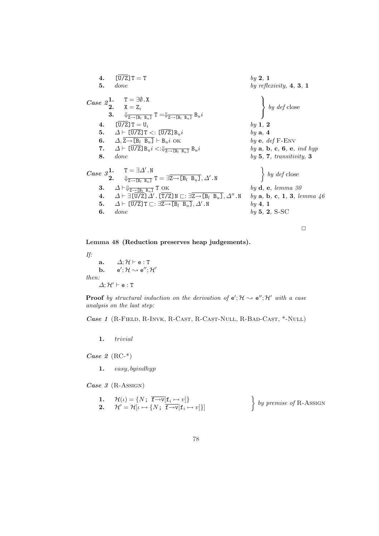4. 
$$
[\overline{U}/\overline{Z}]T = T
$$
  
\n5. done  
\n*base*  $2^1$ .  $T = \exists \emptyset$ . X  
\n6.  $2^1$ .  $T = \exists \emptyset$ . X  
\n7.  $\Delta \vdash [\overline{U}/\overline{Z}]T = U_i$   
\n8. done  
\n9.  $\exists \bigcup_{z \to [B_i B_u]} T = \bigcup_{\overline{Z \to [B_i B_u]}} B_{u}i$   
\n1.  $[\overline{U}/\overline{Z}]T = U_i$   
\n1.  $[\overline{U}/\overline{Z}]T = U_i$   
\n1.  $\Delta \vdash [\overline{U}/\overline{Z}]T <: [\overline{U}/\overline{Z}]B_{u}i$   
\n1.  $\Delta \vdash [\overline{U}/\overline{Z}]T \leq : [\overline{U}/\overline{Z}]B_{u}i$   
\n1.  $\Delta \vdash [\overline{U}/\overline{Z}]B_{u}i <: \bigcup_{\overline{Z \to [B_i B_u]}} B_{u}i$   
\n1.  $\Delta \vdash [\overline{U}/\overline{Z}]B_{u}i <: \bigcup_{\overline{Z \to [B_i B_u]}} B_{u}i$   
\n1.  $\Gamma = \exists \Delta' \cdot N$   
\n1.  $\Delta \vdash \exists \overline{\Delta' \vdash B_{u} \exists T} = \exists \overline{Z \to [B_i B_u]}, \Delta' \cdot N$   
\n1.  $\Delta \vdash \exists [\overline{U}/\overline{Z}] \Delta' \cdot [\overline{T}/\overline{Z}]N \sqsubset: \exists \overline{Z \to [B_i B_u]}, \Delta' \cdot N$   
\n1.  $\Delta \vdash \exists [\overline{U}/\overline{Z}]T \sqsubset: \exists \overline{Z \to [B_i B_u]}, \Delta' \cdot N$   
\n1.  $\Delta \vdash \text{sum } \Delta' \cdot \text{sum } B_{u} = \text{sum } \Delta' \cdot N$   
\n1.  $\Delta \vdash \text{sum } \Delta' \cdot \text{sum } B_{u} = \text{sum } \Delta' \cdot N$   
\n1.  $\Delta \vdash \text{sum } \Delta' \cdot \text{sum$ 

 $\Box$ 

Lemma 48 (Reduction preserves heap judgements).

If:  $\begin{array}{ll} \textbf{a.} & \Delta;\mathcal{H} \vdash \textbf{e}:\texttt{T} \ \textbf{b.} & \textbf{e}';\mathcal{H} \leadsto \textbf{e}'';\mathcal{H}' \end{array}$  $<sub>b</sub>$ .</sub> then:  $\varDelta;{\cal H}'\vdash {\tt e} : {\tt T}$ 

**Proof** by structural induction on the derivation of  $e'; \mathcal{H} \sim e''; \mathcal{H}'$  with a case analysis on the last step:

Case 1 (R-Field, R-Invk, R-Cast, R-Cast-Null, R-Bad-Cast, \*-Null)

1. trivial

 $Case 2 (RC<sup>*</sup>)$ 

1. easy, byindhyp

Case 3 (R-Assign)

1. 
$$
\mathcal{H}(\iota) = \{N; \overline{\mathbf{f} \rightarrow v}[\mathbf{f}_i \mapsto v]\}
$$
  
2.  $\mathcal{H}' = \mathcal{H}[\iota \mapsto \{N; \overline{\mathbf{f} \rightarrow v}[\mathbf{f}_i \mapsto v]\}]$  by premise of R-ASSIGN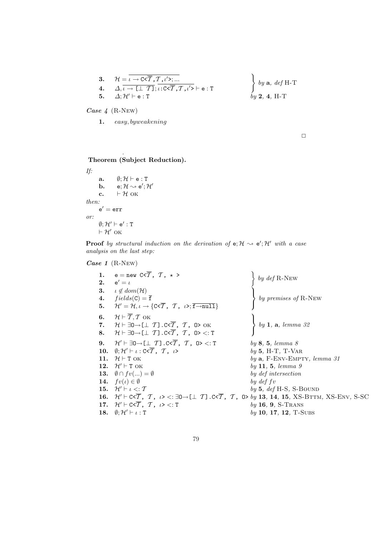3. 
$$
\mathcal{H} = \overline{\iota \rightarrow C \langle \overline{T}, T, \iota' \rangle; \dots}
$$
  
\n4.  $\Delta, \overline{\iota \rightarrow [\bot \ T]}; \overline{\iota : C \langle \overline{T}, T, \iota' \rangle} \vdash e : T$   
\n5.  $\Delta; \mathcal{H}' \vdash e : T$   
\n5.  $\Delta; \mathcal{H}' \vdash e : T$   
\n6.  $\Delta$ 

Case 4 (R-New)

Lemma 49 .

1. easy, byweakening

 $\Box$ 

Theorem (Subject Reduction).

If: a.  $\emptyset; \mathcal{H} \vdash e : T$ b.  $e; \mathcal{H} \rightsquigarrow e'; \mathcal{H}'$ c.  $\vdash \mathcal{H}$  ok then:  $e' = err$ or:  $\emptyset; H' \vdash e' : T$  $\vdash \mathcal{H}'$  ок

**Proof** by structural induction on the derivation of  $e$ ;  $H \sim e'$ ;  $H'$  with a case analysis on the last step:

## Case 1 (R-New)

| 1.<br>2. | $e = new C < \overline{T}$ , $T$ , $\star$ ><br>$e' = \iota$                                                                                                                                                                       | by $\operatorname{def}$ R-New  |
|----------|------------------------------------------------------------------------------------------------------------------------------------------------------------------------------------------------------------------------------------|--------------------------------|
| 3.       | $\iota \notin dom(\mathcal{H})$                                                                                                                                                                                                    | by premises of R-NEW           |
| 4.<br>5. | $fields(C) = \overline{f}$<br>$\mathcal{H}'=\mathcal{H}, \iota \rightarrow \{\texttt{C}\triangleleft\overline{\mathcal{T}}, \enspace \mathcal{T}, \enspace \iota\triangleright; \overline{\texttt{f} \rightarrow \texttt{null}}\}$ |                                |
| 6.       | $\mathcal{H} \vdash \overline{\mathcal{T}}, \mathcal{T}$ ok                                                                                                                                                                        |                                |
| 7.       | $\mathcal{H} \vdash \exists 0 \rightarrow [\bot \ T]$ .C< $\overline{T}$ , $T$ , O> OK                                                                                                                                             | $\}$ by 1, a, lemma 32         |
| 8.       | $\mathcal{H} \vdash \exists 0 \rightarrow [\bot \ T]$ . C< $\overline{T}$ , $T$ , $0 > 1$ :                                                                                                                                        |                                |
| 9.       | $\mathcal{H}'\vdash \exists 0\to [\bot\ \mathcal{T}]$ . C< $\overline{\mathcal{T}}$ , $\ \mathcal{T}$ , $\ \mathsf{0}\mathsf{>}<: \mathsf{T}$                                                                                      | by 8, 5, lemma 8               |
|          | 10. $\emptyset$ : $\mathcal{H}' \vdash \iota$ : C< $\overline{\mathcal{T}}$ , $\mathcal{T}$ , $\iota$ >                                                                                                                            | $by 5, H-T, T-VAR$             |
| 11.      | $\mathcal{H} \vdash T$ OK                                                                                                                                                                                                          | by $a$ , F-ENV-EMPTY, lemma 31 |
|          | 12. $\mathcal{H}' \vdash T$ OK                                                                                                                                                                                                     | by 11, 5, lemma 9              |
|          | 13. $\emptyset \cap fv()=\emptyset$                                                                                                                                                                                                | by def intersection            |
|          | 14. $fv(\iota) \in \emptyset$                                                                                                                                                                                                      | by $def$ fv                    |
|          | 15. $\mathcal{H}' \vdash \iota \lt: \mathcal{T}$                                                                                                                                                                                   | by 5, $def$ H-S, S-BOUND       |
|          | 16. $\mathcal{H}'\vdash C\leq T$ , $\mathcal{T}$ , $\iota$ > <: $\exists 0\rightarrow \llbracket \perp T\rrbracket$ . $C\leq T$ , $T$ , $\Box$ b by 13, 14, 15, XS-BTTM, XS-ENV, S-SC                                              |                                |
|          | 17. $\mathcal{H}' \vdash C \leq \overline{T}$ , $\mathcal{T}$ , $\iota > \iota : T$                                                                                                                                                | $by 16, 9, S-Trans$            |
|          | 18. $\emptyset; \mathcal{H}' \vdash \iota : T$                                                                                                                                                                                     | $by 10, 17, 12, T-SUBs$        |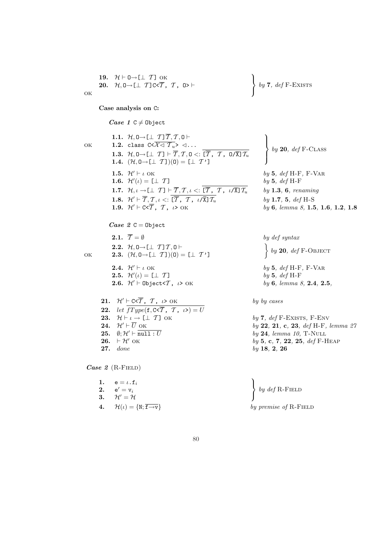19. 
$$
\mathcal{H} \vdash 0 \rightarrow [\perp T]
$$
 OK  
20.  $\mathcal{H}, 0 \rightarrow [\perp T] \subset \overline{T}, T, 0 \succ$   $\vdash$  OK

1.1.  $\mathcal{H}, \mathsf{0} \rightarrow [\perp \mathcal{T}] \overline{\mathcal{T}}, \mathcal{T}, \mathsf{0} \vdash$ 

1.2. class  $C < \overline{\mathcal{X} \triangleleft \mathcal{T}_u} > \langle \dots \rangle$ 

Case analysis on C:

Case  $1 \text{ C} \neq 0$ bject

1.6.  $\mathcal{H}'(\iota) = [\bot \ \mathcal{T}]$ 

Case  $2C = 0$ bject

 $\mathcal{L}$  $\sqrt{ }$ by  $7, def F-EXISTS$ 

 $\ddot{\phantom{a}}$ 

1.3.  $\mathcal{H}, 0 \rightarrow [\perp \mathcal{T}] \vdash \overline{\mathcal{T}}, \mathcal{T}, 0 <: \overline{[\mathcal{T}}, \mathcal{T}, 0/\overline{\mathbf{X}}] \mathcal{T}_u$ 1.4.  $(\mathcal{H}, 0 \rightarrow [\perp T])(0) = [\perp T']$  $\ddot{\phantom{a}}$  $\mathcal{L}$  $\left($ by  $20, def F-CLASS$ **1.5.**  $\mathcal{H}' \vdash \iota$  OK by 5, def H-F, F-VAR  $by 5, def H-F$ **1.7.**  $\mathcal{H}, \iota \to [\bot \mathcal{T}] \vdash \overline{\mathcal{T}}, \mathcal{T}, \iota \leq \overline{[\overline{\mathcal{T}}}, \overline{\mathcal{T}}, \iota/\overline{\mathbf{X}}] \mathcal{T}_u$  by **1.3**, **6**, renaming **1.8.**  $\mathcal{H}' \vdash \overline{T}, \mathcal{T}, \iota <: [\overline{T}, \mathcal{T}, \iota / \overline{\lambda}] \mathcal{T}_u$  by **1.7**, **5**, def H-S<br> **1.9.**  $\mathcal{H}' \vdash C \leq \overline{T}, \mathcal{T}, \iota > \text{OK}$  by **6**, lemma 8, **1.5**  $by 6, lemma 8, 1.5, 1.6, 1.2, 1.8$ **2.1.**  $\overline{T} = \emptyset$  by def syntax

 $\left\{ \begin{array}{c} by \textbf{20}, \text{ def F-OBIECT} \end{array} \right.$ 

 $by 5, def H-F$ 

 $by 24, lemma 10, T-NULL$ 

1 ok

ok

2.3.  $(\mathcal{H}, 0 \rightarrow [\perp T])(0) = [\perp T']$ **2.4.**  $\mathcal{H}' \vdash \iota$  OK by 5, def H-F, F-VAR **2.5.**  $\mathcal{H}'(\iota) = [\perp T]$ 

2.2.  $\mathcal{H}, 0 \rightarrow [\perp T] T, 0 \vdash$ 

21.  $\mathcal{H}' \vdash C \leq \overline{T}$ ,  $\mathcal{T}$ ,  $\iota > OK$  by by cases 22. let  $\overline{fType(f, C \leq \overline{T}, T, \nu)} = U$ **23.**  $\mathcal{H} \vdash \iota \rightarrow \lbrack \bot \mathcal{T} \rbrack$  ok by 7, def F-Exists, F-ENV **24.**  $\mathcal{H}' \vdash \overline{U}$  OK by 22, 21, c, 23, def H-F, lemma 27<br> **25.**  $\emptyset; \mathcal{H}' \vdash \overline{\text{null}: U}$  by 24, lemma 10, T-NULL **26.**  $\vdash$  H' OK by 5, c, 7, 22, 25, def F-HEAP

27. done by 18, 2, 26

Case  $2$  (R-FIELD)

| 1. $e = \iota \cdot f_i$                                     |                                                                        |
|--------------------------------------------------------------|------------------------------------------------------------------------|
| <b>2.</b> $e' = v_i$                                         | $\left\{ \begin{array}{c} by\ def\ R\text{-FIELD} \end{array} \right.$ |
| 3. $\mathcal{H}'=\mathcal{H}$                                |                                                                        |
| 4. $\mathcal{H}(\iota) = \{N; \overline{f \rightarrow v}\}\$ | by premise of R-FIELD                                                  |

**2.6.**  $\mathcal{H}' \vdash \text{Object} < \mathcal{T}$ ,  $\iota > \text{OK}$  by 6, lemma 8, 2.4, 2.5,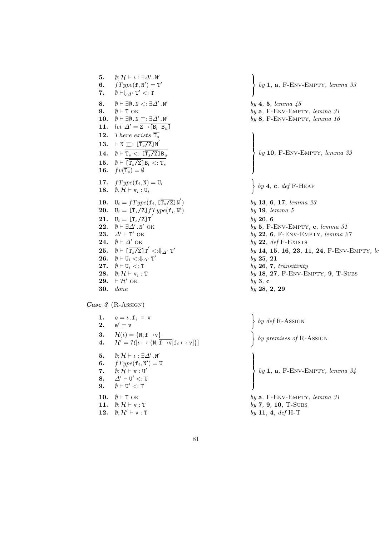5.  $\emptyset;$   $\mathcal{H} \vdash \iota : \exists \Delta' . \mathbb{N}'$ 6.  $fType(f, N') = T'$ 7.  $\emptyset \vdash \Downarrow_{\Delta'} T' < T$ 8.  $\emptyset \vdash \exists \emptyset \ldotp N < : \exists \Delta' \ldotp N'$ 9.  $\emptyset \vdash T$  ok by 10.  $\emptyset \vdash \exists \emptyset \cdot \mathbb{N} \sqsubset : \exists \triangle' \cdot \mathbb{N}'$ 11. let  $\Delta' = \overline{Z \rightarrow [B_l \ B_u]}$ **12.** There exists  $\overline{T_s}$ 13.  $\vdash \texttt{N} \sqsubset : [\overline{\texttt{T}_{s}/\texttt{Z}}] \texttt{N}'$ 14.  $\emptyset \vdash \texttt{T}_{s} <: [\overline{\texttt{T}_{s}/\texttt{Z}}]\texttt{B}_{u}$ 15.  $\emptyset \vdash [\texttt{T}_s/\texttt{Z}] \, \texttt{B}_l <: \texttt{T}_s$ 16.  $fv(\overline{\mathtt{T}_s}) = \emptyset$ **17.**  $fType(\mathbf{f}_i, \mathbf{N}) = \mathbf{U}_i$ 18.  $\emptyset, \mathcal{H} \vdash v_i : U_i$ **19.**  $U_i = fType(\mathbf{f}_i, [\overline{T_s/\mathbf{Z}}]N)$ **20.**  $U_i = [\overline{T_s/Z}] fType(\mathbf{f}_i, \mathbf{N}')$ 21.  $\mathtt{U}_i = [\overline{\mathtt{T}_s/\mathtt{Z}}]\mathtt{T}'$ 22.  $\emptyset \vdash \exists \Delta' . \mathbb{N}'$  ok by 23.  $\Delta' \vdash T$ 24.  $\emptyset \vdash \Delta$  ${\bf 25.} \quad \emptyset \vdash \overline{ {\rm T}_{s}/{\rm Z}}{ \rm J\,T}'<:\Downarrow_{\varDelta'} {\rm T}'$ 26.  $\emptyset \vdash U_i <: \Downarrow_{\Delta'} T'$  $27. \quad \emptyset \vdash \mathtt{U}_i <:$ 28.  $\emptyset; H \vdash v_i$ : 29.  $\vdash \mathcal{H}'$  OK  $\int$  ok by  $30.$  done

 $\textit{Case 3}$  (R-Assign)

1.  $e = \iota \cdot f_i = v$ 2.  $\mathsf{e}'=\mathsf{v}$ 3.  $\mathcal{H}(\iota)=\{N;\overline{\mathtt{f}\mathop{\rightarrow}\mathtt{v}}\}$ 4.  $\mathcal{H}^{\prime}=\mathcal{H}[\iota\mapsto \{ \mathtt{N};\overline{\mathtt{f}\mathop{\rightarrow}\mathtt{v}}[\mathtt{f}_i\mapsto \mathtt{v}]\}]$ 5.  $\emptyset;$   $\mathcal{H} \vdash \iota : \exists \Delta' . \mathbb{N}'$ 6.  $fType(\mathbf{f}_i, \mathbf{N}') = \mathbf{U}$ 7.  $\emptyset; \mathcal{H} \vdash v : U'$ 8.  $\varDelta' \vdash U' <: U$ 9.  $\emptyset \vdash U' \lt: T$ 10.  $\emptyset \vdash T$  ok by 11.  $\emptyset; \mathcal{H} \vdash \mathbf{v}$ : T is a set of  $by$ 12.  $\emptyset; \mathcal{H}' \vdash \mathbf{v}$ :  $\mathbf{T}$  by 11

 $\left\{\begin{array}{c} \end{array}\right\}$ by  $1$ ,  $a$ , F-ENV-EMPTY, lemma  $33$ by 4, 5, lemma 45 a, F-ENV-EMPTY, lemma 31 by 8, F-ENV-EMPTY, lemma 16  $\left\{\begin{array}{c} \phantom{a}\\ \phantom{a}\\ \phantom{a}\end{array}\right\}$ by 10, F-ENV-EMPTY, lemma 39  $\ddot{\phantom{1}}$ by  $4$ , c, def F-HEAP  $by \, 13, \, 6, \, 17, \, lemma \, 23$ ) by 19, lemma 5  $by 20, 6$  $5, F-env-EMENTY, c, lemma 31$  $by 22, 6, F-ENV-EMPTY, lemma 27$  $by$  22, def F-Exists  $by 14, 15, 16, 23, 11, 24, F-ENV-EMPTY, le$ by 25, 21  $\mathbf{p}$  by 26, 7, transitivity  $by$  18, 27, F-ENV-EMPTY, 9, T-SUBS 3 , c  $, 2, 29$ 

| $\left\{\begin{array}{c} by\ def\ R\text{-}\mathrm{ASSIGN}\end{array}\right.$                           |
|---------------------------------------------------------------------------------------------------------|
| $\left\{ \begin{array}{c} by \text{ }premises \text{ } of \text{ } R\text{-}ASSIGN \end{array} \right.$ |
| $\left\{ \begin{array}{l} by \textbf{ 1, a, F-env-EMPTY, lemma 34} \end{array} \right.$                 |
| by $a$ , F-ENV-EMPTY, lemma 31                                                                          |
| $by 7, 9, 10, T-SUBS$                                                                                   |
| by 11, 4, def H-T                                                                                       |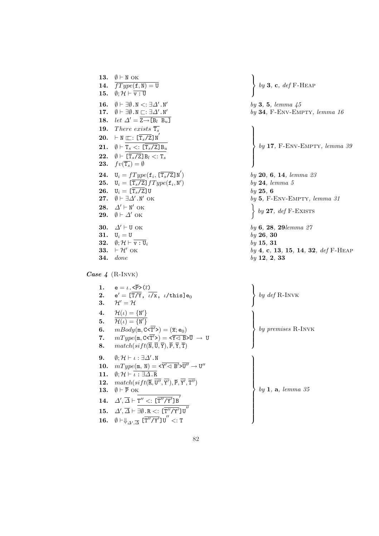13.  $\emptyset \vdash N$  OK 14.  $\overline{fType(\texttt{f}, \texttt{N})} = \texttt{U}$ 15.  $\emptyset$ ;  $\mathcal{H} \vdash \overline{v : U}$ 16.  $\emptyset \vdash \exists \emptyset \cdot \mathbb{N} <: \exists \Delta' \cdot \mathbb{N}'$ 17.  $\emptyset \vdash \exists \emptyset \cdot \mathbb{N} \sqsubset : \exists \Delta' \cdot \mathbb{N}'$ 18. let  $\Delta' = \overline{Z \rightarrow [B_l \ B_u]}$ **19.** There exists  $\overline{T_s}$ **20.**  $\vdash N \sqsubset : [\overline{T_s/Z}]N$ 21.  $\emptyset \vdash \mathtt{T}_{s} <: [\overline{\mathtt{T}_{s}/\mathtt{Z}}] \mathtt{B}_{u}$ 22.  $\emptyset \vdash [\overline{T_s/\mathbf{Z}}] \mathbf{B}_l <: \mathbf{T}_s$ **23.**  $fv(\overline{T_s}) = \emptyset$ **24.**  $U_i = fType(\mathbf{f}_i, [\overline{T_s/Z}]\mathbf{N}')$ **25.**  $U_i = [\overline{T_s/Z}] fType(\mathbf{f}_i, \mathbf{N}')$ **26.**  $U_i = [\overline{T_s/Z}]U$  by 25, 6<br>**27.**  $\emptyset \vdash \exists \Delta'$ . N' OK by 5. F-28.  $\Delta' \vdash N'$  OK 21.  $\begin{array}{c} \n\sqrt{22} \cdot \sqrt{24} \cdot \sqrt{24} \cdot \sqrt{24} \cdot \sqrt{24} \cdot \sqrt{24} \cdot \sqrt{24} \cdot \sqrt{24} \cdot \sqrt{24} \cdot \sqrt{24} \cdot \sqrt{24} \cdot \sqrt{24} \cdot \sqrt{24} \cdot \sqrt{24} \cdot \sqrt{24} \cdot \sqrt{24} \cdot \sqrt{24} \cdot \sqrt{24} \cdot \sqrt{24} \cdot \sqrt{24} \cdot \sqrt{24} \cdot \sqrt{24} \cdot \sqrt{24} \cdot \sqrt{24} \cdot \sqrt{24} \cdot \sqrt{24} \$ 30.  $\Delta' \vdash U$  OK by 6, 28, 29 lemma 27 31.  $U_i = U$  by 26, 30 32.  $\emptyset$ ;  $\mathcal{H} \vdash \overline{v : U_i}$  by 15, 31 **34.** done by 12, 2, 33

Case 4 (R-INVK)

1.  $e = \iota \cdot \langle \overline{P} \rangle (\overline{\iota})$  $2.$  $e' = [\overline{T/Y}, \overline{\iota/x}, \overline{\iota/\texttt{this}}]e_0$ 3.  $\mathcal{H}' = \mathcal{H}$  $\ddot{\phantom{a}}$  $\mathcal{L}$  $\sqrt{ }$ 4.  $\mathcal{H}(\iota) = \{ \mathbb{N}' \}$ 5.  $\overline{\mathcal{H}(\iota)} = \{N'\}$ 6.  $mBody(\mathfrak{m}, \mathsf{C}\leq\overline{\mathrm{T}'}>) = (\overline{\mathfrak{x}}; \mathsf{e}_0)$ 7.  $mType(\text{m}, \text{C} \leq \overline{\text{T}'}>) = \leq \overline{\text{Y}} \leq \overline{\text{B}} > \overline{\text{U}} \rightarrow \text{U}$ 8.  $match(sift(\overline{N}, \overline{U}, \overline{Y}), \overline{P}, \overline{Y}, \overline{T})$  $\frac{1}{2}$  $\begin{matrix} \phantom{-} \end{matrix}$  $\int$ 9.  $\emptyset; \mathcal{H} \vdash \iota : \exists \Delta' . \mathbb{N}$ 10.  $mType(m, N) = \langle \overline{Y'} \langle \overline{B'} \rangle \overline{U''} \to U''$ 11.  $\emptyset; \mathcal{H} \vdash \overline{\iota : \exists \Delta . \mathbb{R}}$ **12.**  $match(sift(\overline{R},\overline{U''},\overline{Y'}),\overline{P},\overline{Y'},\overline{T''})$ 13.  $\emptyset \vdash \overline{P}$  OK  $14. \quad \Delta', \overline{\Delta} \vdash \overline{\mathtt{T}'' <: [\overline{\mathtt{T}'' / \mathtt{Y}'}]\mathtt{B}'}$ 15.  $\Delta', \overline{\Delta} \vdash \overline{\exists \emptyset . \mathsf{R} <: [\overline{\mathrm{T}'' / \mathrm{Y}'}] \, \mathrm{U}''}$ 16.  $\oint \vdash \Downarrow_{\Delta', \overline{\Delta}} [\overline{\mathrm{T}'' / \mathrm{Y}'}] \mathbb{U}'' <: \mathrm{T}$  $\ddot{\phantom{a}}$  $\begin{array}{c} \hline \end{array}$  $\begin{bmatrix} \phantom{-} \end{bmatrix}$ 

 $\mathcal{L}$  $\sqrt{ }$ by  $3, c, def F-HEAP$ by 3, 5, lemma 45  $by 34$ , F-ENV-EMPTY, lemma 16  $\mathbf{r}$  $\begin{matrix} \phantom{-} \end{matrix}$  $\Bigg\{$ by 17, F-Env-Empty, lemma 39 ) by 20, 6, 14, lemma 23 ) by 24, lemma 5  $by 5$ , F-ENV-EMPTY, lemma 31 by  $27, def$  F-Exists **33.**  $\vdash$  H' OK by 4, c, 13, 15, 14, 32, def F-HEAP

 $\ddot{\phantom{a}}$ 

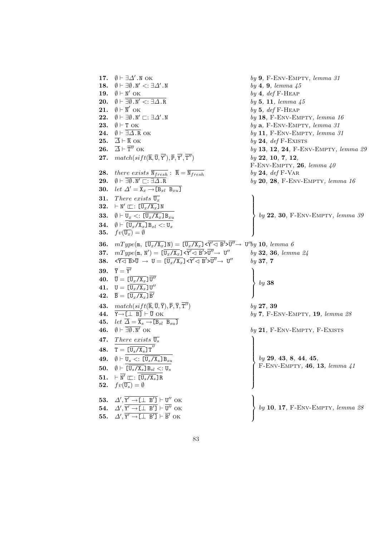**17.**  $\emptyset \vdash \exists \Delta'$ .N OK by 9, F-ENV-EMPTY, lemma 31 18.  $\emptyset \vdash \exists \emptyset \mathbf{N}' \leq \exists \Delta' \mathbf{N}$  by 4, 9, lemma 45 19.  $\emptyset \vdash \mathbb{N}'$  OK  $by$  4, def F-HEAP **20.**  $\emptyset \vdash \overline{\exists \emptyset \cdot N' \prec : \exists \Delta \cdot R}$  by 5, 11, lemma 45 21.  $\emptyset \vdash \overline{\mathbb{N}}'$  $by 5, def F-HEAP$ **22.**  $\emptyset \vdash \exists \emptyset \cdot N' \sqsubset : \exists \Delta' \cdot N$  by 18, F-ENV-EMPTY, lemma 16<br> **23.**  $\emptyset \vdash T$  OK by a, F-ENV-EMPTY, lemma 31  $by$  a, F-ENV-EMPTY, lemma 31 **24.**  $\emptyset \vdash \overline{\exists \Delta . \mathbb{R}}$  OK by 11, F-ENV-EMPTY, lemma 31 25.  $\overline{\Delta} \vdash \overline{\mathbf{R}}$  OK by 24, def F-EXISTS 26.  $\overline{A} \vdash \overline{T''}$  OK by 13, 12, 24, F-ENV-EMPTY, lemma 29 27.  $match(sift(\overline{\mathtt{R}},\overline{\mathtt{U}},\overline{\mathtt{Y}}), \overline{\mathtt{P}}, \overline{\mathtt{Y}'}, \overline{\mathtt{T}}$  $by$  22, 10, 7, 12, F-ENV-EMPTY, 26, lemma  $40$ **28.** there exists  $\overline{N_{fresh}}$ :  $\overline{R} = \overline{N_{fresh}}$  by **24**, def F-VAR **29.**  $\emptyset \vdash \overline{\exists \emptyset \cdot N' \sqsubset : \exists \Delta \cdot R}$  by 20, 28, F-ENV-EMPTY, lemma 16 30. let  $\Delta' = \overline{\mathbf{X}_x \rightarrow [\mathbf{B}_{xl} \ \mathbf{B}_{xu}]}$ **31.** There exists  $\overline{\mathbb{U}_x}$ 32.  $\vdash \texttt{N}' \sqsubset : [\overline{\texttt{U}_x/\texttt{X}_x}] \texttt{N}$ 33.  $\emptyset \vdash \overline{U_x \ltimes : [\overline{U_x/X_x}] B_{xy}}$ **34.**  $\emptyset \vdash [\overline{U_x/X_x}]B_{xl} <: U_x$ **35.**  $fv(\overline{\mathsf{U}_x}) = \emptyset$  $\mathbf{r}$  $\begin{matrix} \phantom{-} \end{matrix}$  $\Bigg\{$ by 22, 30, F-Env-Empty, lemma 39 **36.**  $mType(\mathfrak{m}, \ [\overline{U_x/X_x}]\ N) = [\overline{U_x/X_x}] \times \overline{Y'} \triangleleft B' \times \overline{U''} \rightarrow U'' by \ 10, \ lemma \ 6$ 37.  $mType(\texttt{m},\ \texttt{N}')=\ [\overline{\texttt{U}_x/\texttt{X}_x}]\texttt{<}\overline{\texttt{Y}'}\texttt{<}\ \texttt{B}'\texttt{>} \overline{\texttt{U}''} \texttt{>} \ \ \texttt{U}$  $by 32, 36, lemma 24$  $38. \quad \overline{\mathsf{X}\mathsf{X}\mathsf{B}}\mathsf{D}\overline{\mathsf{U}}\ \rightarrow\ \mathsf{U}=\ [\overline{\mathsf{U}_x/\mathsf{X}_x}]\mathsf{X}\overline{\mathsf{Y}'\mathsf{X}\mathsf{B}'\mathsf{D}'}\overline{\mathsf{U}''}\mathsf{\rightarrow}\ \mathsf{U}$ <sup>00</sup> by 37, 7  $39. \quad \overline{Y} = \overline{Y'}$  $40. \quad \overline{\text{U}} = \text{\ }{\text{\ }[\overline{\text{U}_x/\text{X}_x}\text{]} \ \overline{\text{U}''}}$ 41.  $U = \left[\overline{U_x/X_x}\right]U''$  $42. \quad \overline{\mathsf{B}} = \llbracket \overline{\mathsf{U}_x/\mathsf{X}_x} \rrbracket \overline{\mathsf{B}'}$  $\tilde{\phantom{a}}$  $\mathcal{L}$  $\left($ by 38 43. match(sift( $\overline{R}, \overline{U}, \overline{Y}$ ),  $\overline{P}, \overline{Y}, \overline{T''}$ )  $bv$  27, 39 **44.**  $\overline{Y \rightarrow [\perp \ B]} \vdash \overline{U}$  OK  $by 7$ , F-ENV-EMPTY, 19, lemma 28 45. let  $\overline{\Delta} = \overline{\mathbf{X}_s \rightarrow [\mathbf{B}_{sl} \ \mathbf{B}_{su}]}$ **46.**  $\emptyset \vdash \overline{\exists \emptyset . \mathbb{N}'}$  ok **by 21**, F-ENV-EMPTY, F-EXISTS 47. There exists  $\overline{\mathbb{U}_s}$ 48.  $T = \left[\overline{U_s/X_s}\right]T''$ 49.  $\emptyset \vdash \overline{U_s \ltimes : [\overline{U_s/X_s}] B_{su}}$ 50.  $\emptyset \vdash [\overline{U_s/X_s}]B_{sl} <: U_s$  $51. \quad \vdash \overline{\mathtt{N}'} \sqsubset \vdots \, \overline{\mathtt{U}_s/\mathtt{X}_s} \texttt{]}$  R 52.  $fv(\overline{\mathsf{U}_s}) = \emptyset$  $\begin{matrix} \phantom{-} \end{matrix}$  $\Bigg\}$ by 29, 43, 8, 44, 45, F-Env-Empty, 46, 13, lemma 41 53.  $\Delta', \overline{Y' \rightarrow [\perp \ B']} \vdash U''$  OK 54.  $\Delta', \overline{Y' \rightarrow [\perp \ B']} \vdash \overline{U''}$  ok 55.  $\Delta', \overline{Y' \rightarrow [\perp \ B']} \vdash \overline{B'}$  ok  $\mathbf{r}$  $\mathcal{L}$  $\sqrt{ }$ by 10, 17, F-Env-Empty, lemma 28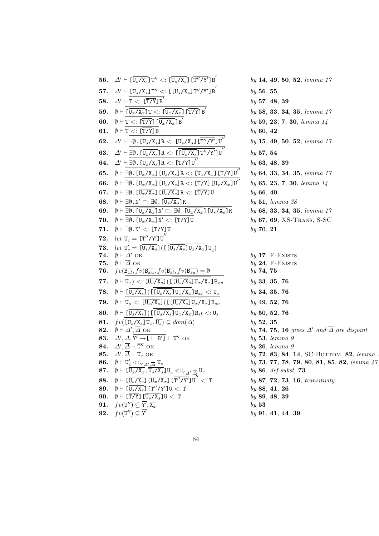| 56. | $\Delta' \vdash [\overline{\texttt{U}_s/\texttt{X}_s}]\texttt{T}'' <: [\overline{\texttt{U}_s/\texttt{X}_s}]\ [\overline{\texttt{T}''/\texttt{Y}'}]\texttt{B}'$                                                                              | by 14, 49, 50, 52, lemma 17                |
|-----|----------------------------------------------------------------------------------------------------------------------------------------------------------------------------------------------------------------------------------------------|--------------------------------------------|
| 57. | $\Delta' \vdash [\overline{\texttt{U}_s/\texttt{X}_s}]\texttt{T}'' <: [\texttt{[}\overline{\texttt{U}_s/\texttt{X}_s}]\texttt{T}''/\overline{\texttt{Y}}']\texttt{B}$                                                                        | by 56, 55                                  |
| 58. | $\varDelta' \vdash \mathtt{T} <: [\overline{\mathtt{T} / \mathtt{Y}}]\,\overline{\mathtt{B}'}$                                                                                                                                               | by 57, 48, 39                              |
| 59. | $\emptyset \vdash [\overline{\mathrm{U}_x/\mathrm{X}_x}] \, \texttt{T} <: [\overline{\mathrm{U}_x/\mathrm{X}_x}] \, [\overline{\mathrm{T/Y}}] \, \texttt{B}'$                                                                                | by 58, 33, 34, 35, lemma 17                |
| 60. | $\emptyset \vdash \texttt{T} <: [\overline{\texttt{T/Y}}] [\overline{\texttt{U}_x/\texttt{X}_x}] \, \texttt{B}'$                                                                                                                             | by 59, 23, 7, 30, lemma 14                 |
| 61. | $\emptyset \vdash T <: [T/Y] B$                                                                                                                                                                                                              | by 60, 42                                  |
| 62. | $\Delta' \vdash \exists \emptyset. \ [\overline{\texttt{U}_s/\texttt{X}_s} \texttt{R} <: [\overline{\texttt{U}_s/\texttt{X}_s} \texttt{I} \ [\overline{\texttt{T}''/\texttt{Y}'} \texttt{J} \texttt{U}']$                                    | by 15, 49, 50, 52, lemma 17                |
| 63. | $\Delta' \vdash \exists \emptyset. \ [\overline{U_s/X_s} \text{]} R <: \ [\ \overline{[U_s/X_s} \text{]} T''/Y' \text{]} U'$                                                                                                                 | by 57, 54                                  |
| 64. | $\Delta' \vdash \exists \emptyset$ . [ $\overline{U_s/X_s}$ ]R <: [T/Y]U                                                                                                                                                                     | by 63, 48, 39                              |
| 65. | $\emptyset \vdash \exists \emptyset. \ [\overline{U_x/X_x}] \ [\overline{U_s/X_s}] R <: [\overline{U_x/X_x}] \ [\overline{T/Y}] U''$                                                                                                         | by 64, 33, 34, 35, lemma 17                |
| 66. | $\emptyset \vdash \exists \emptyset. \ [\overline{\texttt{U}_x / \texttt{X}_x}] \ [\overline{\texttt{U}_s / \texttt{X}_s}] \ \texttt{R} <: \ [\overline{\texttt{T} / \texttt{Y}}] \ [\overline{\texttt{U}_x / \texttt{X}_x}] \ \texttt{U}''$ | by 65, 23, 7, 30, lemma 14                 |
| 67. | $\emptyset \vdash \exists \emptyset. \ [\overline{\mathsf{U}_x \mathsf{X}_x}] \ [\overline{\mathsf{U}_s \mathsf{X}_s}] \ \mathtt{R} <: \ [\overline{\mathtt{T} \mathsf{Y}}] \ \mathtt{U}$                                                    | by 66, 40                                  |
| 68. | $\emptyset \vdash \exists \emptyset \ldotp N' \sqsubset : \exists \emptyset \ldotp [U_s/X_s] R$                                                                                                                                              | by 51, lemma 38                            |
| 69. | $\emptyset \vdash \exists \emptyset. \ [\overline{U_x/X_x}] \mathbb{N}' \sqsubset : \exists \emptyset. \ [\overline{U_x/X_x}] \ [\overline{U_s/X_s}] \mathbb{R}$                                                                             | by 68, 33, 34, 35, lemma 17                |
| 70. | $\emptyset \vdash \exists \emptyset.$ [U <sub>x</sub> /X <sub>x</sub> ]N' <: [T/Y]U                                                                                                                                                          | $by$ 67, 69, XS-TRANS, S-SC                |
| 71. | $\emptyset \vdash \exists \emptyset \ldotp N' \lt: \lfloor \overline{T/Y} \rfloor U$                                                                                                                                                         | by 70, 21                                  |
| 72. | let $U_c = [\overline{T''/Y'}]U''$                                                                                                                                                                                                           |                                            |
| 73. | let $U_c' = [\overline{U_s/X_s}](\overline{L}[\overline{U_s/X_s}]\overline{U_x/X_x}]\overline{U_c})$                                                                                                                                         |                                            |
| 74. | $\emptyset \vdash \Delta'$ OK                                                                                                                                                                                                                | $by$ 17, F-EXISTS                          |
| 75. | $\emptyset \vdash \overline{\Delta}$ OK                                                                                                                                                                                                      | $by 24, F-EXISTS$                          |
| 76. | $fv(\overline{B_{xl}}, fv(\overline{B_{xu}}, fv(\overline{B_{sl}}, fv(\overline{B_{su}})) = \emptyset$                                                                                                                                       | by 74, 75                                  |
| 77. | $\emptyset \vdash \mathtt{U}_x) <: [\overline{\mathtt{U}_s/\mathtt{X}_s}] (\llbracket [\overline{\mathtt{U}_s/\mathtt{X}_s}]\mathtt{U}_x/\mathtt{X}_x]\mathtt{B}_{xu}$                                                                       | by 33, 35, 76                              |
| 78. | $\emptyset \vdash [\overline{\mathsf{U}_s/\mathsf{X}_s}](\llbracket [\overline{\mathsf{U}_s/\mathsf{X}_s}]\mathsf{U}_x/\mathsf{X}_x]\mathsf{B}_{xl} <: \mathsf{U}_x$                                                                         | by 34, 35, 76                              |
| 79. | $\emptyset \vdash \mathtt{U}_s <: [\overline{\mathtt{U}_s/\mathtt{X}_s}] \, (\, \mathtt{L} [\overline{\mathtt{U}_s/\mathtt{X}_s}] \mathtt{U}_x/\mathtt{X}_x] \mathtt{B}_{su}$                                                                | by 49, 52, 76                              |
| 80. | $\emptyset \vdash [U_s/X_s]$ ([[U <sub>s</sub> /X <sub>s</sub> ]U <sub>x</sub> /X <sub>x</sub> ]B <sub>sl</sub> <: U <sub>s</sub>                                                                                                            | by 50, 52, 76                              |
| 81. | $fv(\overline{\mathsf{U}_s/\mathsf{X}_s}\mathsf{U}_x,\overline{\mathsf{U}_s}) \subseteq dom(\Delta)$                                                                                                                                         | by 52, 35                                  |
| 82. | $\emptyset \vdash \Delta', \Delta$ ok                                                                                                                                                                                                        | by 74, 75, 16 gives $\Delta'$ and $\Delta$ |
| 83. | $\Delta', \overline{\Delta}, Y' \to [\perp \; B'] \vdash U''$ OK                                                                                                                                                                             | by 53, lemma 9                             |
| 84. | $\Delta', \overline{\Delta} \vdash \overline{\mathsf{T}''}$ OK                                                                                                                                                                               | by 26, lemma 9                             |
| 85. | $\Delta', \Delta \vdash U_c$ OK                                                                                                                                                                                                              | $by$ 72, 83, 84, 14, SC-BOTT               |
| 86. | $\emptyset \vdash \mathtt{U}_c' < \Downarrow_{\Delta', \overline{\Delta}} \mathtt{U}_c$                                                                                                                                                      | by 73, 77, 78, 79, 80, 81, 8               |
| 87. | $\emptyset \vdash \ [\overline{\texttt{U}_x / \texttt{X}_x}$ , $\overline{\texttt{U}_s / \texttt{X}_s} \texttt{]} \texttt{U}_c < : \Downarrow_{\varDelta', \overline{\varDelta}} \texttt{U}_c$                                               | by $86, def$ subst, $73$                   |
| 88. | $\emptyset \vdash [\overline{\mathrm{U}_s / \mathrm{X}_s}] [\overline{\mathrm{U}_x / \mathrm{X}_x}] [\overline{\mathrm{T}'' / \mathrm{Y}'}] \, \mathrm{U}^{''} <: \mathrm{T}$                                                                | by 87, 72, 73, 16, transitivity            |
| 89. | $\emptyset \vdash \ [\overline{\texttt{U}_s / \texttt{X}_s}] \ [\overline{\texttt{T}'' / \texttt{Y}'}] \texttt{U} <: \texttt{T}$                                                                                                             | by 88, 41, 26                              |
| 90. | $\emptyset \vdash [\overline{\mathtt{T} / \mathtt{Y}}]$ $[\overline{\mathtt{U}_s / \mathtt{X}_s}]$ $\mathtt{U}$ $\lt:$ : T                                                                                                                   | by 89, 48, 39                              |
| 91. | $fv(\mathsf{U}'') \subseteq \mathsf{Y}', \overline{\mathsf{X}_x}$                                                                                                                                                                            | by~53                                      |
| 92. | $fv(\mathbf{U}'') \subseteq \mathbf{Y}'$                                                                                                                                                                                                     | by 91, 41, 44, 39                          |

| $\overline{\mathtt{U}_s/\mathtt{X}_s} \mathtt{]} \mathtt{T}'' <: [\overline{\mathtt{U}_s/\mathtt{X}_s}]\, [\overline{\mathtt{T}''/\mathtt{Y}'}] \mathtt{B}'$         | by 14, 49, 50, 52, lemma 17                                        |
|----------------------------------------------------------------------------------------------------------------------------------------------------------------------|--------------------------------------------------------------------|
| $\overline{\mathbb{U}_s/\mathbb{X}_s} \text{\rm{]T}''} <: \widetilde{\text{\rm{[}}\,\overline{\mathbb{U}_s/\mathbb{X}_s} \text{\rm{]T}''/Y' \text{\rm{]}}}$ B        | by 56, 55                                                          |
| $\langle : [T/Y] B'$                                                                                                                                                 | by 57, 48, 39                                                      |
| $_{x}/\bar{\mathrm{X}_{x}}$ ] T $<:$ $[\overline{\mathrm{U}_{x}/\mathrm{X}_{x}}]$ [T/Y] B $'$                                                                        | by 58, 33, 34, 35, lemma 17                                        |
| $<: \, \overline{\mathrm{[T/Y]}} \, \overline{\mathrm{[U}_x/\mathrm{X}_x} \, \mathrm{]} \, \mathrm{B}'$                                                              | by 59, 23, 7, 30, lemma 14                                         |
| $<: [\overline{T/Y}]$ B                                                                                                                                              | by 60, 42                                                          |
| $\emptyset$ . $[\overline{\texttt{U}_s/\texttt{X}_s}]$ $\texttt{R} <: [\overline{\texttt{U}_s/\texttt{X}_s}]$ $[\overline{\texttt{T}''/\texttt{Y}'}]$ $\texttt{U}''$ | by 15, 49, 50, 52, lemma 17                                        |
| $\emptyset$ . [ $\overline{\mathrm{U}_s/\mathrm{X}_s} \text{]}$ R $<:$ [ $\overline{\mathrm{[U_s/X_s]}\,\mathrm{T}''/\mathrm{Y}'}$ ] $\mathrm{U}^{'}$                | by 57, 54                                                          |
| $\emptyset$ . [ $\overline{\mathtt{U}_s/\mathtt{X}_s}$ ] R $<: \,$ [T/Y] U $''$                                                                                      | by 63, 48, 39                                                      |
| . [ $\overline{U_x/X_x}$ ] [ $\overline{U_s/X_s}$ ] R $<:$ [ $\overline{U_x/X_x}$ ] [ $\overline{T/Y}$ ] $U''$                                                       | by 64, 33, 34, 35, lemma 17                                        |
| . [ $\overline{\text{U}_x/\text{X}_x}$ ] [ $\overline{\text{U}_s/\text{X}_s}$ ] R $<:$ [ $\overline{\text{T/Y}}$ ] [ $\overline{\text{U}_x/\text{X}_x}$ ] U $''$     | by 65, 23, 7, 30, lemma 14                                         |
| . [ $\overline{\mathtt{U}_x/\mathtt{X}_x}$ ] [ $\overline{\mathtt{U}_s/\mathtt{X}_s}$ ] R $<:$ [T/Y] U                                                               | by 66, 40                                                          |
| . N' $\sqsubset$ : $\exists \emptyset$ . [U <sub>s</sub> /X <sub>s</sub> ]R                                                                                          | by 51, lemma 38                                                    |
| . $[\overline{U_x/X_x}] N' \sqsubset : \exists \emptyset$ . $[\overline{U_x/X_x}] [\overline{U_s/X_s}] R$                                                            | by 68, 33, 34, 35, lemma 17                                        |
| . $\overline{\mathrm{U}_x/\mathrm{X}_x}$ ] N' $\mathrm{<:}\ \overline{\mathrm{T/Y}}$ ] U                                                                             | $by$ 67, 69, XS-TRANS, S-SC                                        |
| $\mathbf{N}' \lt: \mathbf{T}/\mathbf{Y} \mathbf{U}$                                                                                                                  | by 70, 21                                                          |
| $=\, \overline{\mathtt{[T''/Y']}} \mathtt{J\tt U}''$                                                                                                                 |                                                                    |
| $=\, [\overline{\mathtt{U}_s/\mathtt{X}_s}]\, (\,[\,[\,\overline{\mathtt{U}_s/\mathtt{X}_s}\,]\mathtt{U}_x/\mathtt{X}_x]\mathtt{U}_s)$                               |                                                                    |
| ОK                                                                                                                                                                   | $by$ 17, F-EXISTS                                                  |
| OK                                                                                                                                                                   | $by 24, F-EXISTS$                                                  |
| $f_v(fv(\overline{\mathbf{B}_{xu}}, fv(\overline{\mathbf{B}_{s l}}, fv(\overline{\mathbf{B}_{s u}})) = \emptyset)$                                                   | by 74, 75                                                          |
| ) $<: [\overline{\texttt{U}_s/\texttt{X}_s}]\, (\, [\,[\overline{\texttt{U}_s/\texttt{X}_s}]\texttt{U}_x/\texttt{X}_x]\texttt{B}_{xu}$                               | by 33, 35, 76                                                      |
| $\overline{s/X_s}$ ] ( [ [ $\overline{\texttt{U}_s/\texttt{X}_s}$ ] U $_x/\texttt{X}_x$ ] B $_{xl} <: \texttt{U}_x$                                                  | by 34, 35, 76                                                      |
| $\langle$ : [U <sub>s</sub> /X <sub>s</sub> ]([[U <sub>s</sub> /X <sub>s</sub> ]U <sub>x</sub> /X <sub>x</sub> ]B <sub>su</sub>                                      | $by$ 49, 52, 76                                                    |
| $\mathbf{g}_s/\mathtt{X}_s$ ] ([[U $_s/\mathtt{X}_s$ ]U $_x/\mathtt{X}_x$ ]B $_{sl} <:$ U $_s$                                                                       | by 50, 52, 76                                                      |
| $_{s}/\text{X}_{s}$ ] $\text{U}_{x}, \overline{\text{U}_{s}}$ ) $\subseteq dom(\Delta)$                                                                              | by 52, 35                                                          |
| $,\overline{\Delta}$ ок                                                                                                                                              | by 74, 75, 16 gives $\Delta'$ and $\overline{\Delta}$ are disjoint |
| $\overline{Y'} \rightarrow [\perp B']$ $\vdash U''$ OK                                                                                                               | $by$ 53, lemma $9$                                                 |
| $-\overline{T''}$ ok                                                                                                                                                 | by 26, lemma 9                                                     |
| $ U_c$ OK                                                                                                                                                            | by 72, 83, 84, 14, SC-BOTTOM, 82, lemma.                           |
|                                                                                                                                                                      | $by 73, 77, 78, 79, 80, 81, 85, 82, lemma 47$                      |
| $\frac{<:\Downarrow_{\Delta',\overline{\Delta}}U_c}{\frac{x}{X_x,X_x,U_s/X_s}]}U_c <:\Downarrow_{\Delta',\overline{\Delta},U_c}U_c$                                  | by $86$ , def subst, $73$                                          |
| $\overline{\mathcal{S}_{\mathcal{S}}/\mathrm{X}_{\mathcal{S}}}$ ] [ $\overline{\mathrm{U}_x/\mathrm{X}_x}$ ] [T $''/\mathrm{Y}'$ ] $\mathrm{U}^{''} <: \mathrm{T}$   | by 87, 72, 73, 16, transitivity                                    |
| $\overline{\overline{s}/\mathrm{\mathsf{X}}_s}$ ] [T $''/\mathrm{\mathsf{Y}}'$ ]U $<:$ T                                                                             | by 88, 41, 26                                                      |
| /Y] $\texttt{[U_s/X_s]} \texttt{U} <: \texttt{T}$                                                                                                                    | by 89, 48, 39                                                      |

by 91, 41, 44, 39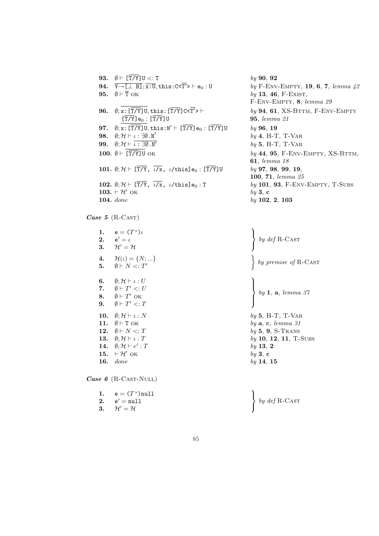**93.**  $\emptyset \vdash [\overline{T/Y}] \cup \langle : T \rangle$  by 90, 92 94.  $\overline{Y \rightarrow \Box \Box B]}$ ;  $\overline{x:U}$ , this: C< $\overline{T'}$ >  $\vdash e_0 : U$ **95.**  $\emptyset \vdash \overline{T}$  OK  $by$  **13, 46, F-EXIST,** 96.  $\[\emptyset; \overline{x: [\overline{T/Y}]\cup}, \text{this}: [\overline{T/Y}]\right. \subset \langle \overline{T' \rangle} \rangle \vdash$  $[\overline{T/Y}]$  $\mathbf{e}_0 : [\overline{T/Y}]$ U 95, lemma 21 97.  $\emptyset$ ;  $\overline{x}$ :  $[\overline{T/Y}]$ U, this:  $N' \vdash [\overline{T/Y}]$ e<sub>0</sub> :  $[\overline{T/Y}]$ U *by* 96, 19 98.  $\emptyset; \mathcal{H} \vdash \iota : \exists \emptyset \mathbf{.} N'$ 99.  $\emptyset$ ;  $\mathcal{H} \vdash \overline{\iota : \exists \emptyset \cdot \mathbb{N}'}$ 101.  $\emptyset; H \vdash [\overline{T/Y}, \overline{\iota/x}, \iota/\mathtt{this}] e_0 : [\overline{T/Y}] U$  by 97, 98, 99, 19, 100.  $\emptyset \vdash \overline{[T/Y]}$ U OK  $by$  44, 95, F-ENV-EMPTY, XS-BTTM, 102.  $\emptyset; \mathcal{H} \vdash [\overline{T/Y}, \overline{\iota/x}, \iota/\text{this}]_{e_0}$ : T by 101, 93, F-ENV-EMPTY, T-SUBS 104. done 103.  $\vdash$   $\mathcal{H}'$  ok by 3, c

by F-ENV-EMPTY, 19, 6, 7, lemma  $42$ F-Env-Empty, 8, lemma 29  $by$  94, 61, XS-BTTM, F-ENV-EMPTY  $by$  4, H-T, T-VAR  $by 5$ , H-T, T-VAR 61, lemma 18 100, 71, lemma 25  $by$  102, 2, 103

 $\ddot{\phantom{a}}$  $\mathcal{L}$  $\sqrt{ }$ 

 $\tilde{\mathcal{L}}$ 

 $\ddot{\phantom{a}}$  $\mathcal{L}$ 

 $\left($ 

 $by$  13, 2

by def R-Cast

by premise of R-CAST

by 1, a, lemma 37

104 Case  $5$  (R-CAST)

> 1.  $e = (T')\iota$  $2.$  $e' = i$ 3.  $\mathcal{H}' = \mathcal{H}$ 4.  $\mathcal{H}(\iota) = \{N; ...\}$ 5.  $\emptyset \vdash N \lt: T'$ 6.  $\emptyset; \mathcal{H} \vdash \iota : U$ 7.  $\emptyset \vdash T' \lt: U$ 8.  $\emptyset \vdash T'$  OK 9.  $\emptyset \vdash T' \lt: T$ **10.**  $\emptyset; \mathcal{H} \vdash \iota : N$  by 5, H-T, T-VAR 11.  $\emptyset \vdash T$  OK by a, c, lemma 31 **12.**  $\emptyset \vdash N \lt: T$  by 5, 9, S-TRANS 13.  $\emptyset; \mathcal{H} \vdash \iota : T$  by 10, 12, 11, T-SUBS 14.  $\emptyset; \mathcal{H} \vdash e'$ 15.  $\vdash \mathcal{H}'$  ok by 3, c **16.**  $done$  by 14, 15

Case 6 (R-CAST-NULL)

| 1. $e = (T')$ null                              |                                                                        |
|-------------------------------------------------|------------------------------------------------------------------------|
| 2. $e' = null$<br>3. $\mathcal{H}'=\mathcal{H}$ | $\left\{ \begin{array}{c} by\ def\ R\text{-}\CAST \end{array} \right.$ |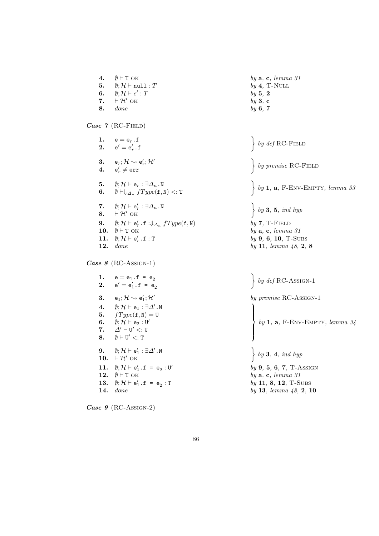4.  $\emptyset \vdash T \text{ OK}$  by a, c, lemma 31 5.  $\emptyset; \mathcal{H} \vdash \mathtt{null}$  :  $T$  by 4 , T-Null 6.  $\emptyset; H \vdash e'$ :  $T$  by 5 , 2 7.  $\vdash \mathcal{H}'$  OK  $\int$  ok by 3 , c Case 7 (RC-FIELD) 8.  $done$  by  $6, 7$ 1.  $\mathsf{e} = \mathsf{e}_r \mathbin{.} \mathsf{f}$ 2.  $\mathsf{e}'=\mathsf{e}'_r$  .  $\mathsf{f}$  $\ddot{\phantom{0}}$  $\left\{\begin{array}{c} by\ def\ RC\text{-F}\end{array}\right.$ 3.  $\mathsf{e}_r;\mathcal{H} \leadsto \mathsf{e}'_r;\mathcal{H}'$ 4.  $\mathsf{e}_r' \neq \texttt{err}$  $\ddot{\phantom{0}}$ by premise RC-FIELD 5.  $\emptyset; \mathcal{H} \vdash \mathsf{e}_r : \exists \varDelta_n$  . N 6.  $\emptyset \vdash \Downarrow_{\Delta_n} fType({\tt f},{\tt N}) <: {\tt T}$  $\ddot{\phantom{0}}$ by  $1$ ,  $a$ , F-ENV-EMPTY, lemma  $33$ 7.  $\emptyset; \mathcal{H} \vdash e_r' : \exists \Delta_n . \mathbb{N}$ 8.  $\vdash \mathcal{H}'$  OK  $\ddot{\phantom{0}}$  $by 3, 5, ind hyp$ 9.  $\emptyset; \mathcal{H} \vdash \mathsf{e}_r'$  . f  $: \Downarrow_{\varDelta_n} \textit{fType}(\mathtt{f}, \mathtt{N})$ ) by 7 , T-Field 10.  $\emptyset \vdash T$  OK T OK  $by$ a, c, lemma 31 11.  $\emptyset; \mathcal{H} \vdash e_r'.f :$ T is a set of  $by$ 9, 6, 10, T-Subs Case  $8$  (RC-Assign-1) **12.** done by 11, lemma  $48$ , 2, 8 1.  $e = e_1 \cdot f = e_2$ 2.  $e' = e'_1$ .f =  $e_2$  $\ddot{\phantom{0}}$ by  $def$  RC-Assign-1 3.  $\mathsf{e}_1; \mathcal{H} \rightsquigarrow \mathsf{e}'_1; \mathcal{H}'$ by premise RC-Assign-1 4.  $\emptyset; \mathcal{H} \vdash e_1 : \exists \Delta' . \mathbb{N}$ **5.**  $fType(f, N) = U$ 6.  $\emptyset; \mathcal{H} \vdash \mathtt{e}_2 : \mathtt{U}'$ 7.  $\varDelta' \vdash \mathtt{U}' <: \mathtt{U}$ 8.  $\emptyset \vdash U' \lt: T$  $\begin{pmatrix} 0 & 0 \\ 0 & 0 \\ 0 & 0 \end{pmatrix}$ by 1, a, F-ENV-EMPTY, lemma  $34$ 9.  $\emptyset; \mathcal{H} \vdash e'_1 : \exists \Delta' . \mathbb{N}$ 10.  $\vdash \mathcal{H}'$  ok  $\ddot{\phantom{0}}$ by  $3, 4, ind$  hyp 11.  $\emptyset; \mathcal{H} \vdash e'_1 \cdot f = e_2 : U'$  $by 9, 5, 6, 7, T-ASSIGN$ 12.  $\emptyset \vdash T$  ok by a, c, lemma 31 13.  $\emptyset; \mathcal{H} \vdash e'_1 \cdot f = e_2$ :  $by 11, 8, 12, T-SUBS$ **14.** done by 13, lemma  $48$ , 2, 10

Case 9 (RC-Assign-2)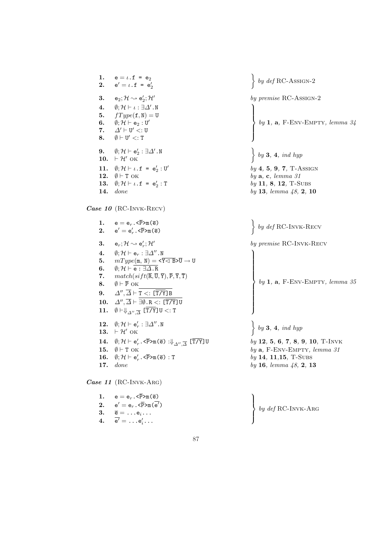| 1.<br>2.   | $e = \iota.f = e_2$<br>$e' = \iota \cdot f = e'_2$                                                                                                                                       | $by\,\,def\rm RC-ASSIGN-2$                                                        |
|------------|------------------------------------------------------------------------------------------------------------------------------------------------------------------------------------------|-----------------------------------------------------------------------------------|
| 3.         | $\mathsf{e}_2;\mathcal{H}\leadsto\mathsf{e}_2';\mathcal{H}'$                                                                                                                             | by premise RC-ASSIGN-2                                                            |
| 4.         | $\emptyset; \mathcal{H} \vdash \iota : \exists \Delta' . \mathbb{N}$                                                                                                                     |                                                                                   |
| 5.         | $fType({\tt f,N}) = {\tt U}$                                                                                                                                                             |                                                                                   |
| 6.         | $\emptyset; {\cal H} \vdash {\tt e}_2 : {\tt U}'$                                                                                                                                        | by 1, a, F-ENV-EMPTY, lemma 34                                                    |
| 7.         | $\varDelta'\vdash {\tt U}' < :{\tt U}$                                                                                                                                                   |                                                                                   |
| 8.         | $\emptyset \vdash U' <: T$                                                                                                                                                               |                                                                                   |
| 9.         | $\emptyset; \mathcal{H} \vdash \mathtt{e}'_2 : \exists \varDelta'$ . N                                                                                                                   |                                                                                   |
|            | 10. $\vdash \mathcal{H}'$ OK                                                                                                                                                             | $\left\{ \begin{array}{l} by \textbf{3, 4}, \textit{ind hyp} \end{array} \right.$ |
| 11.        | $\emptyset;$ $\mathcal{H}$ $\vdash$ $\iota$ . $\mathtt{f}$ = $\mathtt{e}'_2$ : $\mathtt{U}'$                                                                                             | $by 4, 5, 9, 7, T-ASSIGN$                                                         |
| 12.        | $\emptyset$ + T OK                                                                                                                                                                       | by $a, c, lemma 31$                                                               |
| 13.        | $\emptyset;$ $\mathcal{H}$ $\vdash$ $\iota$ . $\mathtt{f}$ = $\mathtt{e}'_2$ : T                                                                                                         | $by 11, 8, 12, T-SUBS$                                                            |
| 14.        | done                                                                                                                                                                                     | by 13, lemma $48$ , 2, 10                                                         |
|            | Case 10 (RC-INVK-RECV)                                                                                                                                                                   |                                                                                   |
| 1.         | $e = e_r . \langle \overline{P} \rangle m(\overline{e})$                                                                                                                                 |                                                                                   |
| 2.         | $e' = e'_r \cdot \langle \overline{P} \rangle m(\overline{e})$                                                                                                                           | by def RC-INVK-RECV                                                               |
| 3.         | $\mathsf{e}_r;\mathcal{H}\leadsto\mathsf{e}'_r;\mathcal{H}'$                                                                                                                             | by premise RC-INVK-RECV                                                           |
| 4.         | $\emptyset; \mathcal{H} \vdash e_r : \exists \Delta'' . \mathbb{N}$                                                                                                                      |                                                                                   |
| 5.         | $mType(\mathfrak{m},\mathbb{N}) = \langle \overline{Y} \triangleleft \overline{B} \rangle \overline{U} \rightarrow U$                                                                    |                                                                                   |
| 6.         | $\emptyset; \mathcal{H} \vdash \overline{e : \exists \Delta . R}$                                                                                                                        |                                                                                   |
| 7.<br>8.   | $match(sift(\overline{\mathbf{R}},\overline{\mathbf{U}},\overline{\mathbf{Y}}),\overline{\mathbf{P}},\overline{\mathbf{Y}},\overline{\mathbf{T}})$<br>$\emptyset \vdash \overline{P}$ OK | by $1, a, F$ -ENV-EMPTY, lemma 35                                                 |
| 9.         | $\Delta'', \overline{\Delta} \vdash T <: [\overline{T/Y}] B$                                                                                                                             |                                                                                   |
| 10.        | $\Delta'', \overline{\Delta} \vdash \exists \emptyset \ldotp R <: [\overline{T/Y}] \cup$                                                                                                 |                                                                                   |
| 11.        | $\emptyset \vdash \Downarrow_{\Delta'' \cdot \overline{\Delta}} [\overline{T/Y}] \mathbb{U} \lt: \mathbb{T}$                                                                             |                                                                                   |
|            |                                                                                                                                                                                          |                                                                                   |
| 12.        | $\emptyset; {\cal H} \vdash {\tt e}_r' : \exists \varDelta''$ . N                                                                                                                        | $\big\}$ by 3, 4, ind hyp                                                         |
| 13.        | $\vdash \mathcal{H}'$ OK                                                                                                                                                                 |                                                                                   |
| 14.        | $\emptyset; \mathcal{H} \vdash e'_r . \leq \overline{P} > m(\overline{e}) : \Downarrow_{\Delta'' , \overline{\Delta}} [\mathbb{T}/\mathbb{Y}]$ U                                         | $by 12, 5, 6, 7, 8, 9, 10, T-INVK$                                                |
| 15.        | $\emptyset \vdash T$ OK<br>$\emptyset;$ $\mathcal{H} \vdash e'_r$ . < $\overline{P}$ >m( $\overline{e}$ ) : T                                                                            | by $a$ , F-ENV-EMPTY, lemma 31                                                    |
| 16.<br>17. | done                                                                                                                                                                                     | $by 14, 11, 15, T-SUBS$<br>by 16, lemma $48$ , 2, 13                              |
|            |                                                                                                                                                                                          |                                                                                   |
|            | Case 11 (RC-INVK-ARG)                                                                                                                                                                    |                                                                                   |
| 1.         | $e = e_r . \langle \overline{P} \rangle m(\overline{e})$                                                                                                                                 |                                                                                   |
| 2.         | $e' = e_r \cdot \langle \overline{P} \rangle_{m}(\overline{e'})$                                                                                                                         | by $def$ RC-INVK-ARG                                                              |
| 3.         | $\overline{e} = \ldots e_i \ldots$                                                                                                                                                       |                                                                                   |
|            |                                                                                                                                                                                          |                                                                                   |

3.  $\overline{e} = \ldots e_i \ldots$ 4.  $\overline{e'} = \dots e'_i \dots$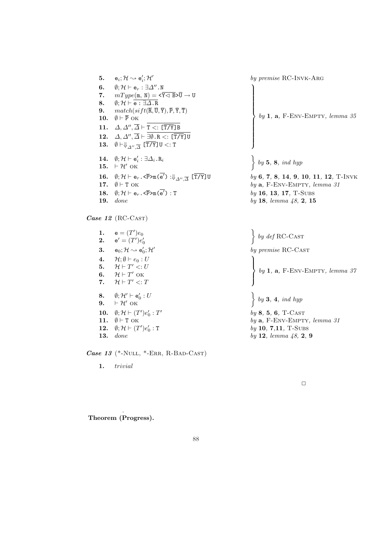5.  $e_i$ ;  $\mathcal{H} \rightsquigarrow e_i'; \mathcal{H}'$ by premise RC-Invk-Arg 6.  $\emptyset$ ;  $\mathcal{H} \vdash e_r : \exists \Delta''$ .N 7.  $mType(m, N) = \langle \overline{Y} \langle \overline{B} \rangle \overline{U} \rightarrow U$ 8.  $\emptyset; \mathcal{H} \vdash \stackrel{\cdot}{\mathsf{e}: }\exists \overline{\Delta}.\overline{\mathsf{R}}$ 9.  $match(sift(\overline{R}, \overline{U}, \overline{Y}), \overline{P}, \overline{Y}, \overline{T})$ 10.  $\emptyset \vdash \overline{P}$  ok 11.  $\Delta, \Delta'', \overline{\Delta} \vdash T \lt: : [\overline{T/Y}]B$ 12.  $\Delta, \Delta'', \overline{\Delta} \vdash \exists \emptyset . \, R <: [\overline{T/Y}]$ U  ${\bf 13.} \quad \emptyset \vdash \Downarrow_{\varDelta'' ,\overline{\varDelta}} \ [\overline{\mathtt{T} / \mathtt{Y}}]$ U  $<: \mathtt{T}$  $\begin{array}{c} \hline \end{array}$  $\begin{bmatrix} \phantom{-} \end{bmatrix}$ by 1,  $a$ , F-ENV-EMPTY, lemma 35 14.  $\emptyset;$   $\mathcal{H} \vdash e_i': \exists \Delta_i \ldotp R_i$ 14.  $\emptyset; \mathcal{H} \vdash \mathsf{e}_i' : \exists \Delta_i. \mathsf{R}_i\n 15. \vdash \mathcal{H}' \text{ OK}$ by  $5, 8, ind hyp$  ${\bf 16.} \quad \emptyset; \mathcal{H} \vdash \mathtt{e}_r . \mathtt{<\overline{P}}\mathtt{>m}(\overline{\mathtt{e}'}) : \Downarrow_{\varDelta''}$ by 6, 7, 8, 14, 9, 10, 11, 12, T-INVK 17.  $\emptyset \vdash T$  OK by a, F-ENV-EMPTY, lemma 31 18.  $\emptyset$ ;  $\mathcal{H} \vdash e_r$ . < $\overline{P}$ >m( $\overline{e'}$ ) : T  $by$  16, 13, 17, T-Subs **19.** done by 18, lemma  $48$ , 2, 15

 $\ddot{\phantom{0}}$ 

 $\vert$ 

 $\left($ 

Case 12 (RC-CAST)

1.  $e = (T')e_0$ **2.**  $e' = (T')e'_0$ 3.  $e_0; H \rightsquigarrow e'_0; H'$ 4.  $\mathcal{H}; \emptyset \vdash e_0 : U$ 5.  $\mathcal{H} \vdash T' \lt: U$ 6.  $\mathcal{H} \vdash T'$  OK 7.  $\mathcal{H} \vdash T' \lt: T$ 8.  $\emptyset; \mathcal{H}' \vdash e'_0 : U$ 8.  $\emptyset; \mathcal{H}' \vdash e'_0: U$ <br>9.  $\vdash \mathcal{H}'$  ok  $\Big\}$ 10.  $\emptyset; H \vdash (T')e'_0 : T'$ 11.  $\emptyset \vdash T$  ok by a, F-ENV-EMPTY, lemma 31 12.  $\emptyset; H \vdash (T')e'_0$ **13.** done by 12, lemma  $48$ , 2, 9

Case 13 (\*-NULL, \*-ERR, R-BAD-CAST)

1. trivial

 $\bigg\}$  by 3, 4, ind hyp

by def RC-CAST

by premise RC-CAST

 $by 8, 5, 6, T-CAST$  $by 10, 7, 11, T-SUBS$ 

by 1,  $a$ , F-ENV-EMPTY, lemma 37

 $\Box$ 

Lemma 50 . Theorem (Progress).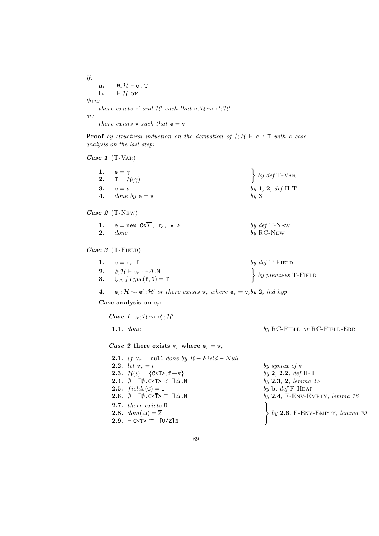If: a.  $\emptyset; \mathcal{H} \vdash e : T$ **b.**  $\vdash \mathcal{H}$  ok then:

there exists  $e'$  and  $H'$  such that  $e; H \rightarrow e'; H'$ or:

there exists  $v$  such that  $e = v$ 

**Proof** by structural induction on the derivation of  $\emptyset; H \vdash e : T$  with a case analysis on the last step:

Case 1 (T-VAR)

| 1. $e = \gamma$              | $\left\{ \begin{array}{c} by\ def \mathcal{T}-\mathsf{VAR} \end{array} \right.$ |
|------------------------------|---------------------------------------------------------------------------------|
| 2. $T = \mathcal{H}(\gamma)$ |                                                                                 |
| 3. $e = \iota$               | by 1, 2, def H-T                                                                |
| 4. done by $e = v$           | by 3                                                                            |

Case 2 (T-New)

| 1. | $e = new C < T, \tau_o, \star >$ | by $def$ T-New     |
|----|----------------------------------|--------------------|
|    | $2.$ done                        | by $RC\text{-}NEW$ |

Case 3 (T-FIELD)

| 1. $e = e_r \cdot f$                                                 | by $def$ T-FIELD             |
|----------------------------------------------------------------------|------------------------------|
| 2. $\emptyset; \mathcal{H} \vdash e_r : \exists \Delta . \mathbb{N}$ | $\{ by \, premises \, T-FI\$ |
| 3. $\oint \Delta fType(f, N) = T$                                    |                              |

4.  $e_r$ ;  $\mathcal{H} \rightsquigarrow e'_r$ ;  $\mathcal{H}'$  or there exists  $v_r$  where  $e_r = v_rby$  2, ind hyp

Case analysis on  $e_r$ :

 $\textit{Case 1}~\texttt{e}_r; \mathcal{H} \leadsto \texttt{e}'_r; \mathcal{H}'$ 

Case 2 there exists  $v_r$  where  $e_r = v_r$ 

2.1. if  $v_r = null$  done by  $R - Field - Null$ 2.2. let  $v_r = \iota$  by syntax of v **2.3.**  $\mathcal{H}(\iota) = \{C \le \bar{T} > \bar{t} \to \bar{v}\}\$  by 2, 2.2, def H-T **2.4.**  $\emptyset \vdash \exists \emptyset$ .C<T> <:  $\exists \Delta$ .N by 2.3, 2, lemma 45 **2.5.**  $fields(C) = \overline{f}$  by b, def F-HEAP **2.6.**  $\emptyset \vdash \exists \emptyset$ .C<T>  $\sqsubset$ :  $\exists \Delta$ .N by 2.4, F-ENV-EMPTY, lemma 16 **2.7.** there exists  $\overline{U}$ 2.8.  $dom(\Delta) = \overline{Z}$ 2.9.  $\vdash$  C<T>  $\square$ :  $\overline{U/Z}$ ] N

1.1. done by RC-FIELD or RC-FIELD-ERR

 $\mathcal{L}$  $\sqrt{ }$  $by$  2.6, F-Env-Empty,  $lemma \; 39$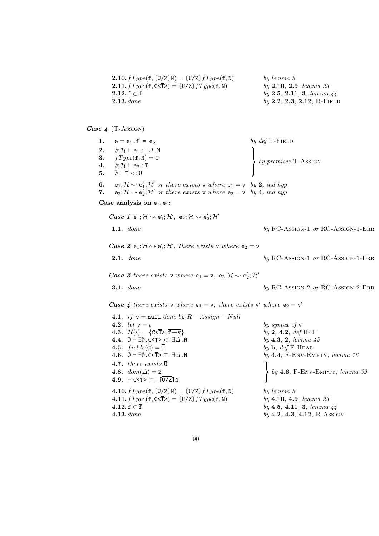| <b>2.10.</b> $fType(f, [U/Z]N) = [U/Z] fType(f, N)$ | by lemma 5                           |
|-----------------------------------------------------|--------------------------------------|
| <b>2.11.</b> $fType(f, C T) = [U/Z] fType(f, N)$    | by 2.10, 2.9, lemma 23               |
| $2.12.$ f $\in$ f                                   | by 2.5, 2.11, 3, lemma $44$          |
| $2.13$ , done                                       | $by 2.2, 2.3, 2.12, R\text{-F}$ IELD |

Case  $4$  (T-Assign)

1.  $e = e_1 \cdot f = e_2$ 2.  $\emptyset$ :  $\mathcal{H} \vdash e_1 : \exists \Delta . \mathbb{N}$ 3.  $fType(f, N) = U$ 4.  $\emptyset; \mathcal{H} \vdash e_2 : T$ 5.  $\emptyset \vdash T \lt: U$ by def T-FIELD  $\mathcal{L}$  $\left($ by premises T-ASSIGN **6.**  $e_1$ ;  $\mathcal{H} \rightsquigarrow e'_1$ ;  $\mathcal{H}'$  or there exists v where  $e_1 = v$  by 2, ind hyp 7. e<sub>2</sub>;  $\mathcal{H} \rightsquigarrow e'_2$ ;  $\mathcal{H}'$  or there exists v where  $e_2 = v$  by 4, ind hyp Case analysis on  $e_1$ ,  $e_2$ :  $\textit{Case 1} \ \ \mathsf{e}_1; \mathcal{H} \leadsto \mathsf{e}'_1; \mathcal{H}', \ \ \mathsf{e}_2; \mathcal{H} \leadsto \mathsf{e}'_2; \mathcal{H}'$ 1.1.  $done$  by RC-Assign-1 or RC-Assign-1-ERR *Case 2*  $e_1$ ;  $H \rightsquigarrow e'_1$ ;  $H'$ , there exists v where  $e_2 = v$ **2.1.** done by RC-Assign-1 or RC-Assign-1-ERR *Case 3 there exists*  $\mathbf{v}$  where  $\mathbf{e}_1 = \mathbf{v}$ ,  $\mathbf{e}_2$ ;  $\mathcal{H} \sim \mathbf{e}'_2$ ;  $\mathcal{H}'$ **3.1.** done by RC-Assign-2 or RC-Assign-2-ERR **Case 4** there exists v where  $e_1 = v$ , there exists v' where  $e_2 = v'$ 4.1. if  $y = null$  done by  $R - Assign - Null$ **4.2.** let  $v = \iota$  by syntax of v **4.3.**  $\mathcal{H}(\iota) = \{C \le \bar{T} > \bar{t} \to \bar{v}\}\$  by 2, 4.2, def H-T 4.4.  $\emptyset \vdash \exists \emptyset$ .C<T> <:  $\exists \Delta$ .N by 4.3, 2, lemma 45 **4.5.**  $fields(C) = \overline{f}$  by b, def F-HEAP 4.6.  $\emptyset \vdash \exists \emptyset$ .C<T>  $\sqsubset$ :  $\exists \Delta$ .N by 4.4, F-ENV-EMPTY, lemma 16 **4.7.** there exists  $\overline{U}$ 4.8.  $dom(\Delta) = \overline{Z}$ 4.9.  $\vdash$  C<T>  $\square$ :  $\overline{U/Z}$ ] N  $\mathcal{L}$  $\sqrt{ }$ by 4.6, F-Env-Empty, lemma 39 **4.10.**  $fType(f, [\overline{U/Z}]\mathbb{N}) = [\overline{U/Z}] fType(f, \mathbb{N})$  by lemma 5 4.11.  $fType(f, C \le \bar{T}>) = [\bar{U}/\bar{Z}] fType(f, N)$  by 4.10, 4.9, lemma 23 4.12. f ∈  $\overline{f}$  by 4.5, 4.11, 3, lemma 44 **4.13.** done by **4.2**, **4.3, 4.12**, R-ASSIGN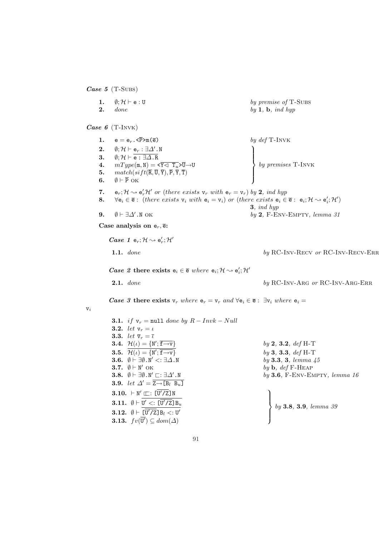Case  $5$  (T-Subs)

| 1.<br>2.                   | $\emptyset; \mathcal{H} \vdash \mathtt{e} : \mathtt{U}$<br>done                                                                                                                                                                                                                                                                                                                                                                                                                                                                                                                                                                                                                                                                                                                                                                                                                                                                             | by premise of T-SUBS<br>by $1, b, ind hyp$                                                                                                                       |
|----------------------------|---------------------------------------------------------------------------------------------------------------------------------------------------------------------------------------------------------------------------------------------------------------------------------------------------------------------------------------------------------------------------------------------------------------------------------------------------------------------------------------------------------------------------------------------------------------------------------------------------------------------------------------------------------------------------------------------------------------------------------------------------------------------------------------------------------------------------------------------------------------------------------------------------------------------------------------------|------------------------------------------------------------------------------------------------------------------------------------------------------------------|
|                            | <i>Case 6</i> (T-INVK)                                                                                                                                                                                                                                                                                                                                                                                                                                                                                                                                                                                                                                                                                                                                                                                                                                                                                                                      |                                                                                                                                                                  |
| 1.<br>2.<br>3.<br>4.<br>5. | $e = e_r . \langle \overline{P} \rangle m(\overline{e})$<br>$\emptyset; {\cal H} \vdash {\sf e}_r : \exists \Delta'$ . N<br>$\emptyset; \mathcal{H} \vdash \overline{e : \exists \Delta . R}$<br>$mType(\mathfrak{m}, \mathbb{N}) = \langle \overline{Y} \langle \overline{Y} \overline{X} \rangle$<br>$match(sift(\overline{R},\overline{U},\overline{Y}),\overline{P},\overline{Y},\overline{T})$                                                                                                                                                                                                                                                                                                                                                                                                                                                                                                                                         | by $def$ T-INVK<br>by premises $T$ -INVK                                                                                                                         |
| 6.<br>7.<br>8.             | $\emptyset \vdash \overline{P}$ OK<br>$\mathbf{e}_r$ ; $\mathcal{H} \sim \mathbf{e}_r' \mathcal{H}'$ or (there exists $\mathbf{v}_r$ with $\mathbf{e}_r = \mathbf{v}_r$ ) by 2, ind hyp<br>$\forall e_i \in \overline{e}$ : (there exists $v_i$ with $e_i = v_i$ ) or (there exists $e_i \in \overline{e}$ : $e_i$ ; $\mathcal{H} \rightsquigarrow e'_i$ ; $\mathcal{H}'$ )                                                                                                                                                                                                                                                                                                                                                                                                                                                                                                                                                                 |                                                                                                                                                                  |
| 9.                         | $\emptyset \vdash \exists \Delta' . \mathbb{N}$ OK                                                                                                                                                                                                                                                                                                                                                                                                                                                                                                                                                                                                                                                                                                                                                                                                                                                                                          | 3, ind hyp<br>by $2$ , F-ENV-EMPTY, lemma $31$                                                                                                                   |
|                            | Case analysis on $e_r$ , $\overline{e}$ :                                                                                                                                                                                                                                                                                                                                                                                                                                                                                                                                                                                                                                                                                                                                                                                                                                                                                                   |                                                                                                                                                                  |
|                            | <i>Case 1</i> $e_r$ ; $\mathcal{H} \rightsquigarrow e'_r$ ; $\mathcal{H}'$                                                                                                                                                                                                                                                                                                                                                                                                                                                                                                                                                                                                                                                                                                                                                                                                                                                                  |                                                                                                                                                                  |
|                            | 1.1. done                                                                                                                                                                                                                                                                                                                                                                                                                                                                                                                                                                                                                                                                                                                                                                                                                                                                                                                                   | by RC-INV-RECV or RC-INV-RECV-ERR                                                                                                                                |
|                            | Case 2 there exists $e_i \in \overline{e}$ where $e_i$ ; $\mathcal{H} \rightsquigarrow e'_i$ ; $\mathcal{H}'$                                                                                                                                                                                                                                                                                                                                                                                                                                                                                                                                                                                                                                                                                                                                                                                                                               |                                                                                                                                                                  |
|                            | 2.1. done                                                                                                                                                                                                                                                                                                                                                                                                                                                                                                                                                                                                                                                                                                                                                                                                                                                                                                                                   | by RC-INV-ARG or RC-INV-ARG-ERR                                                                                                                                  |
| $\mathrm{v}_i$             | <b>Case 3 there exists</b> $v_r$ where $e_r = v_r$ and $\forall e_i \in \overline{e}$ : $\exists v_i$ where $e_i =$                                                                                                                                                                                                                                                                                                                                                                                                                                                                                                                                                                                                                                                                                                                                                                                                                         |                                                                                                                                                                  |
|                            | <b>3.1.</b> if $v_r = \text{null}$ done by $R - Invk - Null$<br><b>3.2.</b> <i>let</i> $v_r = \iota$<br><b>3.3.</b> let $\overline{\mathbf{v}}_r = \overline{\iota}$<br><b>3.4.</b> $\mathcal{H}(\iota) = \{ \mathbb{N}'; \overline{\mathbf{f} \to \mathbf{v}} \}$<br><b>3.5.</b> $\overline{\mathcal{H}(\iota)} = \{N'; \overline{\mathbf{f} \rightarrow \mathbf{v}}\}$<br>3.6. $\emptyset \vdash \exists \emptyset \ldotp N' \lt: \exists \Delta \ldotp N$<br>3.7. $\emptyset \vdash \mathbb{N}'$ OK<br>3.8. $\emptyset \vdash \exists \emptyset \ldotp N' \sqsubset : \exists \Delta' \ldotp N$<br><b>3.9.</b> let $\Delta' = \overline{Z \rightarrow [B_l \ B_u]}$<br>3.10. $\vdash N' \sqsubseteq : [\overline{U'/Z}] N$<br><b>3.11.</b> $\emptyset \vdash U' \lt: [\overline{U'/Z}] B_u$<br><b>3.12.</b> $\emptyset \vdash [\overline{U'}/\overline{Z}] B_l <: U'$<br><b>3.13.</b> $fv(\overline{\mathbf{U}'}) \subseteq dom(\Delta)$ | by 2, 3.2, def H-T<br>by 3, 3.3, $def H-T$<br>by 3.3, 3, lemma 45<br>by $\mathbf{b}$ , def F-HEAP<br>by $3.6$ , F-ENV-EMPTY, lemma 16<br>by 3.8, 3.9, lemma $39$ |